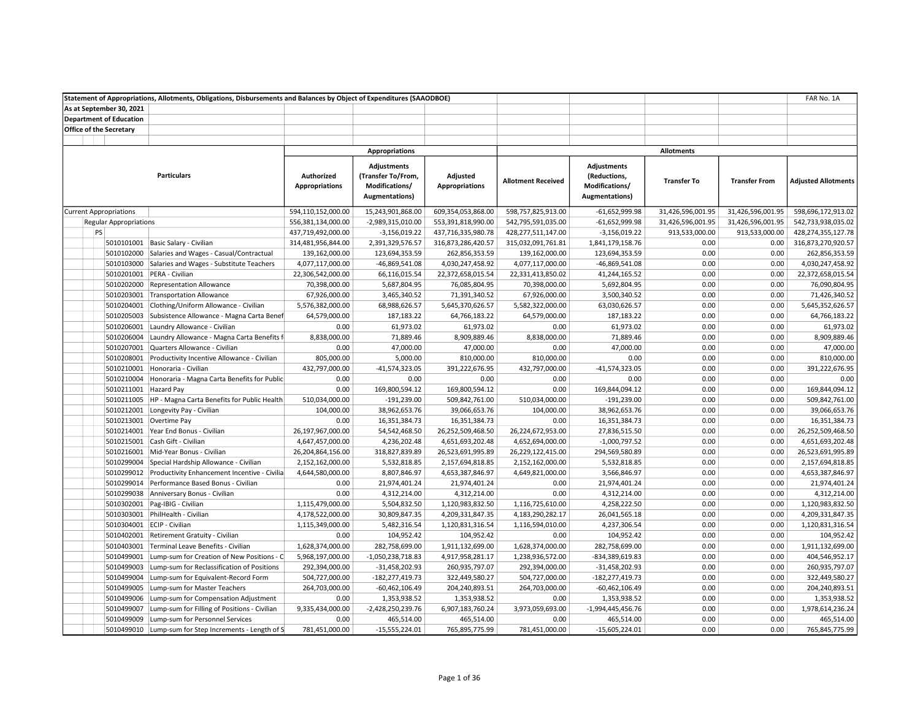|                                | Statement of Appropriations, Allotments, Obligations, Disbursements and Balances by Object of Expenditures (SAAODBOE) |                                     |                                                                                      |                                   |                           |                                                                                |                    |                      | FAR No. 1A                 |
|--------------------------------|-----------------------------------------------------------------------------------------------------------------------|-------------------------------------|--------------------------------------------------------------------------------------|-----------------------------------|---------------------------|--------------------------------------------------------------------------------|--------------------|----------------------|----------------------------|
| As at September 30, 2021       |                                                                                                                       |                                     |                                                                                      |                                   |                           |                                                                                |                    |                      |                            |
| <b>Department of Education</b> |                                                                                                                       |                                     |                                                                                      |                                   |                           |                                                                                |                    |                      |                            |
| <b>Office of the Secretary</b> |                                                                                                                       |                                     |                                                                                      |                                   |                           |                                                                                |                    |                      |                            |
|                                |                                                                                                                       |                                     |                                                                                      |                                   |                           |                                                                                |                    |                      |                            |
|                                |                                                                                                                       |                                     | Appropriations                                                                       |                                   |                           |                                                                                | <b>Allotments</b>  |                      |                            |
|                                | <b>Particulars</b>                                                                                                    | Authorized<br><b>Appropriations</b> | <b>Adjustments</b><br>(Transfer To/From,<br>Modifications/<br><b>Augmentations</b> ) | Adjusted<br><b>Appropriations</b> | <b>Allotment Received</b> | <b>Adjustments</b><br>(Reductions,<br>Modifications/<br><b>Augmentations</b> ) | <b>Transfer To</b> | <b>Transfer From</b> | <b>Adjusted Allotments</b> |
| <b>Current Appropriations</b>  |                                                                                                                       | 594,110,152,000.00                  | 15,243,901,868.00                                                                    | 609,354,053,868.00                | 598,757,825,913.00        | $-61,652,999.98$                                                               | 31,426,596,001.95  | 31,426,596,001.95    | 598,696,172,913.02         |
| <b>Regular Appropriations</b>  |                                                                                                                       | 556,381,134,000.00                  | -2,989,315,010.00                                                                    | 553,391,818,990.00                | 542,795,591,035.00        | $-61,652,999.98$                                                               | 31,426,596,001.95  | 31,426,596,001.95    | 542,733,938,035.02         |
| PS                             |                                                                                                                       | 437,719,492,000.00                  | $-3,156,019.22$                                                                      | 437,716,335,980.78                | 428,277,511,147.00        | $-3,156,019.22$                                                                | 913,533,000.00     | 913,533,000.00       | 428,274,355,127.78         |
|                                | 5010101001 Basic Salary - Civilian                                                                                    | 314,481,956,844.00                  | 2,391,329,576.57                                                                     | 316,873,286,420.57                | 315,032,091,761.81        | 1,841,179,158.76                                                               | 0.00               | 0.00                 | 316,873,270,920.57         |
| 5010102000                     | Salaries and Wages - Casual/Contractual                                                                               | 139,162,000.00                      | 123,694,353.59                                                                       | 262,856,353.59                    | 139,162,000.00            | 123,694,353.59                                                                 | 0.00               | 0.00                 | 262,856,353.59             |
| 5010103000                     | Salaries and Wages - Substitute Teachers                                                                              | 4,077,117,000.00                    | -46,869,541.08                                                                       | 4,030,247,458.92                  | 4,077,117,000.00          | -46,869,541.08                                                                 | 0.00               | 0.00                 | 4,030,247,458.92           |
|                                | 5010201001 PERA - Civilian                                                                                            | 22,306,542,000.00                   | 66,116,015.54                                                                        | 22,372,658,015.54                 | 22,331,413,850.02         | 41,244,165.52                                                                  | 0.00               | 0.00                 | 22,372,658,015.54          |
|                                | 5010202000 Representation Allowance                                                                                   | 70,398,000.00                       | 5,687,804.95                                                                         | 76,085,804.95                     | 70,398,000.00             | 5,692,804.95                                                                   | 0.00               | 0.00                 | 76,090,804.95              |
|                                | 5010203001 Transportation Allowance                                                                                   | 67,926,000.00                       | 3,465,340.52                                                                         | 71,391,340.52                     | 67,926,000.00             | 3,500,340.52                                                                   | 0.00               | 0.00                 | 71,426,340.52              |
|                                | 5010204001 Clothing/Uniform Allowance - Civilian                                                                      | 5,576,382,000.00                    | 68,988,626.57                                                                        | 5,645,370,626.57                  | 5,582,322,000.00          | 63,030,626.57                                                                  | 0.00               | 0.00                 | 5,645,352,626.57           |
| 5010205003                     | Subsistence Allowance - Magna Carta Benef                                                                             | 64,579,000.00                       | 187,183.22                                                                           | 64,766,183.22                     | 64,579,000.00             | 187,183.22                                                                     | 0.00               | 0.00                 | 64,766,183.22              |
| 5010206001                     | Laundry Allowance - Civilian                                                                                          | 0.00                                | 61,973.02                                                                            | 61,973.02                         | 0.00                      | 61,973.02                                                                      | 0.00               | 0.00                 | 61,973.02                  |
| 5010206004                     | Laundry Allowance - Magna Carta Benefits f                                                                            | 8,838,000.00                        | 71,889.46                                                                            | 8,909,889.46                      | 8,838,000.00              | 71,889.46                                                                      | 0.00               | 0.00                 | 8,909,889.46               |
| 5010207001                     | Quarters Allowance - Civilian                                                                                         | 0.00                                | 47,000.00                                                                            | 47,000.00                         | 0.00                      | 47,000.00                                                                      | 0.00               | 0.00                 | 47,000.00                  |
| 5010208001                     | Productivity Incentive Allowance - Civilian                                                                           | 805,000.00                          | 5,000.00                                                                             | 810,000.00                        | 810,000.00                | 0.00                                                                           | 0.00               | 0.00                 | 810,000.00                 |
| 5010210001                     | Honoraria - Civilian                                                                                                  | 432,797,000.00                      | $-41,574,323.05$                                                                     | 391,222,676.95                    | 432,797,000.00            | $-41,574,323.05$                                                               | 0.00               | 0.00                 | 391,222,676.95             |
| 5010210004                     | Honoraria - Magna Carta Benefits for Public                                                                           | 0.00                                | 0.00                                                                                 | 0.00                              | 0.00                      | 0.00                                                                           | 0.00               | 0.00                 | 0.00                       |
| 5010211001 Hazard Pay          |                                                                                                                       | 0.00                                | 169,800,594.12                                                                       | 169,800,594.12                    | 0.00                      | 169,844,094.12                                                                 | 0.00               | 0.00                 | 169,844,094.12             |
| 5010211005                     | HP - Magna Carta Benefits for Public Health                                                                           | 510,034,000.00                      | $-191,239.00$                                                                        | 509,842,761.00                    | 510,034,000.00            | $-191,239.00$                                                                  | 0.00               | 0.00                 | 509,842,761.00             |
|                                | 5010212001 Longevity Pay - Civilian                                                                                   | 104,000.00                          | 38,962,653.76                                                                        | 39,066,653.76                     | 104,000.00                | 38,962,653.76                                                                  | 0.00               | 0.00                 | 39,066,653.76              |
|                                | 5010213001 Overtime Pay                                                                                               | 0.00                                | 16,351,384.73                                                                        | 16,351,384.73                     | 0.00                      | 16,351,384.73                                                                  | 0.00               | 0.00                 | 16,351,384.73              |
|                                | 5010214001 Year End Bonus - Civilian                                                                                  | 26,197,967,000.00                   | 54,542,468.50                                                                        | 26,252,509,468.50                 | 26,224,672,953.00         | 27,836,515.50                                                                  | 0.00               | 0.00                 | 26,252,509,468.50          |
|                                | 5010215001 Cash Gift - Civilian                                                                                       | 4,647,457,000.00                    | 4,236,202.48                                                                         | 4,651,693,202.48                  | 4,652,694,000.00          | $-1,000,797.52$                                                                | 0.00               | 0.00                 | 4,651,693,202.48           |
|                                | 5010216001 Mid-Year Bonus - Civilian                                                                                  | 26,204,864,156.00                   | 318,827,839.89                                                                       | 26,523,691,995.89                 | 26,229,122,415.00         | 294,569,580.89                                                                 | 0.00               | 0.00                 | 26,523,691,995.89          |
|                                | 5010299004 Special Hardship Allowance - Civilian                                                                      | 2,152,162,000.00                    | 5,532,818.85                                                                         | 2,157,694,818.85                  | 2,152,162,000.00          | 5,532,818.85                                                                   | 0.00               | 0.00                 | 2,157,694,818.85           |
|                                | 5010299012 Productivity Enhancement Incentive - Civilia                                                               | 4,644,580,000.00                    | 8,807,846.97                                                                         | 4,653,387,846.97                  | 4,649,821,000.00          | 3,566,846.97                                                                   | 0.00               | 0.00                 | 4,653,387,846.97           |
|                                | 5010299014 Performance Based Bonus - Civilian                                                                         | 0.00                                | 21,974,401.24                                                                        | 21,974,401.24                     | 0.00                      | 21,974,401.24                                                                  | 0.00               | 0.00                 | 21,974,401.24              |
|                                | 5010299038 Anniversary Bonus - Civilian                                                                               | 0.00                                | 4,312,214.00                                                                         | 4,312,214.00                      | 0.00                      | 4,312,214.00                                                                   | 0.00               | 0.00                 | 4,312,214.00               |
|                                | 5010302001   Pag-IBIG - Civilian                                                                                      | 1,115,479,000.00                    | 5,504,832.50                                                                         | 1,120,983,832.50                  | 1,116,725,610.00          | 4,258,222.50                                                                   | 0.00               | 0.00                 | 1,120,983,832.50           |
|                                | 5010303001 PhilHealth - Civilian                                                                                      | 4,178,522,000.00                    | 30,809,847.35                                                                        | 4,209,331,847.35                  | 4,183,290,282.17          | 26,041,565.18                                                                  | 0.00               | 0.00                 | 4,209,331,847.35           |
|                                | 5010304001 ECIP - Civilian                                                                                            | 1,115,349,000.00                    | 5,482,316.54                                                                         | 1,120,831,316.54                  | 1,116,594,010.00          | 4,237,306.54                                                                   | 0.00               | 0.00                 | 1,120,831,316.54           |
|                                | 5010402001 Retirement Gratuity - Civilian                                                                             | 0.00                                | 104,952.42                                                                           | 104,952.42                        | 0.00                      | 104,952.42                                                                     | 0.00               | 0.00                 | 104,952.42                 |
|                                | 5010403001 Terminal Leave Benefits - Civilian                                                                         | 1,628,374,000.00                    | 282,758,699.00                                                                       | 1,911,132,699.00                  | 1,628,374,000.00          | 282,758,699.00                                                                 | 0.00               | 0.00                 | 1,911,132,699.00           |
| 5010499001                     | Lump-sum for Creation of New Positions - C                                                                            | 5,968,197,000.00                    | $-1,050,238,718.83$                                                                  | 4,917,958,281.17                  | 1,238,936,572.00          | -834,389,619.83                                                                | 0.00               | 0.00                 | 404,546,952.17             |
| 5010499003                     | Lump-sum for Reclassification of Positions                                                                            | 292,394,000.00                      | $-31,458,202.93$                                                                     | 260,935,797.07                    | 292,394,000.00            | $-31,458,202.93$                                                               | 0.00               | 0.00                 | 260,935,797.07             |
| 5010499004                     | Lump-sum for Equivalent-Record Form                                                                                   | 504,727,000.00                      | -182,277,419.73                                                                      | 322,449,580.27                    | 504,727,000.00            | -182,277,419.73                                                                | 0.00               | 0.00                 | 322,449,580.27             |
| 5010499005                     | Lump-sum for Master Teachers                                                                                          | 264,703,000.00                      | $-60,462,106.49$                                                                     | 204,240,893.51                    | 264,703,000.00            | $-60,462,106.49$                                                               | 0.00               | 0.00                 | 204,240,893.51             |
| 5010499006                     | Lump-sum for Compensation Adjustment                                                                                  | 0.00                                | 1,353,938.52                                                                         | 1,353,938.52                      | 0.00                      | 1,353,938.52                                                                   | 0.00               | 0.00                 | 1,353,938.52               |
| 5010499007                     | Lump-sum for Filling of Positions - Civilian                                                                          | 9,335,434,000.00                    | $-2,428,250,239.76$                                                                  | 6,907,183,760.24                  | 3,973,059,693.00          | -1,994,445,456.76                                                              | 0.00               | 0.00                 | 1,978,614,236.24           |
| 5010499009                     | Lump-sum for Personnel Services                                                                                       | 0.00                                | 465,514.00                                                                           | 465,514.00                        | 0.00                      | 465,514.00                                                                     | 0.00               | 0.00                 | 465,514.00                 |
|                                | 5010499010 Lump-sum for Step Increments - Length of S                                                                 | 781,451,000.00                      | $-15,555,224.01$                                                                     | 765,895,775.99                    | 781,451,000.00            | $-15,605,224.01$                                                               | 0.00               | 0.00                 | 765,845,775.99             |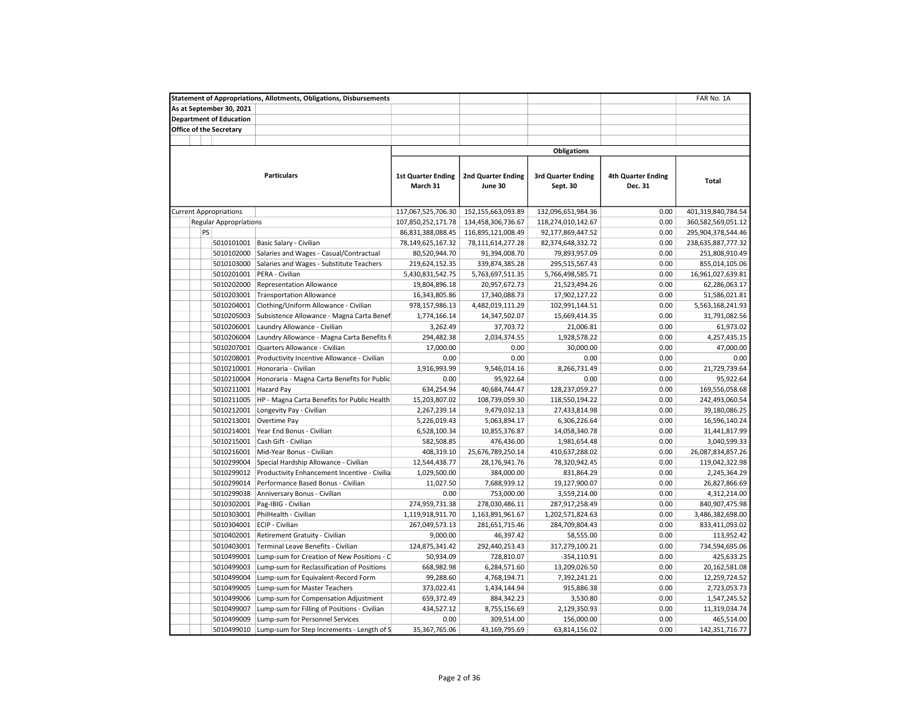|                                |                                | <b>Statement of Appropriations, Allotments, Obligations, Disbursements</b>           |                                       |                                      |                                       | FAR No. 1A                           |                               |
|--------------------------------|--------------------------------|--------------------------------------------------------------------------------------|---------------------------------------|--------------------------------------|---------------------------------------|--------------------------------------|-------------------------------|
|                                | As at September 30, 2021       |                                                                                      |                                       |                                      |                                       |                                      |                               |
|                                | <b>Department of Education</b> |                                                                                      |                                       |                                      |                                       |                                      |                               |
| <b>Office of the Secretary</b> |                                |                                                                                      |                                       |                                      |                                       |                                      |                               |
|                                |                                |                                                                                      |                                       |                                      |                                       |                                      |                               |
|                                |                                |                                                                                      |                                       |                                      | <b>Obligations</b>                    |                                      |                               |
|                                |                                | <b>Particulars</b>                                                                   | <b>1st Quarter Ending</b><br>March 31 | <b>2nd Quarter Ending</b><br>June 30 | <b>3rd Quarter Ending</b><br>Sept. 30 | <b>4th Quarter Ending</b><br>Dec. 31 | Total                         |
| <b>Current Appropriations</b>  |                                |                                                                                      | 117,067,525,706.30                    | 152,155,663,093.89                   | 132,096,651,984.36                    | 0.00                                 | 401,319,840,784.54            |
|                                | <b>Regular Appropriations</b>  |                                                                                      | 107,850,252,171.78                    | 134,458,306,736.67                   | 118,274,010,142.67                    | 0.00                                 | 360,582,569,051.12            |
| PS                             |                                |                                                                                      | 86,831,388,088.45                     | 116,895,121,008.49                   | 92,177,869,447.52                     | 0.00                                 | 295,904,378,544.46            |
|                                | 5010101001                     | Basic Salary - Civilian                                                              | 78,149,625,167.32                     | 78,111,614,277.28                    | 82,374,648,332.72                     | 0.00                                 | 238,635,887,777.32            |
|                                | 5010102000                     | Salaries and Wages - Casual/Contractual                                              | 80,520,944.70                         | 91,394,008.70                        | 79,893,957.09                         | 0.00                                 | 251,808,910.49                |
|                                | 5010103000                     | Salaries and Wages - Substitute Teachers                                             | 219,624,152.35                        | 339,874,385.28                       | 295,515,567.43                        | 0.00                                 | 855,014,105.06                |
|                                | 5010201001                     | PERA - Civilian                                                                      | 5,430,831,542.75                      | 5,763,697,511.35                     | 5,766,498,585.71                      | 0.00                                 | 16,961,027,639.81             |
|                                | 5010202000                     | <b>Representation Allowance</b>                                                      | 19,804,896.18                         | 20,957,672.73                        | 21,523,494.26                         | 0.00                                 | 62,286,063.17                 |
|                                | 5010203001                     | <b>Transportation Allowance</b>                                                      | 16,343,805.86                         | 17,340,088.73                        | 17,902,127.22                         | 0.00                                 | 51,586,021.81                 |
|                                | 5010204001                     | Clothing/Uniform Allowance - Civilian                                                | 978,157,986.13                        | 4,482,019,111.29                     | 102,991,144.51                        | 0.00                                 | 5,563,168,241.93              |
|                                | 5010205003                     | Subsistence Allowance - Magna Carta Benef                                            | 1,774,166.14                          | 14,347,502.07                        | 15,669,414.35                         | 0.00                                 | 31,791,082.56                 |
|                                | 5010206001                     | Laundry Allowance - Civilian                                                         | 3,262.49                              | 37,703.72                            | 21,006.81                             | 0.00                                 | 61,973.02                     |
|                                | 5010206004                     | Laundry Allowance - Magna Carta Benefits f                                           | 294,482.38                            | 2,034,374.55                         | 1,928,578.22                          | 0.00                                 | 4,257,435.15                  |
|                                | 5010207001                     | Quarters Allowance - Civilian                                                        | 17,000.00                             | 0.00                                 | 30,000.00                             | 0.00                                 | 47,000.00                     |
|                                | 5010208001                     | Productivity Incentive Allowance - Civilian                                          | 0.00                                  | 0.00                                 | 0.00                                  | 0.00                                 | 0.00                          |
|                                | 5010210001                     | Honoraria - Civilian                                                                 | 3,916,993.99                          | 9,546,014.16                         | 8,266,731.49                          | 0.00                                 | 21,729,739.64                 |
|                                | 5010210004                     | Honoraria - Magna Carta Benefits for Public                                          | 0.00                                  | 95,922.64                            | 0.00                                  | 0.00                                 | 95,922.64                     |
|                                | 5010211001                     | Hazard Pay                                                                           | 634,254.94                            | 40,684,744.47                        | 128,237,059.27                        | 0.00                                 | 169,556,058.68                |
|                                | 5010211005                     | HP - Magna Carta Benefits for Public Health                                          | 15,203,807.02                         | 108,739,059.30                       | 118,550,194.22                        | 0.00                                 | 242,493,060.54                |
|                                | 5010212001                     | Longevity Pay - Civilian                                                             | 2,267,239.14                          | 9,479,032.13                         | 27,433,814.98                         | 0.00                                 | 39,180,086.25                 |
|                                | 5010213001                     | Overtime Pay                                                                         | 5,226,019.43                          | 5,063,894.17                         | 6,306,226.64                          | 0.00                                 | 16,596,140.24                 |
|                                | 5010214001                     | Year End Bonus - Civilian                                                            | 6,528,100.34                          | 10,855,376.87                        | 14,058,340.78                         | 0.00                                 | 31,441,817.99                 |
|                                | 5010215001                     | Cash Gift - Civilian                                                                 | 582,508.85                            | 476,436.00                           | 1,981,654.48                          | 0.00                                 | 3,040,599.33                  |
|                                | 5010216001                     | Mid-Year Bonus - Civilian                                                            | 408,319.10                            | 25,676,789,250.14                    | 410,637,288.02                        | 0.00                                 | 26,087,834,857.26             |
|                                | 5010299004                     | Special Hardship Allowance - Civilian                                                | 12,544,438.77                         | 28,176,941.76                        | 78,320,942.45                         | 0.00                                 | 119,042,322.98                |
|                                | 5010299012                     | Productivity Enhancement Incentive - Civilia                                         | 1,029,500.00                          | 384,000.00                           | 831,864.29                            | 0.00                                 | 2,245,364.29                  |
|                                | 5010299014                     | Performance Based Bonus - Civilian                                                   | 11,027.50                             | 7,688,939.12                         | 19,127,900.07                         | 0.00                                 | 26,827,866.69                 |
|                                | 5010299038                     | Anniversary Bonus - Civilian                                                         | 0.00                                  | 753,000.00                           | 3,559,214.00                          | 0.00                                 | 4,312,214.00                  |
|                                | 5010302001                     | Pag-IBIG - Civilian                                                                  | 274,959,731.38                        | 278,030,486.11                       | 287,917,258.49                        | 0.00                                 | 840,907,475.98                |
|                                | 5010303001                     | PhilHealth - Civilian                                                                | 1,119,918,911.70                      | 1,163,891,961.67                     | 1,202,571,824.63                      | 0.00                                 | 3,486,382,698.00              |
|                                | 5010304001                     | ECIP - Civilian                                                                      | 267,049,573.13                        | 281,651,715.46                       | 284,709,804.43                        | 0.00                                 | 833,411,093.02                |
|                                | 5010402001                     | Retirement Gratuity - Civilian                                                       | 9,000.00                              | 46,397.42                            | 58,555.00                             | 0.00                                 | 113,952.42                    |
|                                | 5010403001                     | Terminal Leave Benefits - Civilian                                                   | 124,875,341.42                        | 292,440,253.43                       | 317,279,100.21                        | 0.00                                 | 734,594,695.06                |
|                                | 5010499001                     | Lump-sum for Creation of New Positions - C                                           | 50,934.09                             | 728,810.07                           | -354,110.91                           | 0.00                                 | 425,633.25                    |
|                                | 5010499003                     | Lump-sum for Reclassification of Positions                                           | 668,982.98                            | 6,284,571.60                         | 13,209,026.50                         | 0.00                                 | 20,162,581.08                 |
|                                | 5010499004                     | Lump-sum for Equivalent-Record Form                                                  | 99,288.60                             | 4,768,194.71                         | 7,392,241.21                          | 0.00                                 |                               |
|                                | 5010499005                     | Lump-sum for Master Teachers                                                         | 373,022.41                            | 1,434,144.94                         | 915,886.38                            | 0.00                                 | 12,259,724.52<br>2,723,053.73 |
|                                | 5010499006                     |                                                                                      | 659,372.49                            |                                      | 3,530.80                              | 0.00                                 | 1,547,245.52                  |
|                                | 5010499007                     | Lump-sum for Compensation Adjustment<br>Lump-sum for Filling of Positions - Civilian | 434,527.12                            | 884,342.23<br>8,755,156.69           | 2,129,350.93                          | 0.00                                 | 11,319,034.74                 |
|                                | 5010499009                     | Lump-sum for Personnel Services                                                      | 0.00                                  | 309,514.00                           | 156,000.00                            | 0.00                                 | 465,514.00                    |
|                                | 5010499010                     | Lump-sum for Step Increments - Length of S                                           | 35,367,765.06                         | 43,169,795.69                        | 63,814,156.02                         | 0.00                                 | 142,351,716.77                |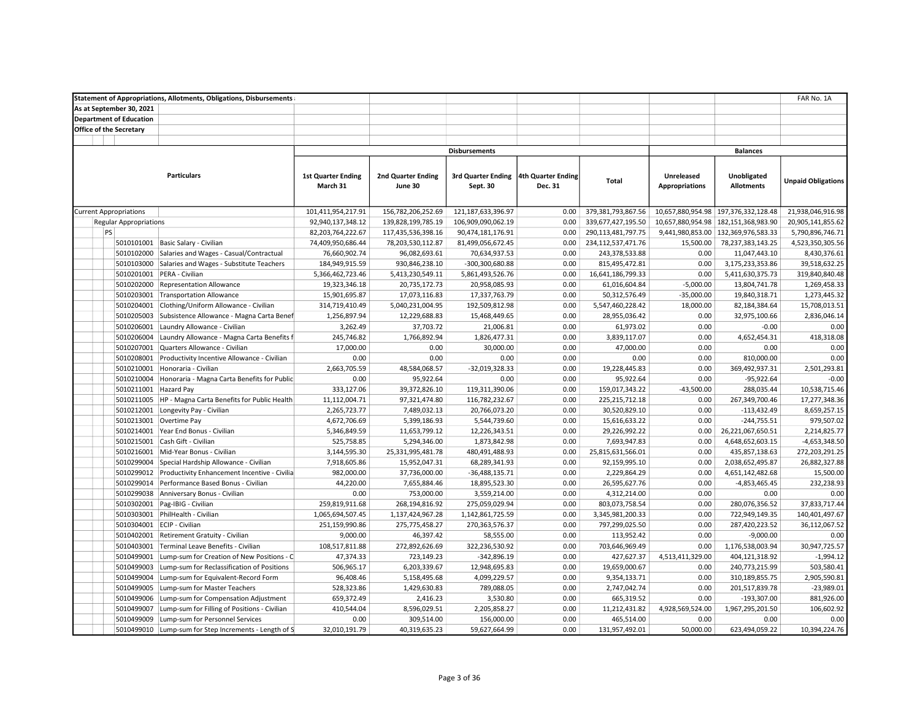| <b>Statement of Appropriations, Allotments, Obligations, Disbursements</b> |                           |                           |                           |                    |                    |                       |                                        | FAR No. 1A                |  |
|----------------------------------------------------------------------------|---------------------------|---------------------------|---------------------------|--------------------|--------------------|-----------------------|----------------------------------------|---------------------------|--|
| As at September 30, 2021                                                   |                           |                           |                           |                    |                    |                       |                                        |                           |  |
| <b>Department of Education</b>                                             |                           |                           |                           |                    |                    |                       |                                        |                           |  |
| <b>Office of the Secretary</b>                                             |                           |                           |                           |                    |                    |                       |                                        |                           |  |
|                                                                            |                           |                           |                           |                    |                    |                       |                                        |                           |  |
|                                                                            |                           |                           | <b>Disbursements</b>      |                    |                    |                       | <b>Balances</b>                        |                           |  |
|                                                                            |                           |                           |                           |                    |                    |                       |                                        |                           |  |
| <b>Particulars</b>                                                         | <b>1st Quarter Ending</b> | <b>2nd Quarter Ending</b> | <b>3rd Quarter Ending</b> | 4th Quarter Ending |                    | Unreleased            | Unobligated                            |                           |  |
|                                                                            | March 31                  | June 30                   | Sept. 30                  | Dec. 31            | Total              | <b>Appropriations</b> | <b>Allotments</b>                      | <b>Unpaid Obligations</b> |  |
|                                                                            |                           |                           |                           |                    |                    |                       |                                        |                           |  |
| <b>Current Appropriations</b>                                              | 101,411,954,217.91        | 156,782,206,252.69        | 121, 187, 633, 396. 97    | 0.00               | 379,381,793,867.56 |                       | 10,657,880,954.98   197,376,332,128.48 | 21,938,046,916.98         |  |
| <b>Regular Appropriations</b>                                              | 92,940,137,348.12         | 139,828,199,785.19        | 106,909,090,062.19        | 0.00               | 339,677,427,195.50 |                       | 10,657,880,954.98   182,151,368,983.90 | 20,905,141,855.62         |  |
| <b>PS</b>                                                                  | 82,203,764,222.67         | 117,435,536,398.16        | 90,474,181,176.91         | 0.00               | 290,113,481,797.75 |                       | 9,441,980,853.00 132,369,976,583.33    | 5,790,896,746.71          |  |
| 5010101001<br>Basic Salary - Civilian                                      | 74,409,950,686.44         | 78,203,530,112.87         | 81,499,056,672.45         | 0.00               | 234,112,537,471.76 | 15,500.00             | 78,237,383,143.25                      | 4,523,350,305.56          |  |
| 5010102000<br>Salaries and Wages - Casual/Contractual                      | 76,660,902.74             | 96,082,693.61             | 70,634,937.53             | 0.00               | 243,378,533.88     | 0.00                  | 11,047,443.10                          | 8,430,376.61              |  |
| 5010103000<br>Salaries and Wages - Substitute Teachers                     | 184,949,915.59            | 930,846,238.10            | -300,300,680.88           | 0.00               | 815,495,472.81     | 0.00                  | 3,175,233,353.86                       | 39,518,632.25             |  |
| 5010201001<br>PERA - Civilian                                              | 5,366,462,723.46          | 5,413,230,549.11          | 5,861,493,526.76          | 0.00               | 16,641,186,799.33  | 0.00                  | 5,411,630,375.73                       | 319,840,840.48            |  |
| 5010202000<br>Representation Allowance                                     | 19,323,346.18             | 20,735,172.73             | 20,958,085.93             | 0.00               | 61,016,604.84      | $-5,000.00$           | 13,804,741.78                          | 1,269,458.33              |  |
| 5010203001<br><b>Transportation Allowance</b>                              | 15,901,695.87             | 17,073,116.83             | 17,337,763.79             | 0.00               | 50,312,576.49      | $-35,000.00$          | 19,840,318.71                          | 1,273,445.32              |  |
| 5010204001<br>Clothing/Uniform Allowance - Civilian                        | 314,719,410.49            | 5,040,231,004.95          | 192,509,812.98            | 0.00               | 5,547,460,228.42   | 18,000.00             | 82,184,384.64                          | 15,708,013.51             |  |
| 5010205003<br>Subsistence Allowance - Magna Carta Benef                    | 1,256,897.94              | 12,229,688.83             | 15,468,449.65             | 0.00               | 28,955,036.42      | 0.00                  | 32,975,100.66                          | 2,836,046.14              |  |
| 5010206001<br>Laundry Allowance - Civilian                                 | 3,262.49                  | 37,703.72                 | 21,006.81                 | 0.00               | 61,973.02          | 0.00                  | $-0.00$                                | 0.00                      |  |
| 5010206004<br>Laundry Allowance - Magna Carta Benefits f                   | 245,746.82                | 1,766,892.94              | 1,826,477.31              | 0.00               | 3,839,117.07       | 0.00                  | 4,652,454.31                           | 418,318.08                |  |
| 5010207001<br>Quarters Allowance - Civilian                                | 17,000.00                 | 0.00                      | 30,000.00                 | 0.00               | 47,000.00          | 0.00                  | 0.00                                   | 0.00                      |  |
| 5010208001<br>Productivity Incentive Allowance - Civilian                  | 0.00                      | 0.00                      | 0.00                      | 0.00               | 0.00               | 0.00                  | 810,000.00                             | 0.00                      |  |
| 5010210001<br>Honoraria - Civilian                                         | 2,663,705.59              | 48,584,068.57             | -32,019,328.33            | 0.00               | 19,228,445.83      | 0.00                  | 369,492,937.31                         | 2,501,293.81              |  |
| 5010210004<br>Honoraria - Magna Carta Benefits for Public                  | 0.00                      | 95,922.64                 | 0.00                      | 0.00               | 95,922.64          | 0.00                  | $-95,922.64$                           | $-0.00$                   |  |
| 5010211001<br><b>Hazard Pay</b>                                            | 333,127.06                | 39,372,826.10             | 119,311,390.06            | 0.00               | 159,017,343.22     | $-43,500.00$          | 288,035.44                             | 10,538,715.46             |  |
| 5010211005<br>HP - Magna Carta Benefits for Public Health                  | 11,112,004.71             | 97,321,474.80             | 116,782,232.67            | 0.00               | 225, 215, 712. 18  | 0.00                  | 267,349,700.46                         | 17,277,348.36             |  |
| 5010212001<br>Longevity Pay - Civilian                                     | 2,265,723.77              | 7,489,032.13              | 20,766,073.20             | 0.00               | 30,520,829.10      | 0.00                  | $-113,432.49$                          | 8,659,257.15              |  |
| 5010213001<br>Overtime Pay                                                 | 4,672,706.69              | 5,399,186.93              | 5,544,739.60              | 0.00               | 15,616,633.22      | 0.00                  | $-244,755.51$                          | 979,507.02                |  |
| 5010214001<br>Year End Bonus - Civilian                                    | 5,346,849.59              | 11,653,799.12             | 12,226,343.51             | 0.00               | 29,226,992.22      | 0.00                  | 26,221,067,650.51                      | 2,214,825.77              |  |
| 5010215001<br>Cash Gift - Civilian                                         | 525,758.85                | 5,294,346.00              | 1,873,842.98              | 0.00               | 7,693,947.83       | 0.00                  | 4,648,652,603.15                       | $-4,653,348.50$           |  |
| 5010216001<br>Mid-Year Bonus - Civilian                                    | 3,144,595.30              | 25,331,995,481.78         | 480,491,488.93            | 0.00               | 25,815,631,566.01  | 0.00                  | 435,857,138.63                         | 272,203,291.25            |  |
| 5010299004<br>Special Hardship Allowance - Civilian                        | 7,918,605.86              | 15,952,047.31             | 68,289,341.93             | 0.00               | 92,159,995.10      | 0.00                  | 2,038,652,495.87                       | 26,882,327.88             |  |
| 5010299012<br>Productivity Enhancement Incentive - Civilia                 | 982,000.00                | 37,736,000.00             | $-36,488,135.71$          | 0.00               | 2,229,864.29       | 0.00                  | 4,651,142,482.68                       | 15,500.00                 |  |
| 5010299014<br>Performance Based Bonus - Civilian                           | 44,220.00                 | 7,655,884.46              | 18,895,523.30             | 0.00               | 26,595,627.76      | 0.00                  | $-4,853,465.45$                        | 232,238.93                |  |
| 5010299038<br>Anniversary Bonus - Civilian                                 | 0.00                      | 753,000.00                | 3,559,214.00              | 0.00               | 4,312,214.00       | 0.00                  | 0.00                                   | 0.00                      |  |
| 5010302001<br>Pag-IBIG - Civilian                                          | 259,819,911.68            | 268,194,816.92            | 275,059,029.94            | 0.00               | 803,073,758.54     | 0.00                  | 280,076,356.52                         | 37,833,717.44             |  |
| 5010303001<br>PhilHealth - Civilian                                        | 1,065,694,507.45          | 1,137,424,967.28          | 1,142,861,725.59          | 0.00               | 3,345,981,200.33   | 0.00                  | 722,949,149.35                         | 140,401,497.67            |  |
| 5010304001<br>ECIP - Civilian                                              | 251,159,990.86            | 275,775,458.27            | 270,363,576.37            | 0.00               | 797,299,025.50     | 0.00                  | 287,420,223.52                         | 36,112,067.52             |  |
| 5010402001<br>Retirement Gratuity - Civilian                               | 9,000.00                  | 46,397.42                 | 58,555.00                 | 0.00               | 113,952.42         | 0.00                  | $-9,000.00$                            | 0.00                      |  |
| 5010403001<br>Terminal Leave Benefits - Civilian                           | 108,517,811.88            | 272,892,626.69            | 322,236,530.92            | 0.00               | 703,646,969.49     | 0.00                  | 1,176,538,003.94                       | 30,947,725.57             |  |
| 5010499001<br>Lump-sum for Creation of New Positions - C                   | 47,374.33                 | 723,149.23                | $-342,896.19$             | 0.00               | 427,627.37         | 4,513,411,329.00      | 404,121,318.92                         | $-1,994.12$               |  |
| 5010499003<br>Lump-sum for Reclassification of Positions                   | 506,965.17                | 6,203,339.67              | 12,948,695.83             | 0.00               | 19,659,000.67      | 0.00                  | 240,773,215.99                         | 503,580.41                |  |
| 5010499004<br>Lump-sum for Equivalent-Record Form                          | 96,408.46                 | 5,158,495.68              | 4,099,229.57              | 0.00               | 9,354,133.71       | 0.00                  | 310,189,855.75                         | 2,905,590.81              |  |
| 5010499005<br>Lump-sum for Master Teachers                                 | 528,323.86                | 1,429,630.83              | 789,088.05                | 0.00               | 2,747,042.74       | 0.00                  | 201,517,839.78                         | $-23,989.01$              |  |
| 5010499006<br>Lump-sum for Compensation Adjustment                         | 659,372.49                | 2,416.23                  | 3,530.80                  | 0.00               | 665,319.52         | 0.00                  | $-193,307.00$                          | 881,926.00                |  |
| 5010499007<br>Lump-sum for Filling of Positions - Civilian                 | 410,544.04                | 8,596,029.51              | 2,205,858.27              | 0.00               | 11,212,431.82      | 4,928,569,524.00      | 1,967,295,201.50                       | 106,602.92                |  |
| 5010499009<br>Lump-sum for Personnel Services                              | 0.00                      | 309,514.00                | 156,000.00                | 0.00               | 465,514.00         | 0.00                  | 0.00                                   | 0.00                      |  |
| 5010499010<br>Lump-sum for Step Increments - Length of S                   | 32,010,191.79             | 40,319,635.23             | 59,627,664.99             | 0.00               | 131,957,492.01     | 50,000.00             | 623,494,059.22                         | 10,394,224.76             |  |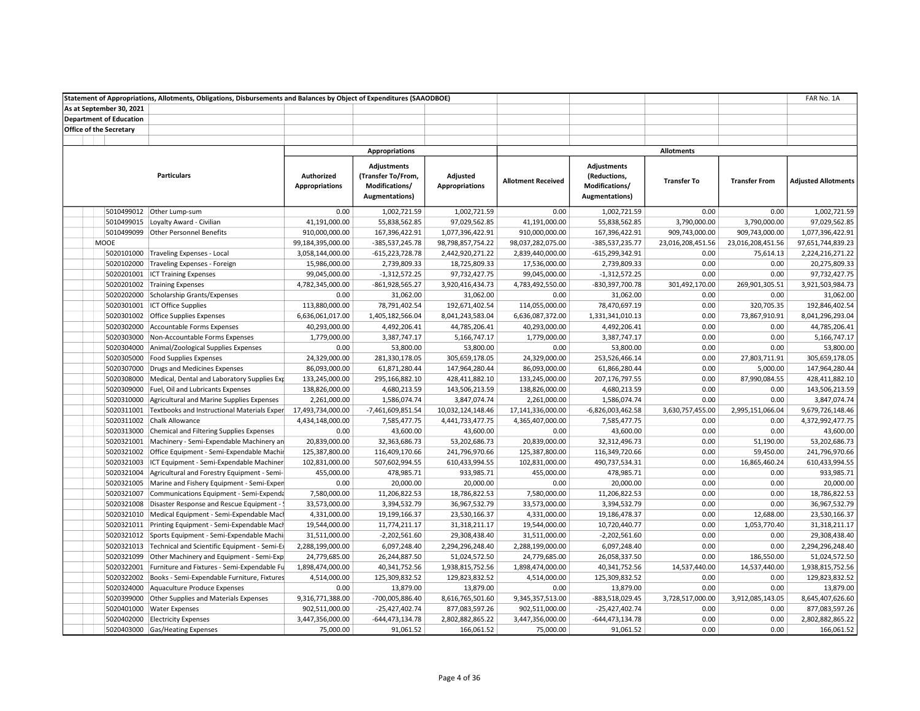|                                | Statement of Appropriations, Allotments, Obligations, Disbursements and Balances by Object of Expenditures (SAAODBOE) |                                     |                                                                                      |                                   |                               |                                                                        |                    |                      | FAR No. 1A                     |
|--------------------------------|-----------------------------------------------------------------------------------------------------------------------|-------------------------------------|--------------------------------------------------------------------------------------|-----------------------------------|-------------------------------|------------------------------------------------------------------------|--------------------|----------------------|--------------------------------|
| As at September 30, 2021       |                                                                                                                       |                                     |                                                                                      |                                   |                               |                                                                        |                    |                      |                                |
| <b>Department of Education</b> |                                                                                                                       |                                     |                                                                                      |                                   |                               |                                                                        |                    |                      |                                |
| <b>Office of the Secretary</b> |                                                                                                                       |                                     |                                                                                      |                                   |                               |                                                                        |                    |                      |                                |
|                                |                                                                                                                       |                                     |                                                                                      |                                   |                               |                                                                        |                    |                      |                                |
|                                |                                                                                                                       |                                     | <b>Appropriations</b>                                                                |                                   |                               |                                                                        | <b>Allotments</b>  |                      |                                |
|                                | <b>Particulars</b>                                                                                                    | Authorized<br><b>Appropriations</b> | <b>Adjustments</b><br>(Transfer To/From,<br>Modifications/<br><b>Augmentations</b> ) | Adjusted<br><b>Appropriations</b> | <b>Allotment Received</b>     | <b>Adjustments</b><br>(Reductions,<br>Modifications/<br>Augmentations) | <b>Transfer To</b> | <b>Transfer From</b> | <b>Adjusted Allotments</b>     |
|                                | 5010499012 Other Lump-sum                                                                                             | 0.00                                | 1,002,721.59                                                                         | 1,002,721.59                      | 0.00                          | 1,002,721.59                                                           | 0.00               | 0.00                 | 1,002,721.59                   |
|                                | 5010499015 Loyalty Award - Civilian                                                                                   | 41,191,000.00                       | 55,838,562.85                                                                        | 97,029,562.85                     | 41,191,000.00                 | 55,838,562.85                                                          | 3,790,000.00       | 3,790,000.00         | 97,029,562.85                  |
|                                | 5010499099 Other Personnel Benefits                                                                                   | 910,000,000.00                      | 167,396,422.91                                                                       | 1,077,396,422.91                  | 910,000,000.00                | 167,396,422.91                                                         | 909,743,000.00     | 909,743,000.00       | 1,077,396,422.91               |
| <b>MOOE</b>                    |                                                                                                                       | 99,184,395,000.00                   | -385,537,245.78                                                                      | 98,798,857,754.22                 | 98,037,282,075.00             | -385,537,235.77                                                        | 23,016,208,451.56  | 23,016,208,451.56    | 97,651,744,839.23              |
|                                | 5020101000 Traveling Expenses - Local                                                                                 | 3,058,144,000.00                    | $-615,223,728.78$                                                                    | 2,442,920,271.22                  | 2,839,440,000.00              | $-615,299,342.91$                                                      | 0.00               | 75,614.13            | 2,224,216,271.22               |
| 5020102000                     | Traveling Expenses - Foreign                                                                                          | 15,986,000.00                       | 2,739,809.33                                                                         | 18,725,809.33                     | 17,536,000.00                 | 2,739,809.33                                                           | 0.00               | 0.00                 | 20,275,809.33                  |
|                                | 5020201001   ICT Training Expenses                                                                                    | 99,045,000.00                       | $-1,312,572.25$                                                                      | 97,732,427.75                     | 99,045,000.00                 | $-1,312,572.25$                                                        | 0.00               | 0.00                 | 97,732,427.75                  |
|                                | 5020201002 Training Expenses                                                                                          | 4,782,345,000.00                    | $-861,928,565.27$                                                                    | 3,920,416,434.73                  | 4,783,492,550.00              | -830,397,700.78                                                        | 301,492,170.00     | 269,901,305.51       | 3,921,503,984.73               |
|                                | 5020202000 Scholarship Grants/Expenses                                                                                | 0.00                                | 31,062.00                                                                            | 31,062.00                         | 0.00                          | 31,062.00                                                              | 0.00               | 0.00                 | 31,062.00                      |
|                                | 5020301001 ICT Office Supplies                                                                                        | 113,880,000.00                      | 78,791,402.54                                                                        | 192,671,402.54                    | 114,055,000.00                | 78,470,697.19                                                          | 0.00               | 320,705.35           | 192,846,402.54                 |
|                                | 5020301002 Office Supplies Expenses                                                                                   | 6,636,061,017.00                    | 1,405,182,566.04                                                                     | 8,041,243,583.04                  | 6,636,087,372.00              | 1,331,341,010.13                                                       | 0.00               | 73,867,910.91        | 8,041,296,293.04               |
|                                | 5020302000 Accountable Forms Expenses                                                                                 | 40,293,000.00                       | 4,492,206.41                                                                         | 44,785,206.41                     | 40,293,000.00                 | 4,492,206.41                                                           | 0.00               | 0.00                 | 44,785,206.41                  |
| 5020303000                     | Non-Accountable Forms Expenses                                                                                        | 1,779,000.00                        | 3,387,747.17                                                                         | 5,166,747.17                      | 1,779,000.00                  | 3,387,747.17                                                           | 0.00               | 0.00                 | 5,166,747.17                   |
| 5020304000                     | Animal/Zoological Supplies Expenses                                                                                   | 0.00                                | 53,800.00                                                                            | 53,800.00                         | 0.00                          | 53,800.00                                                              | 0.00               | 0.00                 | 53,800.00                      |
|                                | 5020305000 Food Supplies Expenses                                                                                     | 24,329,000.00                       | 281,330,178.05                                                                       | 305,659,178.05                    | 24,329,000.00                 | 253,526,466.14                                                         | 0.00               | 27,803,711.91        | 305,659,178.05                 |
|                                | 5020307000 Drugs and Medicines Expenses                                                                               | 86,093,000.00                       | 61,871,280.44                                                                        | 147,964,280.44                    | 86,093,000.00                 | 61,866,280.44                                                          | 0.00               | 5,000.00             | 147,964,280.44                 |
|                                | 5020308000 Medical, Dental and Laboratory Supplies Exp                                                                | 133,245,000.00                      | 295,166,882.10                                                                       | 428,411,882.10                    | 133,245,000.00                | 207,176,797.55                                                         | 0.00               | 87,990,084.55        | 428,411,882.10                 |
|                                | 5020309000 Fuel, Oil and Lubricants Expenses                                                                          | 138,826,000.00                      | 4,680,213.59                                                                         | 143,506,213.59                    | 138,826,000.00                | 4,680,213.59                                                           | 0.00               | 0.00                 | 143,506,213.59                 |
|                                | 5020310000 Agricultural and Marine Supplies Expenses                                                                  | 2,261,000.00                        | 1,586,074.74                                                                         | 3,847,074.74                      | 2,261,000.00                  | 1,586,074.74                                                           | 0.00               | 0.00                 | 3,847,074.74                   |
|                                | 5020311001 Textbooks and Instructional Materials Exper                                                                | 17,493,734,000.00                   | -7,461,609,851.54                                                                    | 10,032,124,148.46                 | 17,141,336,000.00             | $-6,826,003,462.58$                                                    | 3,630,757,455.00   | 2,995,151,066.04     | 9,679,726,148.46               |
|                                | 5020311002 Chalk Allowance                                                                                            | 4,434,148,000.00                    | 7,585,477.75                                                                         | 4,441,733,477.75                  | 4,365,407,000.00              | 7,585,477.75                                                           | 0.00               | 0.00                 | 4,372,992,477.75               |
| 5020313000                     | Chemical and Filtering Supplies Expenses                                                                              | 0.00                                | 43,600.00                                                                            | 43,600.00                         | 0.00                          | 43,600.00                                                              | 0.00               | 0.00                 | 43,600.00                      |
|                                | 5020321001 Machinery - Semi-Expendable Machinery an                                                                   | 20,839,000.00                       | 32,363,686.73                                                                        | 53,202,686.73                     | 20,839,000.00                 | 32,312,496.73                                                          | 0.00               | 51,190.00            | 53,202,686.73                  |
|                                | 5020321002 Office Equipment - Semi-Expendable Machir                                                                  | 125,387,800.00                      | 116,409,170.66                                                                       | 241,796,970.66                    | 125,387,800.00                | 116,349,720.66                                                         | 0.00               | 59,450.00            | 241,796,970.66                 |
|                                | 5020321003 ICT Equipment - Semi-Expendable Machiner                                                                   | 102,831,000.00                      | 507,602,994.55                                                                       | 610,433,994.55                    | 102,831,000.00                | 490,737,534.31                                                         | 0.00               | 16,865,460.24        | 610,433,994.55                 |
| 5020321004                     | Agricultural and Forestry Equipment - Semi-                                                                           | 455,000.00                          | 478,985.71                                                                           | 933,985.71                        | 455,000.00                    | 478,985.71                                                             | 0.00               | 0.00                 | 933,985.71                     |
|                                |                                                                                                                       |                                     |                                                                                      |                                   |                               |                                                                        | 0.00               | 0.00                 | 20,000.00                      |
| 5020321005                     | Marine and Fishery Equipment - Semi-Exper<br>5020321007 Communications Equipment - Semi-Expenda                       | 0.00<br>7,580,000.00                | 20,000.00<br>11,206,822.53                                                           | 20,000.00<br>18,786,822.53        | 0.00<br>7,580,000.00          | 20,000.00<br>11,206,822.53                                             | 0.00               | 0.00                 | 18,786,822.53                  |
|                                |                                                                                                                       |                                     |                                                                                      |                                   |                               |                                                                        | 0.00               | 0.00                 | 36,967,532.79                  |
| 5020321008                     | Disaster Response and Rescue Equipment - !<br>5020321010   Medical Equipment - Semi-Expendable Mach                   | 33,573,000.00<br>4,331,000.00       | 3,394,532.79                                                                         | 36,967,532.79                     | 33,573,000.00                 | 3,394,532.79                                                           | 0.00               | 12,688.00            | 23,530,166.37                  |
|                                |                                                                                                                       | 19,544,000.00                       | 19,199,166.37                                                                        | 23,530,166.37                     | 4,331,000.00<br>19,544,000.00 | 19,186,478.37                                                          | 0.00               | 1,053,770.40         |                                |
|                                | 5020321011 Printing Equipment - Semi-Expendable Mach                                                                  |                                     | 11,774,211.17                                                                        | 31, 318, 211. 17                  |                               | 10,720,440.77                                                          |                    |                      | 31,318,211.17<br>29,308,438.40 |
|                                | 5020321012 Sports Equipment - Semi-Expendable Machi                                                                   | 31,511,000.00                       | $-2,202,561.60$                                                                      | 29,308,438.40                     | 31,511,000.00                 | $-2,202,561.60$                                                        | 0.00               | 0.00                 |                                |
|                                | 5020321013 Technical and Scientific Equipment - Semi-Ex                                                               | 2,288,199,000.00                    | 6,097,248.40                                                                         | 2,294,296,248.40                  | 2,288,199,000.00              | 6,097,248.40                                                           | 0.00               | 0.00                 | 2,294,296,248.40               |
|                                | 5020321099 Other Machinery and Equipment - Semi-Exp                                                                   | 24,779,685.00                       | 26,244,887.50                                                                        | 51,024,572.50                     | 24,779,685.00                 | 26,058,337.50                                                          | 0.00               | 186,550.00           | 51,024,572.50                  |
|                                | 5020322001 Furniture and Fixtures - Semi-Expendable Fu                                                                | 1,898,474,000.00                    | 40,341,752.56                                                                        | 1,938,815,752.56                  | 1,898,474,000.00              | 40,341,752.56                                                          | 14,537,440.00      | 14,537,440.00        | 1,938,815,752.56               |
|                                | 5020322002 Books - Semi-Expendable Furniture, Fixtures                                                                | 4,514,000.00                        | 125,309,832.52                                                                       | 129,823,832.52                    | 4,514,000.00                  | 125,309,832.52                                                         | 0.00               | 0.00                 | 129,823,832.52                 |
| 5020324000                     | Aquaculture Produce Expenses                                                                                          | 0.00                                | 13,879.00                                                                            | 13,879.00                         | 0.00                          | 13,879.00                                                              | 0.00               | 0.00                 | 13,879.00                      |
| 5020399000                     | Other Supplies and Materials Expenses                                                                                 | 9,316,771,388.00                    | -700,005,886.40                                                                      | 8,616,765,501.60                  | 9,345,357,513.00              | -883,518,029.45                                                        | 3,728,517,000.00   | 3,912,085,143.05     | 8,645,407,626.60               |
|                                | 5020401000 Water Expenses                                                                                             | 902,511,000.00                      | $-25,427,402.74$                                                                     | 877,083,597.26                    | 902,511,000.00                | $-25,427,402.74$                                                       | 0.00               | 0.00                 | 877,083,597.26                 |
|                                | 5020402000 Electricity Expenses                                                                                       | 3,447,356,000.00                    | -644,473,134.78                                                                      | 2,802,882,865.22                  | 3,447,356,000.00              | -644,473,134.78                                                        | 0.00               | 0.00                 | 2,802,882,865.22               |
|                                | 5020403000 Gas/Heating Expenses                                                                                       | 75,000.00                           | 91,061.52                                                                            | 166,061.52                        | 75,000.00                     | 91,061.52                                                              | 0.00               | 0.00                 | 166,061.52                     |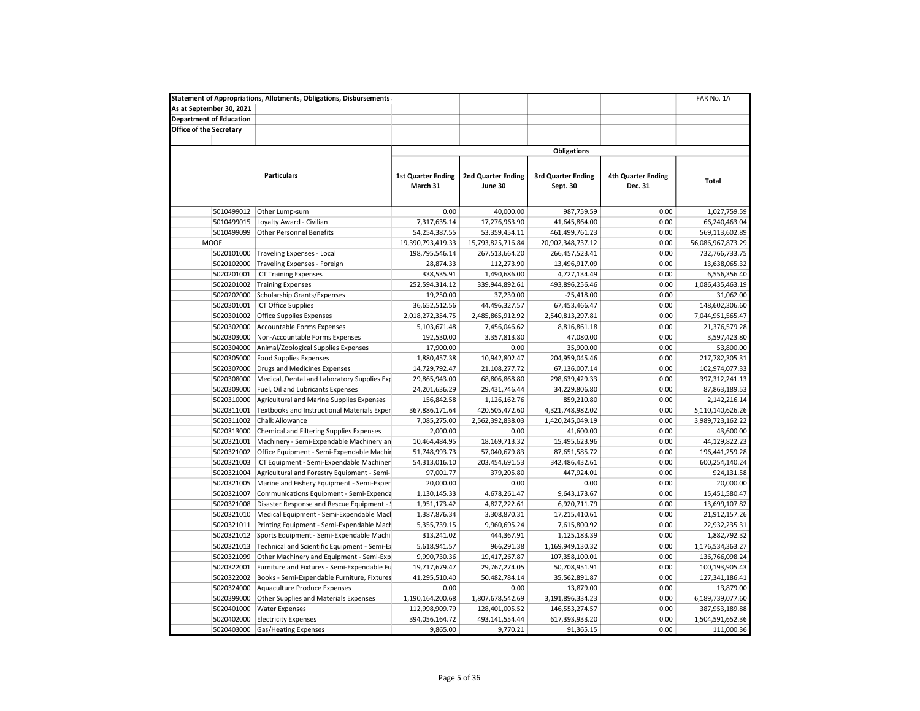|                                | <b>Statement of Appropriations, Allotments, Obligations, Disbursements</b> |                                       |                                      |                                       |                                      | FAR No. 1A        |
|--------------------------------|----------------------------------------------------------------------------|---------------------------------------|--------------------------------------|---------------------------------------|--------------------------------------|-------------------|
| As at September 30, 2021       |                                                                            |                                       |                                      |                                       |                                      |                   |
| <b>Department of Education</b> |                                                                            |                                       |                                      |                                       |                                      |                   |
| Office of the Secretary        |                                                                            |                                       |                                      |                                       |                                      |                   |
|                                |                                                                            |                                       |                                      |                                       |                                      |                   |
|                                |                                                                            |                                       |                                      | <b>Obligations</b>                    |                                      |                   |
|                                | <b>Particulars</b>                                                         | <b>1st Quarter Ending</b><br>March 31 | <b>2nd Quarter Ending</b><br>June 30 | <b>3rd Quarter Ending</b><br>Sept. 30 | <b>4th Quarter Ending</b><br>Dec. 31 | Total             |
| 5010499012                     | Other Lump-sum                                                             | 0.00                                  | 40,000.00                            | 987,759.59                            | 0.00                                 | 1,027,759.59      |
| 5010499015                     | Loyalty Award - Civilian                                                   | 7,317,635.14                          | 17,276,963.90                        | 41,645,864.00                         | 0.00                                 | 66,240,463.04     |
| 5010499099                     | <b>Other Personnel Benefits</b>                                            | 54,254,387.55                         | 53,359,454.11                        | 461,499,761.23                        | 0.00                                 | 569,113,602.89    |
| <b>MOOE</b>                    |                                                                            | 19,390,793,419.33                     | 15,793,825,716.84                    | 20,902,348,737.12                     | 0.00                                 | 56,086,967,873.29 |
| 5020101000                     | <b>Traveling Expenses - Local</b>                                          | 198,795,546.14                        | 267,513,664.20                       | 266,457,523.41                        | 0.00                                 | 732,766,733.75    |
| 5020102000                     | Traveling Expenses - Foreign                                               | 28,874.33                             | 112,273.90                           | 13,496,917.09                         | 0.00                                 | 13,638,065.32     |
| 5020201001                     | <b>ICT Training Expenses</b>                                               | 338,535.91                            | 1,490,686.00                         | 4,727,134.49                          | 0.00                                 | 6,556,356.40      |
| 5020201002                     | <b>Training Expenses</b>                                                   | 252,594,314.12                        | 339,944,892.61                       | 493,896,256.46                        | 0.00                                 | 1,086,435,463.19  |
| 5020202000                     | Scholarship Grants/Expenses                                                | 19,250.00                             | 37,230.00                            | $-25,418.00$                          | 0.00                                 | 31,062.00         |
| 5020301001                     | <b>ICT Office Supplies</b>                                                 | 36,652,512.56                         | 44,496,327.57                        | 67,453,466.47                         | 0.00                                 | 148,602,306.60    |
| 5020301002                     | <b>Office Supplies Expenses</b>                                            | 2,018,272,354.75                      | 2,485,865,912.92                     | 2,540,813,297.81                      | 0.00                                 | 7,044,951,565.47  |
| 5020302000                     | Accountable Forms Expenses                                                 | 5,103,671.48                          | 7,456,046.62                         | 8,816,861.18                          | 0.00                                 | 21,376,579.28     |
| 5020303000                     | Non-Accountable Forms Expenses                                             | 192,530.00                            | 3,357,813.80                         | 47,080.00                             | 0.00                                 | 3,597,423.80      |
| 5020304000                     | Animal/Zoological Supplies Expenses                                        | 17,900.00                             | 0.00                                 | 35,900.00                             | 0.00                                 | 53,800.00         |
| 5020305000                     | <b>Food Supplies Expenses</b>                                              | 1,880,457.38                          | 10,942,802.47                        | 204,959,045.46                        | 0.00                                 | 217,782,305.31    |
| 5020307000                     | <b>Drugs and Medicines Expenses</b>                                        | 14,729,792.47                         | 21,108,277.72                        | 67,136,007.14                         | 0.00                                 | 102,974,077.33    |
| 5020308000                     | Medical, Dental and Laboratory Supplies Exp                                | 29,865,943.00                         | 68,806,868.80                        | 298,639,429.33                        | 0.00                                 | 397,312,241.13    |
| 5020309000                     | Fuel, Oil and Lubricants Expenses                                          | 24,201,636.29                         | 29,431,746.44                        | 34,229,806.80                         | 0.00                                 | 87,863,189.53     |
| 5020310000                     | Agricultural and Marine Supplies Expenses                                  | 156,842.58                            | 1,126,162.76                         | 859,210.80                            | 0.00                                 | 2,142,216.14      |
| 5020311001                     | Textbooks and Instructional Materials Exper                                | 367,886,171.64                        | 420,505,472.60                       | 4,321,748,982.02                      | 0.00                                 | 5,110,140,626.26  |
| 5020311002                     | Chalk Allowance                                                            | 7,085,275.00                          | 2,562,392,838.03                     | 1,420,245,049.19                      | 0.00                                 | 3,989,723,162.22  |
| 5020313000                     | Chemical and Filtering Supplies Expenses                                   | 2,000.00                              | 0.00                                 | 41,600.00                             | 0.00                                 | 43,600.00         |
| 5020321001                     |                                                                            |                                       |                                      |                                       | 0.00                                 |                   |
|                                | Machinery - Semi-Expendable Machinery an                                   | 10,464,484.95                         | 18,169,713.32                        | 15,495,623.96                         | 0.00                                 | 44,129,822.23     |
| 5020321002                     | Office Equipment - Semi-Expendable Machir                                  | 51,748,993.73                         | 57,040,679.83                        | 87,651,585.72                         |                                      | 196,441,259.28    |
| 5020321003                     | ICT Equipment - Semi-Expendable Machiner                                   | 54,313,016.10                         | 203,454,691.53                       | 342,486,432.61                        | 0.00                                 | 600,254,140.24    |
| 5020321004                     | Agricultural and Forestry Equipment - Semi-                                | 97,001.77                             | 379,205.80                           | 447,924.01                            | 0.00                                 | 924,131.58        |
| 5020321005                     | Marine and Fishery Equipment - Semi-Exper                                  | 20,000.00                             | 0.00                                 | 0.00                                  | 0.00                                 | 20,000.00         |
| 5020321007                     | Communications Equipment - Semi-Expenda                                    | 1,130,145.33                          | 4,678,261.47                         | 9,643,173.67                          | 0.00                                 | 15,451,580.47     |
| 5020321008                     | Disaster Response and Rescue Equipment - :                                 | 1,951,173.42                          | 4,827,222.61                         | 6,920,711.79                          | 0.00                                 | 13,699,107.82     |
| 5020321010                     | Medical Equipment - Semi-Expendable Macl                                   | 1,387,876.34                          | 3,308,870.31                         | 17,215,410.61                         | 0.00                                 | 21,912,157.26     |
| 5020321011                     | Printing Equipment - Semi-Expendable Mach                                  | 5,355,739.15                          | 9,960,695.24                         | 7,615,800.92                          | 0.00                                 | 22,932,235.31     |
| 5020321012                     | Sports Equipment - Semi-Expendable Machi                                   | 313,241.02                            | 444,367.91                           | 1,125,183.39                          | 0.00                                 | 1,882,792.32      |
| 5020321013                     | Technical and Scientific Equipment - Semi-Ex                               | 5,618,941.57                          | 966,291.38                           | 1,169,949,130.32                      | 0.00                                 | 1,176,534,363.27  |
| 5020321099                     | Other Machinery and Equipment - Semi-Exp                                   | 9,990,730.36                          | 19,417,267.87                        | 107,358,100.01                        | 0.00                                 | 136,766,098.24    |
| 5020322001                     | Furniture and Fixtures - Semi-Expendable Fu                                | 19,717,679.47                         | 29,767,274.05                        | 50,708,951.91                         | 0.00                                 | 100,193,905.43    |
| 5020322002                     | Books - Semi-Expendable Furniture, Fixtures                                | 41,295,510.40                         | 50,482,784.14                        | 35,562,891.87                         | 0.00                                 | 127,341,186.41    |
| 5020324000                     | Aquaculture Produce Expenses                                               | 0.00                                  | 0.00                                 | 13,879.00                             | 0.00                                 | 13,879.00         |
| 5020399000                     | Other Supplies and Materials Expenses                                      | 1,190,164,200.68                      | 1,807,678,542.69                     | 3,191,896,334.23                      | 0.00                                 | 6,189,739,077.60  |
| 5020401000                     | <b>Water Expenses</b>                                                      | 112,998,909.79                        | 128,401,005.52                       | 146,553,274.57                        | 0.00                                 | 387,953,189.88    |
| 5020402000                     | <b>Electricity Expenses</b>                                                | 394,056,164.72                        | 493,141,554.44                       | 617,393,933.20                        | 0.00                                 | 1,504,591,652.36  |
| 5020403000                     | <b>Gas/Heating Expenses</b>                                                | 9,865.00                              | 9,770.21                             | 91,365.15                             | 0.00                                 | 111,000.36        |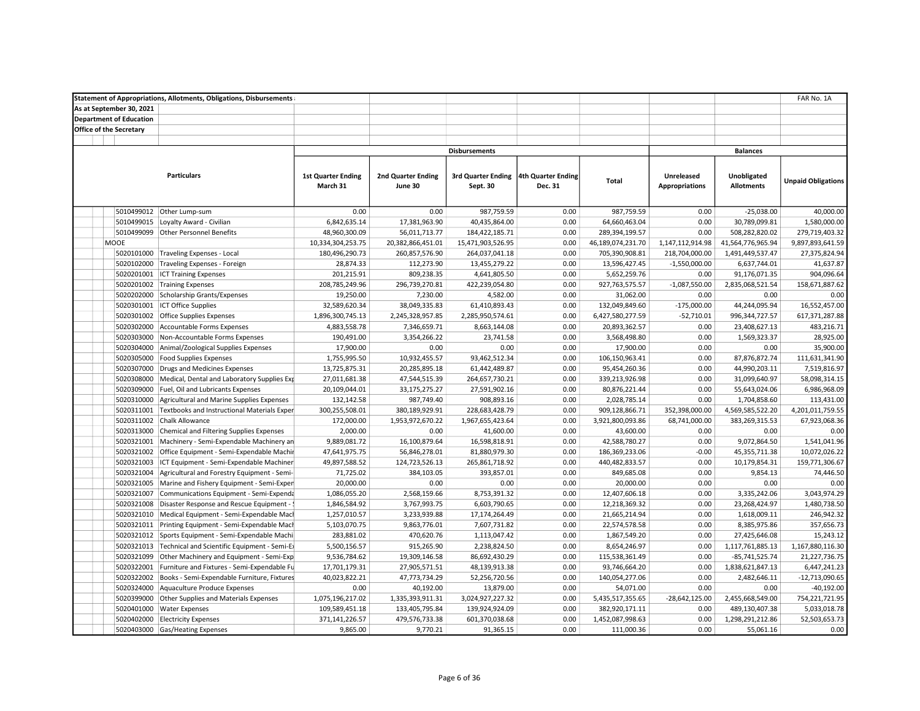|                                | <b>Statement of Appropriations, Allotments, Obligations, Disbursements</b> |                            |                           |                                       |         |                   |                       |                   | FAR No. 1A                |  |
|--------------------------------|----------------------------------------------------------------------------|----------------------------|---------------------------|---------------------------------------|---------|-------------------|-----------------------|-------------------|---------------------------|--|
| As at September 30, 2021       |                                                                            |                            |                           |                                       |         |                   |                       |                   |                           |  |
| <b>Department of Education</b> |                                                                            |                            |                           |                                       |         |                   |                       |                   |                           |  |
| <b>Office of the Secretary</b> |                                                                            |                            |                           |                                       |         |                   |                       |                   |                           |  |
|                                |                                                                            |                            |                           |                                       |         |                   |                       |                   |                           |  |
|                                |                                                                            |                            |                           | <b>Disbursements</b>                  |         |                   | <b>Balances</b>       |                   |                           |  |
|                                |                                                                            |                            |                           |                                       |         |                   |                       |                   |                           |  |
|                                | <b>Particulars</b>                                                         | <b>1st Quarter Ending</b>  | <b>2nd Quarter Ending</b> | 3rd Quarter Ending 4th Quarter Ending |         |                   | Unreleased            | Unobligated       |                           |  |
|                                |                                                                            | March 31                   | June 30                   | Sept. 30                              | Dec. 31 | <b>Total</b>      | <b>Appropriations</b> | <b>Allotments</b> | <b>Unpaid Obligations</b> |  |
|                                |                                                                            |                            |                           |                                       |         |                   |                       |                   |                           |  |
| 5010499012                     | Other Lump-sum                                                             | 0.00                       | 0.00                      | 987,759.59                            | 0.00    | 987,759.59        | 0.00                  | $-25,038.00$      | 40,000.00                 |  |
| 5010499015                     | Loyalty Award - Civilian                                                   | 6,842,635.14               | 17,381,963.90             | 40,435,864.00                         | 0.00    | 64,660,463.04     | 0.00                  | 30,789,099.81     | 1,580,000.00              |  |
|                                | 5010499099 Other Personnel Benefits                                        | 48,960,300.09              | 56,011,713.77             | 184,422,185.71                        | 0.00    | 289,394,199.57    | 0.00                  | 508,282,820.02    | 279,719,403.32            |  |
| MOOE                           |                                                                            | 10,334,304,253.75          | 20,382,866,451.01         | 15,471,903,526.95                     | 0.00    | 46,189,074,231.70 | 1,147,112,914.98      | 41,564,776,965.94 | 9,897,893,641.59          |  |
| 5020101000                     | <b>Traveling Expenses - Local</b>                                          | 180,496,290.73             | 260,857,576.90            | 264,037,041.18                        | 0.00    | 705,390,908.81    | 218,704,000.00        | 1,491,449,537.47  | 27,375,824.94             |  |
| 5020102000                     | Traveling Expenses - Foreign                                               | 28,874.33                  | 112,273.90                | 13,455,279.22                         | 0.00    | 13,596,427.45     | $-1,550,000.00$       | 6,637,744.01      | 41,637.87                 |  |
| 5020201001                     | <b>ICT Training Expenses</b>                                               | 201,215.91                 | 809,238.35                | 4,641,805.50                          | 0.00    | 5,652,259.76      | 0.00                  | 91,176,071.35     | 904,096.64                |  |
| 5020201002                     | <b>Training Expenses</b>                                                   | 208,785,249.96             | 296,739,270.81            | 422,239,054.80                        | 0.00    | 927,763,575.57    | $-1,087,550.00$       | 2,835,068,521.54  | 158,671,887.62            |  |
| 5020202000                     | Scholarship Grants/Expenses                                                |                            |                           |                                       | 0.00    |                   | 0.00                  | 0.00              | 0.00                      |  |
| 5020301001                     |                                                                            | 19,250.00<br>32,589,620.34 | 7,230.00                  | 4,582.00<br>61,410,893.43             | 0.00    | 31,062.00         | $-175,000.00$         | 44,244,095.94     | 16,552,457.00             |  |
|                                | <b>ICT Office Supplies</b>                                                 |                            | 38,049,335.83             |                                       | 0.00    | 132,049,849.60    |                       |                   |                           |  |
|                                | 5020301002 Office Supplies Expenses                                        | 1,896,300,745.13           | 2,245,328,957.85          | 2,285,950,574.61                      |         | 6,427,580,277.59  | $-52,710.01$          | 996,344,727.57    | 617,371,287.88            |  |
| 5020302000                     | Accountable Forms Expenses                                                 | 4,883,558.78               | 7,346,659.71              | 8,663,144.08                          | 0.00    | 20,893,362.57     | 0.00                  | 23,408,627.13     | 483,216.71                |  |
| 5020303000                     | Non-Accountable Forms Expenses                                             | 190,491.00                 | 3,354,266.22              | 23,741.58                             | 0.00    | 3,568,498.80      | 0.00                  | 1,569,323.37      | 28,925.00                 |  |
| 5020304000                     | Animal/Zoological Supplies Expenses                                        | 17,900.00                  | 0.00                      | 0.00                                  | 0.00    | 17,900.00         | 0.00                  | 0.00              | 35,900.00                 |  |
| 5020305000                     | <b>Food Supplies Expenses</b>                                              | 1,755,995.50               | 10,932,455.57             | 93,462,512.34                         | 0.00    | 106,150,963.41    | 0.00                  | 87,876,872.74     | 111,631,341.90            |  |
| 5020307000                     | Drugs and Medicines Expenses                                               | 13,725,875.31              | 20,285,895.18             | 61,442,489.87                         | 0.00    | 95,454,260.36     | 0.00                  | 44,990,203.11     | 7,519,816.97              |  |
| 5020308000                     | Medical, Dental and Laboratory Supplies Exp                                | 27,011,681.38              | 47,544,515.39             | 264,657,730.21                        | 0.00    | 339,213,926.98    | 0.00                  | 31,099,640.97     | 58,098,314.15             |  |
| 5020309000                     | Fuel, Oil and Lubricants Expenses                                          | 20,109,044.01              | 33,175,275.27             | 27,591,902.16                         | 0.00    | 80,876,221.44     | 0.00                  | 55,643,024.06     | 6,986,968.09              |  |
| 5020310000                     | Agricultural and Marine Supplies Expenses                                  | 132,142.58                 | 987,749.40                | 908,893.16                            | 0.00    | 2,028,785.14      | 0.00                  | 1,704,858.60      | 113,431.00                |  |
| 5020311001                     | Textbooks and Instructional Materials Exper                                | 300,255,508.01             | 380,189,929.91            | 228,683,428.79                        | 0.00    | 909,128,866.71    | 352,398,000.00        | 4,569,585,522.20  | 4,201,011,759.55          |  |
| 5020311002                     | <b>Chalk Allowance</b>                                                     | 172,000.00                 | 1,953,972,670.22          | 1,967,655,423.64                      | 0.00    | 3,921,800,093.86  | 68,741,000.00         | 383,269,315.53    | 67,923,068.36             |  |
| 5020313000                     | Chemical and Filtering Supplies Expenses                                   | 2,000.00                   | 0.00                      | 41,600.00                             | 0.00    | 43,600.00         | 0.00                  | 0.00              | 0.00                      |  |
| 5020321001                     | Machinery - Semi-Expendable Machinery an                                   | 9,889,081.72               | 16,100,879.64             | 16,598,818.91                         | 0.00    | 42,588,780.27     | 0.00                  | 9,072,864.50      | 1,541,041.96              |  |
| 5020321002                     | Office Equipment - Semi-Expendable Machir                                  | 47,641,975.75              | 56,846,278.01             | 81,880,979.30                         | 0.00    | 186,369,233.06    | $-0.00$               | 45,355,711.38     | 10,072,026.22             |  |
| 5020321003                     | ICT Equipment - Semi-Expendable Machiner                                   | 49,897,588.52              | 124,723,526.13            | 265,861,718.92                        | 0.00    | 440,482,833.57    | 0.00                  | 10,179,854.31     | 159,771,306.67            |  |
| 5020321004                     | Agricultural and Forestry Equipment - Semi-                                | 71,725.02                  | 384,103.05                | 393,857.01                            | 0.00    | 849,685.08        | 0.00                  | 9,854.13          | 74,446.50                 |  |
| 5020321005                     | Marine and Fishery Equipment - Semi-Exper                                  | 20,000.00                  | 0.00                      | 0.00                                  | 0.00    | 20,000.00         | 0.00                  | 0.00              | 0.00                      |  |
| 5020321007                     | Communications Equipment - Semi-Expenda                                    | 1,086,055.20               | 2,568,159.66              | 8,753,391.32                          | 0.00    | 12,407,606.18     | 0.00                  | 3,335,242.06      | 3,043,974.29              |  |
| 5020321008                     | Disaster Response and Rescue Equipment -                                   | 1,846,584.92               | 3,767,993.75              | 6,603,790.65                          | 0.00    | 12,218,369.32     | 0.00                  | 23,268,424.97     | 1,480,738.50              |  |
| 5020321010                     | Medical Equipment - Semi-Expendable Macl                                   | 1,257,010.57               | 3,233,939.88              | 17,174,264.49                         | 0.00    | 21,665,214.94     | 0.00                  | 1,618,009.11      | 246,942.32                |  |
| 5020321011                     | Printing Equipment - Semi-Expendable Mach                                  | 5,103,070.75               | 9,863,776.01              | 7,607,731.82                          | 0.00    | 22,574,578.58     | 0.00                  | 8,385,975.86      | 357,656.73                |  |
| 5020321012                     | Sports Equipment - Semi-Expendable Machi                                   | 283,881.02                 | 470,620.76                | 1,113,047.42                          | 0.00    | 1,867,549.20      | 0.00                  | 27,425,646.08     | 15,243.12                 |  |
| 5020321013                     | Technical and Scientific Equipment - Semi-Ex                               | 5,500,156.57               | 915,265.90                | 2,238,824.50                          | 0.00    | 8,654,246.97      | 0.00                  | 1,117,761,885.13  | 1,167,880,116.30          |  |
| 5020321099                     | Other Machinery and Equipment - Semi-Exp                                   | 9,536,784.62               | 19,309,146.58             | 86,692,430.29                         | 0.00    | 115,538,361.49    | 0.00                  | $-85,741,525.74$  | 21,227,736.75             |  |
| 5020322001                     | Furniture and Fixtures - Semi-Expendable Fu                                | 17,701,179.31              | 27,905,571.51             | 48,139,913.38                         | 0.00    | 93,746,664.20     | 0.00                  | 1,838,621,847.13  | 6,447,241.23              |  |
| 5020322002                     | Books - Semi-Expendable Furniture, Fixtures                                | 40,023,822.21              | 47,773,734.29             | 52,256,720.56                         | 0.00    | 140,054,277.06    | 0.00                  | 2,482,646.11      | $-12,713,090.65$          |  |
| 5020324000                     | Aquaculture Produce Expenses                                               | 0.00                       | 40,192.00                 | 13,879.00                             | 0.00    | 54,071.00         | 0.00                  | 0.00              | $-40,192.00$              |  |
| 5020399000                     | Other Supplies and Materials Expenses                                      | 1,075,196,217.02           | 1,335,393,911.31          | 3,024,927,227.32                      | 0.00    | 5,435,517,355.65  | $-28,642,125.00$      | 2,455,668,549.00  | 754,221,721.95            |  |
| 5020401000                     | <b>Water Expenses</b>                                                      | 109,589,451.18             | 133,405,795.84            | 139,924,924.09                        | 0.00    | 382,920,171.11    | 0.00                  | 489,130,407.38    | 5,033,018.78              |  |
| 5020402000                     | <b>Electricity Expenses</b>                                                | 371,141,226.57             | 479,576,733.38            | 601,370,038.68                        | 0.00    | 1,452,087,998.63  | 0.00                  | 1,298,291,212.86  | 52,503,653.73             |  |
|                                | 5020403000 Gas/Heating Expenses                                            | 9,865.00                   | 9,770.21                  | 91,365.15                             | 0.00    | 111,000.36        | 0.00                  | 55,061.16         | 0.00                      |  |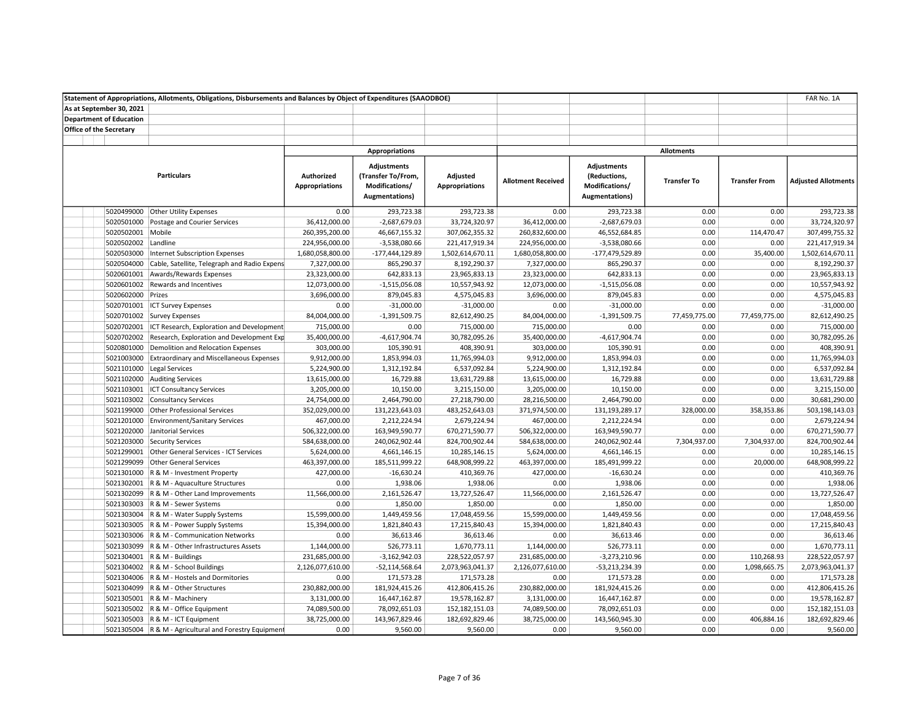|                                | Statement of Appropriations, Allotments, Obligations, Disbursements and Balances by Object of Expenditures (SAAODBOE) |                                     |                                                                                      |                                   |                           |                                                                        |                    |                      | FAR No. 1A                 |
|--------------------------------|-----------------------------------------------------------------------------------------------------------------------|-------------------------------------|--------------------------------------------------------------------------------------|-----------------------------------|---------------------------|------------------------------------------------------------------------|--------------------|----------------------|----------------------------|
| As at September 30, 2021       |                                                                                                                       |                                     |                                                                                      |                                   |                           |                                                                        |                    |                      |                            |
| <b>Department of Education</b> |                                                                                                                       |                                     |                                                                                      |                                   |                           |                                                                        |                    |                      |                            |
| <b>Office of the Secretary</b> |                                                                                                                       |                                     |                                                                                      |                                   |                           |                                                                        |                    |                      |                            |
|                                |                                                                                                                       |                                     |                                                                                      |                                   |                           |                                                                        |                    |                      |                            |
|                                |                                                                                                                       |                                     | <b>Appropriations</b>                                                                |                                   |                           |                                                                        | <b>Allotments</b>  |                      |                            |
|                                | <b>Particulars</b>                                                                                                    | Authorized<br><b>Appropriations</b> | <b>Adjustments</b><br>(Transfer To/From,<br>Modifications/<br><b>Augmentations</b> ) | Adjusted<br><b>Appropriations</b> | <b>Allotment Received</b> | <b>Adjustments</b><br>(Reductions,<br>Modifications/<br>Augmentations) | <b>Transfer To</b> | <b>Transfer From</b> | <b>Adjusted Allotments</b> |
|                                | 5020499000 Other Utility Expenses                                                                                     | 0.00                                | 293,723.38                                                                           | 293,723.38                        | 0.00                      | 293,723.38                                                             | 0.00               | 0.00                 | 293,723.38                 |
| 5020501000                     | Postage and Courier Services                                                                                          | 36,412,000.00                       | $-2,687,679.03$                                                                      | 33,724,320.97                     | 36,412,000.00             | $-2,687,679.03$                                                        | 0.00               | 0.00                 | 33,724,320.97              |
| 5020502001 Mobile              |                                                                                                                       | 260,395,200.00                      | 46,667,155.32                                                                        | 307,062,355.32                    | 260,832,600.00            | 46,552,684.85                                                          | 0.00               | 114,470.47           | 307,499,755.32             |
| 5020502002 Landline            |                                                                                                                       | 224,956,000.00                      | $-3,538,080.66$                                                                      | 221,417,919.34                    | 224,956,000.00            | $-3,538,080.66$                                                        | 0.00               | 0.00                 | 221,417,919.34             |
| 5020503000                     | Internet Subscription Expenses                                                                                        | 1,680,058,800.00                    | -177,444,129.89                                                                      | 1,502,614,670.11                  | 1,680,058,800.00          | -177,479,529.89                                                        | 0.00               | 35,400.00            | 1,502,614,670.11           |
| 5020504000                     | Cable, Satellite, Telegraph and Radio Expens                                                                          | 7,327,000.00                        | 865,290.37                                                                           | 8,192,290.37                      | 7,327,000.00              | 865,290.37                                                             | 0.00               | 0.00                 | 8,192,290.37               |
|                                | 5020601001 Awards/Rewards Expenses                                                                                    | 23,323,000.00                       | 642,833.13                                                                           | 23,965,833.13                     | 23,323,000.00             | 642,833.13                                                             | 0.00               | 0.00                 | 23,965,833.13              |
|                                | 5020601002 Rewards and Incentives                                                                                     | 12,073,000.00                       | $-1,515,056.08$                                                                      | 10,557,943.92                     | 12,073,000.00             | $-1,515,056.08$                                                        | 0.00               | 0.00                 | 10,557,943.92              |
| 5020602000 Prizes              |                                                                                                                       | 3,696,000.00                        | 879,045.83                                                                           | 4,575,045.83                      | 3,696,000.00              | 879,045.83                                                             | 0.00               | 0.00                 | 4,575,045.83               |
|                                | 5020701001 ICT Survey Expenses                                                                                        | 0.00                                | $-31,000.00$                                                                         | $-31,000.00$                      | 0.00                      | $-31,000.00$                                                           | 0.00               | 0.00                 | $-31,000.00$               |
|                                | 5020701002 Survey Expenses                                                                                            | 84,004,000.00                       | $-1,391,509.75$                                                                      | 82,612,490.25                     | 84,004,000.00             | $-1,391,509.75$                                                        | 77,459,775.00      | 77,459,775.00        | 82,612,490.25              |
|                                | 5020702001 ICT Research, Exploration and Development                                                                  | 715,000.00                          | 0.00                                                                                 | 715,000.00                        | 715,000.00                | 0.00                                                                   | 0.00               | 0.00                 | 715,000.00                 |
|                                | 5020702002 Research, Exploration and Development Exp                                                                  | 35,400,000.00                       | $-4,617,904.74$                                                                      | 30,782,095.26                     | 35,400,000.00             | $-4,617,904.74$                                                        | 0.00               | 0.00                 | 30,782,095.26              |
| 5020801000                     | Demolition and Relocation Expenses                                                                                    | 303,000.00                          | 105,390.91                                                                           | 408,390.91                        | 303,000.00                | 105,390.91                                                             | 0.00               | 0.00                 | 408,390.91                 |
|                                | 5021003000 Extraordinary and Miscellaneous Expenses                                                                   | 9,912,000.00                        | 1,853,994.03                                                                         | 11,765,994.03                     | 9,912,000.00              | 1,853,994.03                                                           | 0.00               | 0.00                 | 11,765,994.03              |
|                                | 5021101000 Legal Services                                                                                             | 5,224,900.00                        | 1,312,192.84                                                                         | 6,537,092.84                      | 5,224,900.00              | 1,312,192.84                                                           | 0.00               | 0.00                 | 6,537,092.84               |
|                                | 5021102000 Auditing Services                                                                                          | 13,615,000.00                       | 16,729.88                                                                            | 13,631,729.88                     | 13,615,000.00             | 16,729.88                                                              | 0.00               | 0.00                 | 13,631,729.88              |
|                                | 5021103001 ICT Consultancy Services                                                                                   | 3,205,000.00                        | 10,150.00                                                                            | 3,215,150.00                      | 3,205,000.00              | 10,150.00                                                              | 0.00               | 0.00                 | 3,215,150.00               |
|                                | 5021103002 Consultancy Services                                                                                       | 24,754,000.00                       | 2,464,790.00                                                                         | 27,218,790.00                     | 28,216,500.00             | 2,464,790.00                                                           | 0.00               | 0.00                 | 30,681,290.00              |
|                                | 5021199000 Other Professional Services                                                                                | 352,029,000.00                      | 131,223,643.03                                                                       | 483,252,643.03                    | 371,974,500.00            | 131,193,289.17                                                         | 328,000.00         | 358,353.86           | 503,198,143.03             |
|                                | 5021201000 Environment/Sanitary Services                                                                              | 467,000.00                          | 2,212,224.94                                                                         | 2,679,224.94                      | 467,000.00                | 2,212,224.94                                                           | 0.00               | 0.00                 | 2,679,224.94               |
|                                | 5021202000 Janitorial Services                                                                                        | 506,322,000.00                      | 163,949,590.77                                                                       | 670,271,590.77                    | 506,322,000.00            | 163,949,590.77                                                         | 0.00               | 0.00                 | 670,271,590.77             |
|                                | 5021203000 Security Services                                                                                          | 584,638,000.00                      | 240,062,902.44                                                                       | 824,700,902.44                    | 584,638,000.00            | 240,062,902.44                                                         | 7,304,937.00       | 7,304,937.00         | 824,700,902.44             |
|                                | 5021299001 Other General Services - ICT Services                                                                      | 5,624,000.00                        | 4,661,146.15                                                                         | 10,285,146.15                     | 5,624,000.00              | 4,661,146.15                                                           | 0.00               | 0.00                 | 10,285,146.15              |
|                                | 5021299099 Other General Services                                                                                     | 463,397,000.00                      | 185,511,999.22                                                                       | 648,908,999.22                    | 463,397,000.00            | 185,491,999.22                                                         | 0.00               | 20,000.00            | 648,908,999.22             |
|                                | 5021301000 R & M - Investment Property                                                                                | 427,000.00                          | $-16,630.24$                                                                         | 410,369.76                        | 427,000.00                | $-16,630.24$                                                           | 0.00               | 0.00                 | 410,369.76                 |
|                                | 5021302001 R & M - Aquaculture Structures                                                                             | 0.00                                | 1,938.06                                                                             | 1,938.06                          | 0.00                      | 1,938.06                                                               | 0.00               | 0.00                 | 1,938.06                   |
|                                | 5021302099 R & M - Other Land Improvements                                                                            | 11,566,000.00                       | 2,161,526.47                                                                         | 13,727,526.47                     | 11,566,000.00             | 2,161,526.47                                                           | 0.00               | 0.00                 | 13,727,526.47              |
|                                | 5021303003 R & M - Sewer Systems                                                                                      | 0.00                                | 1,850.00                                                                             | 1,850.00                          | 0.00                      | 1,850.00                                                               | 0.00               | 0.00                 | 1,850.00                   |
|                                | 5021303004 R & M - Water Supply Systems                                                                               | 15,599,000.00                       | 1,449,459.56                                                                         | 17,048,459.56                     | 15,599,000.00             | 1,449,459.56                                                           | 0.00               | 0.00                 | 17,048,459.56              |
|                                | 5021303005   R & M - Power Supply Systems                                                                             | 15,394,000.00                       | 1,821,840.43                                                                         | 17,215,840.43                     | 15,394,000.00             | 1,821,840.43                                                           | 0.00               | 0.00                 | 17,215,840.43              |
|                                | 5021303006 R & M - Communication Networks                                                                             | 0.00                                | 36,613.46                                                                            | 36,613.46                         | 0.00                      | 36,613.46                                                              | 0.00               | 0.00                 | 36,613.46                  |
|                                | 5021303099 R & M - Other Infrastructures Assets                                                                       | 1,144,000.00                        | 526,773.11                                                                           | 1,670,773.11                      | 1,144,000.00              | 526,773.11                                                             | 0.00               | 0.00                 | 1,670,773.11               |
|                                | 5021304001 R & M - Buildings                                                                                          | 231,685,000.00                      | $-3,162,942.03$                                                                      | 228,522,057.97                    | 231,685,000.00            | $-3,273,210.96$                                                        | 0.00               | 110,268.93           | 228,522,057.97             |
|                                | 5021304002   R & M - School Buildings                                                                                 | 2,126,077,610.00                    | $-52,114,568.64$                                                                     | 2,073,963,041.37                  | 2,126,077,610.00          | -53,213,234.39                                                         | 0.00               | 1,098,665.75         | 2,073,963,041.37           |
|                                | 5021304006 R & M - Hostels and Dormitories                                                                            | 0.00                                | 171,573.28                                                                           | 171,573.28                        | 0.00                      | 171,573.28                                                             | 0.00               | 0.00                 | 171,573.28                 |
|                                | 5021304099 R & M - Other Structures                                                                                   | 230,882,000.00                      | 181,924,415.26                                                                       | 412,806,415.26                    | 230,882,000.00            | 181,924,415.26                                                         | 0.00               | 0.00                 | 412,806,415.26             |
|                                | 5021305001 R & M - Machinery                                                                                          | 3,131,000.00                        | 16,447,162.87                                                                        | 19,578,162.87                     | 3,131,000.00              | 16,447,162.87                                                          | 0.00               | 0.00                 | 19,578,162.87              |
|                                | 5021305002   R & M - Office Equipment                                                                                 | 74,089,500.00                       | 78,092,651.03                                                                        | 152,182,151.03                    | 74,089,500.00             | 78,092,651.03                                                          | 0.00               | 0.00                 | 152,182,151.03             |
|                                | 5021305003 R & M - ICT Equipment                                                                                      | 38,725,000.00                       | 143,967,829.46                                                                       | 182,692,829.46                    | 38,725,000.00             | 143,560,945.30                                                         | 0.00               | 406,884.16           | 182,692,829.46             |
|                                | 5021305004 R & M - Agricultural and Forestry Equipment                                                                | 0.00                                | 9,560.00                                                                             | 9,560.00                          | 0.00                      | 9,560.00                                                               | 0.00               | 0.00                 | 9,560.00                   |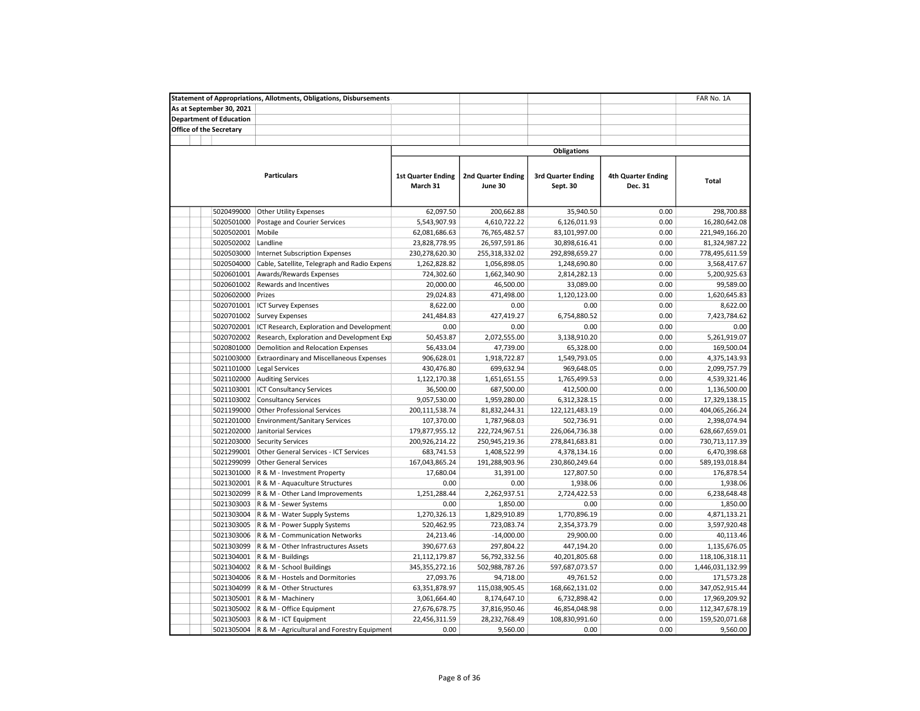|                                | <b>Statement of Appropriations, Allotments, Obligations, Disbursements</b> |                                       |                                      |                                       |                                      | FAR No. 1A       |
|--------------------------------|----------------------------------------------------------------------------|---------------------------------------|--------------------------------------|---------------------------------------|--------------------------------------|------------------|
| As at September 30, 2021       |                                                                            |                                       |                                      |                                       |                                      |                  |
| <b>Department of Education</b> |                                                                            |                                       |                                      |                                       |                                      |                  |
| <b>Office of the Secretary</b> |                                                                            |                                       |                                      |                                       |                                      |                  |
|                                |                                                                            |                                       |                                      |                                       |                                      |                  |
|                                |                                                                            |                                       |                                      | <b>Obligations</b>                    |                                      |                  |
|                                |                                                                            |                                       |                                      |                                       |                                      |                  |
|                                | <b>Particulars</b>                                                         | <b>1st Quarter Ending</b><br>March 31 | <b>2nd Quarter Ending</b><br>June 30 | <b>3rd Quarter Ending</b><br>Sept. 30 | <b>4th Quarter Ending</b><br>Dec. 31 | Total            |
|                                |                                                                            |                                       |                                      |                                       |                                      |                  |
| 5020499000                     | <b>Other Utility Expenses</b>                                              | 62,097.50                             | 200,662.88                           | 35,940.50                             | 0.00                                 | 298,700.88       |
| 5020501000                     | Postage and Courier Services                                               | 5,543,907.93                          | 4,610,722.22                         | 6,126,011.93                          | 0.00                                 | 16,280,642.08    |
| 5020502001                     | Mobile                                                                     | 62,081,686.63                         | 76,765,482.57                        | 83,101,997.00                         | 0.00                                 | 221,949,166.20   |
| 5020502002                     | Landline                                                                   | 23,828,778.95                         | 26,597,591.86                        | 30,898,616.41                         | 0.00                                 | 81,324,987.22    |
| 5020503000                     | <b>Internet Subscription Expenses</b>                                      | 230,278,620.30                        | 255,318,332.02                       | 292,898,659.27                        | 0.00                                 | 778,495,611.59   |
| 5020504000                     | Cable, Satellite, Telegraph and Radio Expens                               | 1,262,828.82                          | 1,056,898.05                         | 1,248,690.80                          | 0.00                                 | 3,568,417.67     |
| 5020601001                     | Awards/Rewards Expenses                                                    | 724,302.60                            | 1,662,340.90                         | 2,814,282.13                          | 0.00                                 | 5,200,925.63     |
| 5020601002                     | Rewards and Incentives                                                     | 20,000.00                             | 46,500.00                            | 33,089.00                             | 0.00                                 | 99,589.00        |
| 5020602000                     | Prizes                                                                     | 29,024.83                             | 471,498.00                           | 1,120,123.00                          | 0.00                                 | 1,620,645.83     |
| 5020701001                     | <b>ICT Survey Expenses</b>                                                 | 8,622.00                              | 0.00                                 | 0.00                                  | 0.00                                 | 8,622.00         |
| 5020701002                     | <b>Survey Expenses</b>                                                     | 241,484.83                            | 427,419.27                           | 6,754,880.52                          | 0.00                                 | 7,423,784.62     |
| 5020702001                     | ICT Research, Exploration and Development                                  | 0.00                                  | 0.00                                 | 0.00                                  | 0.00                                 | 0.00             |
| 5020702002                     | Research, Exploration and Development Exp                                  | 50,453.87                             | 2,072,555.00                         | 3,138,910.20                          | 0.00                                 | 5,261,919.07     |
| 5020801000                     | Demolition and Relocation Expenses                                         | 56,433.04                             | 47,739.00                            | 65,328.00                             | 0.00                                 | 169,500.04       |
| 5021003000                     | <b>Extraordinary and Miscellaneous Expenses</b>                            | 906,628.01                            | 1,918,722.87                         | 1,549,793.05                          | 0.00                                 | 4,375,143.93     |
|                                |                                                                            |                                       |                                      |                                       |                                      |                  |
| 5021101000                     | Legal Services                                                             | 430,476.80                            | 699,632.94                           | 969,648.05                            | 0.00                                 | 2,099,757.79     |
| 5021102000                     | <b>Auditing Services</b>                                                   | 1,122,170.38                          | 1,651,651.55                         | 1,765,499.53                          | 0.00                                 | 4,539,321.46     |
| 5021103001                     | <b>ICT Consultancy Services</b>                                            | 36,500.00                             | 687,500.00                           | 412,500.00                            | 0.00                                 | 1,136,500.00     |
| 5021103002                     | <b>Consultancy Services</b>                                                | 9,057,530.00                          | 1,959,280.00                         | 6,312,328.15                          | 0.00                                 | 17,329,138.15    |
| 5021199000                     | <b>Other Professional Services</b>                                         | 200,111,538.74                        | 81,832,244.31                        | 122,121,483.19                        | 0.00                                 | 404,065,266.24   |
| 5021201000                     | <b>Environment/Sanitary Services</b>                                       | 107,370.00                            | 1,787,968.03                         | 502,736.91                            | 0.00                                 | 2,398,074.94     |
| 5021202000                     | Janitorial Services                                                        | 179,877,955.12                        | 222,724,967.51                       | 226,064,736.38                        | 0.00                                 | 628,667,659.01   |
| 5021203000                     | <b>Security Services</b>                                                   | 200,926,214.22                        | 250,945,219.36                       | 278,841,683.81                        | 0.00                                 | 730,713,117.39   |
| 5021299001                     | Other General Services - ICT Services                                      | 683,741.53                            | 1,408,522.99                         | 4,378,134.16                          | 0.00                                 | 6,470,398.68     |
| 5021299099                     | <b>Other General Services</b>                                              | 167,043,865.24                        | 191,288,903.96                       | 230,860,249.64                        | 0.00                                 | 589,193,018.84   |
| 5021301000                     | R & M - Investment Property                                                | 17,680.04                             | 31,391.00                            | 127,807.50                            | 0.00                                 | 176,878.54       |
| 5021302001                     | R & M - Aquaculture Structures                                             | 0.00                                  | 0.00                                 | 1,938.06                              | 0.00                                 | 1,938.06         |
| 5021302099                     | R & M - Other Land Improvements                                            | 1,251,288.44                          | 2,262,937.51                         | 2,724,422.53                          | 0.00                                 | 6,238,648.48     |
| 5021303003                     | R & M - Sewer Systems                                                      | 0.00                                  | 1,850.00                             | 0.00                                  | 0.00                                 | 1,850.00         |
| 5021303004                     | R & M - Water Supply Systems                                               | 1,270,326.13                          | 1,829,910.89                         | 1,770,896.19                          | 0.00                                 | 4,871,133.21     |
| 5021303005                     | R & M - Power Supply Systems                                               | 520,462.95                            | 723,083.74                           | 2,354,373.79                          | 0.00                                 | 3,597,920.48     |
| 5021303006                     | R & M - Communication Networks                                             | 24,213.46                             | $-14,000.00$                         | 29,900.00                             | 0.00                                 | 40,113.46        |
| 5021303099                     | R & M - Other Infrastructures Assets                                       | 390,677.63                            | 297,804.22                           | 447,194.20                            | 0.00                                 | 1,135,676.05     |
| 5021304001                     | R & M - Buildings                                                          | 21,112,179.87                         | 56,792,332.56                        | 40,201,805.68                         | 0.00                                 | 118,106,318.11   |
| 5021304002                     | R & M - School Buildings                                                   | 345, 355, 272. 16                     | 502,988,787.26                       | 597,687,073.57                        | 0.00                                 | 1,446,031,132.99 |
| 5021304006                     | R & M - Hostels and Dormitories                                            | 27,093.76                             | 94,718.00                            | 49,761.52                             | 0.00                                 | 171,573.28       |
| 5021304099                     | R & M - Other Structures                                                   | 63,351,878.97                         | 115,038,905.45                       | 168,662,131.02                        | 0.00                                 | 347,052,915.44   |
| 5021305001                     | R & M - Machinery                                                          | 3,061,664.40                          | 8,174,647.10                         | 6,732,898.42                          | 0.00                                 | 17,969,209.92    |
| 5021305002                     | R & M - Office Equipment                                                   | 27,676,678.75                         | 37,816,950.46                        | 46,854,048.98                         | 0.00                                 | 112,347,678.19   |
| 5021305003                     | R & M - ICT Equipment                                                      | 22,456,311.59                         | 28,232,768.49                        | 108,830,991.60                        | 0.00                                 | 159,520,071.68   |
|                                | 5021305004 R & M - Agricultural and Forestry Equipment                     | 0.00                                  | 9,560.00                             | 0.00                                  | 0.00                                 | 9,560.00         |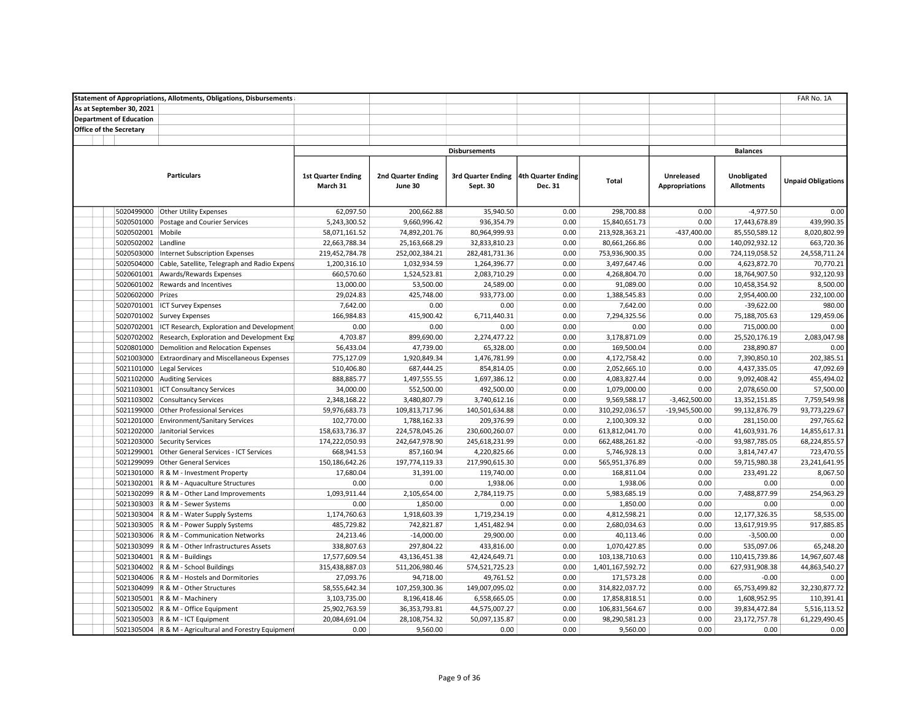|                                |                                | <b>Statement of Appropriations, Allotments, Obligations, Disbursements</b> |                           |                           |                                       |         |                  |                       |                   | FAR No. 1A                |  |  |
|--------------------------------|--------------------------------|----------------------------------------------------------------------------|---------------------------|---------------------------|---------------------------------------|---------|------------------|-----------------------|-------------------|---------------------------|--|--|
|                                | As at September 30, 2021       |                                                                            |                           |                           |                                       |         |                  |                       |                   |                           |  |  |
|                                | <b>Department of Education</b> |                                                                            |                           |                           |                                       |         |                  |                       |                   |                           |  |  |
| <b>Office of the Secretary</b> |                                |                                                                            |                           |                           |                                       |         |                  |                       |                   |                           |  |  |
|                                |                                |                                                                            |                           |                           |                                       |         |                  |                       |                   |                           |  |  |
|                                |                                |                                                                            |                           |                           | <b>Disbursements</b>                  |         |                  |                       | <b>Balances</b>   |                           |  |  |
|                                |                                |                                                                            |                           |                           |                                       |         |                  |                       |                   |                           |  |  |
|                                |                                | <b>Particulars</b>                                                         | <b>1st Quarter Ending</b> | <b>2nd Quarter Ending</b> | 3rd Quarter Ending 4th Quarter Ending |         |                  | <b>Unreleased</b>     | Unobligated       |                           |  |  |
|                                |                                |                                                                            | March 31                  | June 30                   | Sept. 30                              | Dec. 31 | Total            | <b>Appropriations</b> | <b>Allotments</b> | <b>Unpaid Obligations</b> |  |  |
|                                |                                |                                                                            |                           |                           |                                       |         |                  |                       |                   |                           |  |  |
|                                | 5020499000                     | <b>Other Utility Expenses</b>                                              | 62,097.50                 | 200,662.88                | 35,940.50                             | 0.00    | 298,700.88       | 0.00                  | $-4,977.50$       | 0.00                      |  |  |
|                                | 5020501000                     | Postage and Courier Services                                               | 5,243,300.52              | 9,660,996.42              | 936,354.79                            | 0.00    | 15,840,651.73    | 0.00                  | 17,443,678.89     | 439,990.35                |  |  |
|                                | 5020502001                     | Mobile                                                                     | 58,071,161.52             | 74,892,201.76             | 80,964,999.93                         | 0.00    | 213,928,363.21   | $-437,400.00$         | 85,550,589.12     | 8,020,802.99              |  |  |
|                                | 5020502002 Landline            |                                                                            | 22,663,788.34             | 25,163,668.29             | 32,833,810.23                         | 0.00    | 80,661,266.86    | 0.00                  | 140,092,932.12    | 663,720.36                |  |  |
|                                | 5020503000                     | Internet Subscription Expenses                                             | 219,452,784.78            | 252,002,384.21            | 282,481,731.36                        | 0.00    | 753,936,900.35   | 0.00                  | 724,119,058.52    | 24,558,711.24             |  |  |
|                                | 5020504000                     | Cable, Satellite, Telegraph and Radio Expens                               | 1,200,316.10              | 1,032,934.59              | 1,264,396.77                          | 0.00    | 3,497,647.46     | 0.00                  | 4,623,872.70      | 70,770.21                 |  |  |
|                                | 5020601001                     | Awards/Rewards Expenses                                                    | 660,570.60                | 1,524,523.81              | 2,083,710.29                          | 0.00    | 4,268,804.70     | 0.00                  | 18,764,907.50     | 932,120.93                |  |  |
|                                | 5020601002                     | Rewards and Incentives                                                     | 13,000.00                 | 53,500.00                 | 24,589.00                             | 0.00    | 91,089.00        | 0.00                  | 10,458,354.92     | 8,500.00                  |  |  |
|                                |                                | Prizes                                                                     |                           |                           |                                       | 0.00    |                  | 0.00                  |                   |                           |  |  |
|                                | 5020602000                     |                                                                            | 29,024.83                 | 425,748.00                | 933,773.00                            |         | 1,388,545.83     |                       | 2,954,400.00      | 232,100.00                |  |  |
|                                | 5020701001                     | <b>ICT Survey Expenses</b>                                                 | 7,642.00                  | 0.00                      | 0.00                                  | 0.00    | 7,642.00         | 0.00                  | $-39,622.00$      | 980.00                    |  |  |
|                                |                                | 5020701002 Survey Expenses                                                 | 166,984.83                | 415,900.42                | 6,711,440.31                          | 0.00    | 7,294,325.56     | 0.00                  | 75,188,705.63     | 129,459.06                |  |  |
|                                | 5020702001                     | ICT Research, Exploration and Development                                  | 0.00                      | 0.00                      | 0.00                                  | 0.00    | 0.00             | 0.00                  | 715,000.00        | 0.00                      |  |  |
|                                | 5020702002                     | Research, Exploration and Development Exp                                  | 4,703.87                  | 899,690.00                | 2,274,477.22                          | 0.00    | 3,178,871.09     | 0.00                  | 25,520,176.19     | 2,083,047.98              |  |  |
|                                | 5020801000                     | Demolition and Relocation Expenses                                         | 56,433.04                 | 47,739.00                 | 65,328.00                             | 0.00    | 169,500.04       | 0.00                  | 238,890.87        | 0.00                      |  |  |
|                                | 5021003000                     | <b>Extraordinary and Miscellaneous Expenses</b>                            | 775,127.09                | 1,920,849.34              | 1,476,781.99                          | 0.00    | 4,172,758.42     | 0.00                  | 7,390,850.10      | 202,385.51                |  |  |
|                                | 5021101000                     | <b>Legal Services</b>                                                      | 510,406.80                | 687,444.25                | 854,814.05                            | 0.00    | 2,052,665.10     | 0.00                  | 4,437,335.05      | 47,092.69                 |  |  |
|                                | 5021102000                     | <b>Auditing Services</b>                                                   | 888,885.77                | 1,497,555.55              | 1,697,386.12                          | 0.00    | 4,083,827.44     | 0.00                  | 9,092,408.42      | 455,494.02                |  |  |
|                                | 5021103001                     | <b>ICT Consultancy Services</b>                                            | 34,000.00                 | 552,500.00                | 492,500.00                            | 0.00    | 1,079,000.00     | 0.00                  | 2,078,650.00      | 57,500.00                 |  |  |
|                                |                                | 5021103002 Consultancy Services                                            | 2,348,168.22              | 3,480,807.79              | 3,740,612.16                          | 0.00    | 9,569,588.17     | $-3,462,500.00$       | 13,352,151.85     | 7,759,549.98              |  |  |
|                                | 5021199000                     | <b>Other Professional Services</b>                                         | 59,976,683.73             | 109,813,717.96            | 140,501,634.88                        | 0.00    | 310,292,036.57   | $-19,945,500.00$      | 99,132,876.79     | 93,773,229.67             |  |  |
|                                | 5021201000                     | <b>Environment/Sanitary Services</b>                                       | 102,770.00                | 1,788,162.33              | 209,376.99                            | 0.00    | 2,100,309.32     | 0.00                  | 281,150.00        | 297,765.62                |  |  |
|                                | 5021202000                     | Janitorial Services                                                        | 158,633,736.37            | 224,578,045.26            | 230,600,260.07                        | 0.00    | 613,812,041.70   | 0.00                  | 41,603,931.76     | 14,855,617.31             |  |  |
|                                | 5021203000                     | <b>Security Services</b>                                                   | 174,222,050.93            | 242,647,978.90            | 245,618,231.99                        | 0.00    | 662,488,261.82   | $-0.00$               | 93,987,785.05     | 68,224,855.57             |  |  |
|                                | 5021299001                     | Other General Services - ICT Services                                      | 668,941.53                | 857,160.94                | 4,220,825.66                          | 0.00    | 5,746,928.13     | 0.00                  | 3,814,747.47      | 723,470.55                |  |  |
|                                | 5021299099                     | <b>Other General Services</b>                                              | 150,186,642.26            | 197,774,119.33            | 217,990,615.30                        | 0.00    | 565,951,376.89   | 0.00                  | 59,715,980.38     | 23,241,641.95             |  |  |
|                                | 5021301000                     | R & M - Investment Property                                                | 17,680.04                 | 31,391.00                 | 119,740.00                            | 0.00    | 168,811.04       | 0.00                  | 233,491.22        | 8,067.50                  |  |  |
|                                |                                | 5021302001 R & M - Aquaculture Structures                                  | 0.00                      | 0.00                      | 1,938.06                              | 0.00    | 1,938.06         | 0.00                  | 0.00              | 0.00                      |  |  |
|                                |                                | 5021302099 R & M - Other Land Improvements                                 | 1,093,911.44              | 2,105,654.00              | 2,784,119.75                          | 0.00    | 5,983,685.19     | 0.00                  | 7,488,877.99      | 254,963.29                |  |  |
|                                |                                | 5021303003 R & M - Sewer Systems                                           | 0.00                      | 1,850.00                  | 0.00                                  | 0.00    | 1,850.00         | 0.00                  | 0.00              | 0.00                      |  |  |
|                                | 5021303004                     | R & M - Water Supply Systems                                               | 1,174,760.63              | 1,918,603.39              | 1,719,234.19                          | 0.00    | 4,812,598.21     | 0.00                  | 12,177,326.35     | 58,535.00                 |  |  |
|                                | 5021303005                     | R & M - Power Supply Systems                                               | 485,729.82                | 742,821.87                | 1,451,482.94                          | 0.00    | 2,680,034.63     | 0.00                  | 13,617,919.95     | 917,885.85                |  |  |
|                                | 5021303006                     | R & M - Communication Networks                                             | 24,213.46                 | $-14,000.00$              | 29,900.00                             | 0.00    | 40,113.46        | 0.00                  | $-3,500.00$       | 0.00                      |  |  |
|                                | 5021303099                     | R & M - Other Infrastructures Assets                                       | 338,807.63                | 297,804.22                | 433,816.00                            | 0.00    | 1,070,427.85     | 0.00                  | 535,097.06        | 65,248.20                 |  |  |
|                                | 5021304001                     | R & M - Buildings                                                          | 17,577,609.54             | 43,136,451.38             | 42,424,649.71                         | 0.00    | 103,138,710.63   | 0.00                  | 110,415,739.86    | 14,967,607.48             |  |  |
|                                |                                | 5021304002 R & M - School Buildings                                        | 315,438,887.03            | 511,206,980.46            | 574,521,725.23                        | 0.00    | 1,401,167,592.72 | 0.00                  | 627,931,908.38    | 44,863,540.27             |  |  |
|                                |                                | 5021304006 R & M - Hostels and Dormitories                                 | 27,093.76                 | 94,718.00                 | 49,761.52                             | 0.00    | 171,573.28       | 0.00                  | $-0.00$           | 0.00                      |  |  |
|                                |                                | 5021304099   R & M - Other Structures                                      | 58,555,642.34             | 107,259,300.36            | 149,007,095.02                        | 0.00    | 314,822,037.72   | 0.00                  | 65,753,499.82     | 32,230,877.72             |  |  |
|                                | 5021305001                     | R & M - Machinery                                                          | 3,103,735.00              | 8,196,418.46              | 6,558,665.05                          | 0.00    | 17,858,818.51    | 0.00                  | 1,608,952.95      | 110,391.41                |  |  |
|                                | 5021305002                     | R & M - Office Equipment                                                   | 25,902,763.59             | 36,353,793.81             | 44,575,007.27                         | 0.00    | 106,831,564.67   | 0.00                  | 39,834,472.84     | 5,516,113.52              |  |  |
|                                |                                | 5021305003   R & M - ICT Equipment                                         | 20,084,691.04             | 28,108,754.32             | 50,097,135.87                         | 0.00    | 98,290,581.23    | 0.00                  | 23,172,757.78     | 61,229,490.45             |  |  |
|                                |                                | 5021305004 R & M - Agricultural and Forestry Equipment                     | 0.00                      | 9,560.00                  | 0.00                                  | 0.00    | 9,560.00         | 0.00                  | 0.00              | 0.00                      |  |  |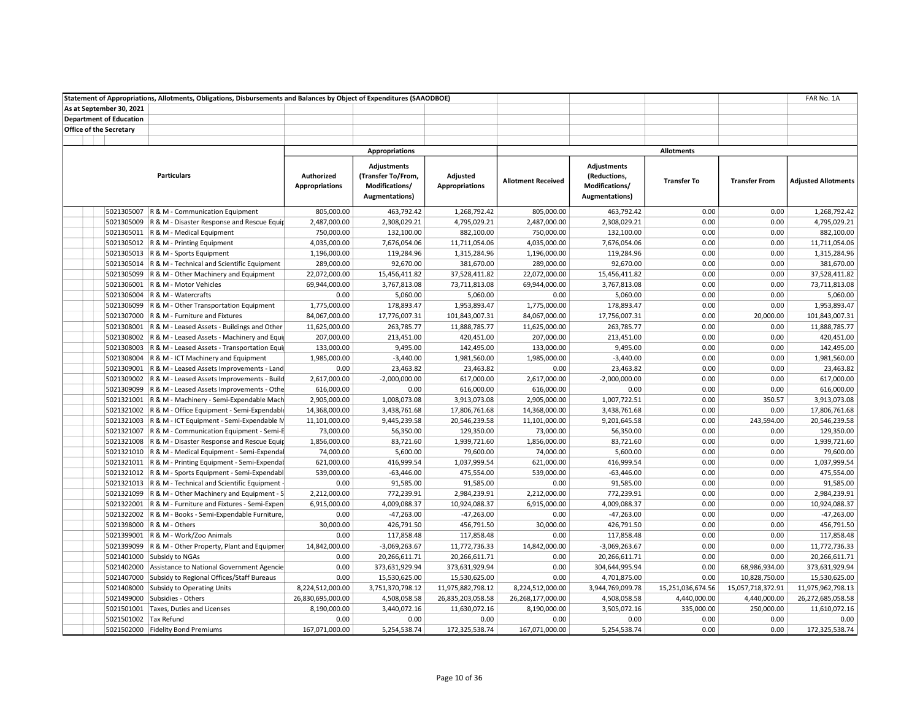|                                |                                | Statement of Appropriations, Allotments, Obligations, Disbursements and Balances by Object of Expenditures (SAAODBOE) |                                     |                                                                              |                                   |                           |                                                                        |                    |                      | FAR No. 1A                 |
|--------------------------------|--------------------------------|-----------------------------------------------------------------------------------------------------------------------|-------------------------------------|------------------------------------------------------------------------------|-----------------------------------|---------------------------|------------------------------------------------------------------------|--------------------|----------------------|----------------------------|
|                                | As at September 30, 2021       |                                                                                                                       |                                     |                                                                              |                                   |                           |                                                                        |                    |                      |                            |
|                                | <b>Department of Education</b> |                                                                                                                       |                                     |                                                                              |                                   |                           |                                                                        |                    |                      |                            |
| <b>Office of the Secretary</b> |                                |                                                                                                                       |                                     |                                                                              |                                   |                           |                                                                        |                    |                      |                            |
|                                |                                |                                                                                                                       |                                     |                                                                              |                                   |                           |                                                                        |                    |                      |                            |
|                                |                                |                                                                                                                       |                                     | <b>Appropriations</b>                                                        |                                   |                           |                                                                        | <b>Allotments</b>  |                      |                            |
|                                |                                | <b>Particulars</b>                                                                                                    | Authorized<br><b>Appropriations</b> | <b>Adjustments</b><br>(Transfer To/From,<br>Modifications/<br>Augmentations) | Adjusted<br><b>Appropriations</b> | <b>Allotment Received</b> | <b>Adjustments</b><br>(Reductions,<br>Modifications/<br>Augmentations) | <b>Transfer To</b> | <b>Transfer From</b> | <b>Adjusted Allotments</b> |
|                                | 5021305007                     | R & M - Communication Equipment                                                                                       | 805,000.00                          | 463,792.42                                                                   | 1,268,792.42                      | 805,000.00                | 463,792.42                                                             | 0.00               | 0.00                 | 1,268,792.42               |
|                                |                                | 5021305009 R & M - Disaster Response and Rescue Equip                                                                 | 2,487,000.00                        | 2,308,029.21                                                                 | 4,795,029.21                      | 2,487,000.00              | 2,308,029.21                                                           | 0.00               | 0.00                 | 4,795,029.21               |
|                                |                                | 5021305011 R & M - Medical Equipment                                                                                  | 750,000.00                          | 132,100.00                                                                   | 882,100.00                        | 750,000.00                | 132,100.00                                                             | 0.00               | 0.00                 | 882,100.00                 |
|                                |                                | 5021305012   R & M - Printing Equipment                                                                               | 4,035,000.00                        | 7,676,054.06                                                                 | 11,711,054.06                     | 4,035,000.00              | 7,676,054.06                                                           | 0.00               | 0.00                 | 11,711,054.06              |
|                                |                                | 5021305013 R & M - Sports Equipment                                                                                   | 1,196,000.00                        | 119,284.96                                                                   | 1,315,284.96                      | 1,196,000.00              | 119,284.96                                                             | 0.00               | 0.00                 | 1,315,284.96               |
|                                |                                | 5021305014 R & M - Technical and Scientific Equipment                                                                 | 289,000.00                          | 92,670.00                                                                    | 381,670.00                        | 289,000.00                | 92,670.00                                                              | 0.00               | 0.00                 | 381,670.00                 |
|                                |                                | 5021305099 R & M - Other Machinery and Equipment                                                                      | 22,072,000.00                       | 15,456,411.82                                                                | 37,528,411.82                     | 22,072,000.00             | 15,456,411.82                                                          | 0.00               | 0.00                 | 37,528,411.82              |
|                                |                                | 5021306001   R & M - Motor Vehicles                                                                                   | 69,944,000.00                       | 3,767,813.08                                                                 | 73,711,813.08                     | 69,944,000.00             | 3,767,813.08                                                           | 0.00               | 0.00                 | 73,711,813.08              |
|                                |                                | 5021306004   R & M - Watercrafts                                                                                      | 0.00                                | 5,060.00                                                                     | 5,060.00                          | 0.00                      | 5,060.00                                                               | 0.00               | 0.00                 | 5,060.00                   |
|                                |                                | 5021306099 R & M - Other Transportation Equipment                                                                     | 1,775,000.00                        | 178,893.47                                                                   | 1,953,893.47                      | 1,775,000.00              | 178,893.47                                                             | 0.00               | 0.00                 | 1,953,893.47               |
|                                |                                | 5021307000 R & M - Furniture and Fixtures                                                                             | 84,067,000.00                       | 17,776,007.31                                                                | 101,843,007.31                    | 84,067,000.00             | 17,756,007.31                                                          | 0.00               | 20,000.00            | 101,843,007.31             |
|                                |                                | 5021308001 R & M - Leased Assets - Buildings and Other                                                                | 11,625,000.00                       | 263,785.77                                                                   | 11,888,785.77                     | 11,625,000.00             | 263,785.77                                                             | 0.00               | 0.00                 | 11,888,785.77              |
|                                |                                | 5021308002 R & M - Leased Assets - Machinery and Equi                                                                 | 207,000.00                          | 213,451.00                                                                   | 420,451.00                        | 207,000.00                | 213,451.00                                                             | 0.00               | 0.00                 | 420,451.00                 |
|                                |                                | 5021308003 R & M - Leased Assets - Transportation Equip                                                               | 133,000.00                          | 9,495.00                                                                     | 142,495.00                        | 133,000.00                | 9,495.00                                                               | 0.00               | 0.00                 | 142,495.00                 |
|                                |                                | 5021308004 R & M - ICT Machinery and Equipment                                                                        | 1,985,000.00                        | $-3,440.00$                                                                  | 1,981,560.00                      | 1,985,000.00              | $-3,440.00$                                                            | 0.00               | 0.00                 | 1,981,560.00               |
|                                |                                | 5021309001 R & M - Leased Assets Improvements - Land                                                                  | 0.00                                | 23,463.82                                                                    | 23,463.82                         | 0.00                      | 23,463.82                                                              | 0.00               | 0.00                 | 23,463.82                  |
|                                |                                | 5021309002 R & M - Leased Assets Improvements - Build                                                                 | 2,617,000.00                        | $-2,000,000.00$                                                              | 617,000.00                        | 2,617,000.00              | $-2,000,000.00$                                                        | 0.00               | 0.00                 | 617,000.00                 |
|                                |                                | 5021309099 R & M - Leased Assets Improvements - Othe                                                                  | 616,000.00                          | 0.00                                                                         | 616,000.00                        | 616,000.00                | 0.00                                                                   | 0.00               | 0.00                 | 616,000.00                 |
|                                |                                | 5021321001 R & M - Machinery - Semi-Expendable Mach                                                                   | 2,905,000.00                        | 1,008,073.08                                                                 | 3,913,073.08                      | 2,905,000.00              | 1,007,722.51                                                           | 0.00               | 350.57               | 3,913,073.08               |
|                                |                                | 5021321002 R & M - Office Equipment - Semi-Expendable                                                                 | 14,368,000.00                       | 3,438,761.68                                                                 | 17,806,761.68                     | 14,368,000.00             | 3,438,761.68                                                           | 0.00               | 0.00                 | 17,806,761.68              |
|                                |                                | 5021321003 R & M - ICT Equipment - Semi-Expendable M                                                                  | 11,101,000.00                       | 9,445,239.58                                                                 | 20,546,239.58                     | 11,101,000.00             | 9,201,645.58                                                           | 0.00               | 243,594.00           | 20,546,239.58              |
|                                |                                | 5021321007 R & M - Communication Equipment - Semi-E                                                                   | 73,000.00                           | 56,350.00                                                                    | 129,350.00                        | 73,000.00                 | 56,350.00                                                              | 0.00               | 0.00                 | 129,350.00                 |
|                                |                                | 5021321008 R & M - Disaster Response and Rescue Equip                                                                 | 1,856,000.00                        | 83,721.60                                                                    | 1,939,721.60                      | 1,856,000.00              | 83,721.60                                                              | 0.00               | 0.00                 | 1,939,721.60               |
|                                |                                | 5021321010 R & M - Medical Equipment - Semi-Expendal                                                                  | 74,000.00                           | 5,600.00                                                                     | 79,600.00                         | 74,000.00                 | 5,600.00                                                               | 0.00               | 0.00                 | 79,600.00                  |
|                                |                                | 5021321011 R & M - Printing Equipment - Semi-Expendal                                                                 | 621,000.00                          | 416,999.54                                                                   | 1,037,999.54                      | 621,000.00                | 416,999.54                                                             | 0.00               | 0.00                 | 1,037,999.54               |
|                                |                                | 5021321012 R & M - Sports Equipment - Semi-Expendabl                                                                  | 539,000.00                          | $-63,446.00$                                                                 | 475,554.00                        | 539,000.00                | $-63,446.00$                                                           | 0.00               | 0.00                 | 475,554.00                 |
|                                |                                | 5021321013 R & M - Technical and Scientific Equipment -                                                               | 0.00                                | 91,585.00                                                                    | 91,585.00                         | 0.00                      | 91,585.00                                                              | 0.00               | 0.00                 | 91,585.00                  |
|                                |                                | 5021321099 R & M - Other Machinery and Equipment - S                                                                  | 2,212,000.00                        | 772,239.91                                                                   | 2,984,239.91                      | 2,212,000.00              | 772,239.91                                                             | 0.00               | 0.00                 | 2,984,239.91               |
|                                |                                | 5021322001 R & M - Furniture and Fixtures - Semi-Expen                                                                | 6,915,000.00                        | 4,009,088.37                                                                 | 10,924,088.37                     | 6,915,000.00              | 4,009,088.37                                                           | 0.00               | 0.00                 | 10,924,088.37              |
|                                |                                | 5021322002 R & M - Books - Semi-Expendable Furniture,                                                                 | 0.00                                | $-47,263.00$                                                                 | $-47,263.00$                      | 0.00                      | $-47,263.00$                                                           | 0.00               | 0.00                 | $-47,263.00$               |
|                                |                                | 5021398000 R & M - Others                                                                                             | 30,000.00                           | 426,791.50                                                                   | 456,791.50                        | 30,000.00                 | 426,791.50                                                             | 0.00               | 0.00                 | 456,791.50                 |
|                                |                                | 5021399001 R & M - Work/Zoo Animals                                                                                   | 0.00                                | 117,858.48                                                                   | 117,858.48                        | 0.00                      | 117,858.48                                                             | 0.00               | 0.00                 | 117,858.48                 |
|                                |                                | 5021399099 R & M - Other Property, Plant and Equipmer                                                                 | 14,842,000.00                       | $-3,069,263.67$                                                              | 11,772,736.33                     | 14,842,000.00             | $-3,069,263.67$                                                        | 0.00               | 0.00                 | 11,772,736.33              |
|                                |                                | 5021401000 Subsidy to NGAs                                                                                            | 0.00                                | 20,266,611.71                                                                | 20,266,611.71                     | 0.00                      | 20,266,611.71                                                          | 0.00               | 0.00                 | 20,266,611.71              |
|                                |                                | 5021402000 Assistance to National Government Agencie                                                                  | 0.00                                | 373,631,929.94                                                               | 373,631,929.94                    | 0.00                      | 304,644,995.94                                                         | 0.00               | 68,986,934.00        | 373,631,929.94             |
|                                |                                | 5021407000 Subsidy to Regional Offices/Staff Bureaus                                                                  | 0.00                                | 15,530,625.00                                                                | 15,530,625.00                     | 0.00                      | 4,701,875.00                                                           | 0.00               | 10,828,750.00        | 15,530,625.00              |
|                                |                                | 5021408000 Subsidy to Operating Units                                                                                 | 8,224,512,000.00                    | 3,751,370,798.12                                                             | 11,975,882,798.12                 | 8,224,512,000.00          | 3,944,769,099.78                                                       | 15,251,036,674.56  | 15,057,718,372.91    | 11,975,962,798.13          |
|                                |                                | 5021499000 Subsidies - Others                                                                                         | 26,830,695,000.00                   | 4,508,058.58                                                                 | 26,835,203,058.58                 | 26,268,177,000.00         | 4,508,058.58                                                           | 4,440,000.00       | 4,440,000.00         | 26,272,685,058.58          |
|                                |                                | 5021501001 Taxes, Duties and Licenses                                                                                 | 8,190,000.00                        | 3,440,072.16                                                                 | 11,630,072.16                     | 8,190,000.00              | 3,505,072.16                                                           | 335,000.00         | 250,000.00           | 11,610,072.16              |
|                                | 5021501002 Tax Refund          |                                                                                                                       | 0.00                                | 0.00                                                                         | 0.00                              | 0.00                      | 0.00                                                                   | 0.00               | 0.00                 | 0.00                       |
|                                |                                | 5021502000 Fidelity Bond Premiums                                                                                     | 167,071,000.00                      | 5,254,538.74                                                                 | 172,325,538.74                    | 167,071,000.00            | 5,254,538.74                                                           | 0.00               | 0.00                 | 172,325,538.74             |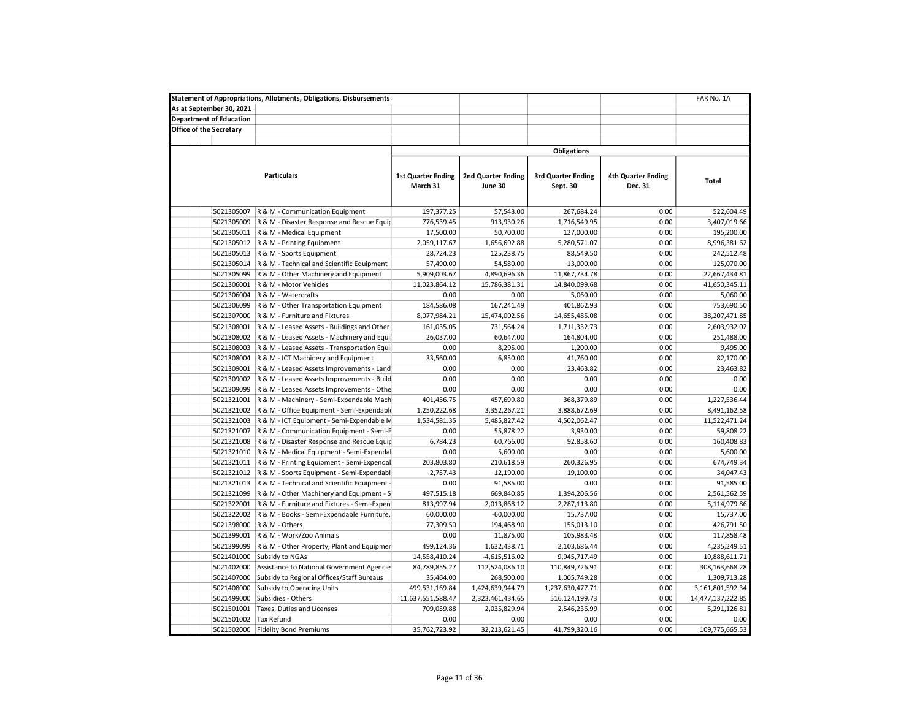|                                | <b>Statement of Appropriations, Allotments, Obligations, Disbursements</b> |                                       |                                      |                                       |                                      | FAR No. 1A        |
|--------------------------------|----------------------------------------------------------------------------|---------------------------------------|--------------------------------------|---------------------------------------|--------------------------------------|-------------------|
| As at September 30, 2021       |                                                                            |                                       |                                      |                                       |                                      |                   |
| <b>Department of Education</b> |                                                                            |                                       |                                      |                                       |                                      |                   |
| <b>Office of the Secretary</b> |                                                                            |                                       |                                      |                                       |                                      |                   |
|                                |                                                                            |                                       |                                      |                                       |                                      |                   |
|                                |                                                                            |                                       |                                      | <b>Obligations</b>                    |                                      |                   |
|                                | <b>Particulars</b>                                                         | <b>1st Quarter Ending</b><br>March 31 | <b>2nd Quarter Ending</b><br>June 30 | <b>3rd Quarter Ending</b><br>Sept. 30 | <b>4th Quarter Ending</b><br>Dec. 31 | Total             |
| 5021305007                     | R & M - Communication Equipment                                            | 197,377.25                            | 57,543.00                            | 267,684.24                            | 0.00                                 | 522,604.49        |
| 5021305009                     | R & M - Disaster Response and Rescue Equip                                 | 776,539.45                            | 913,930.26                           | 1,716,549.95                          | 0.00                                 | 3,407,019.66      |
| 5021305011                     | R & M - Medical Equipment                                                  | 17,500.00                             | 50,700.00                            | 127,000.00                            | 0.00                                 | 195,200.00        |
|                                | 5021305012 R & M - Printing Equipment                                      | 2,059,117.67                          | 1,656,692.88                         | 5,280,571.07                          | 0.00                                 | 8,996,381.62      |
| 5021305013                     | R & M - Sports Equipment                                                   | 28,724.23                             | 125,238.75                           | 88,549.50                             | 0.00                                 | 242,512.48        |
| 5021305014                     | R & M - Technical and Scientific Equipment                                 | 57,490.00                             | 54,580.00                            | 13,000.00                             | 0.00                                 | 125,070.00        |
| 5021305099                     | R & M - Other Machinery and Equipment                                      | 5,909,003.67                          | 4,890,696.36                         | 11,867,734.78                         | 0.00                                 | 22,667,434.81     |
| 5021306001                     | R & M - Motor Vehicles                                                     | 11,023,864.12                         | 15,786,381.31                        | 14,840,099.68                         | 0.00                                 | 41,650,345.11     |
| 5021306004                     | R & M - Watercrafts                                                        | 0.00                                  | 0.00                                 | 5,060.00                              | 0.00                                 | 5,060.00          |
| 5021306099                     | R & M - Other Transportation Equipment                                     | 184,586.08                            | 167,241.49                           | 401,862.93                            | 0.00                                 | 753,690.50        |
| 5021307000                     | R & M - Furniture and Fixtures                                             | 8,077,984.21                          | 15,474,002.56                        | 14,655,485.08                         | 0.00                                 | 38,207,471.85     |
| 5021308001                     | R & M - Leased Assets - Buildings and Other                                | 161,035.05                            | 731,564.24                           | 1,711,332.73                          | 0.00                                 | 2,603,932.02      |
| 5021308002                     | R & M - Leased Assets - Machinery and Equi                                 | 26,037.00                             | 60,647.00                            | 164,804.00                            | 0.00                                 | 251,488.00        |
| 5021308003                     | R & M - Leased Assets - Transportation Equi                                | 0.00                                  | 8,295.00                             | 1,200.00                              | 0.00                                 | 9,495.00          |
| 5021308004                     | R & M - ICT Machinery and Equipment                                        | 33,560.00                             | 6,850.00                             | 41,760.00                             | 0.00                                 | 82,170.00         |
| 5021309001                     | R & M - Leased Assets Improvements - Land                                  | 0.00                                  | 0.00                                 | 23,463.82                             | 0.00                                 | 23,463.82         |
|                                |                                                                            |                                       |                                      |                                       |                                      |                   |
| 5021309002                     | R & M - Leased Assets Improvements - Build                                 | 0.00                                  | 0.00                                 | 0.00                                  | 0.00                                 | 0.00              |
| 5021309099                     | R & M - Leased Assets Improvements - Othe                                  | 0.00                                  | 0.00                                 | 0.00                                  | 0.00                                 | 0.00              |
| 5021321001                     | R & M - Machinery - Semi-Expendable Mach                                   | 401,456.75                            | 457,699.80                           | 368,379.89                            | 0.00                                 | 1,227,536.44      |
| 5021321002                     | R & M - Office Equipment - Semi-Expendable                                 | 1,250,222.68                          | 3,352,267.21                         | 3,888,672.69                          | 0.00                                 | 8,491,162.58      |
| 5021321003                     | R & M - ICT Equipment - Semi-Expendable N                                  | 1,534,581.35                          | 5,485,827.42                         | 4,502,062.47                          | 0.00                                 | 11,522,471.24     |
| 5021321007                     | R & M - Communication Equipment - Semi-E                                   | 0.00                                  | 55,878.22                            | 3,930.00                              | 0.00                                 | 59,808.22         |
| 5021321008                     | R & M - Disaster Response and Rescue Equip                                 | 6,784.23                              | 60,766.00                            | 92,858.60                             | 0.00                                 | 160,408.83        |
| 5021321010                     | R & M - Medical Equipment - Semi-Expendal                                  | 0.00                                  | 5,600.00                             | 0.00                                  | 0.00                                 | 5,600.00          |
| 5021321011                     | R & M - Printing Equipment - Semi-Expendal                                 | 203,803.80                            | 210,618.59                           | 260,326.95                            | 0.00                                 | 674,749.34        |
| 5021321012                     | R & M - Sports Equipment - Semi-Expendabl                                  | 2,757.43                              | 12,190.00                            | 19,100.00                             | 0.00                                 | 34,047.43         |
| 5021321013                     | R & M - Technical and Scientific Equipment                                 | 0.00                                  | 91,585.00                            | 0.00                                  | 0.00                                 | 91,585.00         |
| 5021321099                     | R & M - Other Machinery and Equipment - S                                  | 497,515.18                            | 669,840.85                           | 1,394,206.56                          | 0.00                                 | 2,561,562.59      |
| 5021322001                     | R & M - Furniture and Fixtures - Semi-Expen                                | 813,997.94                            | 2,013,868.12                         | 2,287,113.80                          | 0.00                                 | 5,114,979.86      |
| 5021322002                     | R & M - Books - Semi-Expendable Furniture,                                 | 60,000.00                             | $-60,000.00$                         | 15,737.00                             | 0.00                                 | 15,737.00         |
| 5021398000                     | R & M - Others                                                             | 77,309.50                             | 194,468.90                           | 155,013.10                            | 0.00                                 | 426,791.50        |
| 5021399001                     | R & M - Work/Zoo Animals                                                   | 0.00                                  | 11,875.00                            | 105,983.48                            | 0.00                                 | 117,858.48        |
| 5021399099                     | R & M - Other Property, Plant and Equipmer                                 | 499,124.36                            | 1,632,438.71                         | 2,103,686.44                          | 0.00                                 | 4,235,249.51      |
| 5021401000                     | Subsidy to NGAs                                                            | 14,558,410.24                         | $-4,615,516.02$                      | 9,945,717.49                          | 0.00                                 | 19,888,611.71     |
| 5021402000                     | Assistance to National Government Agencie                                  | 84,789,855.27                         | 112,524,086.10                       | 110,849,726.91                        | 0.00                                 | 308,163,668.28    |
| 5021407000                     | Subsidy to Regional Offices/Staff Bureaus                                  | 35,464.00                             | 268,500.00                           | 1,005,749.28                          | 0.00                                 | 1,309,713.28      |
| 5021408000                     | Subsidy to Operating Units                                                 | 499,531,169.84                        | 1,424,639,944.79                     | 1,237,630,477.71                      | 0.00                                 | 3,161,801,592.34  |
| 5021499000                     | Subsidies - Others                                                         | 11,637,551,588.47                     | 2,323,461,434.65                     | 516,124,199.73                        | 0.00                                 | 14,477,137,222.85 |
| 5021501001                     | Taxes, Duties and Licenses                                                 | 709,059.88                            | 2,035,829.94                         | 2,546,236.99                          | 0.00                                 | 5,291,126.81      |
| 5021501002                     | <b>Tax Refund</b>                                                          | 0.00                                  | 0.00                                 | 0.00                                  | 0.00                                 | 0.00              |
| 5021502000                     | <b>Fidelity Bond Premiums</b>                                              | 35,762,723.92                         | 32,213,621.45                        | 41,799,320.16                         | 0.00                                 | 109,775,665.53    |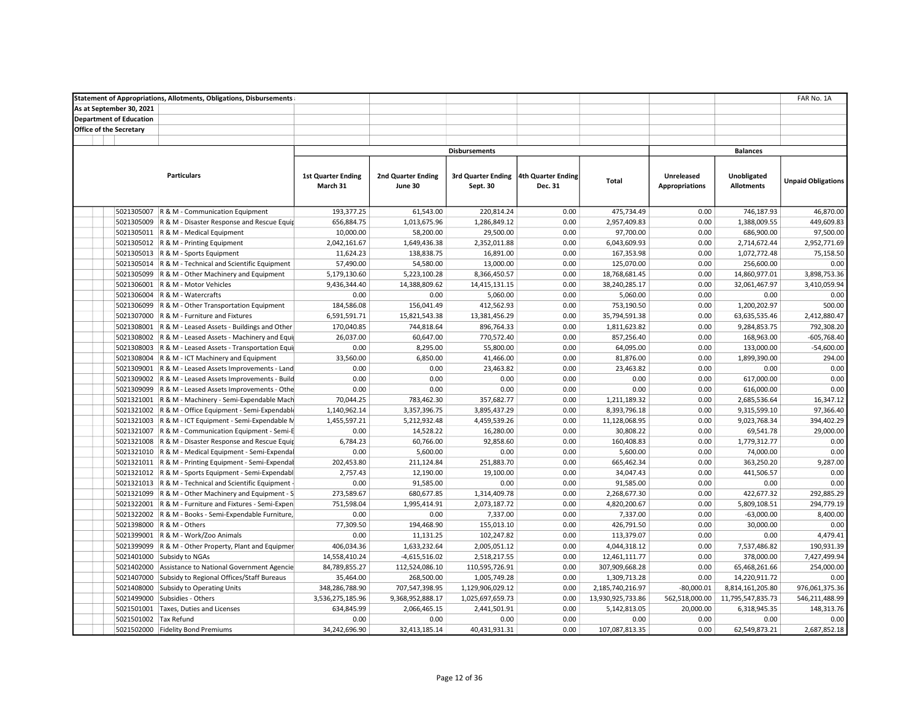|                                |                       | <b>Statement of Appropriations, Allotments, Obligations, Disbursements</b> |                           |                           |                                       |         |                   |                       |                   | FAR No. 1A                |
|--------------------------------|-----------------------|----------------------------------------------------------------------------|---------------------------|---------------------------|---------------------------------------|---------|-------------------|-----------------------|-------------------|---------------------------|
| As at September 30, 2021       |                       |                                                                            |                           |                           |                                       |         |                   |                       |                   |                           |
| <b>Department of Education</b> |                       |                                                                            |                           |                           |                                       |         |                   |                       |                   |                           |
| <b>Office of the Secretary</b> |                       |                                                                            |                           |                           |                                       |         |                   |                       |                   |                           |
|                                |                       |                                                                            |                           |                           |                                       |         |                   |                       |                   |                           |
|                                |                       |                                                                            |                           |                           | <b>Disbursements</b>                  |         |                   |                       | <b>Balances</b>   |                           |
|                                |                       |                                                                            |                           |                           |                                       |         |                   |                       |                   |                           |
|                                |                       | <b>Particulars</b>                                                         | <b>1st Quarter Ending</b> | <b>2nd Quarter Ending</b> | 3rd Quarter Ending 4th Quarter Ending |         |                   | Unreleased            | Unobligated       |                           |
|                                |                       |                                                                            | March 31                  | June 30                   | Sept. 30                              | Dec. 31 | <b>Total</b>      | <b>Appropriations</b> | <b>Allotments</b> | <b>Unpaid Obligations</b> |
|                                |                       |                                                                            |                           |                           |                                       |         |                   |                       |                   |                           |
|                                |                       |                                                                            |                           |                           |                                       |         |                   |                       |                   |                           |
|                                |                       | 5021305007 R & M - Communication Equipment                                 | 193,377.25                | 61,543.00                 | 220,814.24                            | 0.00    | 475,734.49        | 0.00                  | 746,187.93        | 46,870.00                 |
|                                | 5021305009            | R & M - Disaster Response and Rescue Equip                                 | 656,884.75                | 1,013,675.96              | 1,286,849.12                          | 0.00    | 2,957,409.83      | 0.00                  | 1,388,009.55      | 449,609.83                |
|                                |                       | 5021305011 R & M - Medical Equipment                                       | 10,000.00                 | 58,200.00                 | 29,500.00                             | 0.00    | 97,700.00         | 0.00                  | 686,900.00        | 97,500.00                 |
|                                |                       | 5021305012 R & M - Printing Equipment                                      | 2,042,161.67              | 1,649,436.38              | 2,352,011.88                          | 0.00    | 6,043,609.93      | 0.00                  | 2,714,672.44      | 2,952,771.69              |
|                                |                       | 5021305013   R & M - Sports Equipment                                      | 11,624.23                 | 138,838.75                | 16,891.00                             | 0.00    | 167,353.98        | 0.00                  | 1,072,772.48      | 75,158.50                 |
|                                | 5021305014            | R & M - Technical and Scientific Equipment                                 | 57,490.00                 | 54,580.00                 | 13,000.00                             | 0.00    | 125,070.00        | 0.00                  | 256,600.00        | 0.00                      |
|                                | 5021305099            | R & M - Other Machinery and Equipment                                      | 5,179,130.60              | 5,223,100.28              | 8,366,450.57                          | 0.00    | 18,768,681.45     | 0.00                  | 14,860,977.01     | 3,898,753.36              |
|                                | 5021306001            | R & M - Motor Vehicles                                                     | 9,436,344.40              | 14,388,809.62             | 14,415,131.15                         | 0.00    | 38,240,285.17     | 0.00                  | 32,061,467.97     | 3,410,059.94              |
|                                | 5021306004            | R & M - Watercrafts                                                        | 0.00                      | 0.00                      | 5,060.00                              | 0.00    | 5,060.00          | 0.00                  | 0.00              | 0.00                      |
|                                |                       | 5021306099 R & M - Other Transportation Equipment                          | 184,586.08                | 156,041.49                | 412,562.93                            | 0.00    | 753,190.50        | 0.00                  | 1,200,202.97      | 500.00                    |
|                                |                       | 5021307000 R & M - Furniture and Fixtures                                  | 6,591,591.71              | 15,821,543.38             | 13,381,456.29                         | 0.00    | 35,794,591.38     | 0.00                  | 63,635,535.46     | 2,412,880.47              |
|                                |                       | 5021308001 R & M - Leased Assets - Buildings and Other                     | 170,040.85                | 744,818.64                | 896,764.33                            | 0.00    | 1,811,623.82      | 0.00                  | 9,284,853.75      | 792,308.20                |
|                                |                       | 5021308002 R & M - Leased Assets - Machinery and Equi                      | 26,037.00                 | 60,647.00                 | 770,572.40                            | 0.00    | 857,256.40        | 0.00                  | 168,963.00        | $-605,768.40$             |
|                                | 5021308003            | R & M - Leased Assets - Transportation Equi                                | 0.00                      | 8,295.00                  | 55,800.00                             | 0.00    | 64,095.00         | 0.00                  | 133,000.00        | $-54,600.00$              |
|                                | 5021308004            | R & M - ICT Machinery and Equipment                                        | 33,560.00                 | 6,850.00                  | 41,466.00                             | 0.00    | 81,876.00         | 0.00                  | 1,899,390.00      | 294.00                    |
|                                | 5021309001            | R & M - Leased Assets Improvements - Land                                  | 0.00                      | 0.00                      | 23,463.82                             | 0.00    | 23,463.82         | 0.00                  | 0.00              | 0.00                      |
|                                |                       | 5021309002 R & M - Leased Assets Improvements - Build                      | 0.00                      | 0.00                      | 0.00                                  | 0.00    | 0.00              | 0.00                  | 617,000.00        | 0.00                      |
|                                |                       | 5021309099 R & M - Leased Assets Improvements - Othe                       | 0.00                      | 0.00                      | 0.00                                  | 0.00    | 0.00              | 0.00                  | 616,000.00        | 0.00                      |
|                                |                       | 5021321001 R & M - Machinery - Semi-Expendable Mach                        | 70,044.25                 | 783,462.30                | 357,682.77                            | 0.00    | 1,211,189.32      | 0.00                  | 2,685,536.64      | 16,347.12                 |
|                                |                       | 5021321002 R & M - Office Equipment - Semi-Expendable                      | 1,140,962.14              | 3,357,396.75              | 3,895,437.29                          | 0.00    | 8,393,796.18      | 0.00                  | 9,315,599.10      | 97,366.40                 |
|                                |                       | 5021321003 R & M - ICT Equipment - Semi-Expendable N                       | 1,455,597.21              | 5,212,932.48              | 4,459,539.26                          | 0.00    | 11,128,068.95     | 0.00                  | 9,023,768.34      | 394,402.29                |
|                                | 5021321007            | R & M - Communication Equipment - Semi-E                                   | 0.00                      | 14,528.22                 | 16,280.00                             | 0.00    | 30,808.22         | 0.00                  | 69,541.78         | 29,000.00                 |
|                                | 5021321008            | R & M - Disaster Response and Rescue Equip                                 | 6,784.23                  | 60,766.00                 | 92,858.60                             | 0.00    | 160,408.83        | 0.00                  | 1,779,312.77      | 0.00                      |
|                                |                       | 5021321010 R & M - Medical Equipment - Semi-Expendal                       | 0.00                      | 5,600.00                  | 0.00                                  | 0.00    | 5,600.00          | 0.00                  | 74,000.00         | 0.00                      |
|                                |                       | 5021321011 R & M - Printing Equipment - Semi-Expendal                      | 202,453.80                | 211,124.84                | 251,883.70                            | 0.00    | 665,462.34        | 0.00                  | 363,250.20        | 9,287.00                  |
|                                |                       | 5021321012 R & M - Sports Equipment - Semi-Expendabl                       | 2,757.43                  | 12,190.00                 | 19,100.00                             | 0.00    | 34,047.43         | 0.00                  | 441,506.57        | 0.00                      |
|                                |                       | 5021321013 R & M - Technical and Scientific Equipment -                    | 0.00                      | 91,585.00                 | 0.00                                  | 0.00    | 91,585.00         | 0.00                  | 0.00              | 0.00                      |
|                                |                       | 5021321099 R & M - Other Machinery and Equipment - S                       | 273,589.67                | 680,677.85                | 1,314,409.78                          | 0.00    | 2,268,677.30      | 0.00                  | 422,677.32        | 292,885.29                |
|                                |                       | 5021322001 R & M - Furniture and Fixtures - Semi-Expen                     | 751,598.04                | 1,995,414.91              | 2,073,187.72                          | 0.00    | 4,820,200.67      | 0.00                  | 5,809,108.51      | 294,779.19                |
|                                | 5021322002            | R & M - Books - Semi-Expendable Furniture,                                 | 0.00                      | 0.00                      | 7,337.00                              | 0.00    | 7,337.00          | 0.00                  | $-63,000.00$      | 8,400.00                  |
|                                | 5021398000            | R & M - Others                                                             | 77,309.50                 | 194,468.90                | 155,013.10                            | 0.00    | 426,791.50        | 0.00                  | 30,000.00         | 0.00                      |
|                                | 5021399001            | R & M - Work/Zoo Animals                                                   | 0.00                      | 11,131.25                 | 102,247.82                            | 0.00    | 113,379.07        | 0.00                  | 0.00              | 4,479.41                  |
|                                | 5021399099            | R & M - Other Property, Plant and Equipmer                                 | 406,034.36                | 1,633,232.64              | 2,005,051.12                          | 0.00    | 4,044,318.12      | 0.00                  | 7,537,486.82      | 190,931.39                |
|                                | 5021401000            | Subsidy to NGAs                                                            | 14,558,410.24             | $-4,615,516.02$           | 2,518,217.55                          | 0.00    | 12,461,111.77     | 0.00                  | 378,000.00        | 7,427,499.94              |
|                                |                       | 5021402000 Assistance to National Government Agencie                       | 84,789,855.27             | 112,524,086.10            | 110,595,726.91                        | 0.00    | 307,909,668.28    | 0.00                  | 65,468,261.66     | 254,000.00                |
|                                |                       | 5021407000 Subsidy to Regional Offices/Staff Bureaus                       | 35,464.00                 | 268,500.00                | 1,005,749.28                          | 0.00    | 1,309,713.28      | 0.00                  | 14,220,911.72     | 0.00                      |
|                                | 5021408000            | Subsidy to Operating Units                                                 | 348,286,788.90            | 707,547,398.95            | 1,129,906,029.12                      | 0.00    | 2,185,740,216.97  | $-80,000.01$          | 8,814,161,205.80  | 976,061,375.36            |
|                                | 5021499000            | Subsidies - Others                                                         | 3,536,275,185.96          | 9,368,952,888.17          | 1,025,697,659.73                      | 0.00    | 13,930,925,733.86 | 562,518,000.00        | 11,795,547,835.73 | 546,211,488.99            |
|                                | 5021501001            | Taxes, Duties and Licenses                                                 | 634,845.99                | 2,066,465.15              | 2,441,501.91                          | 0.00    | 5,142,813.05      | 20,000.00             | 6,318,945.35      | 148,313.76                |
|                                | 5021501002 Tax Refund |                                                                            | 0.00                      | 0.00                      | 0.00                                  | 0.00    | 0.00              | 0.00                  | 0.00              | 0.00                      |
|                                |                       | 5021502000 Fidelity Bond Premiums                                          | 34,242,696.90             | 32,413,185.14             | 40,431,931.31                         | 0.00    | 107,087,813.35    | 0.00                  | 62,549,873.21     | 2,687,852.18              |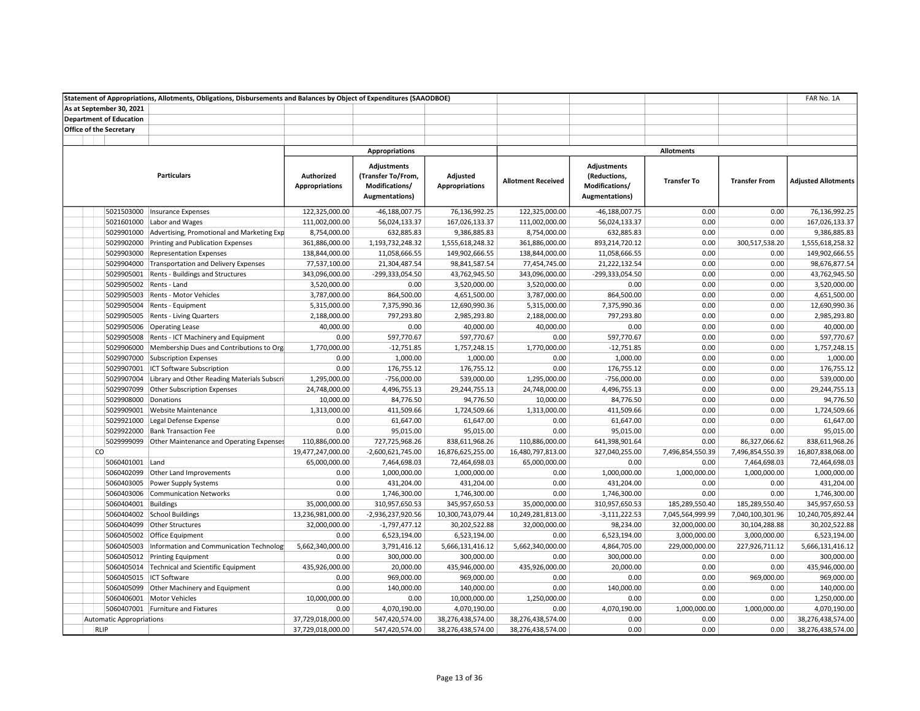|                                 | Statement of Appropriations, Allotments, Obligations, Disbursements and Balances by Object of Expenditures (SAAODBOE) |                                     |                                                                              |                                   |                           |                                                                        |                    |                      | FAR No. 1A                 |
|---------------------------------|-----------------------------------------------------------------------------------------------------------------------|-------------------------------------|------------------------------------------------------------------------------|-----------------------------------|---------------------------|------------------------------------------------------------------------|--------------------|----------------------|----------------------------|
| As at September 30, 2021        |                                                                                                                       |                                     |                                                                              |                                   |                           |                                                                        |                    |                      |                            |
| <b>Department of Education</b>  |                                                                                                                       |                                     |                                                                              |                                   |                           |                                                                        |                    |                      |                            |
| <b>Office of the Secretary</b>  |                                                                                                                       |                                     |                                                                              |                                   |                           |                                                                        |                    |                      |                            |
|                                 |                                                                                                                       |                                     |                                                                              |                                   |                           |                                                                        |                    |                      |                            |
|                                 |                                                                                                                       |                                     | <b>Appropriations</b>                                                        |                                   |                           |                                                                        | <b>Allotments</b>  |                      |                            |
|                                 | <b>Particulars</b>                                                                                                    | Authorized<br><b>Appropriations</b> | <b>Adjustments</b><br>(Transfer To/From,<br>Modifications/<br>Augmentations) | Adjusted<br><b>Appropriations</b> | <b>Allotment Received</b> | <b>Adjustments</b><br>(Reductions,<br>Modifications/<br>Augmentations) | <b>Transfer To</b> | <b>Transfer From</b> | <b>Adjusted Allotments</b> |
| 5021503000                      | Insurance Expenses                                                                                                    | 122,325,000.00                      | -46,188,007.75                                                               | 76,136,992.25                     | 122,325,000.00            | $-46,188,007.75$                                                       | 0.00               | 0.00                 | 76,136,992.25              |
|                                 | 5021601000 Labor and Wages                                                                                            | 111,002,000.00                      | 56,024,133.37                                                                | 167,026,133.37                    | 111,002,000.00            | 56,024,133.37                                                          | 0.00               | 0.00                 | 167,026,133.37             |
|                                 | 5029901000 Advertising, Promotional and Marketing Exp                                                                 | 8,754,000.00                        | 632,885.83                                                                   | 9,386,885.83                      | 8,754,000.00              | 632,885.83                                                             | 0.00               | 0.00                 | 9,386,885.83               |
| 5029902000                      | Printing and Publication Expenses                                                                                     | 361,886,000.00                      | 1,193,732,248.32                                                             | 1,555,618,248.32                  | 361,886,000.00            | 893,214,720.12                                                         | 0.00               | 300,517,538.20       | 1,555,618,258.32           |
| 5029903000                      | <b>Representation Expenses</b>                                                                                        | 138,844,000.00                      | 11,058,666.55                                                                | 149,902,666.55                    | 138,844,000.00            | 11,058,666.55                                                          | 0.00               | 0.00                 | 149,902,666.55             |
| 5029904000                      | Transportation and Delivery Expenses                                                                                  | 77,537,100.00                       | 21,304,487.54                                                                | 98,841,587.54                     | 77,454,745.00             | 21,222,132.54                                                          | 0.00               | 0.00                 | 98,676,877.54              |
|                                 | 5029905001 Rents - Buildings and Structures                                                                           | 343,096,000.00                      | -299,333,054.50                                                              | 43,762,945.50                     | 343,096,000.00            | -299,333,054.50                                                        | 0.00               | 0.00                 | 43,762,945.50              |
|                                 | 5029905002 Rents - Land                                                                                               | 3,520,000.00                        | 0.00                                                                         | 3,520,000.00                      | 3,520,000.00              | 0.00                                                                   | 0.00               | 0.00                 | 3,520,000.00               |
|                                 | 5029905003 Rents - Motor Vehicles                                                                                     | 3,787,000.00                        | 864,500.00                                                                   | 4,651,500.00                      | 3,787,000.00              | 864,500.00                                                             | 0.00               | 0.00                 | 4,651,500.00               |
|                                 | 5029905004 Rents - Equipment                                                                                          | 5,315,000.00                        | 7,375,990.36                                                                 | 12,690,990.36                     | 5,315,000.00              | 7,375,990.36                                                           | 0.00               | 0.00                 | 12,690,990.36              |
|                                 | 5029905005 Rents - Living Quarters                                                                                    | 2,188,000.00                        | 797,293.80                                                                   | 2,985,293.80                      | 2,188,000.00              | 797,293.80                                                             | 0.00               | 0.00                 | 2,985,293.80               |
|                                 | 5029905006 Operating Lease                                                                                            | 40,000.00                           | 0.00                                                                         | 40,000.00                         | 40,000.00                 | 0.00                                                                   | 0.00               | 0.00                 | 40,000.00                  |
| 5029905008                      | Rents - ICT Machinery and Equipment                                                                                   | 0.00                                | 597,770.67                                                                   | 597,770.67                        | 0.00                      | 597,770.67                                                             | 0.00               | 0.00                 | 597,770.67                 |
|                                 | 5029906000 Membership Dues and Contributions to Org                                                                   | 1,770,000.00                        | $-12,751.85$                                                                 | 1,757,248.15                      | 1,770,000.00              | $-12,751.85$                                                           | 0.00               | 0.00                 | 1,757,248.15               |
|                                 | 5029907000 Subscription Expenses                                                                                      | 0.00                                | 1,000.00                                                                     | 1,000.00                          | 0.00                      | 1,000.00                                                               | 0.00               | 0.00                 | 1,000.00                   |
|                                 | 5029907001   ICT Software Subscription                                                                                | 0.00                                | 176,755.12                                                                   | 176,755.12                        | 0.00                      | 176,755.12                                                             | 0.00               | 0.00                 | 176,755.12                 |
|                                 | 5029907004 Library and Other Reading Materials Subscri                                                                | 1,295,000.00                        | $-756,000.00$                                                                | 539,000.00                        | 1,295,000.00              | $-756,000.00$                                                          | 0.00               | 0.00                 | 539,000.00                 |
|                                 | 5029907099 Other Subscription Expenses                                                                                | 24,748,000.00                       | 4,496,755.13                                                                 | 29,244,755.13                     | 24,748,000.00             | 4,496,755.13                                                           | 0.00               | 0.00                 | 29,244,755.13              |
| 5029908000 Donations            |                                                                                                                       | 10,000.00                           | 84,776.50                                                                    | 94,776.50                         | 10,000.00                 | 84,776.50                                                              | 0.00               | 0.00                 | 94,776.50                  |
|                                 | 5029909001 Website Maintenance                                                                                        | 1,313,000.00                        | 411,509.66                                                                   | 1,724,509.66                      | 1,313,000.00              | 411,509.66                                                             | 0.00               | 0.00                 | 1,724,509.66               |
| 5029921000                      | Legal Defense Expense                                                                                                 | 0.00                                | 61,647.00                                                                    | 61,647.00                         | 0.00                      | 61,647.00                                                              | 0.00               | 0.00                 | 61,647.00                  |
| 5029922000                      | <b>Bank Transaction Fee</b>                                                                                           | 0.00                                | 95,015.00                                                                    | 95,015.00                         | 0.00                      | 95,015.00                                                              | 0.00               | 0.00                 | 95,015.00                  |
|                                 | 5029999099 Other Maintenance and Operating Expenses                                                                   | 110,886,000.00                      | 727,725,968.26                                                               | 838,611,968.26                    | 110,886,000.00            | 641,398,901.64                                                         | 0.00               | 86,327,066.62        | 838,611,968.26             |
| <b>CO</b>                       |                                                                                                                       | 19,477,247,000.00                   | $-2,600,621,745.00$                                                          | 16,876,625,255.00                 | 16,480,797,813.00         | 327,040,255.00                                                         | 7,496,854,550.39   | 7,496,854,550.39     | 16,807,838,068.00          |
| 5060401001 Land                 |                                                                                                                       | 65,000,000.00                       | 7,464,698.03                                                                 | 72,464,698.03                     | 65,000,000.00             | 0.00                                                                   | 0.00               | 7,464,698.03         | 72,464,698.03              |
|                                 | 5060402099 Other Land Improvements                                                                                    | 0.00                                | 1,000,000.00                                                                 | 1,000,000.00                      | 0.00                      | 1,000,000.00                                                           | 1,000,000.00       | 1,000,000.00         | 1,000,000.00               |
|                                 | 5060403005 Power Supply Systems                                                                                       | 0.00                                | 431,204.00                                                                   | 431,204.00                        | 0.00                      | 431,204.00                                                             | 0.00               | 0.00                 | 431,204.00                 |
|                                 | 5060403006 Communication Networks                                                                                     | 0.00                                | 1,746,300.00                                                                 | 1,746,300.00                      | 0.00                      | 1,746,300.00                                                           | 0.00               | 0.00                 | 1,746,300.00               |
| 5060404001 Buildings            |                                                                                                                       | 35,000,000.00                       | 310,957,650.53                                                               | 345,957,650.53                    | 35,000,000.00             | 310,957,650.53                                                         | 185,289,550.40     | 185,289,550.40       | 345,957,650.53             |
|                                 | 5060404002 School Buildings                                                                                           | 13,236,981,000.00                   | -2,936,237,920.56                                                            | 10,300,743,079.44                 | 10,249,281,813.00         | $-3,111,222.53$                                                        | 7,045,564,999.99   | 7,040,100,301.96     | 10,240,705,892.44          |
|                                 | 5060404099 Other Structures                                                                                           | 32,000,000.00                       | $-1,797,477.12$                                                              | 30,202,522.88                     | 32,000,000.00             | 98,234.00                                                              | 32,000,000.00      | 30,104,288.88        | 30,202,522.88              |
|                                 | 5060405002 Office Equipment                                                                                           | 0.00                                | 6,523,194.00                                                                 | 6,523,194.00                      | 0.00                      | 6,523,194.00                                                           | 3,000,000.00       | 3,000,000.00         | 6,523,194.00               |
|                                 | 5060405003   Information and Communication Technology                                                                 | 5,662,340,000.00                    | 3,791,416.12                                                                 | 5,666,131,416.12                  | 5,662,340,000.00          | 4,864,705.00                                                           | 229,000,000.00     | 227,926,711.12       | 5,666,131,416.12           |
|                                 | 5060405012 Printing Equipment                                                                                         | 0.00                                | 300,000.00                                                                   | 300,000.00                        | 0.00                      | 300,000.00                                                             | 0.00               | 0.00                 | 300,000.00                 |
|                                 | 5060405014 Technical and Scientific Equipment                                                                         | 435,926,000.00                      | 20,000.00                                                                    | 435,946,000.00                    | 435,926,000.00            | 20,000.00                                                              | 0.00               | 0.00                 | 435,946,000.00             |
|                                 | 5060405015 ICT Software                                                                                               | 0.00                                | 969,000.00                                                                   | 969,000.00                        | 0.00                      | 0.00                                                                   | 0.00               | 969,000.00           | 969,000.00                 |
|                                 | 5060405099 Other Machinery and Equipment                                                                              | 0.00                                | 140,000.00                                                                   | 140,000.00                        | 0.00                      | 140,000.00                                                             | 0.00               | 0.00                 | 140,000.00                 |
|                                 | 5060406001 Motor Vehicles                                                                                             | 10,000,000.00                       | 0.00                                                                         | 10,000,000.00                     | 1,250,000.00              | 0.00                                                                   | 0.00               | 0.00                 | 1,250,000.00               |
|                                 | 5060407001 Furniture and Fixtures                                                                                     | 0.00                                | 4,070,190.00                                                                 | 4,070,190.00                      | 0.00                      | 4,070,190.00                                                           | 1,000,000.00       | 1,000,000.00         | 4,070,190.00               |
| <b>Automatic Appropriations</b> |                                                                                                                       | 37,729,018,000.00                   | 547,420,574.00                                                               | 38,276,438,574.00                 | 38,276,438,574.00         | 0.00                                                                   | 0.00               | 0.00                 | 38,276,438,574.00          |
| <b>RLIP</b>                     |                                                                                                                       | 37,729,018,000.00                   | 547,420,574.00                                                               | 38,276,438,574.00                 | 38,276,438,574.00         | 0.00                                                                   | 0.00               | 0.00                 | 38,276,438,574.00          |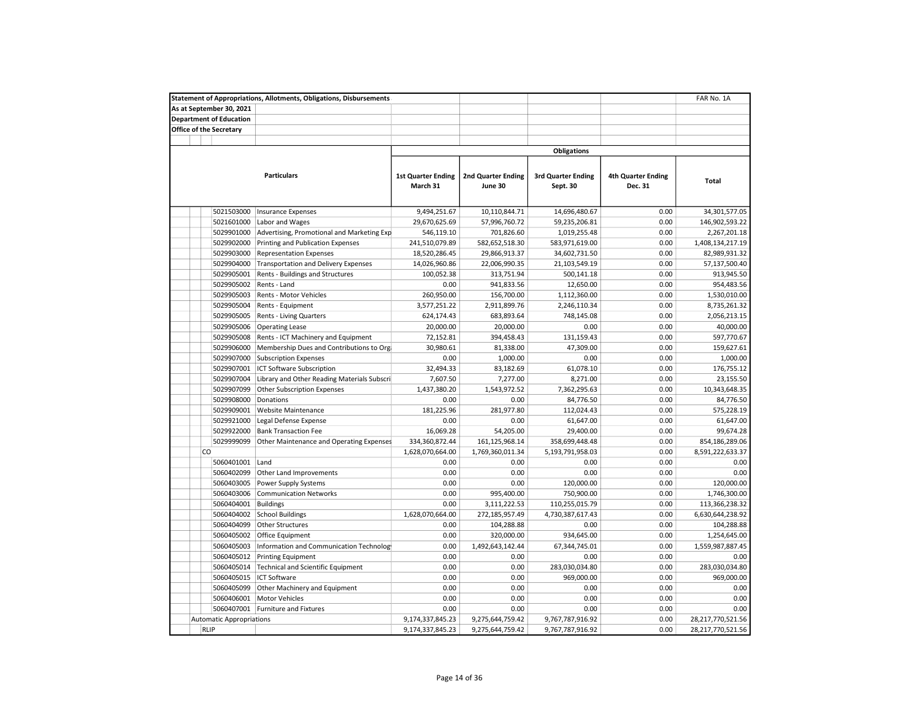|                                 | <b>Statement of Appropriations, Allotments, Obligations, Disbursements</b> |                                       |                                      |                                       |                                      | FAR No. 1A        |
|---------------------------------|----------------------------------------------------------------------------|---------------------------------------|--------------------------------------|---------------------------------------|--------------------------------------|-------------------|
| As at September 30, 2021        |                                                                            |                                       |                                      |                                       |                                      |                   |
| <b>Department of Education</b>  |                                                                            |                                       |                                      |                                       |                                      |                   |
| <b>Office of the Secretary</b>  |                                                                            |                                       |                                      |                                       |                                      |                   |
|                                 |                                                                            |                                       |                                      |                                       |                                      |                   |
|                                 |                                                                            |                                       |                                      | <b>Obligations</b>                    |                                      |                   |
|                                 |                                                                            |                                       |                                      |                                       |                                      |                   |
|                                 | <b>Particulars</b>                                                         | <b>1st Quarter Ending</b><br>March 31 | <b>2nd Quarter Ending</b><br>June 30 | <b>3rd Quarter Ending</b><br>Sept. 30 | <b>4th Quarter Ending</b><br>Dec. 31 | Total             |
| 5021503000                      | <b>Insurance Expenses</b>                                                  | 9,494,251.67                          | 10,110,844.71                        | 14,696,480.67                         | 0.00                                 | 34,301,577.05     |
| 5021601000                      | Labor and Wages                                                            | 29,670,625.69                         | 57,996,760.72                        | 59,235,206.81                         | 0.00                                 | 146,902,593.22    |
| 5029901000                      | Advertising, Promotional and Marketing Exp                                 | 546,119.10                            | 701,826.60                           | 1,019,255.48                          | 0.00                                 | 2,267,201.18      |
| 5029902000                      | Printing and Publication Expenses                                          | 241,510,079.89                        | 582,652,518.30                       | 583,971,619.00                        | 0.00                                 | 1,408,134,217.19  |
| 5029903000                      | <b>Representation Expenses</b>                                             | 18,520,286.45                         | 29,866,913.37                        | 34,602,731.50                         | 0.00                                 | 82,989,931.32     |
| 5029904000                      | <b>Transportation and Delivery Expenses</b>                                | 14,026,960.86                         | 22,006,990.35                        | 21,103,549.19                         | 0.00                                 | 57,137,500.40     |
| 5029905001                      | Rents - Buildings and Structures                                           | 100,052.38                            | 313,751.94                           | 500,141.18                            | 0.00                                 | 913,945.50        |
| 5029905002                      | Rents - Land                                                               | 0.00                                  | 941,833.56                           | 12,650.00                             | 0.00                                 | 954,483.56        |
| 5029905003                      | Rents - Motor Vehicles                                                     | 260,950.00                            | 156,700.00                           | 1,112,360.00                          | 0.00                                 | 1,530,010.00      |
| 5029905004                      | Rents - Equipment                                                          | 3,577,251.22                          | 2,911,899.76                         | 2,246,110.34                          | 0.00                                 | 8,735,261.32      |
| 5029905005                      | Rents - Living Quarters                                                    | 624,174.43                            | 683,893.64                           | 748,145.08                            | 0.00                                 | 2,056,213.15      |
| 5029905006                      | <b>Operating Lease</b>                                                     | 20,000.00                             | 20,000.00                            | 0.00                                  | 0.00                                 | 40,000.00         |
| 5029905008                      | Rents - ICT Machinery and Equipment                                        | 72,152.81                             | 394,458.43                           | 131,159.43                            | 0.00                                 | 597,770.67        |
| 5029906000                      | Membership Dues and Contributions to Org                                   | 30,980.61                             | 81,338.00                            | 47,309.00                             | 0.00                                 | 159,627.61        |
| 5029907000                      | <b>Subscription Expenses</b>                                               | 0.00                                  | 1,000.00                             | 0.00                                  | 0.00                                 | 1,000.00          |
| 5029907001                      | ICT Software Subscription                                                  | 32,494.33                             | 83,182.69                            | 61,078.10                             | 0.00                                 | 176,755.12        |
| 5029907004                      | Library and Other Reading Materials Subscri                                | 7,607.50                              | 7,277.00                             | 8,271.00                              | 0.00                                 | 23,155.50         |
| 5029907099                      | <b>Other Subscription Expenses</b>                                         | 1,437,380.20                          | 1,543,972.52                         | 7,362,295.63                          | 0.00                                 | 10,343,648.35     |
| 5029908000                      | Donations                                                                  | 0.00                                  | 0.00                                 | 84,776.50                             | 0.00                                 | 84,776.50         |
| 5029909001                      | Website Maintenance                                                        | 181,225.96                            | 281,977.80                           | 112,024.43                            | 0.00                                 | 575,228.19        |
| 5029921000                      |                                                                            | 0.00                                  | 0.00                                 | 61,647.00                             | 0.00                                 | 61,647.00         |
|                                 | Legal Defense Expense                                                      |                                       |                                      |                                       | 0.00                                 |                   |
| 5029922000                      | <b>Bank Transaction Fee</b>                                                | 16,069.28                             | 54,205.00                            | 29,400.00                             |                                      | 99,674.28         |
| 5029999099<br><b>CO</b>         | Other Maintenance and Operating Expenses                                   | 334,360,872.44                        | 161,125,968.14                       | 358,699,448.48                        | 0.00                                 | 854,186,289.06    |
|                                 |                                                                            | 1,628,070,664.00                      | 1,769,360,011.34                     | 5,193,791,958.03                      | 0.00                                 | 8,591,222,633.37  |
| 5060401001                      | Land                                                                       | 0.00                                  | 0.00                                 | 0.00                                  | 0.00                                 | 0.00              |
| 5060402099                      | Other Land Improvements                                                    | 0.00                                  | 0.00                                 | 0.00                                  | 0.00                                 | 0.00              |
| 5060403005                      | Power Supply Systems                                                       | 0.00                                  | 0.00                                 | 120,000.00                            | 0.00                                 | 120,000.00        |
| 5060403006                      | <b>Communication Networks</b>                                              | 0.00                                  | 995,400.00                           | 750,900.00                            | 0.00                                 | 1,746,300.00      |
| 5060404001                      | <b>Buildings</b>                                                           | 0.00                                  | 3,111,222.53                         | 110,255,015.79                        | 0.00                                 | 113,366,238.32    |
| 5060404002                      | <b>School Buildings</b>                                                    | 1,628,070,664.00                      | 272,185,957.49                       | 4,730,387,617.43                      | 0.00                                 | 6,630,644,238.92  |
| 5060404099                      | <b>Other Structures</b>                                                    | 0.00                                  | 104,288.88                           | 0.00                                  | 0.00                                 | 104,288.88        |
| 5060405002                      | Office Equipment                                                           | 0.00                                  | 320,000.00                           | 934,645.00                            | 0.00                                 | 1,254,645.00      |
| 5060405003                      | Information and Communication Technolog                                    | 0.00                                  | 1,492,643,142.44                     | 67,344,745.01                         | 0.00                                 | 1,559,987,887.45  |
| 5060405012                      | <b>Printing Equipment</b>                                                  | 0.00                                  | 0.00                                 | 0.00                                  | 0.00                                 | 0.00              |
| 5060405014                      | Technical and Scientific Equipment                                         | 0.00                                  | 0.00                                 | 283,030,034.80                        | 0.00                                 | 283,030,034.80    |
| 5060405015                      | <b>ICT Software</b>                                                        | 0.00                                  | 0.00                                 | 969,000.00                            | 0.00                                 | 969,000.00        |
| 5060405099                      | Other Machinery and Equipment                                              | 0.00                                  | 0.00                                 | 0.00                                  | 0.00                                 | 0.00              |
| 5060406001                      | <b>Motor Vehicles</b>                                                      | 0.00                                  | 0.00                                 | 0.00                                  | 0.00                                 | 0.00              |
| 5060407001                      | <b>Furniture and Fixtures</b>                                              | 0.00                                  | 0.00                                 | 0.00                                  | 0.00                                 | 0.00              |
| <b>Automatic Appropriations</b> |                                                                            | 9,174,337,845.23                      | 9,275,644,759.42                     | 9,767,787,916.92                      | 0.00                                 | 28,217,770,521.56 |
| <b>RLIP</b>                     |                                                                            | 9,174,337,845.23                      | 9,275,644,759.42                     | 9,767,787,916.92                      | 0.00                                 | 28,217,770,521.56 |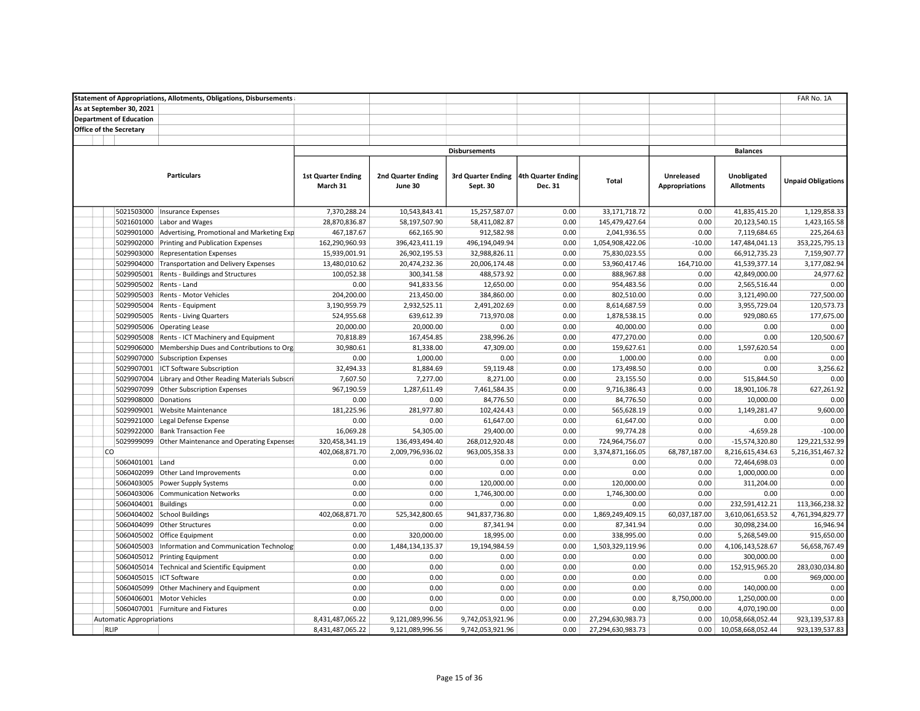|                                 | <b>Statement of Appropriations, Allotments, Obligations, Disbursements</b> |                           |                    |                      |                    |                   |                       |                   | FAR No. 1A                |
|---------------------------------|----------------------------------------------------------------------------|---------------------------|--------------------|----------------------|--------------------|-------------------|-----------------------|-------------------|---------------------------|
| As at September 30, 2021        |                                                                            |                           |                    |                      |                    |                   |                       |                   |                           |
| <b>Department of Education</b>  |                                                                            |                           |                    |                      |                    |                   |                       |                   |                           |
| Office of the Secretary         |                                                                            |                           |                    |                      |                    |                   |                       |                   |                           |
|                                 |                                                                            |                           |                    |                      |                    |                   |                       |                   |                           |
|                                 |                                                                            |                           |                    | <b>Disbursements</b> |                    |                   |                       | <b>Balances</b>   |                           |
|                                 |                                                                            |                           |                    |                      |                    |                   |                       |                   |                           |
|                                 | <b>Particulars</b>                                                         | <b>1st Quarter Ending</b> | 2nd Quarter Ending | 3rd Quarter Ending   | 4th Quarter Ending |                   | Unreleased            | Unobligated       |                           |
|                                 |                                                                            | March 31                  | June 30            | Sept. 30             | Dec. 31            | <b>Total</b>      | <b>Appropriations</b> | <b>Allotments</b> | <b>Unpaid Obligations</b> |
|                                 |                                                                            |                           |                    |                      |                    |                   |                       |                   |                           |
|                                 |                                                                            |                           |                    |                      |                    |                   |                       |                   |                           |
| 5021503000                      | <b>Insurance Expenses</b>                                                  | 7,370,288.24              | 10,543,843.41      | 15,257,587.07        | 0.00               | 33,171,718.72     | 0.00                  | 41,835,415.20     | 1,129,858.33              |
| 5021601000                      | Labor and Wages                                                            | 28,870,836.87             | 58,197,507.90      | 58,411,082.87        | 0.00               | 145,479,427.64    | 0.00                  | 20,123,540.15     | 1,423,165.58              |
| 5029901000                      | Advertising, Promotional and Marketing Exp                                 | 467,187.67                | 662,165.90         | 912,582.98           | 0.00               | 2,041,936.55      | 0.00                  | 7,119,684.65      | 225,264.63                |
| 5029902000                      | Printing and Publication Expenses                                          | 162,290,960.93            | 396,423,411.19     | 496,194,049.94       | 0.00               | 1,054,908,422.06  | $-10.00$              | 147,484,041.13    | 353,225,795.13            |
| 5029903000                      | <b>Representation Expenses</b>                                             | 15,939,001.91             | 26,902,195.53      | 32,988,826.11        | 0.00               | 75,830,023.55     | 0.00                  | 66,912,735.23     | 7,159,907.77              |
| 5029904000                      | <b>Transportation and Delivery Expenses</b>                                | 13,480,010.62             | 20,474,232.36      | 20,006,174.48        | 0.00               | 53,960,417.46     | 164,710.00            | 41,539,377.14     | 3,177,082.94              |
| 5029905001                      | Rents - Buildings and Structures                                           | 100,052.38                | 300,341.58         | 488,573.92           | 0.00               | 888,967.88        | 0.00                  | 42,849,000.00     | 24,977.62                 |
| 5029905002                      | Rents - Land                                                               | 0.00                      | 941,833.56         | 12,650.00            | 0.00               | 954,483.56        | 0.00                  | 2,565,516.44      | 0.00                      |
| 5029905003                      | Rents - Motor Vehicles                                                     | 204,200.00                | 213,450.00         | 384,860.00           | 0.00               | 802,510.00        | 0.00                  | 3,121,490.00      | 727,500.00                |
| 5029905004                      | Rents - Equipment                                                          | 3,190,959.79              | 2,932,525.11       | 2,491,202.69         | 0.00               | 8,614,687.59      | 0.00                  | 3,955,729.04      | 120,573.73                |
| 5029905005                      | Rents - Living Quarters                                                    | 524,955.68                | 639,612.39         | 713,970.08           | 0.00               | 1,878,538.15      | 0.00                  | 929,080.65        | 177,675.00                |
| 5029905006                      | <b>Operating Lease</b>                                                     | 20,000.00                 | 20,000.00          | 0.00                 | 0.00               | 40,000.00         | 0.00                  | 0.00              | 0.00                      |
| 5029905008                      | Rents - ICT Machinery and Equipment                                        | 70,818.89                 | 167,454.85         | 238,996.26           | 0.00               | 477,270.00        | 0.00                  | 0.00              | 120,500.67                |
| 5029906000                      | Membership Dues and Contributions to Org                                   | 30,980.61                 | 81,338.00          | 47,309.00            | 0.00               | 159,627.61        | 0.00                  | 1,597,620.54      | 0.00                      |
| 5029907000                      | <b>Subscription Expenses</b>                                               | 0.00                      | 1,000.00           | 0.00                 | 0.00               | 1,000.00          | 0.00                  | 0.00              | 0.00                      |
| 5029907001                      | ICT Software Subscription                                                  | 32,494.33                 | 81,884.69          | 59,119.48            | 0.00               | 173,498.50        | 0.00                  | 0.00              | 3,256.62                  |
| 5029907004                      | Library and Other Reading Materials Subscri                                | 7,607.50                  | 7,277.00           | 8,271.00             | 0.00               | 23,155.50         | 0.00                  | 515,844.50        | 0.00                      |
| 5029907099                      | Other Subscription Expenses                                                | 967,190.59                | 1,287,611.49       | 7,461,584.35         | 0.00               | 9,716,386.43      | 0.00                  | 18,901,106.78     | 627,261.92                |
| 5029908000                      | Donations                                                                  | 0.00                      | 0.00               | 84,776.50            | 0.00               | 84,776.50         | 0.00                  | 10,000.00         | 0.00                      |
| 5029909001                      | Website Maintenance                                                        | 181,225.96                | 281,977.80         | 102,424.43           | 0.00               | 565,628.19        | 0.00                  | 1,149,281.47      | 9,600.00                  |
| 5029921000                      | Legal Defense Expense                                                      | 0.00                      | 0.00               | 61,647.00            | 0.00               | 61,647.00         | 0.00                  | 0.00              | 0.00                      |
| 5029922000                      | <b>Bank Transaction Fee</b>                                                | 16,069.28                 | 54,305.00          | 29,400.00            | 0.00               | 99,774.28         | 0.00                  | $-4,659.28$       | $-100.00$                 |
| 5029999099                      | Other Maintenance and Operating Expenses                                   | 320,458,341.19            | 136,493,494.40     | 268,012,920.48       | 0.00               | 724,964,756.07    | 0.00                  | $-15,574,320.80$  | 129,221,532.99            |
| <b>CO</b>                       |                                                                            | 402,068,871.70            | 2,009,796,936.02   | 963,005,358.33       | 0.00               | 3,374,871,166.05  | 68,787,187.00         | 8,216,615,434.63  | 5,216,351,467.32          |
| 5060401001                      | Land                                                                       | 0.00                      | 0.00               | 0.00                 | 0.00               | 0.00              | 0.00                  | 72,464,698.03     | 0.00                      |
| 5060402099                      | Other Land Improvements                                                    | 0.00                      | 0.00               | 0.00                 | 0.00               | 0.00              | 0.00                  | 1,000,000.00      | 0.00                      |
| 5060403005                      | Power Supply Systems                                                       | 0.00                      | 0.00               | 120,000.00           | 0.00               | 120,000.00        | 0.00                  | 311,204.00        | 0.00                      |
| 5060403006                      | <b>Communication Networks</b>                                              | 0.00                      | 0.00               | 1,746,300.00         | 0.00               | 1,746,300.00      | 0.00                  | 0.00              | 0.00                      |
| 5060404001                      | <b>Buildings</b>                                                           | 0.00                      | 0.00               | 0.00                 | 0.00               | 0.00              | 0.00                  | 232,591,412.21    | 113,366,238.32            |
| 5060404002                      | <b>School Buildings</b>                                                    | 402,068,871.70            | 525,342,800.65     | 941,837,736.80       | 0.00               | 1,869,249,409.15  | 60,037,187.00         | 3,610,061,653.52  | 4,761,394,829.77          |
| 5060404099                      | <b>Other Structures</b>                                                    | 0.00                      | 0.00               | 87,341.94            | 0.00               | 87,341.94         | 0.00                  | 30,098,234.00     | 16,946.94                 |
| 5060405002                      | Office Equipment                                                           | 0.00                      | 320,000.00         | 18,995.00            | 0.00               | 338,995.00        | 0.00                  | 5,268,549.00      | 915,650.00                |
| 5060405003                      | Information and Communication Technolog                                    | 0.00                      | 1,484,134,135.37   | 19,194,984.59        | 0.00               | 1,503,329,119.96  | 0.00                  | 4,106,143,528.67  | 56,658,767.49             |
| 5060405012                      | <b>Printing Equipment</b>                                                  | 0.00                      | 0.00               | 0.00                 | 0.00               | 0.00              | 0.00                  | 300,000.00        | 0.00                      |
| 5060405014                      | Technical and Scientific Equipment                                         | 0.00                      | 0.00               | 0.00                 | 0.00               | 0.00              | 0.00                  | 152,915,965.20    | 283,030,034.80            |
| 5060405015                      | <b>ICT Software</b>                                                        | 0.00                      | 0.00               | 0.00                 | 0.00               | 0.00              | 0.00                  | 0.00              | 969,000.00                |
| 5060405099                      | Other Machinery and Equipment                                              | 0.00                      | 0.00               | 0.00                 | 0.00               | 0.00              | 0.00                  | 140,000.00        | 0.00                      |
| 5060406001                      | <b>Motor Vehicles</b>                                                      | 0.00                      | 0.00               | 0.00                 | 0.00               | 0.00              | 8,750,000.00          | 1,250,000.00      | 0.00                      |
|                                 | 5060407001 Furniture and Fixtures                                          | 0.00                      | 0.00               | 0.00                 | 0.00               | 0.00              | 0.00                  | 4,070,190.00      | 0.00                      |
| <b>Automatic Appropriations</b> |                                                                            | 8,431,487,065.22          | 9,121,089,996.56   | 9,742,053,921.96     | 0.00               | 27,294,630,983.73 | 0.00                  | 10,058,668,052.44 | 923,139,537.83            |
| <b>RLIP</b>                     |                                                                            | 8,431,487,065.22          | 9,121,089,996.56   | 9,742,053,921.96     | 0.00               | 27,294,630,983.73 | 0.00                  | 10,058,668,052.44 | 923,139,537.83            |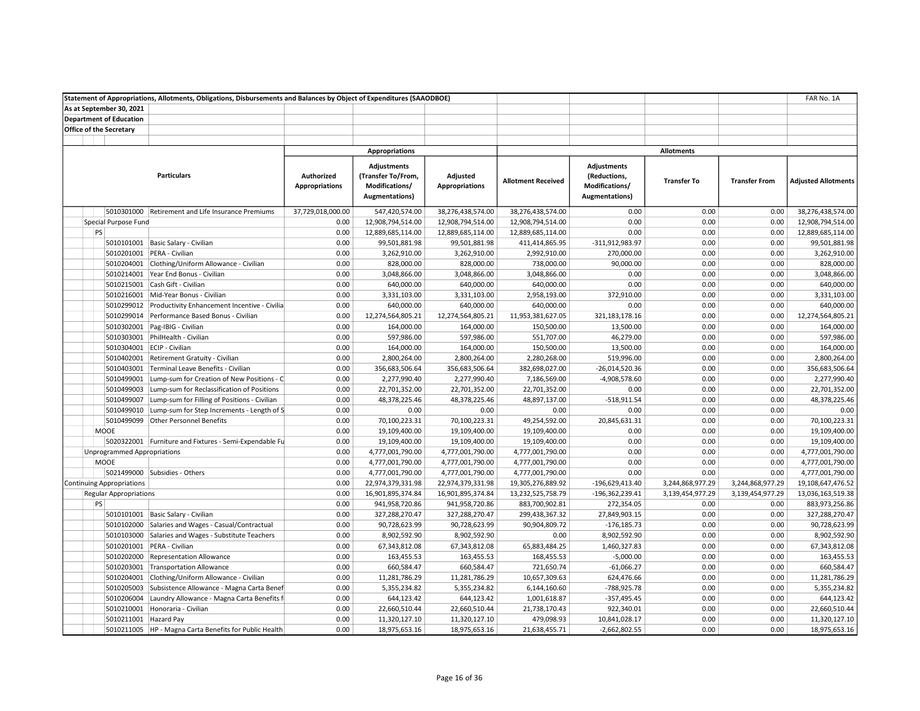| Statement of Appropriations, Allotments, Obligations, Disbursements and Balances by Object of Expenditures (SAAODBOE) |                                    |                                                         |                                     |                                                                                     |                                   |                           |                                                                        |                    | FAR No. 1A           |                            |
|-----------------------------------------------------------------------------------------------------------------------|------------------------------------|---------------------------------------------------------|-------------------------------------|-------------------------------------------------------------------------------------|-----------------------------------|---------------------------|------------------------------------------------------------------------|--------------------|----------------------|----------------------------|
|                                                                                                                       | As at September 30, 2021           |                                                         |                                     |                                                                                     |                                   |                           |                                                                        |                    |                      |                            |
|                                                                                                                       | <b>Department of Education</b>     |                                                         |                                     |                                                                                     |                                   |                           |                                                                        |                    |                      |                            |
|                                                                                                                       | <b>Office of the Secretary</b>     |                                                         |                                     |                                                                                     |                                   |                           |                                                                        |                    |                      |                            |
|                                                                                                                       |                                    |                                                         |                                     |                                                                                     |                                   |                           |                                                                        |                    |                      |                            |
|                                                                                                                       |                                    |                                                         |                                     | <b>Appropriations</b>                                                               |                                   |                           |                                                                        | <b>Allotments</b>  |                      |                            |
|                                                                                                                       |                                    | <b>Particulars</b>                                      | Authorized<br><b>Appropriations</b> | <b>Adjustments</b><br>(Transfer To/From,<br>Modifications/<br><b>Augmentations)</b> | Adjusted<br><b>Appropriations</b> | <b>Allotment Received</b> | <b>Adjustments</b><br>(Reductions,<br>Modifications/<br>Augmentations) | <b>Transfer To</b> | <b>Transfer From</b> | <b>Adjusted Allotments</b> |
|                                                                                                                       |                                    | 5010301000 Retirement and Life Insurance Premiums       | 37,729,018,000.00                   | 547,420,574.00                                                                      | 38,276,438,574.00                 | 38,276,438,574.00         | 0.00                                                                   | 0.00               | 0.00                 | 38,276,438,574.00          |
|                                                                                                                       | Special Purpose Fund               |                                                         | 0.00                                | 12,908,794,514.00                                                                   | 12,908,794,514.00                 | 12,908,794,514.00         | 0.00                                                                   | 0.00               | 0.00                 | 12,908,794,514.00          |
| PS                                                                                                                    |                                    |                                                         | 0.00                                | 12,889,685,114.00                                                                   | 12,889,685,114.00                 | 12,889,685,114.00         | 0.00                                                                   | 0.00               | 0.00                 | 12,889,685,114.00          |
|                                                                                                                       |                                    | 5010101001 Basic Salary - Civilian                      | 0.00                                | 99,501,881.98                                                                       | 99,501,881.98                     | 411,414,865.95            | -311,912,983.97                                                        | 0.00               | 0.00                 | 99,501,881.98              |
|                                                                                                                       |                                    | 5010201001 PERA - Civilian                              | 0.00                                | 3,262,910.00                                                                        | 3,262,910.00                      | 2,992,910.00              | 270,000.00                                                             | 0.00               | 0.00                 | 3,262,910.00               |
|                                                                                                                       |                                    | 5010204001 Clothing/Uniform Allowance - Civilian        | 0.00                                | 828,000.00                                                                          | 828,000.00                        | 738,000.00                | 90,000.00                                                              | 0.00               | 0.00                 | 828,000.00                 |
|                                                                                                                       |                                    | 5010214001 Year End Bonus - Civilian                    | 0.00                                | 3,048,866.00                                                                        | 3,048,866.00                      | 3,048,866.00              | 0.00                                                                   | 0.00               | 0.00                 | 3,048,866.00               |
|                                                                                                                       |                                    | 5010215001 Cash Gift - Civilian                         | 0.00                                | 640,000.00                                                                          | 640,000.00                        | 640,000.00                | 0.00                                                                   | 0.00               | 0.00                 | 640,000.00                 |
|                                                                                                                       |                                    | 5010216001 Mid-Year Bonus - Civilian                    | 0.00                                | 3,331,103.00                                                                        | 3,331,103.00                      | 2,958,193.00              | 372,910.00                                                             | 0.00               | 0.00                 | 3,331,103.00               |
|                                                                                                                       |                                    | 5010299012 Productivity Enhancement Incentive - Civilia | 0.00                                | 640,000.00                                                                          | 640,000.00                        | 640,000.00                | 0.00                                                                   | 0.00               | 0.00                 | 640,000.00                 |
|                                                                                                                       |                                    | 5010299014 Performance Based Bonus - Civilian           | 0.00                                | 12,274,564,805.21                                                                   | 12,274,564,805.21                 | 11,953,381,627.05         | 321, 183, 178. 16                                                      | 0.00               | 0.00                 | 12,274,564,805.21          |
|                                                                                                                       |                                    | 5010302001 Pag-IBIG - Civilian                          | 0.00                                | 164,000.00                                                                          | 164,000.00                        | 150,500.00                | 13,500.00                                                              | 0.00               | 0.00                 | 164,000.00                 |
|                                                                                                                       |                                    | 5010303001 PhilHealth - Civilian                        | 0.00                                | 597,986.00                                                                          | 597,986.00                        | 551,707.00                | 46,279.00                                                              | 0.00               | 0.00                 | 597,986.00                 |
|                                                                                                                       | 5010304001 ECIP - Civilian         |                                                         | 0.00                                | 164,000.00                                                                          | 164,000.00                        | 150,500.00                | 13,500.00                                                              | 0.00               | 0.00                 | 164,000.00                 |
|                                                                                                                       |                                    | 5010402001 Retirement Gratuity - Civilian               | 0.00                                | 2,800,264.00                                                                        | 2,800,264.00                      | 2,280,268.00              | 519,996.00                                                             | 0.00               | 0.00                 | 2,800,264.00               |
|                                                                                                                       |                                    | 5010403001 Terminal Leave Benefits - Civilian           | 0.00                                | 356,683,506.64                                                                      | 356,683,506.64                    | 382,698,027.00            | $-26,014,520.36$                                                       | 0.00               | 0.00                 | 356,683,506.64             |
|                                                                                                                       |                                    | 5010499001 Lump-sum for Creation of New Positions - C   | 0.00                                | 2,277,990.40                                                                        | 2,277,990.40                      | 7,186,569.00              | $-4,908,578.60$                                                        | 0.00               | 0.00                 | 2,277,990.40               |
|                                                                                                                       |                                    | 5010499003 Lump-sum for Reclassification of Positions   | 0.00                                | 22,701,352.00                                                                       | 22,701,352.00                     | 22,701,352.00             | 0.00                                                                   | 0.00               | 0.00                 | 22,701,352.00              |
|                                                                                                                       |                                    | 5010499007 Lump-sum for Filling of Positions - Civilian | 0.00                                | 48,378,225.46                                                                       | 48,378,225.46                     | 48,897,137.00             | $-518,911.54$                                                          | 0.00               | 0.00                 | 48,378,225.46              |
|                                                                                                                       |                                    | 5010499010 Lump-sum for Step Increments - Length of S   | 0.00                                | 0.00                                                                                | 0.00                              | 0.00                      | 0.00                                                                   | 0.00               | 0.00                 | 0.00                       |
|                                                                                                                       |                                    | 5010499099 Other Personnel Benefits                     | 0.00                                | 70,100,223.31                                                                       | 70,100,223.31                     | 49,254,592.00             | 20,845,631.31                                                          | 0.00               | 0.00                 | 70,100,223.31              |
|                                                                                                                       | <b>MOOE</b>                        |                                                         | 0.00                                | 19,109,400.00                                                                       | 19,109,400.00                     | 19,109,400.00             | 0.00                                                                   | 0.00               | 0.00                 | 19,109,400.00              |
|                                                                                                                       |                                    | 5020322001 Furniture and Fixtures - Semi-Expendable Fu  | 0.00                                | 19,109,400.00                                                                       | 19,109,400.00                     | 19,109,400.00             | 0.00                                                                   | 0.00               | 0.00                 | 19,109,400.00              |
|                                                                                                                       | <b>Unprogrammed Appropriations</b> |                                                         | 0.00                                | 4,777,001,790.00                                                                    | 4,777,001,790.00                  | 4,777,001,790.00          | 0.00                                                                   | 0.00               | 0.00                 | 4,777,001,790.00           |
|                                                                                                                       | MOOE                               |                                                         | 0.00                                | 4,777,001,790.00                                                                    | 4,777,001,790.00                  | 4,777,001,790.00          | 0.00                                                                   | 0.00               | 0.00                 | 4,777,001,790.00           |
|                                                                                                                       |                                    | 5021499000 Subsidies - Others                           | 0.00                                | 4,777,001,790.00                                                                    | 4,777,001,790.00                  | 4,777,001,790.00          | 0.00                                                                   | 0.00               | 0.00                 | 4,777,001,790.00           |
|                                                                                                                       | <b>Continuing Appropriations</b>   |                                                         | 0.00                                | 22,974,379,331.98                                                                   | 22,974,379,331.98                 | 19,305,276,889.92         | -196,629,413.40                                                        | 3,244,868,977.29   | 3,244,868,977.29     | 19,108,647,476.52          |
|                                                                                                                       | <b>Regular Appropriations</b>      |                                                         | 0.00                                | 16,901,895,374.84                                                                   | 16,901,895,374.84                 | 13,232,525,758.79         | -196,362,239.41                                                        | 3,139,454,977.29   | 3,139,454,977.29     | 13,036,163,519.38          |
| PS                                                                                                                    |                                    |                                                         | 0.00                                | 941,958,720.86                                                                      | 941,958,720.86                    | 883,700,902.81            | 272,354.05                                                             | 0.00               | 0.00                 | 883,973,256.86             |
|                                                                                                                       |                                    | 5010101001 Basic Salary - Civilian                      | 0.00                                | 327,288,270.47                                                                      | 327,288,270.47                    | 299,438,367.32            | 27,849,903.15                                                          | 0.00               | 0.00                 | 327,288,270.47             |
|                                                                                                                       |                                    | 5010102000 Salaries and Wages - Casual/Contractual      | 0.00                                | 90,728,623.99                                                                       | 90,728,623.99                     | 90,904,809.72             | $-176, 185.73$                                                         | 0.00               | 0.00                 | 90,728,623.99              |
|                                                                                                                       |                                    | 5010103000 Salaries and Wages - Substitute Teachers     | 0.00                                | 8,902,592.90                                                                        | 8,902,592.90                      | 0.00                      | 8,902,592.90                                                           | 0.00               | 0.00                 | 8,902,592.90               |
|                                                                                                                       |                                    | 5010201001 PERA - Civilian                              | 0.00                                | 67,343,812.08                                                                       | 67,343,812.08                     | 65,883,484.25             | 1,460,327.83                                                           | 0.00               | 0.00                 | 67,343,812.08              |
|                                                                                                                       |                                    | 5010202000 Representation Allowance                     | 0.00                                | 163,455.53                                                                          | 163,455.53                        | 168,455.53                | $-5,000.00$                                                            | 0.00               | 0.00                 | 163,455.53                 |
|                                                                                                                       |                                    | 5010203001 Transportation Allowance                     | 0.00                                | 660,584.47                                                                          | 660,584.47                        | 721,650.74                | $-61,066.27$                                                           | 0.00               | 0.00                 | 660,584.47                 |
|                                                                                                                       |                                    | 5010204001 Clothing/Uniform Allowance - Civilian        | 0.00                                | 11,281,786.29                                                                       | 11,281,786.29                     | 10,657,309.63             | 624,476.66                                                             | 0.00               | 0.00                 | 11,281,786.29              |
|                                                                                                                       | 5010205003                         | Subsistence Allowance - Magna Carta Benef               | 0.00                                | 5,355,234.82                                                                        | 5,355,234.82                      | 6,144,160.60              | -788,925.78                                                            | 0.00               | 0.00                 | 5,355,234.82               |
|                                                                                                                       |                                    | 5010206004 Laundry Allowance - Magna Carta Benefits f   | 0.00                                | 644,123.42                                                                          | 644,123.42                        | 1,001,618.87              | $-357,495.45$                                                          | 0.00               | 0.00                 | 644,123.42                 |
|                                                                                                                       |                                    | 5010210001 Honoraria - Civilian                         | 0.00                                | 22,660,510.44                                                                       | 22,660,510.44                     | 21,738,170.43             | 922,340.01                                                             | 0.00               | 0.00                 | 22,660,510.44              |
|                                                                                                                       | 5010211001 Hazard Pay              |                                                         | 0.00                                | 11,320,127.10                                                                       | 11,320,127.10                     | 479,098.93                | 10,841,028.17                                                          | 0.00               | 0.00                 | 11,320,127.10              |
|                                                                                                                       |                                    | 5010211005 HP - Magna Carta Benefits for Public Health  | 0.00                                | 18,975,653.16                                                                       | 18,975,653.16                     | 21,638,455.71             | $-2,662,802.55$                                                        | 0.00               | 0.00                 | 18,975,653.16              |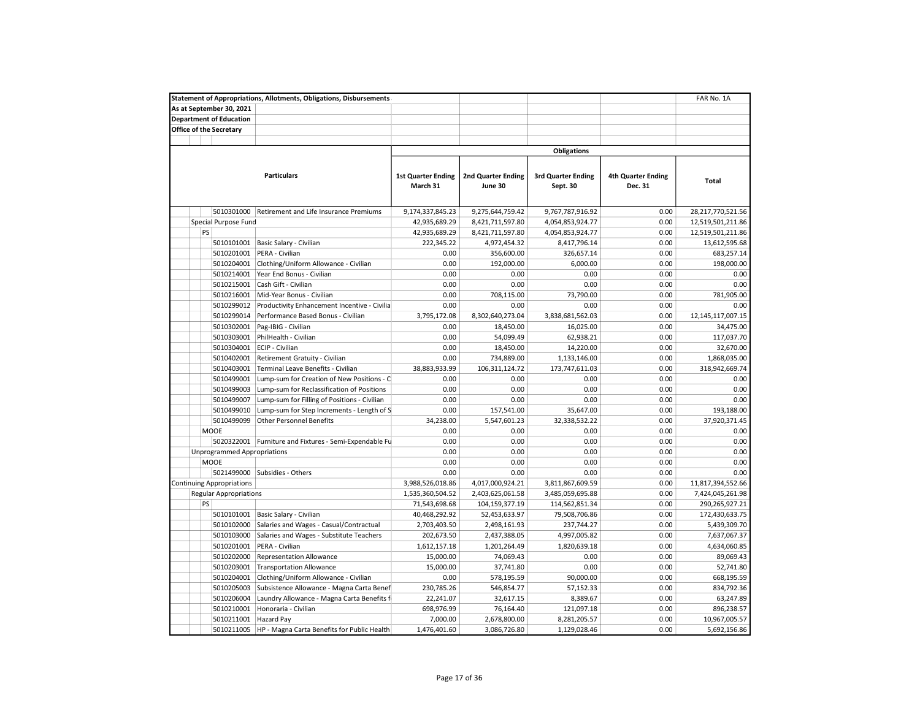| <b>Statement of Appropriations, Allotments, Obligations, Disbursements</b><br>FAR No. 1A |                                                        |                                       |                                      |                                       |                                      |                   |  |  |  |
|------------------------------------------------------------------------------------------|--------------------------------------------------------|---------------------------------------|--------------------------------------|---------------------------------------|--------------------------------------|-------------------|--|--|--|
| As at September 30, 2021                                                                 |                                                        |                                       |                                      |                                       |                                      |                   |  |  |  |
| <b>Department of Education</b>                                                           |                                                        |                                       |                                      |                                       |                                      |                   |  |  |  |
| Office of the Secretary                                                                  |                                                        |                                       |                                      |                                       |                                      |                   |  |  |  |
|                                                                                          |                                                        |                                       |                                      |                                       |                                      |                   |  |  |  |
|                                                                                          |                                                        |                                       |                                      | <b>Obligations</b>                    |                                      |                   |  |  |  |
|                                                                                          | <b>Particulars</b>                                     | <b>1st Quarter Ending</b><br>March 31 | <b>2nd Quarter Ending</b><br>June 30 | <b>3rd Quarter Ending</b><br>Sept. 30 | <b>4th Quarter Ending</b><br>Dec. 31 | Total             |  |  |  |
| 5010301000                                                                               | Retirement and Life Insurance Premiums                 | 9,174,337,845.23                      | 9,275,644,759.42                     | 9,767,787,916.92                      | 0.00                                 | 28,217,770,521.56 |  |  |  |
| Special Purpose Fund                                                                     |                                                        | 42,935,689.29                         | 8,421,711,597.80                     | 4,054,853,924.77                      | 0.00                                 | 12,519,501,211.86 |  |  |  |
| PS                                                                                       |                                                        | 42,935,689.29                         | 8,421,711,597.80                     | 4,054,853,924.77                      | 0.00                                 | 12,519,501,211.86 |  |  |  |
| 5010101001                                                                               | Basic Salary - Civilian                                | 222,345.22                            | 4,972,454.32                         | 8,417,796.14                          | 0.00                                 | 13,612,595.68     |  |  |  |
| 5010201001                                                                               | PERA - Civilian                                        | 0.00                                  | 356,600.00                           | 326,657.14                            | 0.00                                 | 683,257.14        |  |  |  |
| 5010204001                                                                               | Clothing/Uniform Allowance - Civilian                  | 0.00                                  | 192,000.00                           | 6,000.00                              | 0.00                                 | 198,000.00        |  |  |  |
| 5010214001                                                                               | Year End Bonus - Civilian                              | 0.00                                  | 0.00                                 | 0.00                                  | 0.00                                 | 0.00              |  |  |  |
| 5010215001                                                                               | Cash Gift - Civilian                                   | 0.00                                  | 0.00                                 | 0.00                                  | 0.00                                 | 0.00              |  |  |  |
| 5010216001                                                                               | Mid-Year Bonus - Civilian                              | 0.00                                  | 708,115.00                           | 73,790.00                             | 0.00                                 | 781,905.00        |  |  |  |
| 5010299012                                                                               | Productivity Enhancement Incentive - Civilia           | 0.00                                  | 0.00                                 | 0.00                                  | 0.00                                 | 0.00              |  |  |  |
| 5010299014                                                                               | Performance Based Bonus - Civilian                     | 3,795,172.08                          | 8,302,640,273.04                     | 3,838,681,562.03                      | 0.00                                 | 12,145,117,007.15 |  |  |  |
| 5010302001                                                                               | Pag-IBIG - Civilian                                    | 0.00                                  | 18,450.00                            | 16,025.00                             | 0.00                                 | 34,475.00         |  |  |  |
| 5010303001                                                                               | PhilHealth - Civilian                                  | 0.00                                  | 54,099.49                            | 62,938.21                             | 0.00                                 | 117,037.70        |  |  |  |
| 5010304001                                                                               | ECIP - Civilian                                        | 0.00                                  | 18,450.00                            | 14,220.00                             | 0.00                                 | 32,670.00         |  |  |  |
| 5010402001                                                                               | Retirement Gratuity - Civilian                         | 0.00                                  | 734,889.00                           | 1,133,146.00                          | 0.00                                 | 1,868,035.00      |  |  |  |
| 5010403001                                                                               | Terminal Leave Benefits - Civilian                     | 38,883,933.99                         | 106,311,124.72                       | 173,747,611.03                        | 0.00                                 | 318,942,669.74    |  |  |  |
| 5010499001                                                                               | Lump-sum for Creation of New Positions - C             | 0.00                                  | 0.00                                 | 0.00                                  | 0.00                                 | 0.00              |  |  |  |
| 5010499003                                                                               | Lump-sum for Reclassification of Positions             | 0.00                                  | 0.00                                 | 0.00                                  | 0.00                                 | 0.00              |  |  |  |
| 5010499007                                                                               | Lump-sum for Filling of Positions - Civilian           | 0.00                                  | 0.00                                 | 0.00                                  | 0.00                                 | 0.00              |  |  |  |
| 5010499010                                                                               | Lump-sum for Step Increments - Length of S             | 0.00                                  | 157,541.00                           | 35,647.00                             | 0.00                                 | 193,188.00        |  |  |  |
| 5010499099                                                                               | <b>Other Personnel Benefits</b>                        | 34,238.00                             | 5,547,601.23                         | 32,338,532.22                         | 0.00                                 | 37,920,371.45     |  |  |  |
| <b>MOOE</b>                                                                              |                                                        | 0.00                                  | 0.00                                 | 0.00                                  | 0.00                                 | 0.00              |  |  |  |
|                                                                                          | 5020322001 Furniture and Fixtures - Semi-Expendable Fu | 0.00                                  | 0.00                                 | 0.00                                  | 0.00                                 | 0.00              |  |  |  |
| Unprogrammed Appropriations                                                              |                                                        | 0.00                                  | 0.00                                 | 0.00                                  | 0.00                                 | 0.00              |  |  |  |
| <b>MOOE</b>                                                                              |                                                        | 0.00                                  | 0.00                                 | 0.00                                  | 0.00                                 | 0.00              |  |  |  |
| 5021499000                                                                               | Subsidies - Others                                     | 0.00                                  | 0.00                                 | 0.00                                  | 0.00                                 | 0.00              |  |  |  |
|                                                                                          |                                                        |                                       |                                      |                                       | 0.00                                 |                   |  |  |  |
| <b>Continuing Appropriations</b>                                                         |                                                        | 3,988,526,018.86                      | 4,017,000,924.21                     | 3,811,867,609.59                      | 0.00                                 | 11,817,394,552.66 |  |  |  |
| <b>Regular Appropriations</b>                                                            |                                                        | 1,535,360,504.52                      | 2,403,625,061.58                     | 3,485,059,695.88                      |                                      | 7,424,045,261.98  |  |  |  |
| PS                                                                                       |                                                        | 71,543,698.68                         | 104,159,377.19                       | 114,562,851.34                        | 0.00                                 | 290,265,927.21    |  |  |  |
| 5010101001                                                                               | Basic Salary - Civilian                                | 40,468,292.92                         | 52,453,633.97                        | 79,508,706.86                         | 0.00                                 | 172,430,633.75    |  |  |  |
| 5010102000                                                                               | Salaries and Wages - Casual/Contractual                | 2,703,403.50                          | 2,498,161.93                         | 237,744.27                            | 0.00                                 | 5,439,309.70      |  |  |  |
| 5010103000                                                                               | Salaries and Wages - Substitute Teachers               | 202,673.50                            | 2,437,388.05                         | 4,997,005.82                          | 0.00                                 | 7,637,067.37      |  |  |  |
| 5010201001                                                                               | PERA - Civilian                                        | 1,612,157.18                          | 1,201,264.49                         | 1,820,639.18                          | 0.00                                 | 4,634,060.85      |  |  |  |
| 5010202000                                                                               | <b>Representation Allowance</b>                        | 15,000.00                             | 74,069.43                            | 0.00                                  | 0.00                                 | 89,069.43         |  |  |  |
| 5010203001                                                                               | <b>Transportation Allowance</b>                        | 15,000.00                             | 37,741.80                            | 0.00                                  | 0.00                                 | 52,741.80         |  |  |  |
| 5010204001                                                                               | Clothing/Uniform Allowance - Civilian                  | 0.00                                  | 578,195.59                           | 90,000.00                             | 0.00                                 | 668,195.59        |  |  |  |
| 5010205003                                                                               | Subsistence Allowance - Magna Carta Benef              | 230,785.26                            | 546,854.77                           | 57,152.33                             | 0.00                                 | 834,792.36        |  |  |  |
| 5010206004                                                                               | Laundry Allowance - Magna Carta Benefits f             | 22,241.07                             | 32,617.15                            | 8,389.67                              | 0.00                                 | 63,247.89         |  |  |  |
| 5010210001                                                                               | Honoraria - Civilian                                   | 698,976.99                            | 76,164.40                            | 121,097.18                            | 0.00                                 | 896,238.57        |  |  |  |
| 5010211001                                                                               | Hazard Pay                                             | 7,000.00                              | 2,678,800.00                         | 8,281,205.57                          | 0.00                                 | 10,967,005.57     |  |  |  |
| 5010211005                                                                               | HP - Magna Carta Benefits for Public Health            | 1,476,401.60                          | 3,086,726.80                         | 1,129,028.46                          | 0.00                                 | 5,692,156.86      |  |  |  |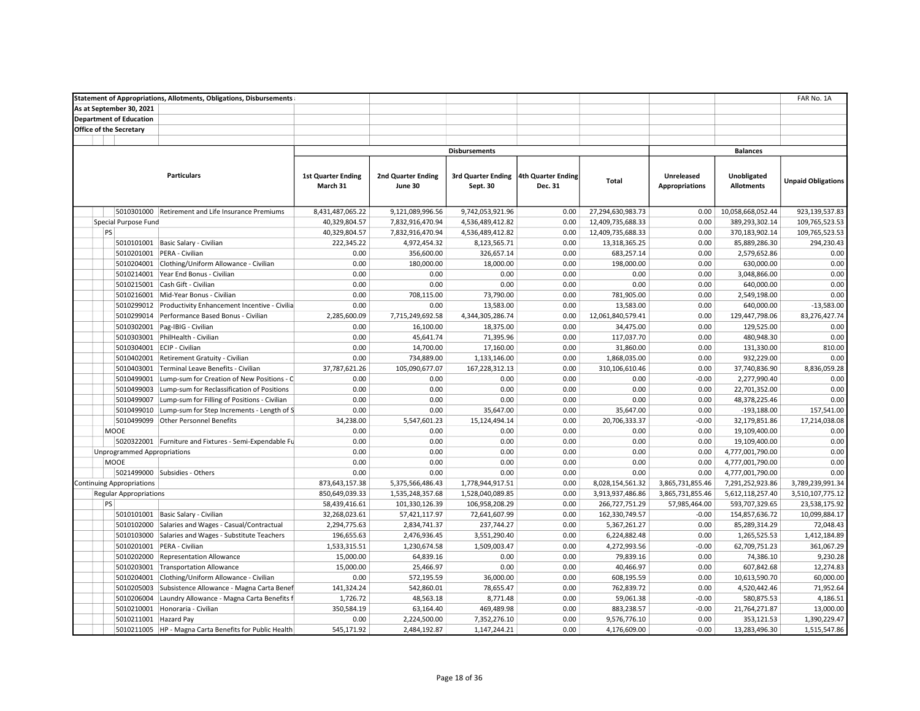|                                    | <b>Statement of Appropriations, Allotments, Obligations, Disbursements</b> |                           |                           |                                       |         |                   |                       |                   | FAR No. 1A                |
|------------------------------------|----------------------------------------------------------------------------|---------------------------|---------------------------|---------------------------------------|---------|-------------------|-----------------------|-------------------|---------------------------|
| As at September 30, 2021           |                                                                            |                           |                           |                                       |         |                   |                       |                   |                           |
| <b>Department of Education</b>     |                                                                            |                           |                           |                                       |         |                   |                       |                   |                           |
| <b>Office of the Secretary</b>     |                                                                            |                           |                           |                                       |         |                   |                       |                   |                           |
|                                    |                                                                            |                           |                           |                                       |         |                   |                       |                   |                           |
|                                    |                                                                            |                           |                           | <b>Disbursements</b>                  |         |                   |                       | <b>Balances</b>   |                           |
|                                    |                                                                            |                           |                           |                                       |         |                   |                       |                   |                           |
|                                    | <b>Particulars</b>                                                         | <b>1st Quarter Ending</b> | <b>2nd Quarter Ending</b> | 3rd Quarter Ending 4th Quarter Ending |         |                   | Unreleased            | Unobligated       |                           |
|                                    |                                                                            | March 31                  | June 30                   | Sept. 30                              | Dec. 31 | Total             | <b>Appropriations</b> | <b>Allotments</b> | <b>Unpaid Obligations</b> |
|                                    |                                                                            |                           |                           |                                       |         |                   |                       |                   |                           |
| 5010301000                         | Retirement and Life Insurance Premiums                                     | 8,431,487,065.22          | 9,121,089,996.56          | 9,742,053,921.96                      | 0.00    | 27,294,630,983.73 | 0.00                  | 10,058,668,052.44 | 923,139,537.83            |
| Special Purpose Fund               |                                                                            | 40,329,804.57             | 7,832,916,470.94          | 4,536,489,412.82                      | 0.00    | 12,409,735,688.33 | 0.00                  | 389,293,302.14    | 109,765,523.53            |
| PS                                 |                                                                            | 40,329,804.57             | 7,832,916,470.94          | 4,536,489,412.82                      | 0.00    | 12,409,735,688.33 | 0.00                  | 370,183,902.14    | 109,765,523.53            |
|                                    | 5010101001 Basic Salary - Civilian                                         | 222,345.22                | 4,972,454.32              | 8,123,565.71                          | 0.00    | 13,318,365.25     | 0.00                  | 85,889,286.30     | 294,230.43                |
| 5010201001                         | PERA - Civilian                                                            | 0.00                      | 356,600.00                | 326,657.14                            | 0.00    | 683,257.14        | 0.00                  | 2,579,652.86      | 0.00                      |
| 5010204001                         | Clothing/Uniform Allowance - Civilian                                      | 0.00                      | 180,000.00                | 18,000.00                             | 0.00    | 198,000.00        | 0.00                  | 630,000.00        | 0.00                      |
| 5010214001                         | Year End Bonus - Civilian                                                  | 0.00                      | 0.00                      | 0.00                                  | 0.00    | 0.00              | 0.00                  | 3,048,866.00      | 0.00                      |
| 5010215001                         | Cash Gift - Civilian                                                       | 0.00                      | 0.00                      | 0.00                                  | 0.00    | 0.00              | 0.00                  | 640,000.00        | 0.00                      |
|                                    | Mid-Year Bonus - Civilian                                                  | 0.00                      |                           |                                       |         |                   |                       |                   | 0.00                      |
| 5010216001                         |                                                                            | 0.00                      | 708,115.00<br>0.00        | 73,790.00                             | 0.00    | 781,905.00        | 0.00                  | 2,549,198.00      | $-13,583.00$              |
| 5010299012                         | Productivity Enhancement Incentive - Civilia                               |                           |                           | 13,583.00                             | 0.00    | 13,583.00         | 0.00                  | 640,000.00        |                           |
| 5010299014                         | Performance Based Bonus - Civilian                                         | 2,285,600.09              | 7,715,249,692.58          | 4,344,305,286.74                      | 0.00    | 12,061,840,579.41 | 0.00                  | 129,447,798.06    | 83,276,427.74             |
| 5010302001                         | Pag-IBIG - Civilian                                                        | 0.00                      | 16,100.00                 | 18,375.00                             | 0.00    | 34,475.00         | 0.00                  | 129,525.00        | 0.00                      |
| 5010303001                         | PhilHealth - Civilian                                                      | 0.00                      | 45,641.74                 | 71,395.96                             | 0.00    | 117,037.70        | 0.00                  | 480,948.30        | 0.00                      |
| 5010304001                         | ECIP - Civilian                                                            | 0.00                      | 14,700.00                 | 17,160.00                             | 0.00    | 31,860.00         | 0.00                  | 131,330.00        | 810.00                    |
| 5010402001                         | Retirement Gratuity - Civilian                                             | 0.00                      | 734,889.00                | 1,133,146.00                          | 0.00    | 1,868,035.00      | 0.00                  | 932,229.00        | 0.00                      |
| 5010403001                         | Terminal Leave Benefits - Civilian                                         | 37,787,621.26             | 105,090,677.07            | 167,228,312.13                        | 0.00    | 310,106,610.46    | 0.00                  | 37,740,836.90     | 8,836,059.28              |
| 5010499001                         | Lump-sum for Creation of New Positions - C                                 | 0.00                      | 0.00                      | 0.00                                  | 0.00    | 0.00              | $-0.00$               | 2,277,990.40      | 0.00                      |
| 5010499003                         | Lump-sum for Reclassification of Positions                                 | 0.00                      | 0.00                      | 0.00                                  | 0.00    | 0.00              | 0.00                  | 22,701,352.00     | 0.00                      |
| 5010499007                         | Lump-sum for Filling of Positions - Civilian                               | 0.00                      | 0.00                      | 0.00                                  | 0.00    | 0.00              | 0.00                  | 48,378,225.46     | 0.00                      |
| 5010499010                         | Lump-sum for Step Increments - Length of S                                 | 0.00                      | 0.00                      | 35,647.00                             | 0.00    | 35,647.00         | 0.00                  | $-193,188.00$     | 157,541.00                |
| 5010499099                         | <b>Other Personnel Benefits</b>                                            | 34,238.00                 | 5,547,601.23              | 15,124,494.14                         | 0.00    | 20,706,333.37     | $-0.00$               | 32,179,851.86     | 17,214,038.08             |
| <b>MOOE</b>                        |                                                                            | 0.00                      | 0.00                      | 0.00                                  | 0.00    | 0.00              | 0.00                  | 19,109,400.00     | 0.00                      |
|                                    | 5020322001 Furniture and Fixtures - Semi-Expendable Fu                     | 0.00                      | 0.00                      | 0.00                                  | 0.00    | 0.00              | 0.00                  | 19,109,400.00     | 0.00                      |
| <b>Unprogrammed Appropriations</b> |                                                                            | 0.00                      | 0.00                      | 0.00                                  | 0.00    | 0.00              | 0.00                  | 4,777,001,790.00  | 0.00                      |
| <b>MOOE</b>                        |                                                                            | 0.00                      | 0.00                      | 0.00                                  | 0.00    | 0.00              | 0.00                  | 4,777,001,790.00  | 0.00                      |
|                                    | 5021499000 Subsidies - Others                                              | 0.00                      | 0.00                      | 0.00                                  | 0.00    | 0.00              | 0.00                  | 4,777,001,790.00  | 0.00                      |
| <b>Continuing Appropriations</b>   |                                                                            | 873,643,157.38            | 5,375,566,486.43          | 1,778,944,917.51                      | 0.00    | 8,028,154,561.32  | 3,865,731,855.46      | 7,291,252,923.86  | 3,789,239,991.34          |
| <b>Regular Appropriations</b>      |                                                                            | 850,649,039.33            | 1,535,248,357.68          | 1,528,040,089.85                      | 0.00    | 3,913,937,486.86  | 3,865,731,855.46      | 5,612,118,257.40  | 3,510,107,775.12          |
| PS                                 |                                                                            | 58,439,416.61             | 101,330,126.39            | 106,958,208.29                        | 0.00    | 266,727,751.29    | 57,985,464.00         | 593,707,329.65    | 23,538,175.92             |
| 5010101001                         | Basic Salary - Civilian                                                    | 32,268,023.61             | 57,421,117.97             | 72,641,607.99                         | 0.00    | 162,330,749.57    | $-0.00$               | 154,857,636.72    | 10,099,884.17             |
| 5010102000                         | Salaries and Wages - Casual/Contractual                                    | 2,294,775.63              | 2,834,741.37              | 237,744.27                            | 0.00    | 5,367,261.27      | 0.00                  | 85,289,314.29     | 72,048.43                 |
| 5010103000                         | Salaries and Wages - Substitute Teachers                                   | 196,655.63                | 2,476,936.45              | 3,551,290.40                          | 0.00    | 6,224,882.48      | 0.00                  | 1,265,525.53      | 1,412,184.89              |
| 5010201001                         | PERA - Civilian                                                            | 1,533,315.51              | 1,230,674.58              | 1,509,003.47                          | 0.00    | 4,272,993.56      | $-0.00$               | 62,709,751.23     | 361,067.29                |
| 5010202000                         | <b>Representation Allowance</b>                                            | 15,000.00                 | 64,839.16                 | 0.00                                  | 0.00    | 79,839.16         | 0.00                  | 74,386.10         | 9,230.28                  |
|                                    | 5010203001 Transportation Allowance                                        | 15,000.00                 | 25,466.97                 | 0.00                                  | 0.00    | 40,466.97         | 0.00                  | 607,842.68        | 12,274.83                 |
| 5010204001                         | Clothing/Uniform Allowance - Civilian                                      | 0.00                      | 572,195.59                | 36,000.00                             | 0.00    | 608,195.59        | 0.00                  | 10,613,590.70     | 60,000.00                 |
| 5010205003                         | Subsistence Allowance - Magna Carta Benef                                  | 141,324.24                | 542,860.01                | 78,655.47                             | 0.00    | 762,839.72        | 0.00                  | 4,520,442.46      | 71,952.64                 |
| 5010206004                         | Laundry Allowance - Magna Carta Benefits f                                 | 1,726.72                  | 48,563.18                 | 8,771.48                              | 0.00    | 59,061.38         | $-0.00$               | 580,875.53        | 4,186.51                  |
| 5010210001                         | Honoraria - Civilian                                                       | 350,584.19                | 63,164.40                 | 469,489.98                            | 0.00    | 883,238.57        | $-0.00$               | 21,764,271.87     | 13,000.00                 |
| 5010211001 Hazard Pay              |                                                                            | 0.00                      | 2,224,500.00              | 7,352,276.10                          | 0.00    | 9,576,776.10      | 0.00                  | 353,121.53        | 1,390,229.47              |
|                                    | 5010211005   HP - Magna Carta Benefits for Public Health                   | 545,171.92                | 2,484,192.87              | 1,147,244.21                          | 0.00    | 4,176,609.00      | $-0.00$               | 13,283,496.30     | 1,515,547.86              |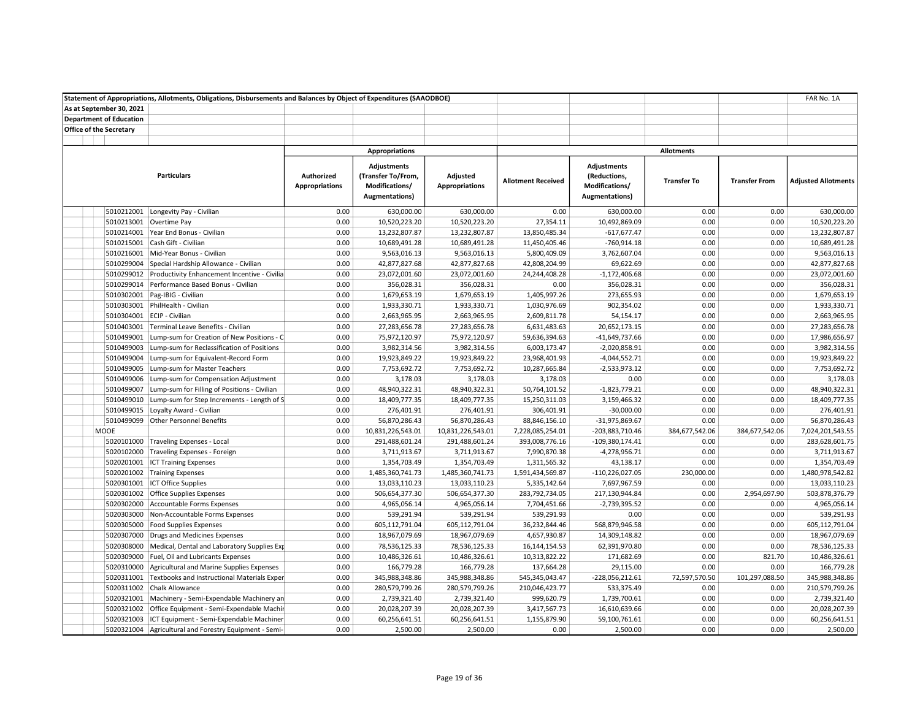|                                |            | Statement of Appropriations, Allotments, Obligations, Disbursements and Balances by Object of Expenditures (SAAODBOE) |                                     |                                                                              |                                   |                           |                                                                                |                    |                      | FAR No. 1A                 |
|--------------------------------|------------|-----------------------------------------------------------------------------------------------------------------------|-------------------------------------|------------------------------------------------------------------------------|-----------------------------------|---------------------------|--------------------------------------------------------------------------------|--------------------|----------------------|----------------------------|
| As at September 30, 2021       |            |                                                                                                                       |                                     |                                                                              |                                   |                           |                                                                                |                    |                      |                            |
| <b>Department of Education</b> |            |                                                                                                                       |                                     |                                                                              |                                   |                           |                                                                                |                    |                      |                            |
| <b>Office of the Secretary</b> |            |                                                                                                                       |                                     |                                                                              |                                   |                           |                                                                                |                    |                      |                            |
|                                |            |                                                                                                                       |                                     |                                                                              |                                   |                           |                                                                                |                    |                      |                            |
|                                |            |                                                                                                                       |                                     | <b>Appropriations</b>                                                        |                                   |                           |                                                                                | <b>Allotments</b>  |                      |                            |
|                                |            | <b>Particulars</b>                                                                                                    | Authorized<br><b>Appropriations</b> | <b>Adjustments</b><br>(Transfer To/From,<br>Modifications/<br>Augmentations) | Adjusted<br><b>Appropriations</b> | <b>Allotment Received</b> | <b>Adjustments</b><br>(Reductions,<br>Modifications/<br><b>Augmentations</b> ) | <b>Transfer To</b> | <b>Transfer From</b> | <b>Adjusted Allotments</b> |
|                                |            | 5010212001 Longevity Pay - Civilian                                                                                   | 0.00                                | 630,000.00                                                                   | 630,000.00                        | 0.00                      | 630,000.00                                                                     | 0.00               | 0.00                 | 630,000.00                 |
|                                |            | 5010213001 Overtime Pay                                                                                               | 0.00                                | 10,520,223.20                                                                | 10,520,223.20                     | 27,354.11                 | 10,492,869.09                                                                  | 0.00               | 0.00                 | 10,520,223.20              |
|                                |            | 5010214001 Year End Bonus - Civilian                                                                                  | 0.00                                | 13,232,807.87                                                                | 13,232,807.87                     | 13,850,485.34             | $-617,677.47$                                                                  | 0.00               | 0.00                 | 13,232,807.87              |
|                                |            | 5010215001 Cash Gift - Civilian                                                                                       | 0.00                                | 10,689,491.28                                                                | 10,689,491.28                     | 11,450,405.46             | $-760,914.18$                                                                  | 0.00               | 0.00                 | 10,689,491.28              |
|                                |            | 5010216001 Mid-Year Bonus - Civilian                                                                                  | 0.00                                | 9,563,016.13                                                                 | 9,563,016.13                      | 5,800,409.09              | 3,762,607.04                                                                   | 0.00               | 0.00                 | 9,563,016.13               |
|                                |            | 5010299004 Special Hardship Allowance - Civilian                                                                      | 0.00                                | 42,877,827.68                                                                | 42,877,827.68                     | 42,808,204.99             | 69,622.69                                                                      | 0.00               | 0.00                 | 42,877,827.68              |
|                                |            | 5010299012 Productivity Enhancement Incentive - Civilia                                                               | 0.00                                | 23,072,001.60                                                                | 23,072,001.60                     | 24,244,408.28             | $-1,172,406.68$                                                                | 0.00               | 0.00                 | 23,072,001.60              |
|                                |            | 5010299014 Performance Based Bonus - Civilian                                                                         | 0.00                                | 356,028.31                                                                   | 356,028.31                        | 0.00                      | 356,028.31                                                                     | 0.00               | 0.00                 | 356,028.31                 |
|                                |            | 5010302001 Pag-IBIG - Civilian                                                                                        | 0.00                                | 1,679,653.19                                                                 | 1,679,653.19                      | 1,405,997.26              | 273,655.93                                                                     | 0.00               | 0.00                 | 1,679,653.19               |
|                                |            | 5010303001 PhilHealth - Civilian                                                                                      | 0.00                                | 1,933,330.71                                                                 | 1,933,330.71                      | 1,030,976.69              | 902,354.02                                                                     | 0.00               | 0.00                 | 1,933,330.71               |
|                                |            | 5010304001 ECIP - Civilian                                                                                            | 0.00                                | 2,663,965.95                                                                 | 2,663,965.95                      | 2,609,811.78              | 54,154.17                                                                      | 0.00               | 0.00                 | 2,663,965.95               |
|                                |            | 5010403001 Terminal Leave Benefits - Civilian                                                                         | 0.00                                | 27,283,656.78                                                                | 27,283,656.78                     | 6,631,483.63              | 20,652,173.15                                                                  | 0.00               | 0.00                 | 27,283,656.78              |
|                                | 5010499001 | Lump-sum for Creation of New Positions - C                                                                            | 0.00                                | 75,972,120.97                                                                | 75,972,120.97                     | 59,636,394.63             | -41,649,737.66                                                                 | 0.00               | 0.00                 | 17,986,656.97              |
|                                | 5010499003 | Lump-sum for Reclassification of Positions                                                                            | 0.00                                | 3,982,314.56                                                                 | 3,982,314.56                      | 6,003,173.47              | $-2,020,858.91$                                                                | 0.00               | 0.00                 | 3,982,314.56               |
|                                |            | 5010499004 Lump-sum for Equivalent-Record Form                                                                        | 0.00                                | 19,923,849.22                                                                | 19,923,849.22                     | 23,968,401.93             | $-4,044,552.71$                                                                | 0.00               | 0.00                 | 19,923,849.22              |
|                                |            | 5010499005 Lump-sum for Master Teachers                                                                               | 0.00                                | 7,753,692.72                                                                 | 7,753,692.72                      | 10,287,665.84             | $-2,533,973.12$                                                                | 0.00               | 0.00                 | 7,753,692.72               |
|                                |            | 5010499006 Lump-sum for Compensation Adjustment                                                                       | 0.00                                | 3,178.03                                                                     | 3,178.03                          | 3,178.03                  | 0.00                                                                           | 0.00               | 0.00                 | 3,178.03                   |
|                                |            | 5010499007 Lump-sum for Filling of Positions - Civilian                                                               | 0.00                                | 48,940,322.31                                                                | 48,940,322.31                     | 50,764,101.52             | $-1,823,779.21$                                                                | 0.00               | 0.00                 | 48,940,322.31              |
|                                | 5010499010 | Lump-sum for Step Increments - Length of S                                                                            | 0.00                                | 18,409,777.35                                                                | 18,409,777.35                     | 15,250,311.03             | 3,159,466.32                                                                   | 0.00               | 0.00                 | 18,409,777.35              |
|                                | 5010499015 | Loyalty Award - Civilian                                                                                              | 0.00                                | 276,401.91                                                                   | 276,401.91                        | 306,401.91                | $-30,000.00$                                                                   | 0.00               | 0.00                 | 276,401.91                 |
|                                |            | 5010499099 Other Personnel Benefits                                                                                   | 0.00                                | 56,870,286.43                                                                | 56,870,286.43                     | 88,846,156.10             | -31,975,869.67                                                                 | 0.00               | 0.00                 | 56,870,286.43              |
| <b>MOOE</b>                    |            |                                                                                                                       | 0.00                                | 10,831,226,543.01                                                            | 10,831,226,543.01                 | 7,228,085,254.01          | -203,883,710.46                                                                | 384,677,542.06     | 384,677,542.06       | 7,024,201,543.55           |
|                                |            | 5020101000 Traveling Expenses - Local                                                                                 | 0.00                                | 291,488,601.24                                                               | 291,488,601.24                    | 393,008,776.16            | $-109,380,174.41$                                                              | 0.00               | 0.00                 | 283,628,601.75             |
|                                |            | 5020102000 Traveling Expenses - Foreign                                                                               | 0.00                                | 3,711,913.67                                                                 | 3,711,913.67                      | 7,990,870.38              | $-4,278,956.71$                                                                | 0.00               | 0.00                 | 3,711,913.67               |
|                                |            | 5020201001 ICT Training Expenses                                                                                      | 0.00                                | 1,354,703.49                                                                 | 1,354,703.49                      | 1,311,565.32              | 43,138.17                                                                      | 0.00               | 0.00                 | 1,354,703.49               |
|                                |            | 5020201002 Training Expenses                                                                                          | 0.00                                | 1,485,360,741.73                                                             | 1,485,360,741.73                  | 1,591,434,569.87          | -110,226,027.05                                                                | 230,000.00         | 0.00                 | 1,480,978,542.82           |
|                                |            | 5020301001 ICT Office Supplies                                                                                        | 0.00                                | 13,033,110.23                                                                | 13,033,110.23                     | 5,335,142.64              | 7,697,967.59                                                                   | 0.00               | 0.00                 | 13,033,110.23              |
|                                |            | 5020301002 Office Supplies Expenses                                                                                   | 0.00                                | 506,654,377.30                                                               | 506,654,377.30                    | 283,792,734.05            | 217,130,944.84                                                                 | 0.00               | 2,954,697.90         | 503,878,376.79             |
|                                |            | 5020302000 Accountable Forms Expenses                                                                                 | 0.00                                | 4,965,056.14                                                                 | 4,965,056.14                      | 7,704,451.66              | $-2,739,395.52$                                                                | 0.00               | 0.00                 | 4,965,056.14               |
|                                |            | 5020303000 Non-Accountable Forms Expenses                                                                             | 0.00                                | 539,291.94                                                                   | 539,291.94                        | 539,291.93                | 0.00                                                                           | 0.00               | 0.00                 | 539,291.93                 |
|                                |            | 5020305000 Food Supplies Expenses                                                                                     | 0.00                                | 605,112,791.04                                                               | 605,112,791.04                    | 36,232,844.46             | 568,879,946.58                                                                 | 0.00               | 0.00                 | 605,112,791.04             |
|                                |            | 5020307000 Drugs and Medicines Expenses                                                                               | 0.00                                | 18,967,079.69                                                                | 18,967,079.69                     | 4,657,930.87              | 14,309,148.82                                                                  | 0.00               | 0.00                 | 18,967,079.69              |
|                                |            | 5020308000 Medical, Dental and Laboratory Supplies Exp                                                                | 0.00                                | 78,536,125.33                                                                | 78,536,125.33                     | 16, 144, 154. 53          | 62,391,970.80                                                                  | 0.00               | 0.00                 | 78,536,125.33              |
|                                |            | 5020309000 Fuel, Oil and Lubricants Expenses                                                                          | 0.00                                | 10,486,326.61                                                                | 10,486,326.61                     | 10,313,822.22             | 171,682.69                                                                     | 0.00               | 821.70               | 10,486,326.61              |
|                                |            | 5020310000 Agricultural and Marine Supplies Expenses                                                                  | 0.00                                | 166,779.28                                                                   | 166,779.28                        | 137,664.28                | 29,115.00                                                                      | 0.00               | 0.00                 | 166,779.28                 |
|                                |            | 5020311001 Textbooks and Instructional Materials Exper                                                                | 0.00                                | 345,988,348.86                                                               | 345,988,348.86                    | 545,345,043.47            | $-228,056,212.61$                                                              | 72,597,570.50      | 101,297,088.50       | 345,988,348.86             |
|                                |            | 5020311002 Chalk Allowance                                                                                            | 0.00                                | 280,579,799.26                                                               | 280,579,799.26                    | 210,046,423.77            | 533,375.49                                                                     | 0.00               | 0.00                 | 210,579,799.26             |
|                                |            | 5020321001 Machinery - Semi-Expendable Machinery an                                                                   | 0.00                                | 2,739,321.40                                                                 | 2,739,321.40                      | 999,620.79                | 1,739,700.61                                                                   | 0.00               | 0.00                 | 2,739,321.40               |
|                                |            | 5020321002 Office Equipment - Semi-Expendable Machir                                                                  | 0.00                                | 20,028,207.39                                                                | 20,028,207.39                     | 3,417,567.73              | 16,610,639.66                                                                  | 0.00               | 0.00                 | 20,028,207.39              |
|                                |            | 5020321003   ICT Equipment - Semi-Expendable Machiner                                                                 | 0.00                                | 60,256,641.51                                                                | 60,256,641.51                     | 1,155,879.90              | 59,100,761.61                                                                  | 0.00               | 0.00                 | 60,256,641.51              |
|                                |            | 5020321004 Agricultural and Forestry Equipment - Semi-                                                                | 0.00                                | 2,500.00                                                                     | 2,500.00                          | 0.00                      | 2,500.00                                                                       | 0.00               | 0.00                 | 2,500.00                   |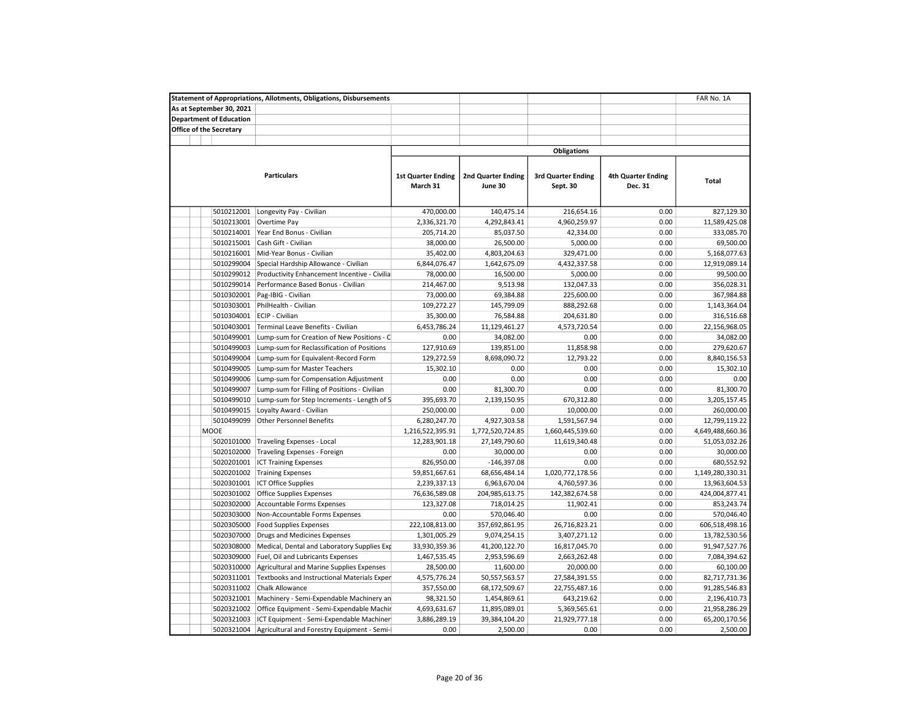|                                | <b>Statement of Appropriations, Allotments, Obligations, Disbursements</b> |                                       |                                      |                                       |                                      | FAR No. 1A       |
|--------------------------------|----------------------------------------------------------------------------|---------------------------------------|--------------------------------------|---------------------------------------|--------------------------------------|------------------|
| As at September 30, 2021       |                                                                            |                                       |                                      |                                       |                                      |                  |
| <b>Department of Education</b> |                                                                            |                                       |                                      |                                       |                                      |                  |
| Office of the Secretary        |                                                                            |                                       |                                      |                                       |                                      |                  |
|                                |                                                                            |                                       |                                      |                                       |                                      |                  |
|                                |                                                                            |                                       |                                      | <b>Obligations</b>                    |                                      |                  |
|                                | <b>Particulars</b>                                                         | <b>1st Quarter Ending</b><br>March 31 | <b>2nd Quarter Ending</b><br>June 30 | <b>3rd Quarter Ending</b><br>Sept. 30 | <b>4th Quarter Ending</b><br>Dec. 31 | Total            |
|                                |                                                                            |                                       |                                      |                                       |                                      |                  |
| 5010212001                     | Longevity Pay - Civilian                                                   | 470,000.00                            | 140,475.14                           | 216,654.16                            | 0.00                                 | 827,129.30       |
| 5010213001                     | Overtime Pay                                                               | 2,336,321.70                          | 4,292,843.41                         | 4,960,259.97                          | 0.00                                 | 11,589,425.08    |
| 5010214001                     | Year End Bonus - Civilian                                                  | 205,714.20                            | 85,037.50                            | 42,334.00                             | 0.00                                 | 333,085.70       |
| 5010215001                     | Cash Gift - Civilian                                                       | 38,000.00                             | 26,500.00                            | 5,000.00                              | 0.00                                 | 69,500.00        |
| 5010216001                     | Mid-Year Bonus - Civilian                                                  | 35,402.00                             | 4,803,204.63                         | 329,471.00                            | 0.00                                 | 5,168,077.63     |
| 5010299004                     | Special Hardship Allowance - Civilian                                      | 6,844,076.47                          | 1,642,675.09                         | 4,432,337.58                          | 0.00                                 | 12,919,089.14    |
| 5010299012                     | Productivity Enhancement Incentive - Civilia                               | 78,000.00                             | 16,500.00                            | 5,000.00                              | 0.00                                 | 99,500.00        |
| 5010299014                     | Performance Based Bonus - Civilian                                         | 214,467.00                            | 9,513.98                             | 132,047.33                            | 0.00                                 | 356,028.31       |
| 5010302001                     | Pag-IBIG - Civilian                                                        | 73,000.00                             | 69,384.88                            | 225,600.00                            | 0.00                                 | 367,984.88       |
| 5010303001                     | PhilHealth - Civilian                                                      | 109,272.27                            | 145,799.09                           | 888,292.68                            | 0.00                                 | 1,143,364.04     |
| 5010304001                     | ECIP - Civilian                                                            | 35,300.00                             | 76,584.88                            | 204,631.80                            | 0.00                                 | 316,516.68       |
| 5010403001                     | Terminal Leave Benefits - Civilian                                         | 6,453,786.24                          | 11,129,461.27                        | 4,573,720.54                          | 0.00                                 | 22,156,968.05    |
| 5010499001                     | Lump-sum for Creation of New Positions - C                                 | 0.00                                  | 34,082.00                            | 0.00                                  | 0.00                                 | 34,082.00        |
| 5010499003                     | Lump-sum for Reclassification of Positions                                 | 127,910.69                            | 139,851.00                           | 11,858.98                             | 0.00                                 | 279,620.67       |
| 5010499004                     | Lump-sum for Equivalent-Record Form                                        | 129,272.59                            | 8,698,090.72                         | 12,793.22                             | 0.00                                 | 8,840,156.53     |
| 5010499005                     | Lump-sum for Master Teachers                                               | 15,302.10                             | 0.00                                 | 0.00                                  | 0.00                                 | 15,302.10        |
| 5010499006                     | Lump-sum for Compensation Adjustment                                       | 0.00                                  | 0.00                                 | 0.00                                  | 0.00                                 | 0.00             |
| 5010499007                     | Lump-sum for Filling of Positions - Civilian                               | 0.00                                  | 81,300.70                            | 0.00                                  | 0.00                                 | 81,300.70        |
| 5010499010                     | Lump-sum for Step Increments - Length of S                                 | 395,693.70                            | 2,139,150.95                         | 670,312.80                            | 0.00                                 | 3,205,157.45     |
| 5010499015                     | Loyalty Award - Civilian                                                   | 250,000.00                            | 0.00                                 | 10,000.00                             | 0.00                                 | 260,000.00       |
| 5010499099                     | <b>Other Personnel Benefits</b>                                            | 6,280,247.70                          | 4,927,303.58                         | 1,591,567.94                          | 0.00                                 | 12,799,119.22    |
| <b>MOOE</b>                    |                                                                            | 1,216,522,395.91                      | 1,772,520,724.85                     | 1,660,445,539.60                      | 0.00                                 | 4,649,488,660.36 |
| 5020101000                     |                                                                            |                                       |                                      |                                       | 0.00                                 |                  |
|                                | <b>Traveling Expenses - Local</b>                                          | 12,283,901.18                         | 27,149,790.60                        | 11,619,340.48                         | 0.00                                 | 51,053,032.26    |
| 5020102000                     | Traveling Expenses - Foreign                                               | 0.00                                  | 30,000.00                            | 0.00                                  |                                      | 30,000.00        |
| 5020201001                     | <b>ICT Training Expenses</b>                                               | 826,950.00                            | $-146,397.08$                        | 0.00                                  | 0.00                                 | 680,552.92       |
| 5020201002                     | <b>Training Expenses</b>                                                   | 59,851,667.61                         | 68,656,484.14                        | 1,020,772,178.56                      | 0.00                                 | 1,149,280,330.31 |
| 5020301001                     | <b>ICT Office Supplies</b>                                                 | 2,239,337.13                          | 6,963,670.04                         | 4,760,597.36                          | 0.00                                 | 13,963,604.53    |
| 5020301002                     | Office Supplies Expenses                                                   | 76,636,589.08                         | 204,985,613.75                       | 142,382,674.58                        | 0.00                                 | 424,004,877.41   |
| 5020302000                     | Accountable Forms Expenses                                                 | 123,327.08                            | 718,014.25                           | 11,902.41                             | 0.00                                 | 853,243.74       |
| 5020303000                     | Non-Accountable Forms Expenses                                             | 0.00                                  | 570,046.40                           | 0.00                                  | 0.00                                 | 570,046.40       |
| 5020305000                     | <b>Food Supplies Expenses</b>                                              | 222,108,813.00                        | 357,692,861.95                       | 26,716,823.21                         | 0.00                                 | 606,518,498.16   |
| 5020307000                     | Drugs and Medicines Expenses                                               | 1,301,005.29                          | 9,074,254.15                         | 3,407,271.12                          | 0.00                                 | 13,782,530.56    |
| 5020308000                     | Medical, Dental and Laboratory Supplies Exp                                | 33,930,359.36                         | 41,200,122.70                        | 16,817,045.70                         | 0.00                                 | 91,947,527.76    |
| 5020309000                     | Fuel, Oil and Lubricants Expenses                                          | 1,467,535.45                          | 2,953,596.69                         | 2,663,262.48                          | 0.00                                 | 7,084,394.62     |
| 5020310000                     | Agricultural and Marine Supplies Expenses                                  | 28,500.00                             | 11,600.00                            | 20,000.00                             | 0.00                                 | 60,100.00        |
| 5020311001                     | Textbooks and Instructional Materials Exper                                | 4,575,776.24                          | 50,557,563.57                        | 27,584,391.55                         | 0.00                                 | 82,717,731.36    |
| 5020311002                     | Chalk Allowance                                                            | 357,550.00                            | 68,172,509.67                        | 22,755,487.16                         | 0.00                                 | 91,285,546.83    |
| 5020321001                     | Machinery - Semi-Expendable Machinery an                                   | 98,321.50                             | 1,454,869.61                         | 643,219.62                            | 0.00                                 | 2,196,410.73     |
| 5020321002                     | Office Equipment - Semi-Expendable Machir                                  | 4,693,631.67                          | 11,895,089.01                        | 5,369,565.61                          | 0.00                                 | 21,958,286.29    |
| 5020321003                     | ICT Equipment - Semi-Expendable Machiner                                   | 3,886,289.19                          | 39,384,104.20                        | 21,929,777.18                         | 0.00                                 | 65,200,170.56    |
| 5020321004                     | Agricultural and Forestry Equipment - Semi-                                | 0.00                                  | 2,500.00                             | 0.00                                  | 0.00                                 | 2,500.00         |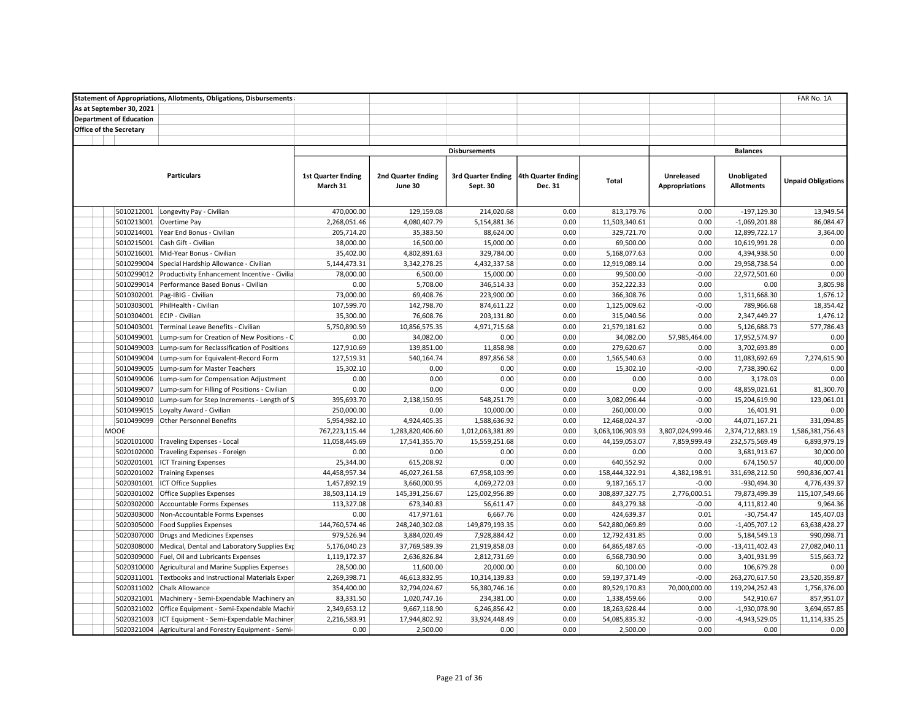|                                | <b>Statement of Appropriations, Allotments, Obligations, Disbursements</b> |                                       |                                      |                                                   |         |                  |                                            |                                  | FAR No. 1A                |
|--------------------------------|----------------------------------------------------------------------------|---------------------------------------|--------------------------------------|---------------------------------------------------|---------|------------------|--------------------------------------------|----------------------------------|---------------------------|
| As at September 30, 2021       |                                                                            |                                       |                                      |                                                   |         |                  |                                            |                                  |                           |
| <b>Department of Education</b> |                                                                            |                                       |                                      |                                                   |         |                  |                                            |                                  |                           |
| <b>Office of the Secretary</b> |                                                                            |                                       |                                      |                                                   |         |                  |                                            |                                  |                           |
|                                |                                                                            |                                       |                                      |                                                   |         |                  |                                            |                                  |                           |
|                                |                                                                            |                                       |                                      | <b>Disbursements</b>                              |         |                  |                                            | <b>Balances</b>                  |                           |
|                                | <b>Particulars</b>                                                         | <b>1st Quarter Ending</b><br>March 31 | <b>2nd Quarter Ending</b><br>June 30 | 3rd Quarter Ending 4th Quarter Ending<br>Sept. 30 | Dec. 31 | Total            | <b>Unreleased</b><br><b>Appropriations</b> | Unobligated<br><b>Allotments</b> | <b>Unpaid Obligations</b> |
| 5010212001                     | Longevity Pay - Civilian                                                   | 470,000.00                            | 129,159.08                           | 214,020.68                                        | 0.00    | 813,179.76       | 0.00                                       | $-197,129.30$                    | 13,949.54                 |
| 5010213001                     | Overtime Pay                                                               | 2,268,051.46                          | 4,080,407.79                         | 5,154,881.36                                      | 0.00    | 11,503,340.61    | 0.00                                       | $-1,069,201.88$                  | 86,084.47                 |
|                                | 5010214001 Year End Bonus - Civilian                                       | 205,714.20                            | 35,383.50                            | 88,624.00                                         | 0.00    | 329,721.70       | 0.00                                       | 12,899,722.17                    | 3,364.00                  |
| 5010215001                     | Cash Gift - Civilian                                                       | 38,000.00                             | 16,500.00                            | 15,000.00                                         | 0.00    | 69,500.00        | 0.00                                       | 10,619,991.28                    | 0.00                      |
| 5010216001                     | Mid-Year Bonus - Civilian                                                  | 35,402.00                             | 4,802,891.63                         | 329,784.00                                        | 0.00    | 5,168,077.63     | 0.00                                       | 4,394,938.50                     | 0.00                      |
| 5010299004                     | Special Hardship Allowance - Civilian                                      | 5,144,473.31                          | 3,342,278.25                         | 4,432,337.58                                      | 0.00    | 12,919,089.14    | 0.00                                       | 29,958,738.54                    | 0.00                      |
| 5010299012                     | Productivity Enhancement Incentive - Civilia                               | 78,000.00                             | 6,500.00                             | 15,000.00                                         | 0.00    | 99,500.00        | $-0.00$                                    | 22,972,501.60                    | 0.00                      |
| 5010299014                     | Performance Based Bonus - Civilian                                         | 0.00                                  | 5,708.00                             | 346,514.33                                        | 0.00    | 352,222.33       | 0.00                                       | 0.00                             | 3,805.98                  |
| 5010302001                     | Pag-IBIG - Civilian                                                        | 73,000.00                             | 69,408.76                            | 223,900.00                                        | 0.00    | 366,308.76       | 0.00                                       | 1,311,668.30                     | 1,676.12                  |
| 5010303001                     | PhilHealth - Civilian                                                      | 107,599.70                            | 142,798.70                           | 874,611.22                                        | 0.00    | 1,125,009.62     | $-0.00$                                    | 789,966.68                       | 18,354.42                 |
|                                | 5010304001 ECIP - Civilian                                                 | 35,300.00                             | 76,608.76                            | 203,131.80                                        | 0.00    | 315,040.56       | 0.00                                       | 2,347,449.27                     | 1,476.12                  |
| 5010403001                     | Terminal Leave Benefits - Civilian                                         | 5,750,890.59                          | 10,856,575.35                        | 4,971,715.68                                      | 0.00    | 21,579,181.62    | 0.00                                       | 5,126,688.73                     | 577,786.43                |
| 5010499001                     | Lump-sum for Creation of New Positions - C                                 | 0.00                                  | 34,082.00                            | 0.00                                              | 0.00    | 34,082.00        | 57,985,464.00                              | 17,952,574.97                    | 0.00                      |
| 5010499003                     | Lump-sum for Reclassification of Positions                                 | 127,910.69                            | 139,851.00                           | 11,858.98                                         | 0.00    | 279,620.67       | 0.00                                       | 3,702,693.89                     | 0.00                      |
| 5010499004                     | Lump-sum for Equivalent-Record Form                                        | 127,519.31                            | 540,164.74                           | 897,856.58                                        | 0.00    | 1,565,540.63     | 0.00                                       | 11,083,692.69                    | 7,274,615.90              |
| 5010499005                     | Lump-sum for Master Teachers                                               | 15,302.10                             | 0.00                                 | 0.00                                              | 0.00    | 15,302.10        | $-0.00$                                    | 7,738,390.62                     | 0.00                      |
| 5010499006                     | Lump-sum for Compensation Adjustment                                       | 0.00                                  | 0.00                                 | 0.00                                              | 0.00    | 0.00             | 0.00                                       | 3,178.03                         | 0.00                      |
| 5010499007                     | Lump-sum for Filling of Positions - Civilian                               | 0.00                                  | 0.00                                 | 0.00                                              | 0.00    | 0.00             | 0.00                                       | 48,859,021.61                    | 81,300.70                 |
| 5010499010                     | Lump-sum for Step Increments - Length of S                                 | 395,693.70                            | 2,138,150.95                         | 548,251.79                                        | 0.00    | 3,082,096.44     | $-0.00$                                    | 15,204,619.90                    | 123,061.01                |
| 5010499015                     | Loyalty Award - Civilian                                                   | 250,000.00                            | 0.00                                 | 10,000.00                                         | 0.00    | 260,000.00       | 0.00                                       | 16,401.91                        | 0.00                      |
| 5010499099                     | <b>Other Personnel Benefits</b>                                            | 5,954,982.10                          | 4,924,405.35                         | 1,588,636.92                                      | 0.00    | 12,468,024.37    | $-0.00$                                    | 44,071,167.21                    | 331,094.85                |
| MOOE                           |                                                                            | 767,223,115.44                        | 1,283,820,406.60                     | 1,012,063,381.89                                  | 0.00    | 3,063,106,903.93 | 3,807,024,999.46                           | 2,374,712,883.19                 | 1,586,381,756.43          |
| 5020101000                     | Traveling Expenses - Local                                                 | 11,058,445.69                         | 17,541,355.70                        | 15,559,251.68                                     | 0.00    | 44,159,053.07    | 7,859,999.49                               | 232,575,569.49                   | 6,893,979.19              |
| 5020102000                     | Traveling Expenses - Foreign                                               | 0.00                                  | 0.00                                 | 0.00                                              | 0.00    | 0.00             | 0.00                                       | 3,681,913.67                     | 30,000.00                 |
| 5020201001                     | <b>ICT Training Expenses</b>                                               | 25,344.00                             | 615,208.92                           | 0.00                                              | 0.00    | 640,552.92       | 0.00                                       | 674,150.57                       | 40,000.00                 |
|                                | 5020201002 Training Expenses                                               | 44,458,957.34                         | 46,027,261.58                        | 67,958,103.99                                     | 0.00    | 158,444,322.91   | 4,382,198.91                               | 331,698,212.50                   | 990,836,007.41            |
|                                | 5020301001   ICT Office Supplies                                           | 1,457,892.19                          | 3,660,000.95                         | 4,069,272.03                                      | 0.00    | 9,187,165.17     | $-0.00$                                    | -930,494.30                      | 4,776,439.37              |
| 5020301002                     | <b>Office Supplies Expenses</b>                                            | 38,503,114.19                         | 145,391,256.67                       | 125,002,956.89                                    | 0.00    | 308,897,327.75   | 2,776,000.51                               | 79,873,499.39                    | 115,107,549.66            |
| 5020302000                     | Accountable Forms Expenses                                                 | 113,327.08                            | 673,340.83                           | 56,611.47                                         | 0.00    | 843,279.38       | $-0.00$                                    | 4,111,812.40                     | 9,964.36                  |
| 5020303000                     | Non-Accountable Forms Expenses                                             | 0.00                                  | 417,971.61                           | 6,667.76                                          | 0.00    | 424,639.37       | 0.01                                       | $-30,754.47$                     | 145,407.03                |
| 5020305000                     | <b>Food Supplies Expenses</b>                                              | 144,760,574.46                        | 248,240,302.08                       | 149,879,193.35                                    | 0.00    | 542,880,069.89   | 0.00                                       | $-1,405,707.12$                  | 63,638,428.27             |
| 5020307000                     | Drugs and Medicines Expenses                                               | 979,526.94                            | 3,884,020.49                         | 7,928,884.42                                      | 0.00    | 12,792,431.85    | 0.00                                       | 5,184,549.13                     | 990,098.71                |
| 5020308000                     | Medical, Dental and Laboratory Supplies Exp                                | 5,176,040.23                          | 37,769,589.39                        | 21,919,858.03                                     | 0.00    | 64,865,487.65    | $-0.00$                                    | $-13,411,402.43$                 | 27,082,040.11             |
| 5020309000                     | Fuel, Oil and Lubricants Expenses                                          | 1,119,172.37                          | 2,636,826.84                         | 2,812,731.69                                      | 0.00    | 6,568,730.90     | 0.00                                       | 3,401,931.99                     | 515,663.72                |
| 5020310000                     | Agricultural and Marine Supplies Expenses                                  | 28,500.00                             | 11,600.00                            | 20,000.00                                         | 0.00    | 60,100.00        | 0.00                                       | 106,679.28                       | 0.00                      |
| 5020311001                     | <b>Textbooks and Instructional Materials Exper</b>                         | 2,269,398.71                          | 46,613,832.95                        | 10,314,139.83                                     | 0.00    | 59,197,371.49    | $-0.00$                                    | 263,270,617.50                   | 23,520,359.87             |
| 5020311002                     | <b>Chalk Allowance</b>                                                     | 354,400.00                            | 32,794,024.67                        | 56,380,746.16                                     | 0.00    | 89,529,170.83    | 70,000,000.00                              | 119,294,252.43                   | 1,756,376.00              |
| 5020321001                     | Machinery - Semi-Expendable Machinery an                                   | 83,331.50                             | 1,020,747.16                         | 234,381.00                                        | 0.00    | 1,338,459.66     | 0.00                                       | 542,910.67                       | 857,951.07                |
| 5020321002                     | Office Equipment - Semi-Expendable Machir                                  | 2,349,653.12                          | 9,667,118.90                         | 6,246,856.42                                      | 0.00    | 18,263,628.44    | 0.00                                       | $-1,930,078.90$                  | 3,694,657.85              |
| 5020321003                     | ICT Equipment - Semi-Expendable Machiner                                   | 2,216,583.91                          | 17,944,802.92                        | 33,924,448.49                                     | 0.00    | 54,085,835.32    | $-0.00$                                    | $-4,943,529.05$                  | 11,114,335.25             |
|                                | 5020321004 Agricultural and Forestry Equipment - Semi-                     | 0.00                                  | 2,500.00                             | 0.00                                              | 0.00    | 2,500.00         | 0.00                                       | 0.00                             | 0.00                      |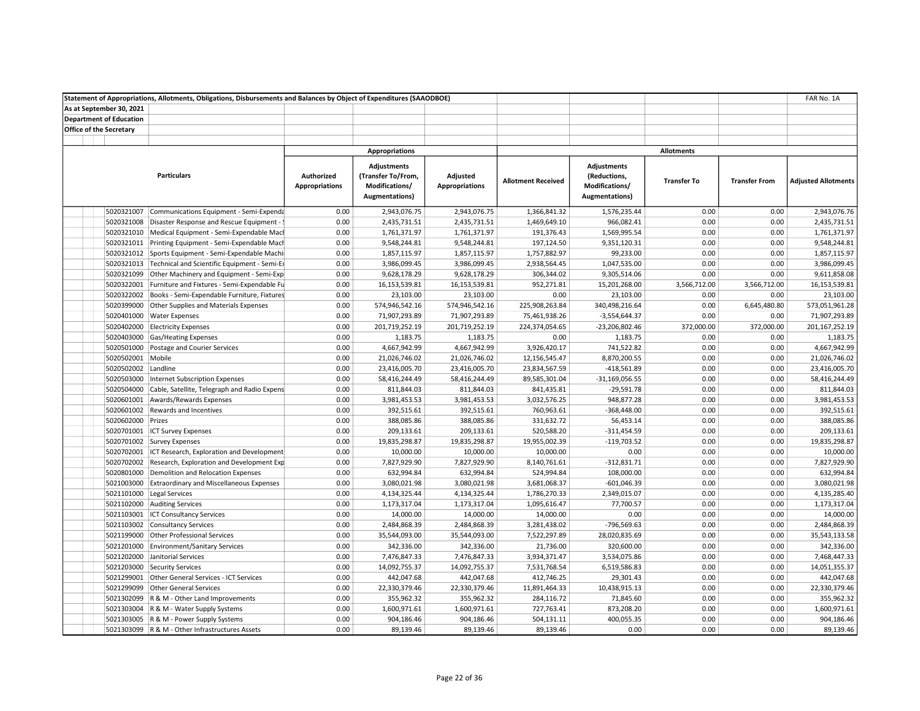| As at September 30, 2021<br><b>Department of Education</b><br><b>Office of the Secretary</b><br><b>Appropriations</b><br><b>Allotments</b><br><b>Adjustments</b><br><b>Adjustments</b><br><b>Particulars</b><br>Authorized<br>(Transfer To/From,<br>Adjusted<br>(Reductions,<br><b>Allotment Received</b><br><b>Transfer To</b><br><b>Transfer From</b><br><b>Adjusted Allotments</b><br><b>Appropriations</b><br>Modifications/<br><b>Appropriations</b><br>Modifications/<br><b>Augmentations)</b><br>Augmentations)<br>5020321007<br>0.00<br>2,943,076.75<br>2,943,076.75<br>1,366,841.32<br>1,576,235.44<br>0.00<br>0.00<br>2,943,076.76<br>Communications Equipment - Semi-Expenda<br>5020321008 Disaster Response and Rescue Equipment - \$<br>2,435,731.51<br>2,435,731.51<br>1,469,649.10<br>966,082.41<br>0.00<br>0.00<br>2,435,731.51<br>0.00<br>1,761,371.97<br>1,761,371.97<br>0.00<br>0.00<br>1,761,371.97<br>5020321010   Medical Equipment - Semi-Expendable Mach<br>0.00<br>191,376.43<br>1,569,995.54<br>5020321011 Printing Equipment - Semi-Expendable Mach<br>9,548,244.81<br>9,548,244.81<br>197,124.50<br>9,351,120.31<br>0.00<br>0.00<br>9,548,244.81<br>0.00<br>5020321012 Sports Equipment - Semi-Expendable Machi<br>0.00<br>1,857,115.97<br>1,857,115.97<br>1,757,882.97<br>99,233.00<br>0.00<br>0.00<br>1,857,115.97<br>5020321013 Technical and Scientific Equipment - Semi-Ex<br>0.00<br>3,986,099.45<br>3,986,099.45<br>2,938,564.45<br>1,047,535.00<br>0.00<br>0.00<br>3,986,099.45<br>9,628,178.29<br>9,305,514.06<br>0.00<br>9,611,858.08<br>5020321099 Other Machinery and Equipment - Semi-Exp<br>0.00<br>9,628,178.29<br>306,344.02<br>0.00<br>16,153,539.81<br>952,271.81<br>15,201,268.00<br>3,566,712.00<br>3,566,712.00<br>16,153,539.81<br>5020322001 Furniture and Fixtures - Semi-Expendable Fu<br>0.00<br>16,153,539.81<br>5020322002 Books - Semi-Expendable Furniture, Fixtures<br>23,103.00<br>23,103.00<br>0.00<br>23,103.00<br>0.00<br>23,103.00<br>0.00<br>0.00<br>574,946,542.16<br>340,498,216.64<br>0.00<br>6,645,480.80<br>573,051,961.28<br>5020399000 Other Supplies and Materials Expenses<br>0.00<br>574,946,542.16<br>225,908,263.84<br>$-3,554,644.37$<br>0.00<br>71,907,293.89<br>5020401000 Water Expenses<br>0.00<br>71,907,293.89<br>71,907,293.89<br>75,461,938.26<br>0.00<br>201,167,252.19<br>5020402000 Electricity Expenses<br>0.00<br>201,719,252.19<br>201,719,252.19<br>224,374,054.65<br>-23,206,802.46<br>372,000.00<br>372,000.00<br>5020403000 Gas/Heating Expenses<br>0.00<br>1,183.75<br>1,183.75<br>0.00<br>1,183.75<br>0.00<br>0.00<br>1,183.75<br>4,667,942.99<br>4,667,942.99<br>741,522.82<br>0.00<br>4,667,942.99<br>5020501000<br>Postage and Courier Services<br>0.00<br>3,926,420.17<br>0.00<br>5020502001 Mobile<br>8,870,200.55<br>0.00<br>21,026,746.02<br>0.00<br>21,026,746.02<br>21,026,746.02<br>12,156,545.47<br>0.00<br>23,416,005.70<br>0.00<br>23,416,005.70<br>5020502002<br>Landline<br>0.00<br>23,416,005.70<br>23,834,567.59<br>$-418,561.89$<br>0.00<br>58,416,244.49<br>58,416,244.49<br>89,585,301.04<br>$-31,169,056.55$<br>0.00<br>0.00<br>58,416,244.49<br>5020503000 Internet Subscription Expenses<br>0.00<br>0.00<br>811,844.03<br>5020504000 Cable, Satellite, Telegraph and Radio Expens<br>0.00<br>811,844.03<br>811,844.03<br>841,435.81<br>$-29,591.78$<br>0.00<br>0.00<br>5020601001 Awards/Rewards Expenses<br>0.00<br>3,981,453.53<br>3,981,453.53<br>3,032,576.25<br>948,877.28<br>0.00<br>3,981,453.53<br>0.00<br>392,515.61<br>5020601002<br>Rewards and Incentives<br>0.00<br>392,515.61<br>392,515.61<br>760,963.61<br>$-368,448.00$<br>0.00<br>5020602000 Prizes<br>0.00<br>0.00<br>388,085.86<br>0.00<br>388,085.86<br>388,085.86<br>331,632.72<br>56,453.14<br>5020701001 ICT Survey Expenses<br>520,588.20<br>0.00<br>209,133.61<br>0.00<br>209,133.61<br>209,133.61<br>$-311,454.59$<br>0.00<br>0.00<br>19,835,298.87<br>5020701002 Survey Expenses<br>0.00<br>19,835,298.87<br>19,835,298.87<br>19,955,002.39<br>$-119,703.52$<br>0.00<br>0.00<br>0.00<br>10,000.00<br>5020702001 ICT Research, Exploration and Development<br>0.00<br>10,000.00<br>10,000.00<br>10,000.00<br>0.00<br>$-312,831.71$<br>0.00<br>7,827,929.90<br>5020702002 Research, Exploration and Development Exp<br>0.00<br>7,827,929.90<br>7,827,929.90<br>8,140,761.61<br>0.00<br>0.00<br>0.00<br>632,994.84<br>5020801000 Demolition and Relocation Expenses<br>0.00<br>632,994.84<br>632,994.84<br>524,994.84<br>108,000.00<br>0.00<br>3,080,021.98<br>5021003000 Extraordinary and Miscellaneous Expenses<br>0.00<br>3,080,021.98<br>3,080,021.98<br>3,681,068.37<br>$-601,046.39$<br>0.00<br>5021101000 Legal Services<br>0.00<br>4,134,325.44<br>4,134,325.44<br>2,349,015.07<br>0.00<br>0.00<br>4,135,285.40<br>1,786,270.33<br>5021102000 Auditing Services<br>77,700.57<br>0.00<br>0.00<br>1,173,317.04<br>0.00<br>1,173,317.04<br>1,173,317.04<br>1,095,616.47<br>14,000.00<br>5021103001<br>ICT Consultancy Services<br>0.00<br>14,000.00<br>14,000.00<br>14,000.00<br>0.00<br>0.00<br>0.00<br>2,484,868.39<br>5021103002 Consultancy Services<br>0.00<br>2,484,868.39<br>2,484,868.39<br>3,281,438.02<br>-796,569.63<br>0.00<br>0.00<br>0.00<br>35,543,133.58<br>5021199000 Other Professional Services<br>0.00<br>35,544,093.00<br>35,544,093.00<br>7,522,297.89<br>28,020,835.69<br>0.00<br>0.00<br>342,336.00<br>5021201000 Environment/Sanitary Services<br>0.00<br>342,336.00<br>342,336.00<br>21,736.00<br>320,600.00<br>0.00<br>7,468,447.33<br>5021202000 Janitorial Services<br>0.00<br>7,476,847.33<br>7,476,847.33<br>3,934,371.47<br>3,534,075.86<br>0.00<br>0.00<br>5021203000 Security Services<br>0.00<br>14,092,755.37<br>14,092,755.37<br>7,531,768.54<br>6,519,586.83<br>0.00<br>0.00<br>14,051,355.37<br>442,047.68<br>5021299001 Other General Services - ICT Services<br>0.00<br>442,047.68<br>442,047.68<br>412,746.25<br>29,301.43<br>0.00<br>0.00<br>5021299099<br>0.00<br>22,330,379.46<br>22,330,379.46<br>10,438,915.13<br>0.00<br>0.00<br>22,330,379.46<br><b>Other General Services</b><br>11,891,464.33<br>0.00<br>355,962.32<br>5021302099 R & M - Other Land Improvements<br>0.00<br>355,962.32<br>355,962.32<br>284,116.72<br>71,845.60<br>0.00<br>5021303004   R & M - Water Supply Systems<br>0.00<br>1,600,971.61<br>1,600,971.61<br>727,763.41<br>873,208.20<br>0.00<br>0.00<br>1,600,971.61 | Statement of Appropriations, Allotments, Obligations, Disbursements and Balances by Object of Expenditures (SAAODBOE) |      |            |            |            |            |      |      | FAR No. 1A |
|------------------------------------------------------------------------------------------------------------------------------------------------------------------------------------------------------------------------------------------------------------------------------------------------------------------------------------------------------------------------------------------------------------------------------------------------------------------------------------------------------------------------------------------------------------------------------------------------------------------------------------------------------------------------------------------------------------------------------------------------------------------------------------------------------------------------------------------------------------------------------------------------------------------------------------------------------------------------------------------------------------------------------------------------------------------------------------------------------------------------------------------------------------------------------------------------------------------------------------------------------------------------------------------------------------------------------------------------------------------------------------------------------------------------------------------------------------------------------------------------------------------------------------------------------------------------------------------------------------------------------------------------------------------------------------------------------------------------------------------------------------------------------------------------------------------------------------------------------------------------------------------------------------------------------------------------------------------------------------------------------------------------------------------------------------------------------------------------------------------------------------------------------------------------------------------------------------------------------------------------------------------------------------------------------------------------------------------------------------------------------------------------------------------------------------------------------------------------------------------------------------------------------------------------------------------------------------------------------------------------------------------------------------------------------------------------------------------------------------------------------------------------------------------------------------------------------------------------------------------------------------------------------------------------------------------------------------------------------------------------------------------------------------------------------------------------------------------------------------------------------------------------------------------------------------------------------------------------------------------------------------------------------------------------------------------------------------------------------------------------------------------------------------------------------------------------------------------------------------------------------------------------------------------------------------------------------------------------------------------------------------------------------------------------------------------------------------------------------------------------------------------------------------------------------------------------------------------------------------------------------------------------------------------------------------------------------------------------------------------------------------------------------------------------------------------------------------------------------------------------------------------------------------------------------------------------------------------------------------------------------------------------------------------------------------------------------------------------------------------------------------------------------------------------------------------------------------------------------------------------------------------------------------------------------------------------------------------------------------------------------------------------------------------------------------------------------------------------------------------------------------------------------------------------------------------------------------------------------------------------------------------------------------------------------------------------------------------------------------------------------------------------------------------------------------------------------------------------------------------------------------------------------------------------------------------------------------------------------------------------------------------------------------------------------------------------------------------------------------------------------------------------------------------------------------------------------------------------------------------------------------------------------------------------------------------------------------------------------------------------------------------------------------------------------------------------------------------------------------------------------------------------------------------------------------------------------------------------------------------------------------------------------------------------------------------------------------------------------------------------------------------------------------------------------------------------------------------------------------------------------------------------------------------------------------------------------------------------------------------------------------------------------------------------------------------------------------------------------------------------------------------------------------------------------------------------------|-----------------------------------------------------------------------------------------------------------------------|------|------------|------------|------------|------------|------|------|------------|
|                                                                                                                                                                                                                                                                                                                                                                                                                                                                                                                                                                                                                                                                                                                                                                                                                                                                                                                                                                                                                                                                                                                                                                                                                                                                                                                                                                                                                                                                                                                                                                                                                                                                                                                                                                                                                                                                                                                                                                                                                                                                                                                                                                                                                                                                                                                                                                                                                                                                                                                                                                                                                                                                                                                                                                                                                                                                                                                                                                                                                                                                                                                                                                                                                                                                                                                                                                                                                                                                                                                                                                                                                                                                                                                                                                                                                                                                                                                                                                                                                                                                                                                                                                                                                                                                                                                                                                                                                                                                                                                                                                                                                                                                                                                                                                                                                                                                                                                                                                                                                                                                                                                                                                                                                                                                                                                                                                                                                                                                                                                                                                                                                                                                                                                                                                                                                                                                                                                                                                                                                                                                                                                                                                                                                                                                                                                                                                                                                                                      |                                                                                                                       |      |            |            |            |            |      |      |            |
|                                                                                                                                                                                                                                                                                                                                                                                                                                                                                                                                                                                                                                                                                                                                                                                                                                                                                                                                                                                                                                                                                                                                                                                                                                                                                                                                                                                                                                                                                                                                                                                                                                                                                                                                                                                                                                                                                                                                                                                                                                                                                                                                                                                                                                                                                                                                                                                                                                                                                                                                                                                                                                                                                                                                                                                                                                                                                                                                                                                                                                                                                                                                                                                                                                                                                                                                                                                                                                                                                                                                                                                                                                                                                                                                                                                                                                                                                                                                                                                                                                                                                                                                                                                                                                                                                                                                                                                                                                                                                                                                                                                                                                                                                                                                                                                                                                                                                                                                                                                                                                                                                                                                                                                                                                                                                                                                                                                                                                                                                                                                                                                                                                                                                                                                                                                                                                                                                                                                                                                                                                                                                                                                                                                                                                                                                                                                                                                                                                                      |                                                                                                                       |      |            |            |            |            |      |      |            |
|                                                                                                                                                                                                                                                                                                                                                                                                                                                                                                                                                                                                                                                                                                                                                                                                                                                                                                                                                                                                                                                                                                                                                                                                                                                                                                                                                                                                                                                                                                                                                                                                                                                                                                                                                                                                                                                                                                                                                                                                                                                                                                                                                                                                                                                                                                                                                                                                                                                                                                                                                                                                                                                                                                                                                                                                                                                                                                                                                                                                                                                                                                                                                                                                                                                                                                                                                                                                                                                                                                                                                                                                                                                                                                                                                                                                                                                                                                                                                                                                                                                                                                                                                                                                                                                                                                                                                                                                                                                                                                                                                                                                                                                                                                                                                                                                                                                                                                                                                                                                                                                                                                                                                                                                                                                                                                                                                                                                                                                                                                                                                                                                                                                                                                                                                                                                                                                                                                                                                                                                                                                                                                                                                                                                                                                                                                                                                                                                                                                      |                                                                                                                       |      |            |            |            |            |      |      |            |
|                                                                                                                                                                                                                                                                                                                                                                                                                                                                                                                                                                                                                                                                                                                                                                                                                                                                                                                                                                                                                                                                                                                                                                                                                                                                                                                                                                                                                                                                                                                                                                                                                                                                                                                                                                                                                                                                                                                                                                                                                                                                                                                                                                                                                                                                                                                                                                                                                                                                                                                                                                                                                                                                                                                                                                                                                                                                                                                                                                                                                                                                                                                                                                                                                                                                                                                                                                                                                                                                                                                                                                                                                                                                                                                                                                                                                                                                                                                                                                                                                                                                                                                                                                                                                                                                                                                                                                                                                                                                                                                                                                                                                                                                                                                                                                                                                                                                                                                                                                                                                                                                                                                                                                                                                                                                                                                                                                                                                                                                                                                                                                                                                                                                                                                                                                                                                                                                                                                                                                                                                                                                                                                                                                                                                                                                                                                                                                                                                                                      |                                                                                                                       |      |            |            |            |            |      |      |            |
|                                                                                                                                                                                                                                                                                                                                                                                                                                                                                                                                                                                                                                                                                                                                                                                                                                                                                                                                                                                                                                                                                                                                                                                                                                                                                                                                                                                                                                                                                                                                                                                                                                                                                                                                                                                                                                                                                                                                                                                                                                                                                                                                                                                                                                                                                                                                                                                                                                                                                                                                                                                                                                                                                                                                                                                                                                                                                                                                                                                                                                                                                                                                                                                                                                                                                                                                                                                                                                                                                                                                                                                                                                                                                                                                                                                                                                                                                                                                                                                                                                                                                                                                                                                                                                                                                                                                                                                                                                                                                                                                                                                                                                                                                                                                                                                                                                                                                                                                                                                                                                                                                                                                                                                                                                                                                                                                                                                                                                                                                                                                                                                                                                                                                                                                                                                                                                                                                                                                                                                                                                                                                                                                                                                                                                                                                                                                                                                                                                                      |                                                                                                                       |      |            |            |            |            |      |      |            |
|                                                                                                                                                                                                                                                                                                                                                                                                                                                                                                                                                                                                                                                                                                                                                                                                                                                                                                                                                                                                                                                                                                                                                                                                                                                                                                                                                                                                                                                                                                                                                                                                                                                                                                                                                                                                                                                                                                                                                                                                                                                                                                                                                                                                                                                                                                                                                                                                                                                                                                                                                                                                                                                                                                                                                                                                                                                                                                                                                                                                                                                                                                                                                                                                                                                                                                                                                                                                                                                                                                                                                                                                                                                                                                                                                                                                                                                                                                                                                                                                                                                                                                                                                                                                                                                                                                                                                                                                                                                                                                                                                                                                                                                                                                                                                                                                                                                                                                                                                                                                                                                                                                                                                                                                                                                                                                                                                                                                                                                                                                                                                                                                                                                                                                                                                                                                                                                                                                                                                                                                                                                                                                                                                                                                                                                                                                                                                                                                                                                      |                                                                                                                       |      |            |            |            |            |      |      |            |
|                                                                                                                                                                                                                                                                                                                                                                                                                                                                                                                                                                                                                                                                                                                                                                                                                                                                                                                                                                                                                                                                                                                                                                                                                                                                                                                                                                                                                                                                                                                                                                                                                                                                                                                                                                                                                                                                                                                                                                                                                                                                                                                                                                                                                                                                                                                                                                                                                                                                                                                                                                                                                                                                                                                                                                                                                                                                                                                                                                                                                                                                                                                                                                                                                                                                                                                                                                                                                                                                                                                                                                                                                                                                                                                                                                                                                                                                                                                                                                                                                                                                                                                                                                                                                                                                                                                                                                                                                                                                                                                                                                                                                                                                                                                                                                                                                                                                                                                                                                                                                                                                                                                                                                                                                                                                                                                                                                                                                                                                                                                                                                                                                                                                                                                                                                                                                                                                                                                                                                                                                                                                                                                                                                                                                                                                                                                                                                                                                                                      |                                                                                                                       |      |            |            |            |            |      |      |            |
|                                                                                                                                                                                                                                                                                                                                                                                                                                                                                                                                                                                                                                                                                                                                                                                                                                                                                                                                                                                                                                                                                                                                                                                                                                                                                                                                                                                                                                                                                                                                                                                                                                                                                                                                                                                                                                                                                                                                                                                                                                                                                                                                                                                                                                                                                                                                                                                                                                                                                                                                                                                                                                                                                                                                                                                                                                                                                                                                                                                                                                                                                                                                                                                                                                                                                                                                                                                                                                                                                                                                                                                                                                                                                                                                                                                                                                                                                                                                                                                                                                                                                                                                                                                                                                                                                                                                                                                                                                                                                                                                                                                                                                                                                                                                                                                                                                                                                                                                                                                                                                                                                                                                                                                                                                                                                                                                                                                                                                                                                                                                                                                                                                                                                                                                                                                                                                                                                                                                                                                                                                                                                                                                                                                                                                                                                                                                                                                                                                                      |                                                                                                                       |      |            |            |            |            |      |      |            |
|                                                                                                                                                                                                                                                                                                                                                                                                                                                                                                                                                                                                                                                                                                                                                                                                                                                                                                                                                                                                                                                                                                                                                                                                                                                                                                                                                                                                                                                                                                                                                                                                                                                                                                                                                                                                                                                                                                                                                                                                                                                                                                                                                                                                                                                                                                                                                                                                                                                                                                                                                                                                                                                                                                                                                                                                                                                                                                                                                                                                                                                                                                                                                                                                                                                                                                                                                                                                                                                                                                                                                                                                                                                                                                                                                                                                                                                                                                                                                                                                                                                                                                                                                                                                                                                                                                                                                                                                                                                                                                                                                                                                                                                                                                                                                                                                                                                                                                                                                                                                                                                                                                                                                                                                                                                                                                                                                                                                                                                                                                                                                                                                                                                                                                                                                                                                                                                                                                                                                                                                                                                                                                                                                                                                                                                                                                                                                                                                                                                      |                                                                                                                       |      |            |            |            |            |      |      |            |
|                                                                                                                                                                                                                                                                                                                                                                                                                                                                                                                                                                                                                                                                                                                                                                                                                                                                                                                                                                                                                                                                                                                                                                                                                                                                                                                                                                                                                                                                                                                                                                                                                                                                                                                                                                                                                                                                                                                                                                                                                                                                                                                                                                                                                                                                                                                                                                                                                                                                                                                                                                                                                                                                                                                                                                                                                                                                                                                                                                                                                                                                                                                                                                                                                                                                                                                                                                                                                                                                                                                                                                                                                                                                                                                                                                                                                                                                                                                                                                                                                                                                                                                                                                                                                                                                                                                                                                                                                                                                                                                                                                                                                                                                                                                                                                                                                                                                                                                                                                                                                                                                                                                                                                                                                                                                                                                                                                                                                                                                                                                                                                                                                                                                                                                                                                                                                                                                                                                                                                                                                                                                                                                                                                                                                                                                                                                                                                                                                                                      |                                                                                                                       |      |            |            |            |            |      |      |            |
|                                                                                                                                                                                                                                                                                                                                                                                                                                                                                                                                                                                                                                                                                                                                                                                                                                                                                                                                                                                                                                                                                                                                                                                                                                                                                                                                                                                                                                                                                                                                                                                                                                                                                                                                                                                                                                                                                                                                                                                                                                                                                                                                                                                                                                                                                                                                                                                                                                                                                                                                                                                                                                                                                                                                                                                                                                                                                                                                                                                                                                                                                                                                                                                                                                                                                                                                                                                                                                                                                                                                                                                                                                                                                                                                                                                                                                                                                                                                                                                                                                                                                                                                                                                                                                                                                                                                                                                                                                                                                                                                                                                                                                                                                                                                                                                                                                                                                                                                                                                                                                                                                                                                                                                                                                                                                                                                                                                                                                                                                                                                                                                                                                                                                                                                                                                                                                                                                                                                                                                                                                                                                                                                                                                                                                                                                                                                                                                                                                                      |                                                                                                                       |      |            |            |            |            |      |      |            |
|                                                                                                                                                                                                                                                                                                                                                                                                                                                                                                                                                                                                                                                                                                                                                                                                                                                                                                                                                                                                                                                                                                                                                                                                                                                                                                                                                                                                                                                                                                                                                                                                                                                                                                                                                                                                                                                                                                                                                                                                                                                                                                                                                                                                                                                                                                                                                                                                                                                                                                                                                                                                                                                                                                                                                                                                                                                                                                                                                                                                                                                                                                                                                                                                                                                                                                                                                                                                                                                                                                                                                                                                                                                                                                                                                                                                                                                                                                                                                                                                                                                                                                                                                                                                                                                                                                                                                                                                                                                                                                                                                                                                                                                                                                                                                                                                                                                                                                                                                                                                                                                                                                                                                                                                                                                                                                                                                                                                                                                                                                                                                                                                                                                                                                                                                                                                                                                                                                                                                                                                                                                                                                                                                                                                                                                                                                                                                                                                                                                      |                                                                                                                       |      |            |            |            |            |      |      |            |
|                                                                                                                                                                                                                                                                                                                                                                                                                                                                                                                                                                                                                                                                                                                                                                                                                                                                                                                                                                                                                                                                                                                                                                                                                                                                                                                                                                                                                                                                                                                                                                                                                                                                                                                                                                                                                                                                                                                                                                                                                                                                                                                                                                                                                                                                                                                                                                                                                                                                                                                                                                                                                                                                                                                                                                                                                                                                                                                                                                                                                                                                                                                                                                                                                                                                                                                                                                                                                                                                                                                                                                                                                                                                                                                                                                                                                                                                                                                                                                                                                                                                                                                                                                                                                                                                                                                                                                                                                                                                                                                                                                                                                                                                                                                                                                                                                                                                                                                                                                                                                                                                                                                                                                                                                                                                                                                                                                                                                                                                                                                                                                                                                                                                                                                                                                                                                                                                                                                                                                                                                                                                                                                                                                                                                                                                                                                                                                                                                                                      |                                                                                                                       |      |            |            |            |            |      |      |            |
|                                                                                                                                                                                                                                                                                                                                                                                                                                                                                                                                                                                                                                                                                                                                                                                                                                                                                                                                                                                                                                                                                                                                                                                                                                                                                                                                                                                                                                                                                                                                                                                                                                                                                                                                                                                                                                                                                                                                                                                                                                                                                                                                                                                                                                                                                                                                                                                                                                                                                                                                                                                                                                                                                                                                                                                                                                                                                                                                                                                                                                                                                                                                                                                                                                                                                                                                                                                                                                                                                                                                                                                                                                                                                                                                                                                                                                                                                                                                                                                                                                                                                                                                                                                                                                                                                                                                                                                                                                                                                                                                                                                                                                                                                                                                                                                                                                                                                                                                                                                                                                                                                                                                                                                                                                                                                                                                                                                                                                                                                                                                                                                                                                                                                                                                                                                                                                                                                                                                                                                                                                                                                                                                                                                                                                                                                                                                                                                                                                                      |                                                                                                                       |      |            |            |            |            |      |      |            |
|                                                                                                                                                                                                                                                                                                                                                                                                                                                                                                                                                                                                                                                                                                                                                                                                                                                                                                                                                                                                                                                                                                                                                                                                                                                                                                                                                                                                                                                                                                                                                                                                                                                                                                                                                                                                                                                                                                                                                                                                                                                                                                                                                                                                                                                                                                                                                                                                                                                                                                                                                                                                                                                                                                                                                                                                                                                                                                                                                                                                                                                                                                                                                                                                                                                                                                                                                                                                                                                                                                                                                                                                                                                                                                                                                                                                                                                                                                                                                                                                                                                                                                                                                                                                                                                                                                                                                                                                                                                                                                                                                                                                                                                                                                                                                                                                                                                                                                                                                                                                                                                                                                                                                                                                                                                                                                                                                                                                                                                                                                                                                                                                                                                                                                                                                                                                                                                                                                                                                                                                                                                                                                                                                                                                                                                                                                                                                                                                                                                      |                                                                                                                       |      |            |            |            |            |      |      |            |
|                                                                                                                                                                                                                                                                                                                                                                                                                                                                                                                                                                                                                                                                                                                                                                                                                                                                                                                                                                                                                                                                                                                                                                                                                                                                                                                                                                                                                                                                                                                                                                                                                                                                                                                                                                                                                                                                                                                                                                                                                                                                                                                                                                                                                                                                                                                                                                                                                                                                                                                                                                                                                                                                                                                                                                                                                                                                                                                                                                                                                                                                                                                                                                                                                                                                                                                                                                                                                                                                                                                                                                                                                                                                                                                                                                                                                                                                                                                                                                                                                                                                                                                                                                                                                                                                                                                                                                                                                                                                                                                                                                                                                                                                                                                                                                                                                                                                                                                                                                                                                                                                                                                                                                                                                                                                                                                                                                                                                                                                                                                                                                                                                                                                                                                                                                                                                                                                                                                                                                                                                                                                                                                                                                                                                                                                                                                                                                                                                                                      |                                                                                                                       |      |            |            |            |            |      |      |            |
|                                                                                                                                                                                                                                                                                                                                                                                                                                                                                                                                                                                                                                                                                                                                                                                                                                                                                                                                                                                                                                                                                                                                                                                                                                                                                                                                                                                                                                                                                                                                                                                                                                                                                                                                                                                                                                                                                                                                                                                                                                                                                                                                                                                                                                                                                                                                                                                                                                                                                                                                                                                                                                                                                                                                                                                                                                                                                                                                                                                                                                                                                                                                                                                                                                                                                                                                                                                                                                                                                                                                                                                                                                                                                                                                                                                                                                                                                                                                                                                                                                                                                                                                                                                                                                                                                                                                                                                                                                                                                                                                                                                                                                                                                                                                                                                                                                                                                                                                                                                                                                                                                                                                                                                                                                                                                                                                                                                                                                                                                                                                                                                                                                                                                                                                                                                                                                                                                                                                                                                                                                                                                                                                                                                                                                                                                                                                                                                                                                                      |                                                                                                                       |      |            |            |            |            |      |      |            |
|                                                                                                                                                                                                                                                                                                                                                                                                                                                                                                                                                                                                                                                                                                                                                                                                                                                                                                                                                                                                                                                                                                                                                                                                                                                                                                                                                                                                                                                                                                                                                                                                                                                                                                                                                                                                                                                                                                                                                                                                                                                                                                                                                                                                                                                                                                                                                                                                                                                                                                                                                                                                                                                                                                                                                                                                                                                                                                                                                                                                                                                                                                                                                                                                                                                                                                                                                                                                                                                                                                                                                                                                                                                                                                                                                                                                                                                                                                                                                                                                                                                                                                                                                                                                                                                                                                                                                                                                                                                                                                                                                                                                                                                                                                                                                                                                                                                                                                                                                                                                                                                                                                                                                                                                                                                                                                                                                                                                                                                                                                                                                                                                                                                                                                                                                                                                                                                                                                                                                                                                                                                                                                                                                                                                                                                                                                                                                                                                                                                      |                                                                                                                       |      |            |            |            |            |      |      |            |
|                                                                                                                                                                                                                                                                                                                                                                                                                                                                                                                                                                                                                                                                                                                                                                                                                                                                                                                                                                                                                                                                                                                                                                                                                                                                                                                                                                                                                                                                                                                                                                                                                                                                                                                                                                                                                                                                                                                                                                                                                                                                                                                                                                                                                                                                                                                                                                                                                                                                                                                                                                                                                                                                                                                                                                                                                                                                                                                                                                                                                                                                                                                                                                                                                                                                                                                                                                                                                                                                                                                                                                                                                                                                                                                                                                                                                                                                                                                                                                                                                                                                                                                                                                                                                                                                                                                                                                                                                                                                                                                                                                                                                                                                                                                                                                                                                                                                                                                                                                                                                                                                                                                                                                                                                                                                                                                                                                                                                                                                                                                                                                                                                                                                                                                                                                                                                                                                                                                                                                                                                                                                                                                                                                                                                                                                                                                                                                                                                                                      |                                                                                                                       |      |            |            |            |            |      |      |            |
|                                                                                                                                                                                                                                                                                                                                                                                                                                                                                                                                                                                                                                                                                                                                                                                                                                                                                                                                                                                                                                                                                                                                                                                                                                                                                                                                                                                                                                                                                                                                                                                                                                                                                                                                                                                                                                                                                                                                                                                                                                                                                                                                                                                                                                                                                                                                                                                                                                                                                                                                                                                                                                                                                                                                                                                                                                                                                                                                                                                                                                                                                                                                                                                                                                                                                                                                                                                                                                                                                                                                                                                                                                                                                                                                                                                                                                                                                                                                                                                                                                                                                                                                                                                                                                                                                                                                                                                                                                                                                                                                                                                                                                                                                                                                                                                                                                                                                                                                                                                                                                                                                                                                                                                                                                                                                                                                                                                                                                                                                                                                                                                                                                                                                                                                                                                                                                                                                                                                                                                                                                                                                                                                                                                                                                                                                                                                                                                                                                                      |                                                                                                                       |      |            |            |            |            |      |      |            |
|                                                                                                                                                                                                                                                                                                                                                                                                                                                                                                                                                                                                                                                                                                                                                                                                                                                                                                                                                                                                                                                                                                                                                                                                                                                                                                                                                                                                                                                                                                                                                                                                                                                                                                                                                                                                                                                                                                                                                                                                                                                                                                                                                                                                                                                                                                                                                                                                                                                                                                                                                                                                                                                                                                                                                                                                                                                                                                                                                                                                                                                                                                                                                                                                                                                                                                                                                                                                                                                                                                                                                                                                                                                                                                                                                                                                                                                                                                                                                                                                                                                                                                                                                                                                                                                                                                                                                                                                                                                                                                                                                                                                                                                                                                                                                                                                                                                                                                                                                                                                                                                                                                                                                                                                                                                                                                                                                                                                                                                                                                                                                                                                                                                                                                                                                                                                                                                                                                                                                                                                                                                                                                                                                                                                                                                                                                                                                                                                                                                      |                                                                                                                       |      |            |            |            |            |      |      |            |
|                                                                                                                                                                                                                                                                                                                                                                                                                                                                                                                                                                                                                                                                                                                                                                                                                                                                                                                                                                                                                                                                                                                                                                                                                                                                                                                                                                                                                                                                                                                                                                                                                                                                                                                                                                                                                                                                                                                                                                                                                                                                                                                                                                                                                                                                                                                                                                                                                                                                                                                                                                                                                                                                                                                                                                                                                                                                                                                                                                                                                                                                                                                                                                                                                                                                                                                                                                                                                                                                                                                                                                                                                                                                                                                                                                                                                                                                                                                                                                                                                                                                                                                                                                                                                                                                                                                                                                                                                                                                                                                                                                                                                                                                                                                                                                                                                                                                                                                                                                                                                                                                                                                                                                                                                                                                                                                                                                                                                                                                                                                                                                                                                                                                                                                                                                                                                                                                                                                                                                                                                                                                                                                                                                                                                                                                                                                                                                                                                                                      |                                                                                                                       |      |            |            |            |            |      |      |            |
|                                                                                                                                                                                                                                                                                                                                                                                                                                                                                                                                                                                                                                                                                                                                                                                                                                                                                                                                                                                                                                                                                                                                                                                                                                                                                                                                                                                                                                                                                                                                                                                                                                                                                                                                                                                                                                                                                                                                                                                                                                                                                                                                                                                                                                                                                                                                                                                                                                                                                                                                                                                                                                                                                                                                                                                                                                                                                                                                                                                                                                                                                                                                                                                                                                                                                                                                                                                                                                                                                                                                                                                                                                                                                                                                                                                                                                                                                                                                                                                                                                                                                                                                                                                                                                                                                                                                                                                                                                                                                                                                                                                                                                                                                                                                                                                                                                                                                                                                                                                                                                                                                                                                                                                                                                                                                                                                                                                                                                                                                                                                                                                                                                                                                                                                                                                                                                                                                                                                                                                                                                                                                                                                                                                                                                                                                                                                                                                                                                                      |                                                                                                                       |      |            |            |            |            |      |      |            |
|                                                                                                                                                                                                                                                                                                                                                                                                                                                                                                                                                                                                                                                                                                                                                                                                                                                                                                                                                                                                                                                                                                                                                                                                                                                                                                                                                                                                                                                                                                                                                                                                                                                                                                                                                                                                                                                                                                                                                                                                                                                                                                                                                                                                                                                                                                                                                                                                                                                                                                                                                                                                                                                                                                                                                                                                                                                                                                                                                                                                                                                                                                                                                                                                                                                                                                                                                                                                                                                                                                                                                                                                                                                                                                                                                                                                                                                                                                                                                                                                                                                                                                                                                                                                                                                                                                                                                                                                                                                                                                                                                                                                                                                                                                                                                                                                                                                                                                                                                                                                                                                                                                                                                                                                                                                                                                                                                                                                                                                                                                                                                                                                                                                                                                                                                                                                                                                                                                                                                                                                                                                                                                                                                                                                                                                                                                                                                                                                                                                      |                                                                                                                       |      |            |            |            |            |      |      |            |
|                                                                                                                                                                                                                                                                                                                                                                                                                                                                                                                                                                                                                                                                                                                                                                                                                                                                                                                                                                                                                                                                                                                                                                                                                                                                                                                                                                                                                                                                                                                                                                                                                                                                                                                                                                                                                                                                                                                                                                                                                                                                                                                                                                                                                                                                                                                                                                                                                                                                                                                                                                                                                                                                                                                                                                                                                                                                                                                                                                                                                                                                                                                                                                                                                                                                                                                                                                                                                                                                                                                                                                                                                                                                                                                                                                                                                                                                                                                                                                                                                                                                                                                                                                                                                                                                                                                                                                                                                                                                                                                                                                                                                                                                                                                                                                                                                                                                                                                                                                                                                                                                                                                                                                                                                                                                                                                                                                                                                                                                                                                                                                                                                                                                                                                                                                                                                                                                                                                                                                                                                                                                                                                                                                                                                                                                                                                                                                                                                                                      |                                                                                                                       |      |            |            |            |            |      |      |            |
|                                                                                                                                                                                                                                                                                                                                                                                                                                                                                                                                                                                                                                                                                                                                                                                                                                                                                                                                                                                                                                                                                                                                                                                                                                                                                                                                                                                                                                                                                                                                                                                                                                                                                                                                                                                                                                                                                                                                                                                                                                                                                                                                                                                                                                                                                                                                                                                                                                                                                                                                                                                                                                                                                                                                                                                                                                                                                                                                                                                                                                                                                                                                                                                                                                                                                                                                                                                                                                                                                                                                                                                                                                                                                                                                                                                                                                                                                                                                                                                                                                                                                                                                                                                                                                                                                                                                                                                                                                                                                                                                                                                                                                                                                                                                                                                                                                                                                                                                                                                                                                                                                                                                                                                                                                                                                                                                                                                                                                                                                                                                                                                                                                                                                                                                                                                                                                                                                                                                                                                                                                                                                                                                                                                                                                                                                                                                                                                                                                                      |                                                                                                                       |      |            |            |            |            |      |      |            |
|                                                                                                                                                                                                                                                                                                                                                                                                                                                                                                                                                                                                                                                                                                                                                                                                                                                                                                                                                                                                                                                                                                                                                                                                                                                                                                                                                                                                                                                                                                                                                                                                                                                                                                                                                                                                                                                                                                                                                                                                                                                                                                                                                                                                                                                                                                                                                                                                                                                                                                                                                                                                                                                                                                                                                                                                                                                                                                                                                                                                                                                                                                                                                                                                                                                                                                                                                                                                                                                                                                                                                                                                                                                                                                                                                                                                                                                                                                                                                                                                                                                                                                                                                                                                                                                                                                                                                                                                                                                                                                                                                                                                                                                                                                                                                                                                                                                                                                                                                                                                                                                                                                                                                                                                                                                                                                                                                                                                                                                                                                                                                                                                                                                                                                                                                                                                                                                                                                                                                                                                                                                                                                                                                                                                                                                                                                                                                                                                                                                      |                                                                                                                       |      |            |            |            |            |      |      |            |
|                                                                                                                                                                                                                                                                                                                                                                                                                                                                                                                                                                                                                                                                                                                                                                                                                                                                                                                                                                                                                                                                                                                                                                                                                                                                                                                                                                                                                                                                                                                                                                                                                                                                                                                                                                                                                                                                                                                                                                                                                                                                                                                                                                                                                                                                                                                                                                                                                                                                                                                                                                                                                                                                                                                                                                                                                                                                                                                                                                                                                                                                                                                                                                                                                                                                                                                                                                                                                                                                                                                                                                                                                                                                                                                                                                                                                                                                                                                                                                                                                                                                                                                                                                                                                                                                                                                                                                                                                                                                                                                                                                                                                                                                                                                                                                                                                                                                                                                                                                                                                                                                                                                                                                                                                                                                                                                                                                                                                                                                                                                                                                                                                                                                                                                                                                                                                                                                                                                                                                                                                                                                                                                                                                                                                                                                                                                                                                                                                                                      |                                                                                                                       |      |            |            |            |            |      |      |            |
|                                                                                                                                                                                                                                                                                                                                                                                                                                                                                                                                                                                                                                                                                                                                                                                                                                                                                                                                                                                                                                                                                                                                                                                                                                                                                                                                                                                                                                                                                                                                                                                                                                                                                                                                                                                                                                                                                                                                                                                                                                                                                                                                                                                                                                                                                                                                                                                                                                                                                                                                                                                                                                                                                                                                                                                                                                                                                                                                                                                                                                                                                                                                                                                                                                                                                                                                                                                                                                                                                                                                                                                                                                                                                                                                                                                                                                                                                                                                                                                                                                                                                                                                                                                                                                                                                                                                                                                                                                                                                                                                                                                                                                                                                                                                                                                                                                                                                                                                                                                                                                                                                                                                                                                                                                                                                                                                                                                                                                                                                                                                                                                                                                                                                                                                                                                                                                                                                                                                                                                                                                                                                                                                                                                                                                                                                                                                                                                                                                                      |                                                                                                                       |      |            |            |            |            |      |      |            |
|                                                                                                                                                                                                                                                                                                                                                                                                                                                                                                                                                                                                                                                                                                                                                                                                                                                                                                                                                                                                                                                                                                                                                                                                                                                                                                                                                                                                                                                                                                                                                                                                                                                                                                                                                                                                                                                                                                                                                                                                                                                                                                                                                                                                                                                                                                                                                                                                                                                                                                                                                                                                                                                                                                                                                                                                                                                                                                                                                                                                                                                                                                                                                                                                                                                                                                                                                                                                                                                                                                                                                                                                                                                                                                                                                                                                                                                                                                                                                                                                                                                                                                                                                                                                                                                                                                                                                                                                                                                                                                                                                                                                                                                                                                                                                                                                                                                                                                                                                                                                                                                                                                                                                                                                                                                                                                                                                                                                                                                                                                                                                                                                                                                                                                                                                                                                                                                                                                                                                                                                                                                                                                                                                                                                                                                                                                                                                                                                                                                      |                                                                                                                       |      |            |            |            |            |      |      |            |
|                                                                                                                                                                                                                                                                                                                                                                                                                                                                                                                                                                                                                                                                                                                                                                                                                                                                                                                                                                                                                                                                                                                                                                                                                                                                                                                                                                                                                                                                                                                                                                                                                                                                                                                                                                                                                                                                                                                                                                                                                                                                                                                                                                                                                                                                                                                                                                                                                                                                                                                                                                                                                                                                                                                                                                                                                                                                                                                                                                                                                                                                                                                                                                                                                                                                                                                                                                                                                                                                                                                                                                                                                                                                                                                                                                                                                                                                                                                                                                                                                                                                                                                                                                                                                                                                                                                                                                                                                                                                                                                                                                                                                                                                                                                                                                                                                                                                                                                                                                                                                                                                                                                                                                                                                                                                                                                                                                                                                                                                                                                                                                                                                                                                                                                                                                                                                                                                                                                                                                                                                                                                                                                                                                                                                                                                                                                                                                                                                                                      |                                                                                                                       |      |            |            |            |            |      |      |            |
|                                                                                                                                                                                                                                                                                                                                                                                                                                                                                                                                                                                                                                                                                                                                                                                                                                                                                                                                                                                                                                                                                                                                                                                                                                                                                                                                                                                                                                                                                                                                                                                                                                                                                                                                                                                                                                                                                                                                                                                                                                                                                                                                                                                                                                                                                                                                                                                                                                                                                                                                                                                                                                                                                                                                                                                                                                                                                                                                                                                                                                                                                                                                                                                                                                                                                                                                                                                                                                                                                                                                                                                                                                                                                                                                                                                                                                                                                                                                                                                                                                                                                                                                                                                                                                                                                                                                                                                                                                                                                                                                                                                                                                                                                                                                                                                                                                                                                                                                                                                                                                                                                                                                                                                                                                                                                                                                                                                                                                                                                                                                                                                                                                                                                                                                                                                                                                                                                                                                                                                                                                                                                                                                                                                                                                                                                                                                                                                                                                                      |                                                                                                                       |      |            |            |            |            |      |      |            |
|                                                                                                                                                                                                                                                                                                                                                                                                                                                                                                                                                                                                                                                                                                                                                                                                                                                                                                                                                                                                                                                                                                                                                                                                                                                                                                                                                                                                                                                                                                                                                                                                                                                                                                                                                                                                                                                                                                                                                                                                                                                                                                                                                                                                                                                                                                                                                                                                                                                                                                                                                                                                                                                                                                                                                                                                                                                                                                                                                                                                                                                                                                                                                                                                                                                                                                                                                                                                                                                                                                                                                                                                                                                                                                                                                                                                                                                                                                                                                                                                                                                                                                                                                                                                                                                                                                                                                                                                                                                                                                                                                                                                                                                                                                                                                                                                                                                                                                                                                                                                                                                                                                                                                                                                                                                                                                                                                                                                                                                                                                                                                                                                                                                                                                                                                                                                                                                                                                                                                                                                                                                                                                                                                                                                                                                                                                                                                                                                                                                      |                                                                                                                       |      |            |            |            |            |      |      |            |
|                                                                                                                                                                                                                                                                                                                                                                                                                                                                                                                                                                                                                                                                                                                                                                                                                                                                                                                                                                                                                                                                                                                                                                                                                                                                                                                                                                                                                                                                                                                                                                                                                                                                                                                                                                                                                                                                                                                                                                                                                                                                                                                                                                                                                                                                                                                                                                                                                                                                                                                                                                                                                                                                                                                                                                                                                                                                                                                                                                                                                                                                                                                                                                                                                                                                                                                                                                                                                                                                                                                                                                                                                                                                                                                                                                                                                                                                                                                                                                                                                                                                                                                                                                                                                                                                                                                                                                                                                                                                                                                                                                                                                                                                                                                                                                                                                                                                                                                                                                                                                                                                                                                                                                                                                                                                                                                                                                                                                                                                                                                                                                                                                                                                                                                                                                                                                                                                                                                                                                                                                                                                                                                                                                                                                                                                                                                                                                                                                                                      |                                                                                                                       |      |            |            |            |            |      |      |            |
|                                                                                                                                                                                                                                                                                                                                                                                                                                                                                                                                                                                                                                                                                                                                                                                                                                                                                                                                                                                                                                                                                                                                                                                                                                                                                                                                                                                                                                                                                                                                                                                                                                                                                                                                                                                                                                                                                                                                                                                                                                                                                                                                                                                                                                                                                                                                                                                                                                                                                                                                                                                                                                                                                                                                                                                                                                                                                                                                                                                                                                                                                                                                                                                                                                                                                                                                                                                                                                                                                                                                                                                                                                                                                                                                                                                                                                                                                                                                                                                                                                                                                                                                                                                                                                                                                                                                                                                                                                                                                                                                                                                                                                                                                                                                                                                                                                                                                                                                                                                                                                                                                                                                                                                                                                                                                                                                                                                                                                                                                                                                                                                                                                                                                                                                                                                                                                                                                                                                                                                                                                                                                                                                                                                                                                                                                                                                                                                                                                                      |                                                                                                                       |      |            |            |            |            |      |      |            |
|                                                                                                                                                                                                                                                                                                                                                                                                                                                                                                                                                                                                                                                                                                                                                                                                                                                                                                                                                                                                                                                                                                                                                                                                                                                                                                                                                                                                                                                                                                                                                                                                                                                                                                                                                                                                                                                                                                                                                                                                                                                                                                                                                                                                                                                                                                                                                                                                                                                                                                                                                                                                                                                                                                                                                                                                                                                                                                                                                                                                                                                                                                                                                                                                                                                                                                                                                                                                                                                                                                                                                                                                                                                                                                                                                                                                                                                                                                                                                                                                                                                                                                                                                                                                                                                                                                                                                                                                                                                                                                                                                                                                                                                                                                                                                                                                                                                                                                                                                                                                                                                                                                                                                                                                                                                                                                                                                                                                                                                                                                                                                                                                                                                                                                                                                                                                                                                                                                                                                                                                                                                                                                                                                                                                                                                                                                                                                                                                                                                      |                                                                                                                       |      |            |            |            |            |      |      |            |
|                                                                                                                                                                                                                                                                                                                                                                                                                                                                                                                                                                                                                                                                                                                                                                                                                                                                                                                                                                                                                                                                                                                                                                                                                                                                                                                                                                                                                                                                                                                                                                                                                                                                                                                                                                                                                                                                                                                                                                                                                                                                                                                                                                                                                                                                                                                                                                                                                                                                                                                                                                                                                                                                                                                                                                                                                                                                                                                                                                                                                                                                                                                                                                                                                                                                                                                                                                                                                                                                                                                                                                                                                                                                                                                                                                                                                                                                                                                                                                                                                                                                                                                                                                                                                                                                                                                                                                                                                                                                                                                                                                                                                                                                                                                                                                                                                                                                                                                                                                                                                                                                                                                                                                                                                                                                                                                                                                                                                                                                                                                                                                                                                                                                                                                                                                                                                                                                                                                                                                                                                                                                                                                                                                                                                                                                                                                                                                                                                                                      |                                                                                                                       |      |            |            |            |            |      |      |            |
|                                                                                                                                                                                                                                                                                                                                                                                                                                                                                                                                                                                                                                                                                                                                                                                                                                                                                                                                                                                                                                                                                                                                                                                                                                                                                                                                                                                                                                                                                                                                                                                                                                                                                                                                                                                                                                                                                                                                                                                                                                                                                                                                                                                                                                                                                                                                                                                                                                                                                                                                                                                                                                                                                                                                                                                                                                                                                                                                                                                                                                                                                                                                                                                                                                                                                                                                                                                                                                                                                                                                                                                                                                                                                                                                                                                                                                                                                                                                                                                                                                                                                                                                                                                                                                                                                                                                                                                                                                                                                                                                                                                                                                                                                                                                                                                                                                                                                                                                                                                                                                                                                                                                                                                                                                                                                                                                                                                                                                                                                                                                                                                                                                                                                                                                                                                                                                                                                                                                                                                                                                                                                                                                                                                                                                                                                                                                                                                                                                                      |                                                                                                                       |      |            |            |            |            |      |      |            |
|                                                                                                                                                                                                                                                                                                                                                                                                                                                                                                                                                                                                                                                                                                                                                                                                                                                                                                                                                                                                                                                                                                                                                                                                                                                                                                                                                                                                                                                                                                                                                                                                                                                                                                                                                                                                                                                                                                                                                                                                                                                                                                                                                                                                                                                                                                                                                                                                                                                                                                                                                                                                                                                                                                                                                                                                                                                                                                                                                                                                                                                                                                                                                                                                                                                                                                                                                                                                                                                                                                                                                                                                                                                                                                                                                                                                                                                                                                                                                                                                                                                                                                                                                                                                                                                                                                                                                                                                                                                                                                                                                                                                                                                                                                                                                                                                                                                                                                                                                                                                                                                                                                                                                                                                                                                                                                                                                                                                                                                                                                                                                                                                                                                                                                                                                                                                                                                                                                                                                                                                                                                                                                                                                                                                                                                                                                                                                                                                                                                      |                                                                                                                       |      |            |            |            |            |      |      |            |
|                                                                                                                                                                                                                                                                                                                                                                                                                                                                                                                                                                                                                                                                                                                                                                                                                                                                                                                                                                                                                                                                                                                                                                                                                                                                                                                                                                                                                                                                                                                                                                                                                                                                                                                                                                                                                                                                                                                                                                                                                                                                                                                                                                                                                                                                                                                                                                                                                                                                                                                                                                                                                                                                                                                                                                                                                                                                                                                                                                                                                                                                                                                                                                                                                                                                                                                                                                                                                                                                                                                                                                                                                                                                                                                                                                                                                                                                                                                                                                                                                                                                                                                                                                                                                                                                                                                                                                                                                                                                                                                                                                                                                                                                                                                                                                                                                                                                                                                                                                                                                                                                                                                                                                                                                                                                                                                                                                                                                                                                                                                                                                                                                                                                                                                                                                                                                                                                                                                                                                                                                                                                                                                                                                                                                                                                                                                                                                                                                                                      |                                                                                                                       |      |            |            |            |            |      |      |            |
|                                                                                                                                                                                                                                                                                                                                                                                                                                                                                                                                                                                                                                                                                                                                                                                                                                                                                                                                                                                                                                                                                                                                                                                                                                                                                                                                                                                                                                                                                                                                                                                                                                                                                                                                                                                                                                                                                                                                                                                                                                                                                                                                                                                                                                                                                                                                                                                                                                                                                                                                                                                                                                                                                                                                                                                                                                                                                                                                                                                                                                                                                                                                                                                                                                                                                                                                                                                                                                                                                                                                                                                                                                                                                                                                                                                                                                                                                                                                                                                                                                                                                                                                                                                                                                                                                                                                                                                                                                                                                                                                                                                                                                                                                                                                                                                                                                                                                                                                                                                                                                                                                                                                                                                                                                                                                                                                                                                                                                                                                                                                                                                                                                                                                                                                                                                                                                                                                                                                                                                                                                                                                                                                                                                                                                                                                                                                                                                                                                                      |                                                                                                                       |      |            |            |            |            |      |      |            |
|                                                                                                                                                                                                                                                                                                                                                                                                                                                                                                                                                                                                                                                                                                                                                                                                                                                                                                                                                                                                                                                                                                                                                                                                                                                                                                                                                                                                                                                                                                                                                                                                                                                                                                                                                                                                                                                                                                                                                                                                                                                                                                                                                                                                                                                                                                                                                                                                                                                                                                                                                                                                                                                                                                                                                                                                                                                                                                                                                                                                                                                                                                                                                                                                                                                                                                                                                                                                                                                                                                                                                                                                                                                                                                                                                                                                                                                                                                                                                                                                                                                                                                                                                                                                                                                                                                                                                                                                                                                                                                                                                                                                                                                                                                                                                                                                                                                                                                                                                                                                                                                                                                                                                                                                                                                                                                                                                                                                                                                                                                                                                                                                                                                                                                                                                                                                                                                                                                                                                                                                                                                                                                                                                                                                                                                                                                                                                                                                                                                      |                                                                                                                       |      |            |            |            |            |      |      |            |
|                                                                                                                                                                                                                                                                                                                                                                                                                                                                                                                                                                                                                                                                                                                                                                                                                                                                                                                                                                                                                                                                                                                                                                                                                                                                                                                                                                                                                                                                                                                                                                                                                                                                                                                                                                                                                                                                                                                                                                                                                                                                                                                                                                                                                                                                                                                                                                                                                                                                                                                                                                                                                                                                                                                                                                                                                                                                                                                                                                                                                                                                                                                                                                                                                                                                                                                                                                                                                                                                                                                                                                                                                                                                                                                                                                                                                                                                                                                                                                                                                                                                                                                                                                                                                                                                                                                                                                                                                                                                                                                                                                                                                                                                                                                                                                                                                                                                                                                                                                                                                                                                                                                                                                                                                                                                                                                                                                                                                                                                                                                                                                                                                                                                                                                                                                                                                                                                                                                                                                                                                                                                                                                                                                                                                                                                                                                                                                                                                                                      |                                                                                                                       |      |            |            |            |            |      |      |            |
|                                                                                                                                                                                                                                                                                                                                                                                                                                                                                                                                                                                                                                                                                                                                                                                                                                                                                                                                                                                                                                                                                                                                                                                                                                                                                                                                                                                                                                                                                                                                                                                                                                                                                                                                                                                                                                                                                                                                                                                                                                                                                                                                                                                                                                                                                                                                                                                                                                                                                                                                                                                                                                                                                                                                                                                                                                                                                                                                                                                                                                                                                                                                                                                                                                                                                                                                                                                                                                                                                                                                                                                                                                                                                                                                                                                                                                                                                                                                                                                                                                                                                                                                                                                                                                                                                                                                                                                                                                                                                                                                                                                                                                                                                                                                                                                                                                                                                                                                                                                                                                                                                                                                                                                                                                                                                                                                                                                                                                                                                                                                                                                                                                                                                                                                                                                                                                                                                                                                                                                                                                                                                                                                                                                                                                                                                                                                                                                                                                                      |                                                                                                                       |      |            |            |            |            |      |      |            |
|                                                                                                                                                                                                                                                                                                                                                                                                                                                                                                                                                                                                                                                                                                                                                                                                                                                                                                                                                                                                                                                                                                                                                                                                                                                                                                                                                                                                                                                                                                                                                                                                                                                                                                                                                                                                                                                                                                                                                                                                                                                                                                                                                                                                                                                                                                                                                                                                                                                                                                                                                                                                                                                                                                                                                                                                                                                                                                                                                                                                                                                                                                                                                                                                                                                                                                                                                                                                                                                                                                                                                                                                                                                                                                                                                                                                                                                                                                                                                                                                                                                                                                                                                                                                                                                                                                                                                                                                                                                                                                                                                                                                                                                                                                                                                                                                                                                                                                                                                                                                                                                                                                                                                                                                                                                                                                                                                                                                                                                                                                                                                                                                                                                                                                                                                                                                                                                                                                                                                                                                                                                                                                                                                                                                                                                                                                                                                                                                                                                      |                                                                                                                       |      |            |            |            |            |      |      |            |
|                                                                                                                                                                                                                                                                                                                                                                                                                                                                                                                                                                                                                                                                                                                                                                                                                                                                                                                                                                                                                                                                                                                                                                                                                                                                                                                                                                                                                                                                                                                                                                                                                                                                                                                                                                                                                                                                                                                                                                                                                                                                                                                                                                                                                                                                                                                                                                                                                                                                                                                                                                                                                                                                                                                                                                                                                                                                                                                                                                                                                                                                                                                                                                                                                                                                                                                                                                                                                                                                                                                                                                                                                                                                                                                                                                                                                                                                                                                                                                                                                                                                                                                                                                                                                                                                                                                                                                                                                                                                                                                                                                                                                                                                                                                                                                                                                                                                                                                                                                                                                                                                                                                                                                                                                                                                                                                                                                                                                                                                                                                                                                                                                                                                                                                                                                                                                                                                                                                                                                                                                                                                                                                                                                                                                                                                                                                                                                                                                                                      | 5021303005   R & M - Power Supply Systems                                                                             | 0.00 | 904,186.46 | 904,186.46 | 504,131.11 | 400,055.35 | 0.00 | 0.00 | 904,186.46 |
| 5021303099 R & M - Other Infrastructures Assets<br>89,139.46<br>89,139.46<br>0.00<br>89,139.46<br>0.00<br>89,139.46<br>0.00<br>0.00                                                                                                                                                                                                                                                                                                                                                                                                                                                                                                                                                                                                                                                                                                                                                                                                                                                                                                                                                                                                                                                                                                                                                                                                                                                                                                                                                                                                                                                                                                                                                                                                                                                                                                                                                                                                                                                                                                                                                                                                                                                                                                                                                                                                                                                                                                                                                                                                                                                                                                                                                                                                                                                                                                                                                                                                                                                                                                                                                                                                                                                                                                                                                                                                                                                                                                                                                                                                                                                                                                                                                                                                                                                                                                                                                                                                                                                                                                                                                                                                                                                                                                                                                                                                                                                                                                                                                                                                                                                                                                                                                                                                                                                                                                                                                                                                                                                                                                                                                                                                                                                                                                                                                                                                                                                                                                                                                                                                                                                                                                                                                                                                                                                                                                                                                                                                                                                                                                                                                                                                                                                                                                                                                                                                                                                                                                                  |                                                                                                                       |      |            |            |            |            |      |      |            |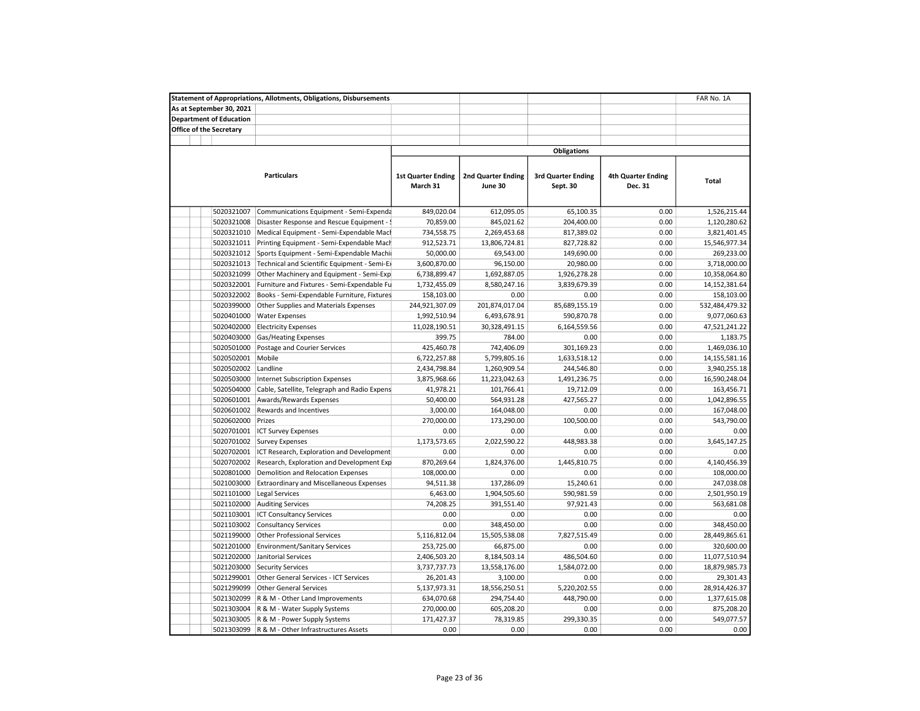|                                | <b>Statement of Appropriations, Allotments, Obligations, Disbursements</b> |                                       |                                      |                                       |                                      | FAR No. 1A     |
|--------------------------------|----------------------------------------------------------------------------|---------------------------------------|--------------------------------------|---------------------------------------|--------------------------------------|----------------|
| As at September 30, 2021       |                                                                            |                                       |                                      |                                       |                                      |                |
| <b>Department of Education</b> |                                                                            |                                       |                                      |                                       |                                      |                |
| <b>Office of the Secretary</b> |                                                                            |                                       |                                      |                                       |                                      |                |
|                                |                                                                            |                                       |                                      |                                       |                                      |                |
|                                |                                                                            |                                       |                                      | <b>Obligations</b>                    |                                      |                |
|                                |                                                                            |                                       |                                      |                                       |                                      |                |
|                                | <b>Particulars</b>                                                         | <b>1st Quarter Ending</b><br>March 31 | <b>2nd Quarter Ending</b><br>June 30 | <b>3rd Quarter Ending</b><br>Sept. 30 | <b>4th Quarter Ending</b><br>Dec. 31 | Total          |
| 5020321007                     | Communications Equipment - Semi-Expenda                                    | 849,020.04                            | 612,095.05                           | 65,100.35                             | 0.00                                 | 1,526,215.44   |
| 5020321008                     | Disaster Response and Rescue Equipment - !                                 | 70,859.00                             | 845,021.62                           | 204,400.00                            | 0.00                                 | 1,120,280.62   |
| 5020321010                     | Medical Equipment - Semi-Expendable Macl                                   | 734,558.75                            | 2,269,453.68                         | 817,389.02                            | 0.00                                 | 3,821,401.45   |
| 5020321011                     | Printing Equipment - Semi-Expendable Mach                                  | 912,523.71                            | 13,806,724.81                        | 827,728.82                            | 0.00                                 | 15,546,977.34  |
| 5020321012                     | Sports Equipment - Semi-Expendable Machi                                   | 50,000.00                             | 69,543.00                            | 149,690.00                            | 0.00                                 | 269,233.00     |
| 5020321013                     | Technical and Scientific Equipment - Semi-Ex                               | 3,600,870.00                          | 96,150.00                            | 20,980.00                             | 0.00                                 | 3,718,000.00   |
| 5020321099                     | Other Machinery and Equipment - Semi-Exp                                   | 6,738,899.47                          | 1,692,887.05                         | 1,926,278.28                          | 0.00                                 | 10,358,064.80  |
| 5020322001                     | Furniture and Fixtures - Semi-Expendable Fu                                | 1,732,455.09                          | 8,580,247.16                         | 3,839,679.39                          | 0.00                                 | 14,152,381.64  |
| 5020322002                     | Books - Semi-Expendable Furniture, Fixtures                                | 158,103.00                            | 0.00                                 | 0.00                                  | 0.00                                 | 158,103.00     |
| 5020399000                     | Other Supplies and Materials Expenses                                      | 244,921,307.09                        | 201,874,017.04                       | 85,689,155.19                         | 0.00                                 | 532,484,479.32 |
| 5020401000                     | <b>Water Expenses</b>                                                      | 1,992,510.94                          | 6,493,678.91                         | 590,870.78                            | 0.00                                 | 9,077,060.63   |
| 5020402000                     | <b>Electricity Expenses</b>                                                | 11,028,190.51                         | 30,328,491.15                        | 6,164,559.56                          | 0.00                                 | 47,521,241.22  |
| 5020403000                     | Gas/Heating Expenses                                                       | 399.75                                | 784.00                               | 0.00                                  | 0.00                                 | 1,183.75       |
| 5020501000                     | Postage and Courier Services                                               | 425,460.78                            | 742,406.09                           | 301,169.23                            | 0.00                                 | 1,469,036.10   |
| 5020502001                     | Mobile                                                                     | 6,722,257.88                          | 5,799,805.16                         | 1,633,518.12                          | 0.00                                 | 14,155,581.16  |
| 5020502002                     | Landline                                                                   | 2,434,798.84                          | 1,260,909.54                         | 244,546.80                            | 0.00                                 | 3,940,255.18   |
| 5020503000                     | <b>Internet Subscription Expenses</b>                                      | 3,875,968.66                          | 11,223,042.63                        | 1,491,236.75                          | 0.00                                 | 16,590,248.04  |
| 5020504000                     | Cable, Satellite, Telegraph and Radio Expens                               | 41,978.21                             | 101,766.41                           | 19,712.09                             | 0.00                                 | 163,456.71     |
| 5020601001                     | Awards/Rewards Expenses                                                    | 50,400.00                             | 564,931.28                           | 427,565.27                            | 0.00                                 | 1,042,896.55   |
| 5020601002                     | Rewards and Incentives                                                     | 3,000.00                              | 164,048.00                           | 0.00                                  | 0.00                                 | 167,048.00     |
| 5020602000                     | Prizes                                                                     | 270,000.00                            | 173,290.00                           | 100,500.00                            | 0.00                                 | 543,790.00     |
| 5020701001                     | <b>ICT Survey Expenses</b>                                                 | 0.00                                  | 0.00                                 | 0.00                                  | 0.00                                 | 0.00           |
| 5020701002                     | <b>Survey Expenses</b>                                                     | 1,173,573.65                          | 2,022,590.22                         | 448,983.38                            | 0.00                                 | 3,645,147.25   |
| 5020702001                     | ICT Research, Exploration and Development                                  | 0.00                                  | 0.00                                 | 0.00                                  | 0.00                                 | 0.00           |
| 5020702002                     | Research, Exploration and Development Exp                                  | 870,269.64                            | 1,824,376.00                         | 1,445,810.75                          | 0.00                                 | 4,140,456.39   |
| 5020801000                     | Demolition and Relocation Expenses                                         | 108,000.00                            | 0.00                                 | 0.00                                  | 0.00                                 | 108,000.00     |
| 5021003000                     | <b>Extraordinary and Miscellaneous Expenses</b>                            | 94,511.38                             | 137,286.09                           | 15,240.61                             | 0.00                                 | 247,038.08     |
| 5021101000                     | <b>Legal Services</b>                                                      | 6,463.00                              | 1,904,505.60                         | 590,981.59                            | 0.00                                 | 2,501,950.19   |
| 5021102000                     |                                                                            | 74,208.25                             | 391,551.40                           | 97,921.43                             | 0.00                                 | 563,681.08     |
| 5021103001                     | <b>Auditing Services</b><br><b>ICT Consultancy Services</b>                |                                       | 0.00                                 | 0.00                                  | 0.00                                 | 0.00           |
| 5021103002                     |                                                                            | 0.00<br>0.00                          | 348,450.00                           | 0.00                                  | 0.00                                 | 348,450.00     |
| 5021199000                     | <b>Consultancy Services</b>                                                |                                       |                                      |                                       |                                      | 28,449,865.61  |
|                                | <b>Other Professional Services</b>                                         | 5,116,812.04                          | 15,505,538.08                        | 7,827,515.49<br>0.00                  | 0.00                                 |                |
| 5021201000                     | <b>Environment/Sanitary Services</b>                                       | 253,725.00                            | 66,875.00                            |                                       | 0.00                                 | 320,600.00     |
| 5021202000                     | Janitorial Services                                                        | 2,406,503.20                          | 8,184,503.14                         | 486,504.60<br>1,584,072.00            | 0.00                                 | 11,077,510.94  |
| 5021203000                     | <b>Security Services</b>                                                   | 3,737,737.73                          | 13,558,176.00                        |                                       | 0.00                                 | 18,879,985.73  |
| 5021299001                     | Other General Services - ICT Services                                      | 26,201.43                             | 3,100.00                             | 0.00                                  | 0.00                                 | 29,301.43      |
| 5021299099                     | <b>Other General Services</b>                                              | 5,137,973.31                          | 18,556,250.51                        | 5,220,202.55                          | 0.00                                 | 28,914,426.37  |
| 5021302099                     | R & M - Other Land Improvements                                            | 634,070.68                            | 294,754.40                           | 448,790.00                            | 0.00                                 | 1,377,615.08   |
| 5021303004                     | R & M - Water Supply Systems                                               | 270,000.00                            | 605,208.20                           | 0.00                                  | 0.00                                 | 875,208.20     |
| 5021303005                     | R & M - Power Supply Systems                                               | 171,427.37                            | 78,319.85                            | 299,330.35                            | 0.00<br>0.00                         | 549,077.57     |
| 5021303099                     | R & M - Other Infrastructures Assets                                       | 0.00                                  | 0.00                                 | 0.00                                  |                                      | 0.00           |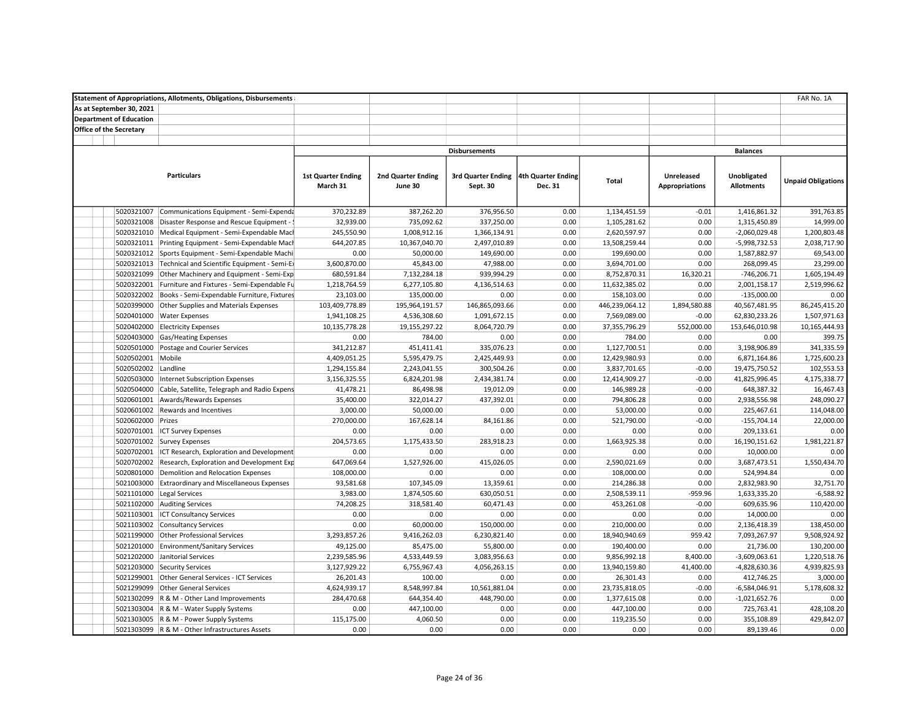|                                | <b>Statement of Appropriations, Allotments, Obligations, Disbursements</b>            |                            |                    |                      |                    |                |                       |                   | FAR No. 1A                |
|--------------------------------|---------------------------------------------------------------------------------------|----------------------------|--------------------|----------------------|--------------------|----------------|-----------------------|-------------------|---------------------------|
| As at September 30, 2021       |                                                                                       |                            |                    |                      |                    |                |                       |                   |                           |
| <b>Department of Education</b> |                                                                                       |                            |                    |                      |                    |                |                       |                   |                           |
| <b>Office of the Secretary</b> |                                                                                       |                            |                    |                      |                    |                |                       |                   |                           |
|                                |                                                                                       |                            |                    |                      |                    |                |                       |                   |                           |
|                                |                                                                                       |                            |                    | <b>Disbursements</b> |                    |                |                       | <b>Balances</b>   |                           |
|                                |                                                                                       |                            |                    |                      |                    |                |                       |                   |                           |
|                                | <b>Particulars</b>                                                                    | <b>1st Quarter Ending</b>  | 2nd Quarter Ending | 3rd Quarter Ending   | 4th Quarter Ending |                | Unreleased            | Unobligated       |                           |
|                                |                                                                                       | March 31                   | June 30            | Sept. 30             | Dec. 31            | <b>Total</b>   | <b>Appropriations</b> | <b>Allotments</b> | <b>Unpaid Obligations</b> |
|                                |                                                                                       |                            |                    |                      |                    |                |                       |                   |                           |
| 5020321007                     |                                                                                       | 370,232.89                 | 387,262.20         | 376,956.50           | 0.00               | 1,134,451.59   | $-0.01$               | 1,416,861.32      | 391,763.85                |
| 5020321008                     | Communications Equipment - Semi-Expenda<br>Disaster Response and Rescue Equipment - ! | 32,939.00                  | 735,092.62         | 337,250.00           | 0.00               | 1,105,281.62   | 0.00                  | 1,315,450.89      | 14,999.00                 |
|                                | 5020321010 Medical Equipment - Semi-Expendable Macl                                   | 245,550.90                 | 1,008,912.16       | 1,366,134.91         | 0.00               | 2,620,597.97   | 0.00                  | $-2,060,029.48$   | 1,200,803.48              |
| 5020321011                     | Printing Equipment - Semi-Expendable Mach                                             | 644,207.85                 | 10,367,040.70      | 2,497,010.89         | 0.00               | 13,508,259.44  | 0.00                  | $-5,998,732.53$   | 2,038,717.90              |
| 5020321012                     | Sports Equipment - Semi-Expendable Machi                                              | 0.00                       | 50,000.00          | 149,690.00           | 0.00               | 199,690.00     | 0.00                  | 1,587,882.97      | 69,543.00                 |
| 5020321013                     |                                                                                       |                            | 45,843.00          | 47,988.00            | 0.00               | 3,694,701.00   | 0.00                  | 268,099.45        | 23,299.00                 |
| 5020321099                     | Technical and Scientific Equipment - Semi-Ex                                          | 3,600,870.00<br>680,591.84 | 7,132,284.18       | 939,994.29           | 0.00               | 8,752,870.31   |                       | $-746,206.71$     | 1,605,194.49              |
| 5020322001                     | Other Machinery and Equipment - Semi-Exp                                              |                            |                    |                      | 0.00               |                | 16,320.21<br>0.00     |                   | 2,519,996.62              |
|                                | Furniture and Fixtures - Semi-Expendable Fu                                           | 1,218,764.59               | 6,277,105.80       | 4,136,514.63         |                    | 11,632,385.02  |                       | 2,001,158.17      |                           |
| 5020322002                     | Books - Semi-Expendable Furniture, Fixtures                                           | 23,103.00                  | 135,000.00         | 0.00                 | 0.00               | 158,103.00     | 0.00                  | $-135,000.00$     | 0.00                      |
| 5020399000                     | Other Supplies and Materials Expenses                                                 | 103,409,778.89             | 195,964,191.57     | 146,865,093.66       | 0.00               | 446,239,064.12 | 1,894,580.88          | 40,567,481.95     | 86,245,415.20             |
| 5020401000                     | <b>Water Expenses</b>                                                                 | 1,941,108.25               | 4,536,308.60       | 1,091,672.15         | 0.00               | 7,569,089.00   | $-0.00$               | 62,830,233.26     | 1,507,971.63              |
| 5020402000                     | <b>Electricity Expenses</b>                                                           | 10,135,778.28              | 19,155,297.22      | 8,064,720.79         | 0.00               | 37,355,796.29  | 552,000.00            | 153,646,010.98    | 10,165,444.93             |
| 5020403000                     | <b>Gas/Heating Expenses</b>                                                           | 0.00                       | 784.00             | 0.00                 | 0.00               | 784.00         | 0.00                  | 0.00              | 399.75                    |
| 5020501000                     | Postage and Courier Services                                                          | 341,212.87                 | 451,411.41         | 335,076.23           | 0.00               | 1,127,700.51   | 0.00                  | 3,198,906.89      | 341,335.59                |
| 5020502001                     | Mobile                                                                                | 4,409,051.25               | 5,595,479.75       | 2,425,449.93         | 0.00               | 12,429,980.93  | 0.00                  | 6,871,164.86      | 1,725,600.23              |
| 5020502002                     | Landline                                                                              | 1,294,155.84               | 2,243,041.55       | 300,504.26           | 0.00               | 3,837,701.65   | $-0.00$               | 19,475,750.52     | 102,553.53                |
| 5020503000                     | Internet Subscription Expenses                                                        | 3,156,325.55               | 6,824,201.98       | 2,434,381.74         | 0.00               | 12,414,909.27  | $-0.00$               | 41,825,996.45     | 4,175,338.77              |
| 5020504000                     | Cable, Satellite, Telegraph and Radio Expens                                          | 41,478.21                  | 86,498.98          | 19,012.09            | 0.00               | 146,989.28     | $-0.00$               | 648,387.32        | 16,467.43                 |
| 5020601001                     | Awards/Rewards Expenses                                                               | 35,400.00                  | 322,014.27         | 437,392.01           | 0.00               | 794,806.28     | 0.00                  | 2,938,556.98      | 248,090.27                |
| 5020601002                     | Rewards and Incentives                                                                | 3,000.00                   | 50,000.00          | 0.00                 | 0.00               | 53,000.00      | 0.00                  | 225,467.61        | 114,048.00                |
| 5020602000                     | Prizes                                                                                | 270,000.00                 | 167,628.14         | 84,161.86            | 0.00               | 521,790.00     | $-0.00$               | $-155,704.14$     | 22,000.00                 |
| 5020701001                     | <b>ICT Survey Expenses</b>                                                            | 0.00                       | 0.00               | 0.00                 | 0.00               | 0.00           | 0.00                  | 209,133.61        | 0.00                      |
| 5020701002                     | <b>Survey Expenses</b>                                                                | 204,573.65                 | 1,175,433.50       | 283,918.23           | 0.00               | 1,663,925.38   | 0.00                  | 16,190,151.62     | 1,981,221.87              |
| 5020702001                     | ICT Research, Exploration and Development                                             | 0.00                       | 0.00               | 0.00                 | 0.00               | 0.00           | 0.00                  | 10,000.00         | 0.00                      |
| 5020702002                     | Research, Exploration and Development Exp                                             | 647,069.64                 | 1,527,926.00       | 415,026.05           | 0.00               | 2,590,021.69   | 0.00                  | 3,687,473.51      | 1,550,434.70              |
| 5020801000                     | Demolition and Relocation Expenses                                                    | 108,000.00                 | 0.00               | 0.00                 | 0.00               | 108,000.00     | 0.00                  | 524,994.84        | 0.00                      |
| 5021003000                     | <b>Extraordinary and Miscellaneous Expenses</b>                                       | 93,581.68                  | 107,345.09         | 13,359.61            | 0.00               | 214,286.38     | 0.00                  | 2,832,983.90      | 32,751.70                 |
| 5021101000                     | Legal Services                                                                        | 3,983.00                   | 1,874,505.60       | 630,050.51           | 0.00               | 2,508,539.11   | $-959.96$             | 1,633,335.20      | $-6,588.92$               |
| 5021102000                     | <b>Auditing Services</b>                                                              | 74,208.25                  | 318,581.40         | 60,471.43            | 0.00               | 453,261.08     | $-0.00$               | 609,635.96        | 110,420.00                |
| 5021103001                     | <b>ICT Consultancy Services</b>                                                       | 0.00                       | 0.00               | 0.00                 | 0.00               | 0.00           | 0.00                  | 14,000.00         | 0.00                      |
| 5021103002                     | <b>Consultancy Services</b>                                                           | 0.00                       | 60,000.00          | 150,000.00           | 0.00               | 210,000.00     | 0.00                  | 2,136,418.39      | 138,450.00                |
| 5021199000                     | <b>Other Professional Services</b>                                                    | 3,293,857.26               | 9,416,262.03       | 6,230,821.40         | 0.00               | 18,940,940.69  | 959.42                | 7,093,267.97      | 9,508,924.92              |
| 5021201000                     | <b>Environment/Sanitary Services</b>                                                  | 49,125.00                  | 85,475.00          | 55,800.00            | 0.00               | 190,400.00     | 0.00                  | 21,736.00         | 130,200.00                |
| 5021202000                     | Janitorial Services                                                                   | 2,239,585.96               | 4,533,449.59       | 3,083,956.63         | 0.00               | 9,856,992.18   | 8,400.00              | $-3,609,063.61$   | 1,220,518.76              |
| 5021203000                     | Security Services                                                                     | 3,127,929.22               | 6,755,967.43       | 4,056,263.15         | 0.00               | 13,940,159.80  | 41,400.00             | $-4,828,630.36$   | 4,939,825.93              |
| 5021299001                     | Other General Services - ICT Services                                                 | 26,201.43                  | 100.00             | 0.00                 | 0.00               | 26,301.43      | 0.00                  | 412,746.25        | 3,000.00                  |
| 5021299099                     | <b>Other General Services</b>                                                         | 4,624,939.17               | 8,548,997.84       | 10,561,881.04        | 0.00               | 23,735,818.05  | $-0.00$               | $-6,584,046.91$   | 5,178,608.32              |
| 5021302099                     | R & M - Other Land Improvements                                                       | 284,470.68                 | 644,354.40         | 448,790.00           | 0.00               | 1,377,615.08   | 0.00                  | $-1,021,652.76$   | 0.00                      |
| 5021303004                     | R & M - Water Supply Systems                                                          | 0.00                       | 447,100.00         | 0.00                 | 0.00               | 447,100.00     | 0.00                  | 725,763.41        | 428,108.20                |
|                                | 5021303005 R & M - Power Supply Systems                                               | 115,175.00                 | 4,060.50           | 0.00                 | 0.00               | 119,235.50     | 0.00                  | 355,108.89        | 429,842.07                |
|                                | 5021303099 R & M - Other Infrastructures Assets                                       | 0.00                       | 0.00               | 0.00                 | 0.00               | 0.00           | 0.00                  | 89,139.46         | 0.00                      |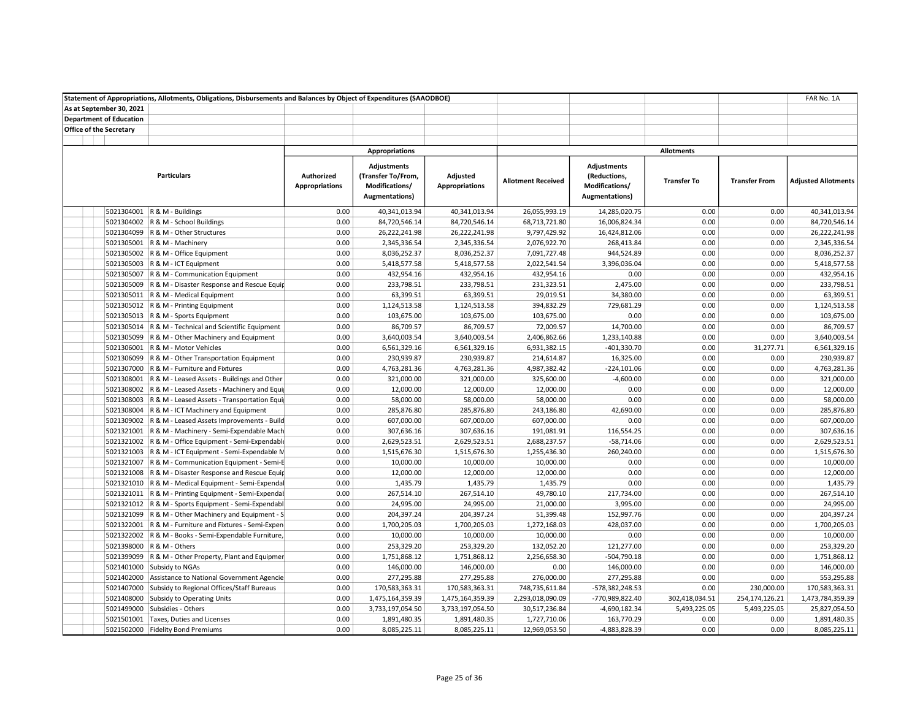|                                | Statement of Appropriations, Allotments, Obligations, Disbursements and Balances by Object of Expenditures (SAAODBOE) |                                     |                                                                                      |                                   |                           |                                                                        |                    |                      | FAR No. 1A                 |
|--------------------------------|-----------------------------------------------------------------------------------------------------------------------|-------------------------------------|--------------------------------------------------------------------------------------|-----------------------------------|---------------------------|------------------------------------------------------------------------|--------------------|----------------------|----------------------------|
| As at September 30, 2021       |                                                                                                                       |                                     |                                                                                      |                                   |                           |                                                                        |                    |                      |                            |
| <b>Department of Education</b> |                                                                                                                       |                                     |                                                                                      |                                   |                           |                                                                        |                    |                      |                            |
| <b>Office of the Secretary</b> |                                                                                                                       |                                     |                                                                                      |                                   |                           |                                                                        |                    |                      |                            |
|                                |                                                                                                                       |                                     |                                                                                      |                                   |                           |                                                                        |                    |                      |                            |
|                                |                                                                                                                       |                                     | <b>Appropriations</b>                                                                |                                   |                           |                                                                        | <b>Allotments</b>  |                      |                            |
|                                | <b>Particulars</b>                                                                                                    | Authorized<br><b>Appropriations</b> | <b>Adjustments</b><br>(Transfer To/From,<br>Modifications/<br><b>Augmentations</b> ) | Adjusted<br><b>Appropriations</b> | <b>Allotment Received</b> | <b>Adjustments</b><br>(Reductions,<br>Modifications/<br>Augmentations) | <b>Transfer To</b> | <b>Transfer From</b> | <b>Adjusted Allotments</b> |
|                                | 5021304001   R & M - Buildings                                                                                        | 0.00                                | 40,341,013.94                                                                        | 40,341,013.94                     | 26,055,993.19             | 14,285,020.75                                                          | 0.00               | 0.00                 | 40,341,013.94              |
|                                | 5021304002 R & M - School Buildings                                                                                   | 0.00                                | 84,720,546.14                                                                        | 84,720,546.14                     | 68,713,721.80             | 16,006,824.34                                                          | 0.00               | 0.00                 | 84,720,546.14              |
|                                | 5021304099 R & M - Other Structures                                                                                   | 0.00                                | 26,222,241.98                                                                        | 26,222,241.98                     | 9,797,429.92              | 16,424,812.06                                                          | 0.00               | 0.00                 | 26,222,241.98              |
|                                | 5021305001 R & M - Machinery                                                                                          | 0.00                                | 2,345,336.54                                                                         | 2,345,336.54                      | 2,076,922.70              | 268,413.84                                                             | 0.00               | 0.00                 | 2,345,336.54               |
|                                | 5021305002 R & M - Office Equipment                                                                                   | 0.00                                | 8,036,252.37                                                                         | 8,036,252.37                      | 7,091,727.48              | 944,524.89                                                             | 0.00               | 0.00                 | 8,036,252.37               |
|                                | 5021305003 R & M - ICT Equipment                                                                                      | 0.00                                | 5,418,577.58                                                                         | 5,418,577.58                      | 2,022,541.54              | 3,396,036.04                                                           | 0.00               | 0.00                 | 5,418,577.58               |
|                                | 5021305007 R & M - Communication Equipment                                                                            | 0.00                                | 432,954.16                                                                           | 432,954.16                        | 432,954.16                | 0.00                                                                   | 0.00               | 0.00                 | 432,954.16                 |
|                                | 5021305009 R & M - Disaster Response and Rescue Equip                                                                 | 0.00                                | 233,798.51                                                                           | 233,798.51                        | 231,323.51                | 2,475.00                                                               | 0.00               | 0.00                 | 233,798.51                 |
|                                | 5021305011 R & M - Medical Equipment                                                                                  | 0.00                                | 63,399.51                                                                            | 63,399.51                         | 29,019.51                 | 34,380.00                                                              | 0.00               | 0.00                 | 63,399.51                  |
|                                | 5021305012 R & M - Printing Equipment                                                                                 | 0.00                                | 1,124,513.58                                                                         | 1,124,513.58                      | 394,832.29                | 729,681.29                                                             | 0.00               | 0.00                 | 1,124,513.58               |
|                                | 5021305013   R & M - Sports Equipment                                                                                 | 0.00                                | 103,675.00                                                                           | 103,675.00                        | 103,675.00                | 0.00                                                                   | 0.00               | 0.00                 | 103,675.00                 |
|                                | 5021305014 R & M - Technical and Scientific Equipment                                                                 | 0.00                                | 86,709.57                                                                            | 86,709.57                         | 72,009.57                 | 14,700.00                                                              | 0.00               | 0.00                 | 86,709.57                  |
|                                | 5021305099 R & M - Other Machinery and Equipment                                                                      | 0.00                                | 3,640,003.54                                                                         | 3,640,003.54                      | 2,406,862.66              | 1,233,140.88                                                           | 0.00               | 0.00                 | 3,640,003.54               |
|                                | 5021306001   R & M - Motor Vehicles                                                                                   | 0.00                                | 6,561,329.16                                                                         | 6,561,329.16                      | 6,931,382.15              | $-401,330.70$                                                          | 0.00               | 31,277.71            | 6,561,329.16               |
|                                | 5021306099 R & M - Other Transportation Equipment                                                                     | 0.00                                | 230,939.87                                                                           | 230,939.87                        | 214,614.87                | 16,325.00                                                              | 0.00               | 0.00                 | 230,939.87                 |
|                                | 5021307000 R & M - Furniture and Fixtures                                                                             | 0.00                                | 4,763,281.36                                                                         | 4,763,281.36                      | 4,987,382.42              | $-224,101.06$                                                          | 0.00               | 0.00                 | 4,763,281.36               |
|                                | 5021308001 R & M - Leased Assets - Buildings and Other                                                                | 0.00                                | 321,000.00                                                                           | 321,000.00                        | 325,600.00                | $-4,600.00$                                                            | 0.00               | 0.00                 | 321,000.00                 |
|                                | 5021308002 R & M - Leased Assets - Machinery and Equip                                                                | 0.00                                | 12,000.00                                                                            | 12,000.00                         | 12,000.00                 | 0.00                                                                   | 0.00               | 0.00                 | 12,000.00                  |
|                                | 5021308003 R & M - Leased Assets - Transportation Equip                                                               | 0.00                                | 58,000.00                                                                            | 58,000.00                         | 58,000.00                 | 0.00                                                                   | 0.00               | 0.00                 | 58,000.00                  |
|                                | 5021308004 R & M - ICT Machinery and Equipment                                                                        | 0.00                                | 285,876.80                                                                           | 285,876.80                        | 243,186.80                | 42,690.00                                                              | 0.00               | 0.00                 | 285,876.80                 |
|                                | 5021309002 R & M - Leased Assets Improvements - Build                                                                 | 0.00                                | 607,000.00                                                                           | 607,000.00                        | 607,000.00                | 0.00                                                                   | 0.00               | 0.00                 | 607,000.00                 |
|                                | 5021321001 R & M - Machinery - Semi-Expendable Mach                                                                   | 0.00                                | 307,636.16                                                                           | 307,636.16                        | 191,081.91                | 116,554.25                                                             | 0.00               | 0.00                 | 307,636.16                 |
|                                | 5021321002 R & M - Office Equipment - Semi-Expendable                                                                 | 0.00                                | 2,629,523.51                                                                         | 2,629,523.51                      | 2,688,237.57              | $-58,714.06$                                                           | 0.00               | 0.00                 | 2,629,523.51               |
|                                | 5021321003 R & M - ICT Equipment - Semi-Expendable M                                                                  | 0.00                                | 1,515,676.30                                                                         | 1,515,676.30                      | 1,255,436.30              | 260,240.00                                                             | 0.00               | 0.00                 | 1,515,676.30               |
|                                | 5021321007 R & M - Communication Equipment - Semi-E                                                                   | 0.00                                | 10,000.00                                                                            | 10,000.00                         | 10,000.00                 | 0.00                                                                   | 0.00               | 0.00                 | 10,000.00                  |
|                                | 5021321008 R & M - Disaster Response and Rescue Equip                                                                 | 0.00                                | 12,000.00                                                                            | 12,000.00                         | 12,000.00                 | 0.00                                                                   | 0.00               | 0.00                 | 12,000.00                  |
|                                | 5021321010 R & M - Medical Equipment - Semi-Expendal                                                                  | 0.00                                | 1,435.79                                                                             | 1,435.79                          | 1,435.79                  | 0.00                                                                   | 0.00               | 0.00                 | 1,435.79                   |
|                                | 5021321011 R & M - Printing Equipment - Semi-Expendal                                                                 | 0.00                                | 267,514.10                                                                           | 267,514.10                        | 49,780.10                 | 217,734.00                                                             | 0.00               | 0.00                 | 267,514.10                 |
|                                | 5021321012 R & M - Sports Equipment - Semi-Expendabl                                                                  | 0.00                                | 24,995.00                                                                            | 24,995.00                         | 21,000.00                 | 3,995.00                                                               | 0.00               | 0.00                 | 24,995.00                  |
|                                | 5021321099 R & M - Other Machinery and Equipment - S                                                                  | 0.00                                | 204,397.24                                                                           | 204,397.24                        | 51,399.48                 | 152,997.76                                                             | 0.00               | 0.00                 | 204,397.24                 |
|                                | 5021322001 R & M - Furniture and Fixtures - Semi-Expen                                                                | 0.00                                | 1,700,205.03                                                                         | 1,700,205.03                      | 1,272,168.03              | 428,037.00                                                             | 0.00               | 0.00                 | 1,700,205.03               |
|                                | 5021322002 R & M - Books - Semi-Expendable Furniture,                                                                 | 0.00                                | 10,000.00                                                                            | 10,000.00                         | 10,000.00                 | 0.00                                                                   | 0.00               | 0.00                 | 10,000.00                  |
|                                | 5021398000 R & M - Others                                                                                             | 0.00                                | 253,329.20                                                                           | 253,329.20                        | 132,052.20                | 121,277.00                                                             | 0.00               | 0.00                 | 253,329.20                 |
|                                | 5021399099 R & M - Other Property, Plant and Equipmer                                                                 | 0.00                                | 1,751,868.12                                                                         | 1,751,868.12                      | 2,256,658.30              | $-504,790.18$                                                          | 0.00               | 0.00                 | 1,751,868.12               |
|                                | 5021401000 Subsidy to NGAs                                                                                            | 0.00                                | 146,000.00                                                                           | 146,000.00                        | 0.00                      | 146,000.00                                                             | 0.00               | 0.00                 | 146,000.00                 |
|                                | 5021402000 Assistance to National Government Agencie                                                                  | 0.00                                | 277,295.88                                                                           | 277,295.88                        | 276,000.00                | 277,295.88                                                             | 0.00               | 0.00                 | 553,295.88                 |
|                                | 5021407000 Subsidy to Regional Offices/Staff Bureaus                                                                  | 0.00                                | 170,583,363.31                                                                       | 170,583,363.31                    | 748,735,611.84            | -578,382,248.53                                                        | 0.00               | 230,000.00           | 170,583,363.31             |
|                                | 5021408000 Subsidy to Operating Units                                                                                 | 0.00                                | 1,475,164,359.39                                                                     | 1,475,164,359.39                  | 2,293,018,090.09          | -770,989,822.40                                                        | 302,418,034.51     | 254,174,126.21       | 1,473,784,359.39           |
|                                | 5021499000 Subsidies - Others                                                                                         | 0.00                                | 3,733,197,054.50                                                                     | 3,733,197,054.50                  | 30,517,236.84             | $-4,690,182.34$                                                        | 5,493,225.05       | 5,493,225.05         | 25,827,054.50              |
|                                | 5021501001 Taxes, Duties and Licenses                                                                                 | 0.00                                | 1,891,480.35                                                                         | 1,891,480.35                      | 1,727,710.06              | 163,770.29                                                             | 0.00               | 0.00                 | 1,891,480.35               |
|                                | 5021502000 Fidelity Bond Premiums                                                                                     | 0.00                                | 8,085,225.11                                                                         | 8,085,225.11                      | 12,969,053.50             | -4,883,828.39                                                          | 0.00               | 0.00                 | 8,085,225.11               |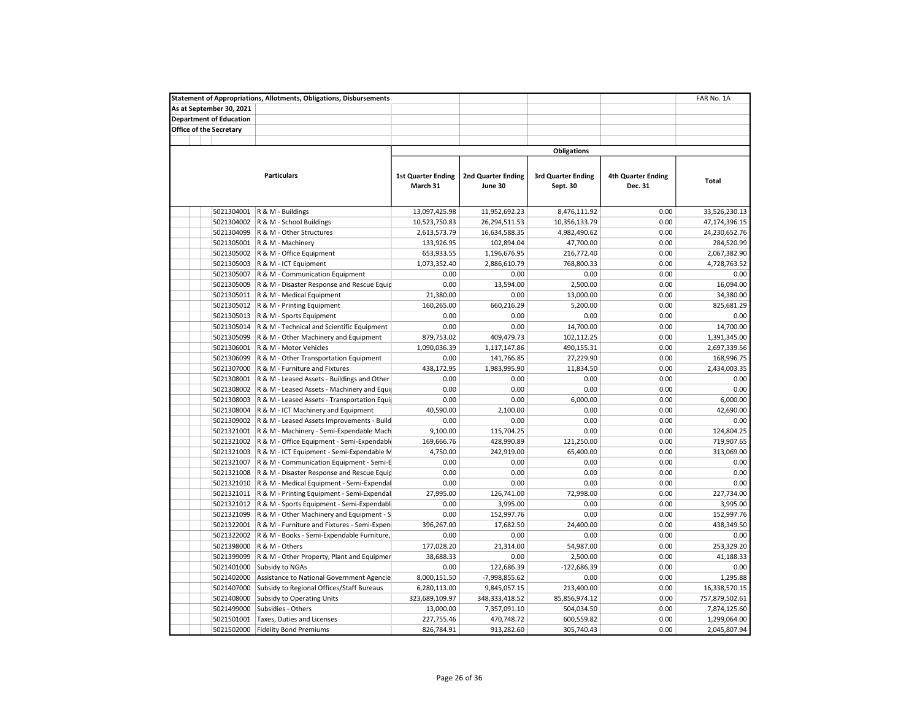|                                | <b>Statement of Appropriations, Allotments, Obligations, Disbursements</b> |                                       |                                      |                                       |                                      | FAR No. 1A     |
|--------------------------------|----------------------------------------------------------------------------|---------------------------------------|--------------------------------------|---------------------------------------|--------------------------------------|----------------|
| As at September 30, 2021       |                                                                            |                                       |                                      |                                       |                                      |                |
| <b>Department of Education</b> |                                                                            |                                       |                                      |                                       |                                      |                |
| <b>Office of the Secretary</b> |                                                                            |                                       |                                      |                                       |                                      |                |
|                                |                                                                            |                                       |                                      |                                       |                                      |                |
|                                |                                                                            |                                       |                                      | <b>Obligations</b>                    |                                      |                |
|                                |                                                                            |                                       |                                      |                                       |                                      |                |
|                                | <b>Particulars</b>                                                         | <b>1st Quarter Ending</b><br>March 31 | <b>2nd Quarter Ending</b><br>June 30 | <b>3rd Quarter Ending</b><br>Sept. 30 | <b>4th Quarter Ending</b><br>Dec. 31 | Total          |
|                                |                                                                            |                                       |                                      |                                       |                                      |                |
| 5021304001                     | R & M - Buildings                                                          | 13,097,425.98                         | 11,952,692.23                        | 8,476,111.92                          | 0.00                                 | 33,526,230.13  |
| 5021304002                     | R & M - School Buildings                                                   | 10,523,750.83                         | 26,294,511.53                        | 10,356,133.79                         | 0.00                                 | 47,174,396.15  |
| 5021304099                     | R & M - Other Structures                                                   | 2,613,573.79                          | 16,634,588.35                        | 4,982,490.62                          | 0.00                                 | 24,230,652.76  |
| 5021305001                     | R & M - Machinery                                                          | 133,926.95                            | 102,894.04                           | 47,700.00                             | 0.00                                 | 284,520.99     |
| 5021305002                     | R & M - Office Equipment                                                   | 653,933.55                            | 1,196,676.95                         | 216,772.40                            | 0.00                                 | 2,067,382.90   |
| 5021305003                     | R & M - ICT Equipment                                                      | 1,073,352.40                          | 2,886,610.79                         | 768,800.33                            | 0.00                                 | 4,728,763.52   |
| 5021305007                     | R & M - Communication Equipment                                            | 0.00                                  | 0.00                                 | 0.00                                  | 0.00                                 | 0.00           |
| 5021305009                     | R & M - Disaster Response and Rescue Equip                                 | 0.00                                  | 13,594.00                            | 2,500.00                              | 0.00                                 | 16,094.00      |
| 5021305011                     | R & M - Medical Equipment                                                  | 21,380.00                             | 0.00                                 | 13,000.00                             | 0.00                                 | 34,380.00      |
| 5021305012                     | R & M - Printing Equipment                                                 | 160,265.00                            | 660,216.29                           | 5,200.00                              | 0.00                                 | 825,681.29     |
| 5021305013                     | R & M - Sports Equipment                                                   | 0.00                                  | 0.00                                 | 0.00                                  | 0.00                                 | 0.00           |
| 5021305014                     | R & M - Technical and Scientific Equipment                                 | 0.00                                  | 0.00                                 | 14,700.00                             | 0.00                                 | 14,700.00      |
| 5021305099                     | R & M - Other Machinery and Equipment                                      | 879,753.02                            | 409,479.73                           | 102,112.25                            | 0.00                                 | 1,391,345.00   |
| 5021306001                     | R & M - Motor Vehicles                                                     | 1,090,036.39                          | 1,117,147.86                         | 490,155.31                            | 0.00                                 | 2,697,339.56   |
| 5021306099                     | R & M - Other Transportation Equipment                                     | 0.00                                  | 141,766.85                           | 27,229.90                             | 0.00                                 | 168,996.75     |
| 5021307000                     | R & M - Furniture and Fixtures                                             | 438,172.95                            | 1,983,995.90                         | 11,834.50                             | 0.00                                 | 2,434,003.35   |
| 5021308001                     | R & M - Leased Assets - Buildings and Other                                | 0.00                                  | 0.00                                 | 0.00                                  | 0.00                                 | 0.00           |
| 5021308002                     | R & M - Leased Assets - Machinery and Equi                                 | 0.00                                  | 0.00                                 | 0.00                                  | 0.00                                 | 0.00           |
| 5021308003                     | R & M - Leased Assets - Transportation Equi                                | 0.00                                  | 0.00                                 | 6,000.00                              | 0.00                                 | 6,000.00       |
| 5021308004                     | R & M - ICT Machinery and Equipment                                        | 40,590.00                             | 2,100.00                             | 0.00                                  | 0.00                                 | 42,690.00      |
| 5021309002                     | R & M - Leased Assets Improvements - Build                                 | 0.00                                  | 0.00                                 | 0.00                                  | 0.00                                 | 0.00           |
| 5021321001                     | R & M - Machinery - Semi-Expendable Mach                                   | 9,100.00                              | 115,704.25                           | 0.00                                  | 0.00                                 | 124,804.25     |
| 5021321002                     | R & M - Office Equipment - Semi-Expendable                                 | 169,666.76                            | 428,990.89                           | 121,250.00                            | 0.00                                 | 719,907.65     |
| 5021321003                     | R & M - ICT Equipment - Semi-Expendable M                                  | 4,750.00                              | 242,919.00                           | 65,400.00                             | 0.00                                 | 313,069.00     |
| 5021321007                     | R & M - Communication Equipment - Semi-E                                   | 0.00                                  | 0.00                                 | 0.00                                  | 0.00                                 | 0.00           |
| 5021321008                     | R & M - Disaster Response and Rescue Equip                                 | 0.00                                  | 0.00                                 | 0.00                                  | 0.00                                 | 0.00           |
| 5021321010                     | R & M - Medical Equipment - Semi-Expendal                                  | 0.00                                  | 0.00                                 | 0.00                                  | 0.00                                 | 0.00           |
| 5021321011                     | R & M - Printing Equipment - Semi-Expendal                                 | 27,995.00                             | 126,741.00                           | 72,998.00                             | 0.00                                 | 227,734.00     |
| 5021321012                     | R & M - Sports Equipment - Semi-Expendabl                                  | 0.00                                  | 3,995.00                             | 0.00                                  | 0.00                                 | 3,995.00       |
| 5021321099                     | R & M - Other Machinery and Equipment - S                                  | 0.00                                  | 152,997.76                           | 0.00                                  | 0.00                                 | 152,997.76     |
| 5021322001                     | R & M - Furniture and Fixtures - Semi-Expen                                | 396,267.00                            | 17,682.50                            | 24,400.00                             | 0.00                                 | 438,349.50     |
| 5021322002                     | R & M - Books - Semi-Expendable Furniture,                                 | 0.00                                  | 0.00                                 | 0.00                                  | 0.00                                 | 0.00           |
| 5021398000                     | R & M - Others                                                             | 177,028.20                            | 21,314.00                            | 54,987.00                             | 0.00                                 | 253,329.20     |
| 5021399099                     | R & M - Other Property, Plant and Equipmer                                 | 38,688.33                             | 0.00                                 | 2,500.00                              | 0.00                                 | 41,188.33      |
| 5021401000                     | Subsidy to NGAs                                                            | 0.00                                  | 122,686.39                           | $-122,686.39$                         | 0.00                                 | 0.00           |
| 5021402000                     | Assistance to National Government Agencie                                  | 8,000,151.50                          | -7,998,855.62                        | 0.00                                  | 0.00                                 | 1,295.88       |
| 5021407000                     | Subsidy to Regional Offices/Staff Bureaus                                  | 6,280,113.00                          | 9,845,057.15                         | 213,400.00                            | 0.00                                 | 16,338,570.15  |
| 5021408000                     | Subsidy to Operating Units                                                 | 323,689,109.97                        | 348, 333, 418.52                     | 85,856,974.12                         | 0.00                                 | 757,879,502.61 |
| 5021499000                     | Subsidies - Others                                                         | 13,000.00                             | 7,357,091.10                         | 504,034.50                            | 0.00                                 | 7,874,125.60   |
| 5021501001                     | Taxes, Duties and Licenses                                                 | 227,755.46                            | 470,748.72                           | 600,559.82                            | 0.00                                 | 1,299,064.00   |
| 5021502000                     | <b>Fidelity Bond Premiums</b>                                              | 826,784.91                            | 913,282.60                           | 305,740.43                            | 0.00                                 | 2,045,807.94   |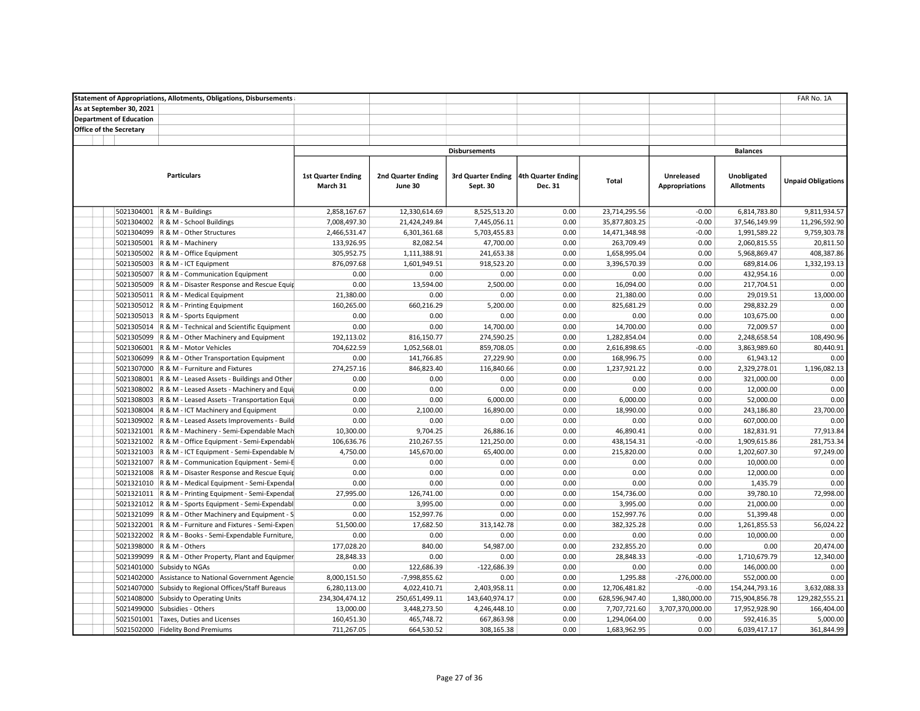| <b>Statement of Appropriations, Allotments, Obligations, Disbursements</b> |                           |                           |                      |                    |                |                       |                   | FAR No. 1A                |
|----------------------------------------------------------------------------|---------------------------|---------------------------|----------------------|--------------------|----------------|-----------------------|-------------------|---------------------------|
| As at September 30, 2021                                                   |                           |                           |                      |                    |                |                       |                   |                           |
| <b>Department of Education</b>                                             |                           |                           |                      |                    |                |                       |                   |                           |
| <b>Office of the Secretary</b>                                             |                           |                           |                      |                    |                |                       |                   |                           |
|                                                                            |                           |                           |                      |                    |                |                       |                   |                           |
|                                                                            |                           |                           | <b>Disbursements</b> |                    |                |                       | <b>Balances</b>   |                           |
|                                                                            |                           |                           |                      |                    |                |                       |                   |                           |
| <b>Particulars</b>                                                         | <b>1st Quarter Ending</b> | <b>2nd Quarter Ending</b> | 3rd Quarter Ending   | 4th Quarter Ending |                | <b>Unreleased</b>     | Unobligated       |                           |
|                                                                            | March 31                  | June 30                   | Sept. 30             | Dec. 31            | Total          | <b>Appropriations</b> | <b>Allotments</b> | <b>Unpaid Obligations</b> |
|                                                                            |                           |                           |                      |                    |                |                       |                   |                           |
| 5021304001<br>R & M - Buildings                                            | 2,858,167.67              | 12,330,614.69             | 8,525,513.20         | 0.00               | 23,714,295.56  | $-0.00$               | 6,814,783.80      | 9,811,934.57              |
| 5021304002 R & M - School Buildings                                        | 7,008,497.30              | 21,424,249.84             | 7,445,056.11         | 0.00               | 35,877,803.25  | $-0.00$               | 37,546,149.99     | 11,296,592.90             |
| 5021304099 R & M - Other Structures                                        | 2,466,531.47              | 6,301,361.68              | 5,703,455.83         | 0.00               | 14,471,348.98  | $-0.00$               | 1,991,589.22      | 9,759,303.78              |
| 5021305001   R & M - Machinery                                             | 133,926.95                | 82,082.54                 | 47,700.00            | 0.00               | 263,709.49     | 0.00                  | 2,060,815.55      | 20,811.50                 |
| 5021305002 R & M - Office Equipment                                        | 305,952.75                | 1,111,388.91              | 241,653.38           | 0.00               | 1,658,995.04   | 0.00                  | 5,968,869.47      | 408,387.86                |
| 5021305003 R & M - ICT Equipment                                           | 876,097.68                | 1,601,949.51              | 918,523.20           | 0.00               | 3,396,570.39   | 0.00                  | 689,814.06        | 1,332,193.13              |
| 5021305007 R & M - Communication Equipment                                 | 0.00                      | 0.00                      | 0.00                 | 0.00               | 0.00           | 0.00                  | 432,954.16        | 0.00                      |
|                                                                            | 0.00                      | 13,594.00                 | 2,500.00             |                    |                | 0.00                  |                   | 0.00                      |
| 5021305009 R & M - Disaster Response and Rescue Equip                      |                           |                           |                      | 0.00               | 16,094.00      |                       | 217,704.51        |                           |
| 5021305011 R & M - Medical Equipment                                       | 21,380.00                 | 0.00                      | 0.00                 | 0.00               | 21,380.00      | 0.00                  | 29,019.51         | 13,000.00                 |
| 5021305012 R & M - Printing Equipment                                      | 160,265.00                | 660,216.29                | 5,200.00             | 0.00               | 825,681.29     | 0.00                  | 298,832.29        | 0.00                      |
| 5021305013 R & M - Sports Equipment                                        | 0.00                      | 0.00                      | 0.00                 | 0.00               | 0.00           | 0.00                  | 103,675.00        | 0.00                      |
| 5021305014 R & M - Technical and Scientific Equipment                      | 0.00                      | 0.00                      | 14,700.00            | 0.00               | 14,700.00      | 0.00                  | 72,009.57         | 0.00                      |
| 5021305099<br>R & M - Other Machinery and Equipment                        | 192,113.02                | 816,150.77                | 274,590.25           | 0.00               | 1,282,854.04   | 0.00                  | 2,248,658.54      | 108,490.96                |
| 5021306001<br>R & M - Motor Vehicles                                       | 704,622.59                | 1,052,568.01              | 859,708.05           | 0.00               | 2,616,898.65   | $-0.00$               | 3,863,989.60      | 80,440.91                 |
| 5021306099<br>R & M - Other Transportation Equipment                       | 0.00                      | 141,766.85                | 27,229.90            | 0.00               | 168,996.75     | 0.00                  | 61,943.12         | 0.00                      |
| 5021307000<br>R & M - Furniture and Fixtures                               | 274,257.16                | 846,823.40                | 116,840.66           | 0.00               | 1,237,921.22   | 0.00                  | 2,329,278.01      | 1,196,082.13              |
| 5021308001 R & M - Leased Assets - Buildings and Other                     | 0.00                      | 0.00                      | 0.00                 | 0.00               | 0.00           | 0.00                  | 321,000.00        | 0.00                      |
| 5021308002 R & M - Leased Assets - Machinery and Equi                      | 0.00                      | 0.00                      | 0.00                 | 0.00               | 0.00           | 0.00                  | 12,000.00         | 0.00                      |
| 5021308003 R & M - Leased Assets - Transportation Equi                     | 0.00                      | 0.00                      | 6,000.00             | 0.00               | 6,000.00       | 0.00                  | 52,000.00         | 0.00                      |
| 5021308004 R & M - ICT Machinery and Equipment                             | 0.00                      | 2,100.00                  | 16,890.00            | 0.00               | 18,990.00      | 0.00                  | 243,186.80        | 23,700.00                 |
| 5021309002<br>R & M - Leased Assets Improvements - Build                   | 0.00                      | 0.00                      | 0.00                 | 0.00               | 0.00           | 0.00                  | 607,000.00        | 0.00                      |
| 5021321001 R & M - Machinery - Semi-Expendable Mach                        | 10,300.00                 | 9,704.25                  | 26,886.16            | 0.00               | 46,890.41      | 0.00                  | 182,831.91        | 77,913.84                 |
| 5021321002 R & M - Office Equipment - Semi-Expendable                      | 106,636.76                | 210,267.55                | 121,250.00           | 0.00               | 438,154.31     | $-0.00$               | 1,909,615.86      | 281,753.34                |
| 5021321003 R & M - ICT Equipment - Semi-Expendable N                       | 4,750.00                  | 145,670.00                | 65,400.00            | 0.00               | 215,820.00     | 0.00                  | 1,202,607.30      | 97,249.00                 |
| 5021321007 R & M - Communication Equipment - Semi-E                        | 0.00                      | 0.00                      | 0.00                 | 0.00               | 0.00           | 0.00                  | 10,000.00         | 0.00                      |
| 5021321008 R & M - Disaster Response and Rescue Equip                      | 0.00                      | 0.00                      | 0.00                 | 0.00               | 0.00           | 0.00                  | 12,000.00         | 0.00                      |
| 5021321010 R & M - Medical Equipment - Semi-Expendal                       | 0.00                      | 0.00                      | 0.00                 | 0.00               | 0.00           | 0.00                  | 1,435.79          | 0.00                      |
| 5021321011 R & M - Printing Equipment - Semi-Expendal                      | 27,995.00                 | 126,741.00                | 0.00                 | 0.00               | 154,736.00     | 0.00                  | 39,780.10         | 72,998.00                 |
| 5021321012 R & M - Sports Equipment - Semi-Expendabl                       | 0.00                      | 3,995.00                  | 0.00                 | 0.00               | 3,995.00       | 0.00                  | 21,000.00         | 0.00                      |
| 5021321099 R & M - Other Machinery and Equipment - S                       | 0.00                      | 152,997.76                | 0.00                 | 0.00               | 152,997.76     | 0.00                  | 51,399.48         | 0.00                      |
| 5021322001 R & M - Furniture and Fixtures - Semi-Expen                     | 51,500.00                 | 17,682.50                 | 313,142.78           | 0.00               | 382,325.28     | 0.00                  | 1,261,855.53      | 56,024.22                 |
| 5021322002 R & M - Books - Semi-Expendable Furniture,                      | 0.00                      | 0.00                      | 0.00                 | 0.00               | 0.00           | 0.00                  | 10,000.00         | 0.00                      |
| 5021398000 R & M - Others                                                  | 177,028.20                | 840.00                    | 54,987.00            | 0.00               | 232,855.20     | 0.00                  | 0.00              | 20,474.00                 |
| 5021399099 R & M - Other Property, Plant and Equipmer                      | 28,848.33                 | 0.00                      | 0.00                 | 0.00               | 28,848.33      | $-0.00$               | 1,710,679.79      | 12,340.00                 |
| 5021401000 Subsidy to NGAs                                                 | 0.00                      | 122,686.39                | $-122,686.39$        | 0.00               | 0.00           | 0.00                  | 146,000.00        | 0.00                      |
| 5021402000<br>Assistance to National Government Agencie                    | 8,000,151.50              | -7,998,855.62             | 0.00                 | 0.00               | 1,295.88       | $-276,000.00$         | 552,000.00        | 0.00                      |
| 5021407000<br>Subsidy to Regional Offices/Staff Bureaus                    | 6,280,113.00              | 4,022,410.71              | 2,403,958.11         | 0.00               | 12,706,481.82  | $-0.00$               | 154,244,793.16    | 3,632,088.33              |
| 5021408000<br>Subsidy to Operating Units                                   | 234,304,474.12            | 250,651,499.11            | 143,640,974.17       | 0.00               | 628,596,947.40 | 1,380,000.00          | 715,904,856.78    | 129,282,555.21            |
| 5021499000<br>Subsidies - Others                                           | 13,000.00                 | 3,448,273.50              | 4,246,448.10         | 0.00               | 7,707,721.60   | 3,707,370,000.00      | 17,952,928.90     | 166,404.00                |
| 5021501001 Taxes, Duties and Licenses                                      | 160,451.30                | 465,748.72                | 667,863.98           | 0.00               | 1,294,064.00   | 0.00                  | 592,416.35        | 5,000.00                  |
| 5021502000 Fidelity Bond Premiums                                          | 711,267.05                | 664,530.52                | 308,165.38           | 0.00               | 1,683,962.95   | 0.00                  | 6,039,417.17      | 361,844.99                |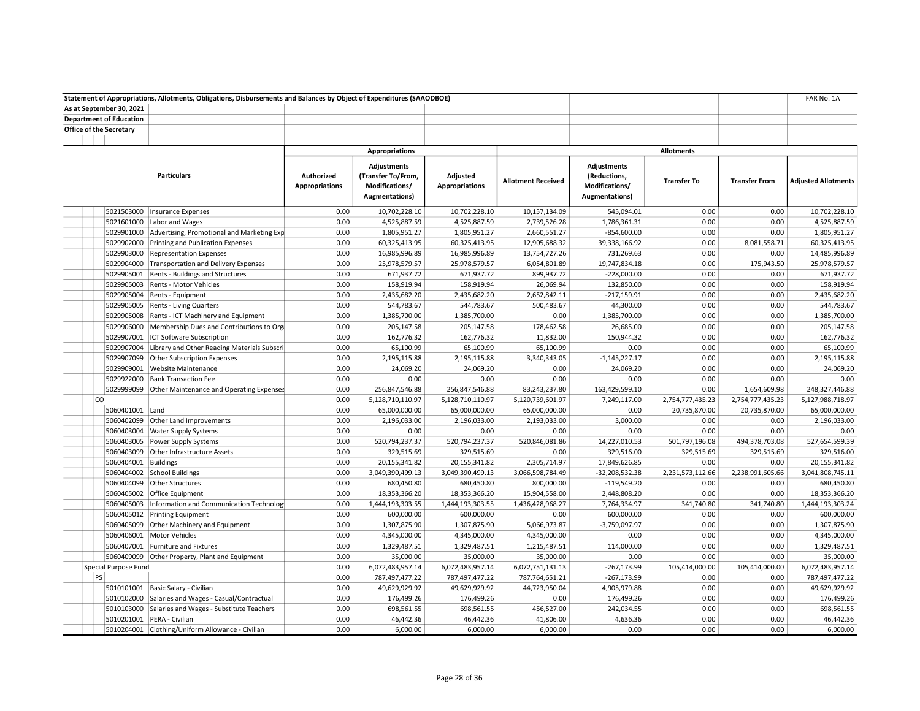|                                | Statement of Appropriations, Allotments, Obligations, Disbursements and Balances by Object of Expenditures (SAAODBOE) |                                     |                                                                              |                                   |                           |                                                                        |                    |                        | FAR No. 1A                 |
|--------------------------------|-----------------------------------------------------------------------------------------------------------------------|-------------------------------------|------------------------------------------------------------------------------|-----------------------------------|---------------------------|------------------------------------------------------------------------|--------------------|------------------------|----------------------------|
| As at September 30, 2021       |                                                                                                                       |                                     |                                                                              |                                   |                           |                                                                        |                    |                        |                            |
| <b>Department of Education</b> |                                                                                                                       |                                     |                                                                              |                                   |                           |                                                                        |                    |                        |                            |
| <b>Office of the Secretary</b> |                                                                                                                       |                                     |                                                                              |                                   |                           |                                                                        |                    |                        |                            |
|                                |                                                                                                                       |                                     |                                                                              |                                   |                           |                                                                        |                    |                        |                            |
|                                |                                                                                                                       |                                     | Appropriations                                                               |                                   |                           |                                                                        | <b>Allotments</b>  |                        |                            |
|                                | <b>Particulars</b>                                                                                                    | Authorized<br><b>Appropriations</b> | <b>Adjustments</b><br>(Transfer To/From,<br>Modifications/<br>Augmentations) | Adjusted<br><b>Appropriations</b> | <b>Allotment Received</b> | <b>Adjustments</b><br>(Reductions,<br>Modifications/<br>Augmentations) | <b>Transfer To</b> | <b>Transfer From</b>   | <b>Adjusted Allotments</b> |
| 5021503000                     | Insurance Expenses                                                                                                    | 0.00                                | 10,702,228.10                                                                | 10,702,228.10                     | 10,157,134.09             | 545,094.01                                                             | 0.00               | 0.00                   | 10,702,228.10              |
|                                | 5021601000 Labor and Wages                                                                                            | 0.00                                | 4,525,887.59                                                                 | 4,525,887.59                      | 2,739,526.28              | 1,786,361.31                                                           | 0.00               | 0.00                   | 4,525,887.59               |
|                                | 5029901000 Advertising, Promotional and Marketing Exp                                                                 | 0.00                                | 1,805,951.27                                                                 | 1,805,951.27                      | 2,660,551.27              | $-854,600.00$                                                          | 0.00               | 0.00                   | 1,805,951.27               |
|                                | 5029902000 Printing and Publication Expenses                                                                          | 0.00                                | 60,325,413.95                                                                | 60,325,413.95                     | 12,905,688.32             | 39,338,166.92                                                          | 0.00               | 8,081,558.71           | 60,325,413.95              |
| 5029903000                     | <b>Representation Expenses</b>                                                                                        | 0.00                                | 16,985,996.89                                                                | 16,985,996.89                     | 13,754,727.26             | 731,269.63                                                             | 0.00               | 0.00                   | 14,485,996.89              |
| 5029904000                     | Transportation and Delivery Expenses                                                                                  | 0.00                                | 25,978,579.57                                                                | 25,978,579.57                     | 6,054,801.89              | 19,747,834.18                                                          | 0.00               | 175,943.50             | 25,978,579.57              |
|                                | 5029905001 Rents - Buildings and Structures                                                                           | 0.00                                | 671,937.72                                                                   | 671,937.72                        | 899,937.72                | $-228,000.00$                                                          | 0.00               | 0.00                   | 671,937.72                 |
|                                | 5029905003 Rents - Motor Vehicles                                                                                     | 0.00                                | 158,919.94                                                                   | 158,919.94                        | 26,069.94                 | 132,850.00                                                             | 0.00               | 0.00                   | 158,919.94                 |
|                                | 5029905004 Rents - Equipment                                                                                          | 0.00                                | 2,435,682.20                                                                 | 2,435,682.20                      | 2,652,842.11              | $-217,159.91$                                                          | 0.00               | 0.00                   | 2,435,682.20               |
|                                | 5029905005 Rents - Living Quarters                                                                                    | 0.00                                | 544,783.67                                                                   | 544,783.67                        | 500,483.67                | 44,300.00                                                              | 0.00               | 0.00                   | 544,783.67                 |
|                                | 5029905008   Rents - ICT Machinery and Equipment                                                                      | 0.00                                | 1,385,700.00                                                                 | 1,385,700.00                      | 0.00                      | 1,385,700.00                                                           | 0.00               | 0.00                   | 1,385,700.00               |
|                                | 5029906000 Membership Dues and Contributions to Org                                                                   | 0.00                                | 205,147.58                                                                   | 205,147.58                        | 178,462.58                | 26,685.00                                                              | 0.00               | 0.00                   | 205,147.58                 |
|                                | 5029907001 ICT Software Subscription                                                                                  | 0.00                                | 162,776.32                                                                   | 162,776.32                        | 11,832.00                 | 150,944.32                                                             | 0.00               | 0.00                   | 162,776.32                 |
| 5029907004                     | Library and Other Reading Materials Subscri                                                                           | 0.00                                | 65,100.99                                                                    | 65,100.99                         | 65,100.99                 | 0.00                                                                   | 0.00               | 0.00                   | 65,100.99                  |
|                                | 5029907099 Other Subscription Expenses                                                                                | 0.00                                | 2,195,115.88                                                                 | 2,195,115.88                      | 3,340,343.05              | $-1,145,227.17$                                                        | 0.00               | 0.00                   | 2,195,115.88               |
|                                | 5029909001 Website Maintenance                                                                                        | 0.00                                | 24,069.20                                                                    | 24,069.20                         | 0.00                      | 24,069.20                                                              | 0.00               | 0.00                   | 24,069.20                  |
|                                | 5029922000 Bank Transaction Fee                                                                                       | 0.00                                | 0.00                                                                         | 0.00                              | 0.00                      | 0.00                                                                   | 0.00               | 0.00                   | 0.00                       |
|                                | 5029999099 Other Maintenance and Operating Expenses                                                                   | 0.00                                | 256,847,546.88                                                               | 256,847,546.88                    | 83,243,237.80             | 163,429,599.10                                                         | 0.00               | 1,654,609.98           | 248,327,446.88             |
| <b>CO</b>                      |                                                                                                                       | 0.00                                | 5,128,710,110.97                                                             | 5,128,710,110.97                  | 5,120,739,601.97          | 7,249,117.00                                                           | 2,754,777,435.23   | 2,754,777,435.23       | 5,127,988,718.97           |
| 5060401001 Land                |                                                                                                                       | 0.00                                | 65,000,000.00                                                                | 65,000,000.00                     | 65,000,000.00             | 0.00                                                                   | 20,735,870.00      | 20,735,870.00          | 65,000,000.00              |
|                                | 5060402099 Other Land Improvements                                                                                    | 0.00                                | 2,196,033.00                                                                 | 2,196,033.00                      | 2,193,033.00              | 3,000.00                                                               | 0.00               | 0.00                   | 2,196,033.00               |
|                                | 5060403004 Water Supply Systems                                                                                       | 0.00                                | 0.00                                                                         | 0.00                              | 0.00                      | 0.00                                                                   | 0.00               | 0.00                   | 0.00                       |
|                                | 5060403005 Power Supply Systems                                                                                       | 0.00                                | 520,794,237.37                                                               | 520,794,237.37                    | 520,846,081.86            | 14,227,010.53                                                          | 501,797,196.08     | 494,378,703.08         | 527,654,599.39             |
|                                | 5060403099 Other Infrastructure Assets                                                                                | 0.00                                | 329,515.69                                                                   | 329,515.69                        | 0.00                      | 329,516.00                                                             | 329,515.69         | 329,515.69             | 329,516.00                 |
|                                | 5060404001 Buildings                                                                                                  | 0.00                                | 20,155,341.82                                                                | 20,155,341.82                     | 2,305,714.97              | 17,849,626.85                                                          | 0.00               | 0.00                   | 20,155,341.82              |
|                                | 5060404002 School Buildings                                                                                           | 0.00                                | 3,049,390,499.13                                                             | 3,049,390,499.13                  | 3,066,598,784.49          | $-32,208,532.38$                                                       | 2,231,573,112.66   | 2,238,991,605.66       | 3,041,808,745.11           |
|                                | 5060404099 Other Structures                                                                                           | 0.00                                | 680,450.80                                                                   | 680,450.80                        | 800,000.00                | $-119,549.20$                                                          | 0.00               | 0.00                   | 680,450.80                 |
|                                | 5060405002 Office Equipment                                                                                           | 0.00                                | 18,353,366.20                                                                | 18,353,366.20                     | 15,904,558.00             | 2,448,808.20                                                           | 0.00               | 0.00                   | 18,353,366.20              |
| 5060405003                     | Information and Communication Technology                                                                              | 0.00                                | 1,444,193,303.55                                                             | 1,444,193,303.55                  | 1,436,428,968.27          | 7,764,334.97                                                           | 341,740.80         | 341,740.80             | 1,444,193,303.24           |
|                                | 5060405012 Printing Equipment                                                                                         | 0.00                                | 600,000.00                                                                   | 600,000.00                        | 0.00                      | 600,000.00                                                             | 0.00               | 0.00                   | 600,000.00                 |
|                                | 5060405099 Other Machinery and Equipment                                                                              | 0.00                                | 1,307,875.90                                                                 | 1,307,875.90                      | 5,066,973.87              | $-3,759,097.97$                                                        | 0.00               | 0.00                   | 1,307,875.90               |
|                                | 5060406001 Motor Vehicles                                                                                             | 0.00                                | 4,345,000.00                                                                 | 4,345,000.00                      | 4,345,000.00              | 0.00                                                                   | 0.00               | 0.00                   | 4,345,000.00               |
|                                | 5060407001 Furniture and Fixtures                                                                                     | 0.00                                |                                                                              |                                   |                           | 114,000.00                                                             | 0.00               | 0.00                   | 1,329,487.51               |
|                                |                                                                                                                       | 0.00                                | 1,329,487.51<br>35,000.00                                                    | 1,329,487.51                      | 1,215,487.51              | 0.00                                                                   | 0.00               | 0.00                   | 35,000.00                  |
|                                | 5060409099 Other Property, Plant and Equipment                                                                        |                                     |                                                                              | 35,000.00                         | 35,000.00                 |                                                                        |                    |                        |                            |
| Special Purpose Fund<br>PS     |                                                                                                                       | 0.00                                | 6,072,483,957.14                                                             | 6,072,483,957.14                  | 6,072,751,131.13          | $-267,173.99$                                                          | 105,414,000.00     | 105,414,000.00<br>0.00 | 6,072,483,957.14           |
|                                |                                                                                                                       | 0.00                                | 787,497,477.22                                                               | 787,497,477.22                    | 787,764,651.21            | $-267,173.99$                                                          | 0.00               |                        | 787,497,477.22             |
|                                | 5010101001 Basic Salary - Civilian                                                                                    | 0.00                                | 49,629,929.92                                                                | 49,629,929.92                     | 44,723,950.04             | 4,905,979.88                                                           | 0.00               | 0.00                   | 49,629,929.92              |
|                                | 5010102000 Salaries and Wages - Casual/Contractual                                                                    | 0.00                                | 176,499.26                                                                   | 176,499.26                        | 0.00                      | 176,499.26                                                             | 0.00               | 0.00                   | 176,499.26                 |
|                                | 5010103000 Salaries and Wages - Substitute Teachers                                                                   | 0.00                                | 698,561.55                                                                   | 698,561.55                        | 456,527.00                | 242,034.55                                                             | 0.00               | 0.00                   | 698,561.55                 |
|                                | 5010201001 PERA - Civilian                                                                                            | 0.00                                | 46,442.36                                                                    | 46,442.36                         | 41,806.00                 | 4,636.36                                                               | 0.00               | 0.00                   | 46,442.36                  |
|                                | 5010204001 Clothing/Uniform Allowance - Civilian                                                                      | 0.00                                | 6,000.00                                                                     | 6,000.00                          | 6,000.00                  | 0.00                                                                   | 0.00               | 0.00                   | 6,000.00                   |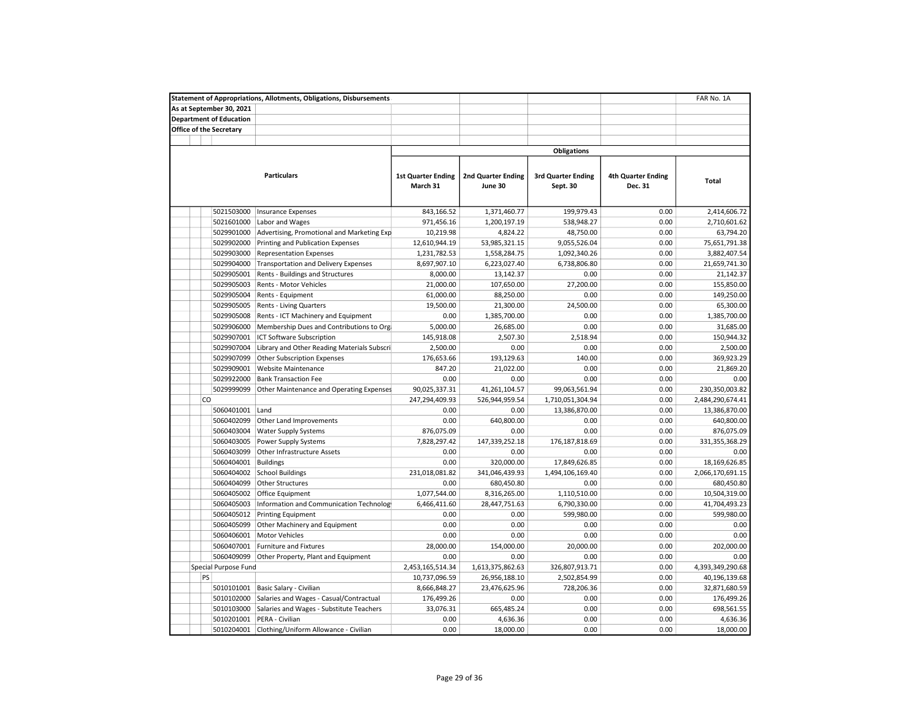| <b>Statement of Appropriations, Allotments, Obligations, Disbursements</b><br>FAR No. 1A |                                             |                           |                           |                           |                           |                  |  |  |  |  |
|------------------------------------------------------------------------------------------|---------------------------------------------|---------------------------|---------------------------|---------------------------|---------------------------|------------------|--|--|--|--|
| As at September 30, 2021                                                                 |                                             |                           |                           |                           |                           |                  |  |  |  |  |
| <b>Department of Education</b>                                                           |                                             |                           |                           |                           |                           |                  |  |  |  |  |
| Office of the Secretary                                                                  |                                             |                           |                           |                           |                           |                  |  |  |  |  |
|                                                                                          |                                             |                           |                           |                           |                           |                  |  |  |  |  |
|                                                                                          |                                             |                           |                           | <b>Obligations</b>        |                           |                  |  |  |  |  |
|                                                                                          | <b>Particulars</b>                          | <b>1st Quarter Ending</b> | <b>2nd Quarter Ending</b> | <b>3rd Quarter Ending</b> | <b>4th Quarter Ending</b> |                  |  |  |  |  |
|                                                                                          |                                             | March 31                  | June 30                   | Sept. 30                  | Dec. 31                   | Total            |  |  |  |  |
| 5021503000                                                                               | <b>Insurance Expenses</b>                   | 843,166.52                | 1,371,460.77              | 199,979.43                | 0.00                      | 2,414,606.72     |  |  |  |  |
| 5021601000                                                                               | Labor and Wages                             | 971,456.16                | 1,200,197.19              | 538,948.27                | 0.00                      | 2,710,601.62     |  |  |  |  |
| 5029901000                                                                               | Advertising, Promotional and Marketing Exp  | 10,219.98                 | 4,824.22                  | 48,750.00                 | 0.00                      | 63,794.20        |  |  |  |  |
| 5029902000                                                                               | Printing and Publication Expenses           | 12,610,944.19             | 53,985,321.15             | 9,055,526.04              | 0.00                      | 75,651,791.38    |  |  |  |  |
| 5029903000                                                                               | <b>Representation Expenses</b>              | 1,231,782.53              | 1,558,284.75              | 1,092,340.26              | 0.00                      | 3,882,407.54     |  |  |  |  |
| 5029904000                                                                               | <b>Transportation and Delivery Expenses</b> | 8,697,907.10              | 6,223,027.40              | 6,738,806.80              | 0.00                      | 21,659,741.30    |  |  |  |  |
| 5029905001                                                                               | Rents - Buildings and Structures            | 8,000.00                  | 13,142.37                 | 0.00                      | 0.00                      | 21,142.37        |  |  |  |  |
| 5029905003                                                                               | Rents - Motor Vehicles                      | 21,000.00                 | 107,650.00                | 27,200.00                 | 0.00                      | 155,850.00       |  |  |  |  |
| 5029905004                                                                               | Rents - Equipment                           | 61,000.00                 | 88,250.00                 | 0.00                      | 0.00                      | 149,250.00       |  |  |  |  |
| 5029905005                                                                               | Rents - Living Quarters                     | 19,500.00                 | 21,300.00                 | 24,500.00                 | 0.00                      | 65,300.00        |  |  |  |  |
| 5029905008                                                                               | Rents - ICT Machinery and Equipment         | 0.00                      | 1,385,700.00              | 0.00                      | 0.00                      | 1,385,700.00     |  |  |  |  |
| 5029906000                                                                               | Membership Dues and Contributions to Org    | 5,000.00                  | 26,685.00                 | 0.00                      | 0.00                      | 31,685.00        |  |  |  |  |
| 5029907001                                                                               | ICT Software Subscription                   | 145,918.08                | 2,507.30                  | 2,518.94                  | 0.00                      | 150,944.32       |  |  |  |  |
| 5029907004                                                                               | Library and Other Reading Materials Subscri | 2,500.00                  | 0.00                      | 0.00                      | 0.00                      | 2,500.00         |  |  |  |  |
| 5029907099                                                                               | <b>Other Subscription Expenses</b>          | 176,653.66                | 193,129.63                | 140.00                    | 0.00                      | 369,923.29       |  |  |  |  |
| 5029909001                                                                               | <b>Website Maintenance</b>                  | 847.20                    | 21,022.00                 | 0.00                      | 0.00                      | 21,869.20        |  |  |  |  |
| 5029922000                                                                               | <b>Bank Transaction Fee</b>                 | 0.00                      | 0.00                      | 0.00                      | 0.00                      | 0.00             |  |  |  |  |
| 5029999099                                                                               | Other Maintenance and Operating Expenses    | 90,025,337.31             | 41,261,104.57             | 99,063,561.94             | 0.00                      | 230,350,003.82   |  |  |  |  |
| <b>CO</b>                                                                                |                                             | 247,294,409.93            | 526,944,959.54            | 1,710,051,304.94          | 0.00                      | 2,484,290,674.41 |  |  |  |  |
| 5060401001                                                                               | Land                                        | 0.00                      | 0.00                      | 13,386,870.00             | 0.00                      | 13,386,870.00    |  |  |  |  |
| 5060402099                                                                               | Other Land Improvements                     | 0.00                      | 640,800.00                | 0.00                      | 0.00                      | 640,800.00       |  |  |  |  |
| 5060403004                                                                               | <b>Water Supply Systems</b>                 | 876,075.09                | 0.00                      | 0.00                      | 0.00                      | 876,075.09       |  |  |  |  |
| 5060403005                                                                               | Power Supply Systems                        | 7,828,297.42              | 147,339,252.18            | 176,187,818.69            | 0.00                      | 331,355,368.29   |  |  |  |  |
| 5060403099                                                                               | Other Infrastructure Assets                 | 0.00                      | 0.00                      | 0.00                      | 0.00                      | 0.00             |  |  |  |  |
| 5060404001                                                                               | <b>Buildings</b>                            | 0.00                      | 320,000.00                | 17,849,626.85             | 0.00                      | 18,169,626.85    |  |  |  |  |
| 5060404002                                                                               | <b>School Buildings</b>                     | 231,018,081.82            | 341,046,439.93            | 1,494,106,169.40          | 0.00                      | 2,066,170,691.15 |  |  |  |  |
| 5060404099                                                                               | Other Structures                            | 0.00                      | 680,450.80                | 0.00                      | 0.00                      | 680,450.80       |  |  |  |  |
| 5060405002                                                                               | Office Equipment                            | 1,077,544.00              | 8,316,265.00              | 1,110,510.00              | 0.00                      | 10,504,319.00    |  |  |  |  |
| 5060405003                                                                               | Information and Communication Technolog     | 6,466,411.60              | 28,447,751.63             | 6,790,330.00              | 0.00                      | 41,704,493.23    |  |  |  |  |
| 5060405012                                                                               | <b>Printing Equipment</b>                   | 0.00                      | 0.00                      | 599,980.00                | 0.00                      | 599,980.00       |  |  |  |  |
| 5060405099                                                                               | Other Machinery and Equipment               | 0.00                      | 0.00                      | 0.00                      | 0.00                      | 0.00             |  |  |  |  |
| 5060406001                                                                               | <b>Motor Vehicles</b>                       | 0.00                      | 0.00                      | 0.00                      | 0.00                      | 0.00             |  |  |  |  |
| 5060407001                                                                               | <b>Furniture and Fixtures</b>               | 28,000.00                 | 154,000.00                | 20,000.00                 | 0.00                      | 202,000.00       |  |  |  |  |
| 5060409099                                                                               | Other Property, Plant and Equipment         | 0.00                      | 0.00                      | 0.00                      | 0.00                      | 0.00             |  |  |  |  |
| Special Purpose Fund                                                                     |                                             | 2,453,165,514.34          | 1,613,375,862.63          | 326,807,913.71            | 0.00                      | 4,393,349,290.68 |  |  |  |  |
| PS                                                                                       |                                             | 10,737,096.59             | 26,956,188.10             | 2,502,854.99              | 0.00                      | 40,196,139.68    |  |  |  |  |
| 5010101001                                                                               | Basic Salary - Civilian                     | 8,666,848.27              | 23,476,625.96             | 728,206.36                | 0.00                      | 32,871,680.59    |  |  |  |  |
| 5010102000                                                                               | Salaries and Wages - Casual/Contractual     | 176,499.26                | 0.00                      | 0.00                      | 0.00                      | 176,499.26       |  |  |  |  |
| 5010103000                                                                               | Salaries and Wages - Substitute Teachers    | 33,076.31                 | 665,485.24                | 0.00                      | 0.00                      | 698,561.55       |  |  |  |  |
| 5010201001                                                                               | PERA - Civilian                             | 0.00                      | 4,636.36                  | 0.00                      | 0.00                      | 4,636.36         |  |  |  |  |
| 5010204001                                                                               | Clothing/Uniform Allowance - Civilian       | 0.00                      | 18,000.00                 | 0.00                      | 0.00                      | 18,000.00        |  |  |  |  |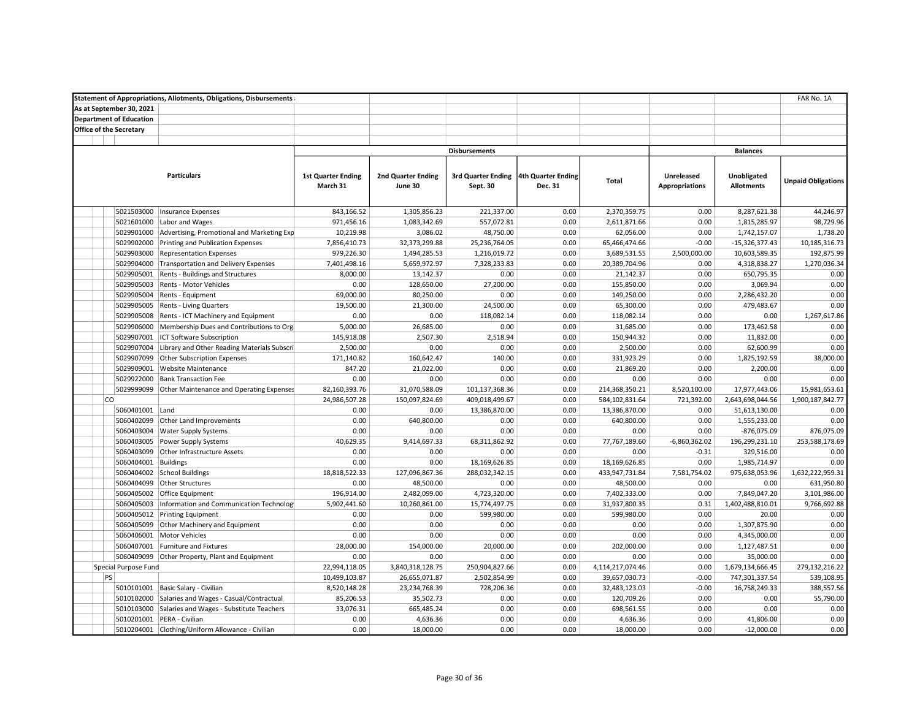|                                | <b>Statement of Appropriations, Allotments, Obligations, Disbursements</b> |                           |                           |                                       |         |                  |                       |                   | FAR No. 1A                |
|--------------------------------|----------------------------------------------------------------------------|---------------------------|---------------------------|---------------------------------------|---------|------------------|-----------------------|-------------------|---------------------------|
| As at September 30, 2021       |                                                                            |                           |                           |                                       |         |                  |                       |                   |                           |
| <b>Department of Education</b> |                                                                            |                           |                           |                                       |         |                  |                       |                   |                           |
| Office of the Secretary        |                                                                            |                           |                           |                                       |         |                  |                       |                   |                           |
|                                |                                                                            |                           |                           |                                       |         |                  |                       |                   |                           |
|                                |                                                                            |                           |                           | <b>Disbursements</b>                  |         |                  |                       | <b>Balances</b>   |                           |
|                                |                                                                            |                           |                           |                                       |         |                  |                       |                   |                           |
|                                | <b>Particulars</b>                                                         | <b>1st Quarter Ending</b> | <b>2nd Quarter Ending</b> | 3rd Quarter Ending 4th Quarter Ending |         |                  | <b>Unreleased</b>     | Unobligated       |                           |
|                                |                                                                            | March 31                  | June 30                   | Sept. 30                              | Dec. 31 | <b>Total</b>     | <b>Appropriations</b> | <b>Allotments</b> | <b>Unpaid Obligations</b> |
|                                |                                                                            |                           |                           |                                       |         |                  |                       |                   |                           |
|                                |                                                                            |                           |                           |                                       |         |                  |                       |                   |                           |
| 5021503000                     | <b>Insurance Expenses</b>                                                  | 843,166.52                | 1,305,856.23              | 221,337.00                            | 0.00    | 2,370,359.75     | 0.00                  | 8,287,621.38      | 44,246.97                 |
| 5021601000                     | Labor and Wages                                                            | 971,456.16                | 1,083,342.69              | 557,072.81                            | 0.00    | 2,611,871.66     | 0.00                  | 1,815,285.97      | 98,729.96                 |
| 5029901000                     | Advertising, Promotional and Marketing Exp                                 | 10,219.98                 | 3,086.02                  | 48,750.00                             | 0.00    | 62,056.00        | 0.00                  | 1,742,157.07      | 1,738.20                  |
| 5029902000                     | Printing and Publication Expenses                                          | 7,856,410.73              | 32,373,299.88             | 25,236,764.05                         | 0.00    | 65,466,474.66    | $-0.00$               | $-15,326,377.43$  | 10,185,316.73             |
| 5029903000                     | <b>Representation Expenses</b>                                             | 979,226.30                | 1,494,285.53              | 1,216,019.72                          | 0.00    | 3,689,531.55     | 2,500,000.00          | 10,603,589.35     | 192,875.99                |
| 5029904000                     | Transportation and Delivery Expenses                                       | 7,401,498.16              | 5,659,972.97              | 7,328,233.83                          | 0.00    | 20,389,704.96    | 0.00                  | 4,318,838.27      | 1,270,036.34              |
| 5029905001                     | Rents - Buildings and Structures                                           | 8,000.00                  | 13,142.37                 | 0.00                                  | 0.00    | 21,142.37        | 0.00                  | 650,795.35        | 0.00                      |
| 5029905003                     | Rents - Motor Vehicles                                                     | 0.00                      | 128,650.00                | 27,200.00                             | 0.00    | 155,850.00       | 0.00                  | 3,069.94          | 0.00                      |
| 5029905004                     | Rents - Equipment                                                          | 69,000.00                 | 80,250.00                 | 0.00                                  | 0.00    | 149,250.00       | 0.00                  | 2,286,432.20      | 0.00                      |
| 5029905005                     | Rents - Living Quarters                                                    | 19,500.00                 | 21,300.00                 | 24,500.00                             | 0.00    | 65,300.00        | 0.00                  | 479,483.67        | 0.00                      |
| 5029905008                     | Rents - ICT Machinery and Equipment                                        | 0.00                      | 0.00                      | 118,082.14                            | 0.00    | 118,082.14       | 0.00                  | 0.00              | 1,267,617.86              |
| 5029906000                     | Membership Dues and Contributions to Org                                   | 5,000.00                  | 26,685.00                 | 0.00                                  | 0.00    | 31,685.00        | 0.00                  | 173,462.58        | 0.00                      |
| 5029907001                     | ICT Software Subscription                                                  | 145,918.08                | 2,507.30                  | 2,518.94                              | 0.00    | 150,944.32       | 0.00                  | 11,832.00         | 0.00                      |
| 5029907004                     | Library and Other Reading Materials Subscri                                | 2,500.00                  | 0.00                      | 0.00                                  | 0.00    | 2,500.00         | 0.00                  | 62,600.99         | 0.00                      |
| 5029907099                     | Other Subscription Expenses                                                | 171,140.82                | 160,642.47                | 140.00                                | 0.00    | 331,923.29       | 0.00                  | 1,825,192.59      | 38,000.00                 |
| 5029909001                     | Website Maintenance                                                        | 847.20                    | 21,022.00                 | 0.00                                  | 0.00    | 21,869.20        | 0.00                  | 2,200.00          | 0.00                      |
| 5029922000                     | <b>Bank Transaction Fee</b>                                                | 0.00                      | 0.00                      | 0.00                                  | 0.00    | 0.00             | 0.00                  | 0.00              | 0.00                      |
| 5029999099                     | Other Maintenance and Operating Expenses                                   | 82,160,393.76             | 31,070,588.09             | 101,137,368.36                        | 0.00    | 214,368,350.21   | 8,520,100.00          | 17,977,443.06     | 15,981,653.61             |
| <b>CO</b>                      |                                                                            | 24,986,507.28             | 150,097,824.69            | 409,018,499.67                        | 0.00    | 584,102,831.64   | 721,392.00            | 2,643,698,044.56  | 1,900,187,842.77          |
| 5060401001                     | Land                                                                       | 0.00                      | 0.00                      | 13,386,870.00                         | 0.00    | 13,386,870.00    | 0.00                  | 51,613,130.00     | 0.00                      |
| 5060402099                     | Other Land Improvements                                                    | 0.00                      | 640,800.00                | 0.00                                  | 0.00    | 640,800.00       | 0.00                  | 1,555,233.00      | 0.00                      |
| 5060403004                     | <b>Water Supply Systems</b>                                                | 0.00                      | 0.00                      | 0.00                                  | 0.00    | 0.00             | 0.00                  | -876,075.09       | 876,075.09                |
| 5060403005                     | Power Supply Systems                                                       | 40,629.35                 | 9,414,697.33              | 68,311,862.92                         | 0.00    | 77,767,189.60    | $-6,860,362.02$       | 196,299,231.10    | 253,588,178.69            |
| 5060403099                     | Other Infrastructure Assets                                                | 0.00                      | 0.00                      | 0.00                                  | 0.00    | 0.00             | $-0.31$               | 329,516.00        | 0.00                      |
| 5060404001                     | <b>Buildings</b>                                                           | 0.00                      | 0.00                      | 18,169,626.85                         | 0.00    | 18,169,626.85    | 0.00                  | 1,985,714.97      | 0.00                      |
|                                | 5060404002 School Buildings                                                | 18,818,522.33             | 127,096,867.36            | 288,032,342.15                        | 0.00    | 433,947,731.84   | 7,581,754.02          | 975,638,053.96    | 1,632,222,959.31          |
| 5060404099                     | Other Structures                                                           | 0.00                      | 48,500.00                 | 0.00                                  | 0.00    | 48,500.00        | 0.00                  | 0.00              | 631,950.80                |
| 5060405002                     | Office Equipment                                                           | 196,914.00                | 2,482,099.00              | 4,723,320.00                          | 0.00    | 7,402,333.00     | 0.00                  | 7,849,047.20      | 3,101,986.00              |
| 5060405003                     | Information and Communication Technolog                                    | 5,902,441.60              | 10,260,861.00             | 15,774,497.75                         | 0.00    | 31,937,800.35    | 0.31                  | 1,402,488,810.01  | 9,766,692.88              |
| 5060405012                     | <b>Printing Equipment</b>                                                  | 0.00                      | 0.00                      | 599,980.00                            | 0.00    | 599,980.00       | 0.00                  | 20.00             | 0.00                      |
| 5060405099                     | Other Machinery and Equipment                                              | 0.00                      | 0.00                      | 0.00                                  | 0.00    | 0.00             | 0.00                  | 1,307,875.90      | 0.00                      |
| 5060406001                     | <b>Motor Vehicles</b>                                                      | 0.00                      | 0.00                      | 0.00                                  | 0.00    | 0.00             | 0.00                  | 4,345,000.00      | 0.00                      |
| 5060407001                     | Furniture and Fixtures                                                     | 28,000.00                 | 154,000.00                | 20,000.00                             | 0.00    | 202,000.00       | 0.00                  | 1,127,487.51      | 0.00                      |
| 5060409099                     | Other Property, Plant and Equipment                                        | 0.00                      | 0.00                      | 0.00                                  | 0.00    | 0.00             | 0.00                  | 35,000.00         | 0.00                      |
| Special Purpose Fund           |                                                                            | 22,994,118.05             | 3,840,318,128.75          | 250,904,827.66                        | 0.00    | 4,114,217,074.46 | 0.00                  | 1,679,134,666.45  | 279,132,216.22            |
| PS                             |                                                                            | 10,499,103.87             | 26,655,071.87             | 2,502,854.99                          | 0.00    | 39,657,030.73    | $-0.00$               | 747,301,337.54    | 539,108.95                |
| 5010101001                     | Basic Salary - Civilian                                                    | 8,520,148.28              | 23,234,768.39             | 728,206.36                            | 0.00    | 32,483,123.03    | $-0.00$               | 16,758,249.33     | 388,557.56                |
| 5010102000                     | Salaries and Wages - Casual/Contractual                                    | 85,206.53                 | 35,502.73                 | 0.00                                  | 0.00    | 120,709.26       | 0.00                  | 0.00              | 55,790.00                 |
| 5010103000                     | Salaries and Wages - Substitute Teachers                                   | 33,076.31                 | 665,485.24                | 0.00                                  | 0.00    | 698,561.55       | 0.00                  | 0.00              | 0.00                      |
|                                | 5010201001 PERA - Civilian                                                 | 0.00                      | 4,636.36                  | 0.00                                  | 0.00    | 4,636.36         | 0.00                  | 41,806.00         | 0.00                      |
|                                | 5010204001 Clothing/Uniform Allowance - Civilian                           | 0.00                      | 18,000.00                 | 0.00                                  | 0.00    | 18,000.00        | 0.00                  | $-12.000.00$      | 0.00                      |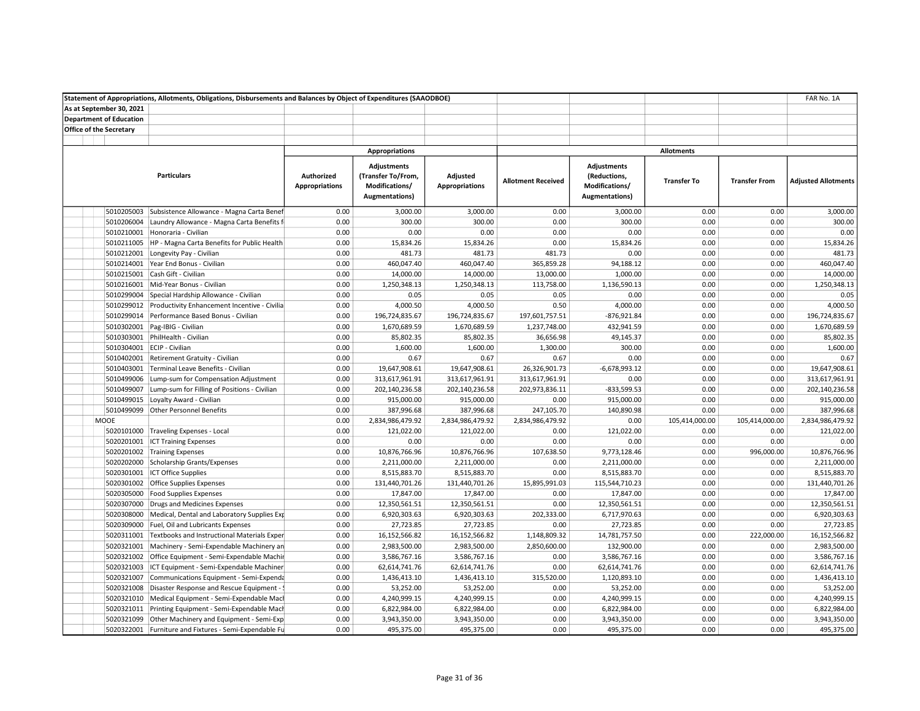|                                | Statement of Appropriations, Allotments, Obligations, Disbursements and Balances by Object of Expenditures (SAAODBOE) |                                     |                                                                                      |                                   |                           |                                                                        |                    |                      | FAR No. 1A                 |
|--------------------------------|-----------------------------------------------------------------------------------------------------------------------|-------------------------------------|--------------------------------------------------------------------------------------|-----------------------------------|---------------------------|------------------------------------------------------------------------|--------------------|----------------------|----------------------------|
| As at September 30, 2021       |                                                                                                                       |                                     |                                                                                      |                                   |                           |                                                                        |                    |                      |                            |
| <b>Department of Education</b> |                                                                                                                       |                                     |                                                                                      |                                   |                           |                                                                        |                    |                      |                            |
| <b>Office of the Secretary</b> |                                                                                                                       |                                     |                                                                                      |                                   |                           |                                                                        |                    |                      |                            |
|                                |                                                                                                                       |                                     |                                                                                      |                                   |                           |                                                                        |                    |                      |                            |
|                                |                                                                                                                       |                                     | <b>Appropriations</b>                                                                |                                   |                           |                                                                        | <b>Allotments</b>  |                      |                            |
|                                | <b>Particulars</b>                                                                                                    | Authorized<br><b>Appropriations</b> | <b>Adjustments</b><br>(Transfer To/From,<br>Modifications/<br><b>Augmentations</b> ) | Adjusted<br><b>Appropriations</b> | <b>Allotment Received</b> | <b>Adjustments</b><br>(Reductions,<br>Modifications/<br>Augmentations) | <b>Transfer To</b> | <b>Transfer From</b> | <b>Adjusted Allotments</b> |
| 5010205003                     | Subsistence Allowance - Magna Carta Benef                                                                             | 0.00                                | 3,000.00                                                                             | 3,000.00                          | 0.00                      | 3,000.00                                                               | 0.00               | 0.00                 | 3,000.00                   |
| 5010206004                     | Laundry Allowance - Magna Carta Benefits f                                                                            | 0.00                                | 300.00                                                                               | 300.00                            | 0.00                      | 300.00                                                                 | 0.00               | 0.00                 | 300.00                     |
|                                | 5010210001 Honoraria - Civilian                                                                                       | 0.00                                | 0.00                                                                                 | 0.00                              | 0.00                      | 0.00                                                                   | 0.00               | 0.00                 | 0.00                       |
|                                | 5010211005   HP - Magna Carta Benefits for Public Health                                                              | 0.00                                | 15,834.26                                                                            | 15,834.26                         | 0.00                      | 15,834.26                                                              | 0.00               | 0.00                 | 15,834.26                  |
| 5010212001                     | Longevity Pay - Civilian                                                                                              | 0.00                                | 481.73                                                                               | 481.73                            | 481.73                    | 0.00                                                                   | 0.00               | 0.00                 | 481.73                     |
|                                | 5010214001 Year End Bonus - Civilian                                                                                  | 0.00                                | 460,047.40                                                                           | 460,047.40                        | 365,859.28                | 94,188.12                                                              | 0.00               | 0.00                 | 460,047.40                 |
|                                | 5010215001 Cash Gift - Civilian                                                                                       | 0.00                                | 14,000.00                                                                            | 14,000.00                         | 13,000.00                 | 1,000.00                                                               | 0.00               | 0.00                 | 14,000.00                  |
|                                | 5010216001 Mid-Year Bonus - Civilian                                                                                  | 0.00                                | 1,250,348.13                                                                         | 1,250,348.13                      | 113,758.00                | 1,136,590.13                                                           | 0.00               | 0.00                 | 1,250,348.13               |
|                                | 5010299004 Special Hardship Allowance - Civilian                                                                      | 0.00                                | 0.05                                                                                 | 0.05                              | 0.05                      | 0.00                                                                   | 0.00               | 0.00                 | 0.05                       |
|                                | 5010299012 Productivity Enhancement Incentive - Civilia                                                               | 0.00                                | 4,000.50                                                                             | 4,000.50                          | 0.50                      | 4,000.00                                                               | 0.00               | 0.00                 | 4,000.50                   |
|                                | 5010299014 Performance Based Bonus - Civilian                                                                         | 0.00                                | 196,724,835.67                                                                       | 196,724,835.67                    | 197,601,757.51            | $-876,921.84$                                                          | 0.00               | 0.00                 | 196,724,835.67             |
| 5010302001                     | Pag-IBIG - Civilian                                                                                                   | 0.00                                | 1,670,689.59                                                                         | 1,670,689.59                      | 1,237,748.00              | 432,941.59                                                             | 0.00               | 0.00                 | 1,670,689.59               |
|                                | 5010303001 PhilHealth - Civilian                                                                                      | 0.00                                | 85,802.35                                                                            | 85,802.35                         | 36,656.98                 | 49,145.37                                                              | 0.00               | 0.00                 | 85,802.35                  |
|                                | 5010304001 ECIP - Civilian                                                                                            | 0.00                                | 1,600.00                                                                             | 1,600.00                          | 1,300.00                  | 300.00                                                                 | 0.00               | 0.00                 | 1,600.00                   |
|                                | 5010402001 Retirement Gratuity - Civilian                                                                             | 0.00                                | 0.67                                                                                 | 0.67                              | 0.67                      | 0.00                                                                   | 0.00               | 0.00                 | 0.67                       |
|                                | 5010403001 Terminal Leave Benefits - Civilian                                                                         | 0.00                                | 19,647,908.61                                                                        | 19,647,908.61                     | 26,326,901.73             | $-6,678,993.12$                                                        | 0.00               | 0.00                 | 19,647,908.61              |
|                                | 5010499006 Lump-sum for Compensation Adjustment                                                                       | 0.00                                | 313,617,961.91                                                                       | 313,617,961.91                    | 313,617,961.91            | 0.00                                                                   | 0.00               | 0.00                 | 313,617,961.91             |
| 5010499007                     | Lump-sum for Filling of Positions - Civilian                                                                          | 0.00                                | 202,140,236.58                                                                       | 202,140,236.58                    | 202,973,836.11            | $-833,599.53$                                                          | 0.00               | 0.00                 | 202,140,236.58             |
|                                | 5010499015 Loyalty Award - Civilian                                                                                   | 0.00                                | 915,000.00                                                                           | 915,000.00                        | 0.00                      | 915,000.00                                                             | 0.00               | 0.00                 | 915,000.00                 |
|                                | 5010499099 Other Personnel Benefits                                                                                   | 0.00                                | 387,996.68                                                                           | 387,996.68                        | 247,105.70                | 140,890.98                                                             | 0.00               | 0.00                 | 387,996.68                 |
| MOOE                           |                                                                                                                       | 0.00                                | 2,834,986,479.92                                                                     | 2,834,986,479.92                  | 2,834,986,479.92          | 0.00                                                                   | 105,414,000.00     | 105,414,000.00       | 2,834,986,479.92           |
|                                | 5020101000 Traveling Expenses - Local                                                                                 | 0.00                                | 121,022.00                                                                           | 121,022.00                        | 0.00                      | 121,022.00                                                             | 0.00               | 0.00                 | 121,022.00                 |
| 5020201001                     | <b>ICT Training Expenses</b>                                                                                          | 0.00                                | 0.00                                                                                 | 0.00                              | 0.00                      | 0.00                                                                   | 0.00               | 0.00                 | 0.00                       |
|                                | 5020201002 Training Expenses                                                                                          | 0.00                                | 10,876,766.96                                                                        | 10,876,766.96                     | 107,638.50                | 9,773,128.46                                                           | 0.00               | 996,000.00           | 10,876,766.96              |
|                                | 5020202000 Scholarship Grants/Expenses                                                                                | 0.00                                | 2,211,000.00                                                                         | 2,211,000.00                      | 0.00                      | 2,211,000.00                                                           | 0.00               | 0.00                 | 2,211,000.00               |
|                                | 5020301001 ICT Office Supplies                                                                                        | 0.00                                | 8,515,883.70                                                                         | 8,515,883.70                      | 0.00                      | 8,515,883.70                                                           | 0.00               | 0.00                 | 8,515,883.70               |
|                                | 5020301002 Office Supplies Expenses                                                                                   | 0.00                                | 131,440,701.26                                                                       | 131,440,701.26                    | 15,895,991.03             | 115,544,710.23                                                         | 0.00               | 0.00                 | 131,440,701.26             |
|                                | 5020305000 Food Supplies Expenses                                                                                     | 0.00                                | 17,847.00                                                                            | 17,847.00                         | 0.00                      | 17,847.00                                                              | 0.00               | 0.00                 | 17,847.00                  |
|                                | 5020307000 Drugs and Medicines Expenses                                                                               | 0.00                                | 12,350,561.51                                                                        | 12,350,561.51                     | 0.00                      | 12,350,561.51                                                          | 0.00               | 0.00                 | 12,350,561.51              |
|                                | 5020308000 Medical, Dental and Laboratory Supplies Exp                                                                | 0.00                                | 6,920,303.63                                                                         | 6,920,303.63                      | 202,333.00                | 6,717,970.63                                                           | 0.00               | 0.00                 | 6,920,303.63               |
|                                |                                                                                                                       | 0.00                                | 27,723.85                                                                            |                                   | 0.00                      |                                                                        | 0.00               | 0.00                 | 27,723.85                  |
|                                | 5020309000 Fuel, Oil and Lubricants Expenses                                                                          | 0.00                                |                                                                                      | 27,723.85                         |                           | 27,723.85                                                              | 0.00               | 222,000.00           | 16,152,566.82              |
|                                | 5020311001 Textbooks and Instructional Materials Exper                                                                |                                     | 16,152,566.82                                                                        | 16,152,566.82                     | 1,148,809.32              | 14,781,757.50                                                          |                    |                      | 2,983,500.00               |
|                                | 5020321001 Machinery - Semi-Expendable Machinery an                                                                   | 0.00                                | 2,983,500.00                                                                         | 2,983,500.00                      | 2,850,600.00              | 132,900.00                                                             | 0.00               | 0.00                 |                            |
|                                | 5020321002 Office Equipment - Semi-Expendable Machir                                                                  | 0.00                                | 3,586,767.16                                                                         | 3,586,767.16                      | 0.00                      | 3,586,767.16                                                           | 0.00               | 0.00                 | 3,586,767.16               |
|                                | 5020321003 ICT Equipment - Semi-Expendable Machiner                                                                   | 0.00                                | 62,614,741.76                                                                        | 62,614,741.76                     | 0.00                      | 62,614,741.76                                                          | 0.00               | 0.00                 | 62,614,741.76              |
|                                | 5020321007 Communications Equipment - Semi-Expenda                                                                    | 0.00                                | 1,436,413.10                                                                         | 1,436,413.10                      | 315,520.00                | 1,120,893.10                                                           | 0.00               | 0.00                 | 1,436,413.10               |
| 5020321008                     | Disaster Response and Rescue Equipment - !                                                                            | 0.00                                | 53,252.00                                                                            | 53,252.00                         | 0.00                      | 53,252.00                                                              | 0.00               | 0.00                 | 53,252.00                  |
|                                | 5020321010 Medical Equipment - Semi-Expendable Mach                                                                   | 0.00                                | 4,240,999.15                                                                         | 4,240,999.15                      | 0.00                      | 4,240,999.15                                                           | 0.00               | 0.00                 | 4,240,999.15               |
|                                | 5020321011 Printing Equipment - Semi-Expendable Mach                                                                  | 0.00                                | 6,822,984.00                                                                         | 6,822,984.00                      | 0.00                      | 6,822,984.00                                                           | 0.00               | 0.00                 | 6,822,984.00               |
|                                | 5020321099 Other Machinery and Equipment - Semi-Exp                                                                   | 0.00                                | 3,943,350.00                                                                         | 3,943,350.00                      | 0.00                      | 3,943,350.00                                                           | 0.00               | 0.00                 | 3,943,350.00               |
|                                | 5020322001 Furniture and Fixtures - Semi-Expendable Fu                                                                | 0.00                                | 495,375.00                                                                           | 495,375.00                        | 0.00                      | 495,375.00                                                             | 0.00               | 0.00                 | 495,375.00                 |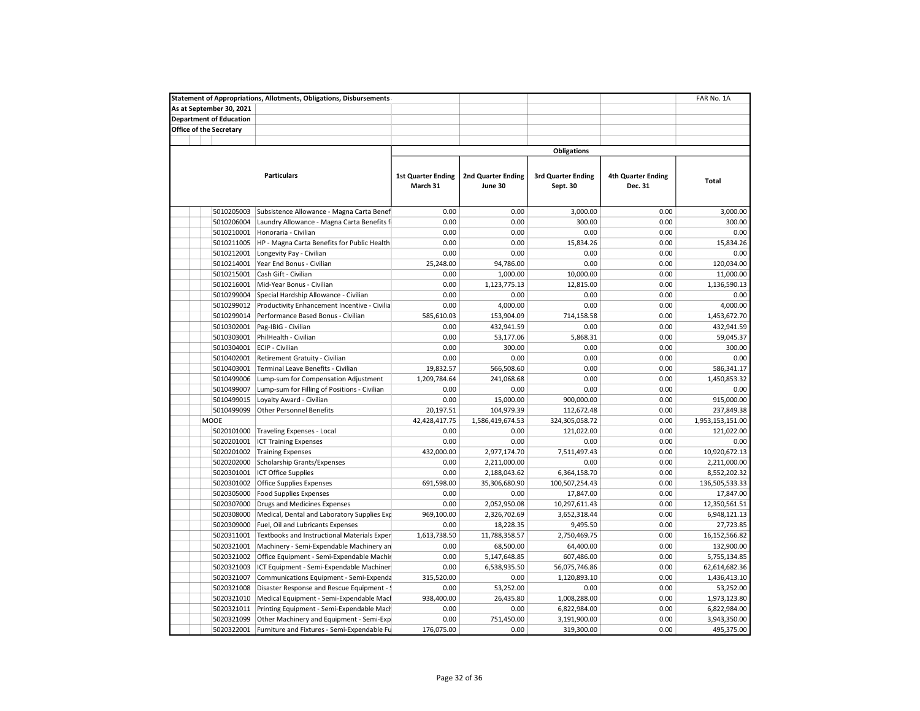|                                | <b>Statement of Appropriations, Allotments, Obligations, Disbursements</b> |                                       |                                      |                                       |                                      | FAR No. 1A       |
|--------------------------------|----------------------------------------------------------------------------|---------------------------------------|--------------------------------------|---------------------------------------|--------------------------------------|------------------|
| As at September 30, 2021       |                                                                            |                                       |                                      |                                       |                                      |                  |
| <b>Department of Education</b> |                                                                            |                                       |                                      |                                       |                                      |                  |
| Office of the Secretary        |                                                                            |                                       |                                      |                                       |                                      |                  |
|                                |                                                                            |                                       |                                      |                                       |                                      |                  |
|                                |                                                                            |                                       |                                      | <b>Obligations</b>                    |                                      |                  |
|                                |                                                                            |                                       |                                      |                                       |                                      |                  |
|                                | <b>Particulars</b>                                                         | <b>1st Quarter Ending</b><br>March 31 | <b>2nd Quarter Ending</b><br>June 30 | <b>3rd Quarter Ending</b><br>Sept. 30 | <b>4th Quarter Ending</b><br>Dec. 31 | Total            |
| 5010205003                     | Subsistence Allowance - Magna Carta Benef                                  | 0.00                                  | 0.00                                 | 3,000.00                              | 0.00                                 | 3,000.00         |
| 5010206004                     | Laundry Allowance - Magna Carta Benefits f                                 | 0.00                                  | 0.00                                 | 300.00                                | 0.00                                 | 300.00           |
| 5010210001                     | Honoraria - Civilian                                                       | 0.00                                  | 0.00                                 | 0.00                                  | 0.00                                 | 0.00             |
| 5010211005                     | HP - Magna Carta Benefits for Public Health                                | 0.00                                  | 0.00                                 | 15,834.26                             | 0.00                                 | 15,834.26        |
| 5010212001                     | Longevity Pay - Civilian                                                   | 0.00                                  | 0.00                                 | 0.00                                  | 0.00                                 | 0.00             |
| 5010214001                     | Year End Bonus - Civilian                                                  | 25,248.00                             | 94,786.00                            | 0.00                                  | 0.00                                 | 120,034.00       |
| 5010215001                     | Cash Gift - Civilian                                                       | 0.00                                  | 1,000.00                             | 10,000.00                             | 0.00                                 | 11,000.00        |
| 5010216001                     | Mid-Year Bonus - Civilian                                                  | 0.00                                  | 1,123,775.13                         | 12,815.00                             | 0.00                                 | 1,136,590.13     |
| 5010299004                     | Special Hardship Allowance - Civilian                                      | 0.00                                  | 0.00                                 | 0.00                                  | 0.00                                 | 0.00             |
| 5010299012                     | Productivity Enhancement Incentive - Civilia                               | 0.00                                  | 4,000.00                             | 0.00                                  | 0.00                                 | 4,000.00         |
| 5010299014                     | Performance Based Bonus - Civilian                                         | 585,610.03                            | 153,904.09                           | 714,158.58                            | 0.00                                 | 1,453,672.70     |
| 5010302001                     | Pag-IBIG - Civilian                                                        | 0.00                                  | 432,941.59                           | 0.00                                  | 0.00                                 | 432,941.59       |
| 5010303001                     | PhilHealth - Civilian                                                      | 0.00                                  | 53,177.06                            | 5,868.31                              | 0.00                                 | 59,045.37        |
| 5010304001                     | ECIP - Civilian                                                            | 0.00                                  | 300.00                               | 0.00                                  | 0.00                                 | 300.00           |
| 5010402001                     | Retirement Gratuity - Civilian                                             | 0.00                                  | 0.00                                 | 0.00                                  | 0.00                                 | 0.00             |
| 5010403001                     | Terminal Leave Benefits - Civilian                                         | 19,832.57                             | 566,508.60                           | 0.00                                  | 0.00                                 | 586,341.17       |
| 5010499006                     | Lump-sum for Compensation Adjustment                                       | 1,209,784.64                          | 241,068.68                           | 0.00                                  | 0.00                                 | 1,450,853.32     |
| 5010499007                     | Lump-sum for Filling of Positions - Civilian                               | 0.00                                  | 0.00                                 | 0.00                                  | 0.00                                 | 0.00             |
| 5010499015                     | Loyalty Award - Civilian                                                   | 0.00                                  | 15,000.00                            | 900,000.00                            | 0.00                                 | 915,000.00       |
| 5010499099                     | <b>Other Personnel Benefits</b>                                            | 20,197.51                             | 104,979.39                           | 112,672.48                            | 0.00                                 | 237,849.38       |
| <b>MOOE</b>                    |                                                                            | 42,428,417.75                         | 1,586,419,674.53                     | 324,305,058.72                        | 0.00                                 | 1,953,153,151.00 |
| 5020101000                     | <b>Traveling Expenses - Local</b>                                          | 0.00                                  | 0.00                                 | 121,022.00                            | 0.00                                 | 121,022.00       |
| 5020201001                     | <b>ICT Training Expenses</b>                                               | 0.00                                  | 0.00                                 | 0.00                                  | 0.00                                 | 0.00             |
| 5020201002                     | <b>Training Expenses</b>                                                   | 432,000.00                            | 2,977,174.70                         | 7,511,497.43                          | 0.00                                 | 10,920,672.13    |
| 5020202000                     | Scholarship Grants/Expenses                                                | 0.00                                  | 2,211,000.00                         | 0.00                                  | 0.00                                 | 2,211,000.00     |
| 5020301001                     | <b>ICT Office Supplies</b>                                                 | 0.00                                  | 2,188,043.62                         | 6,364,158.70                          | 0.00                                 | 8,552,202.32     |
| 5020301002                     | Office Supplies Expenses                                                   | 691,598.00                            | 35,306,680.90                        | 100,507,254.43                        | 0.00                                 | 136,505,533.33   |
| 5020305000                     | <b>Food Supplies Expenses</b>                                              | 0.00                                  | 0.00                                 | 17,847.00                             | 0.00                                 | 17,847.00        |
| 5020307000                     | Drugs and Medicines Expenses                                               | 0.00                                  | 2,052,950.08                         | 10,297,611.43                         | 0.00                                 | 12,350,561.51    |
| 5020308000                     | Medical, Dental and Laboratory Supplies Exp                                | 969,100.00                            | 2,326,702.69                         | 3,652,318.44                          | 0.00                                 | 6,948,121.13     |
| 5020309000                     |                                                                            | 0.00                                  | 18,228.35                            | 9,495.50                              | 0.00                                 | 27,723.85        |
|                                | Fuel, Oil and Lubricants Expenses                                          |                                       |                                      |                                       |                                      |                  |
| 5020311001                     | Textbooks and Instructional Materials Exper                                | 1,613,738.50<br>0.00                  | 11,788,358.57                        | 2,750,469.75                          | 0.00<br>0.00                         | 16,152,566.82    |
| 5020321001                     | Machinery - Semi-Expendable Machinery an                                   |                                       | 68,500.00                            | 64,400.00                             |                                      | 132,900.00       |
| 5020321002                     | Office Equipment - Semi-Expendable Machir                                  | 0.00                                  | 5,147,648.85                         | 607,486.00                            | 0.00<br>0.00                         | 5,755,134.85     |
| 5020321003                     | ICT Equipment - Semi-Expendable Machiner                                   | 0.00                                  | 6,538,935.50                         | 56,075,746.86                         |                                      | 62,614,682.36    |
| 5020321007                     | Communications Equipment - Semi-Expenda                                    | 315,520.00                            | 0.00                                 | 1,120,893.10                          | 0.00                                 | 1,436,413.10     |
| 5020321008                     | Disaster Response and Rescue Equipment - !                                 | 0.00                                  | 53,252.00                            | 0.00                                  | 0.00                                 | 53,252.00        |
| 5020321010                     | Medical Equipment - Semi-Expendable Macl                                   | 938,400.00                            | 26,435.80                            | 1,008,288.00                          | 0.00                                 | 1,973,123.80     |
| 5020321011                     | Printing Equipment - Semi-Expendable Mach                                  | 0.00                                  | 0.00                                 | 6,822,984.00                          | 0.00                                 | 6,822,984.00     |
| 5020321099                     | Other Machinery and Equipment - Semi-Exp                                   | 0.00                                  | 751,450.00                           | 3,191,900.00                          | 0.00                                 | 3,943,350.00     |
| 5020322001                     | Furniture and Fixtures - Semi-Expendable Fu                                | 176,075.00                            | 0.00                                 | 319,300.00                            | 0.00                                 | 495,375.00       |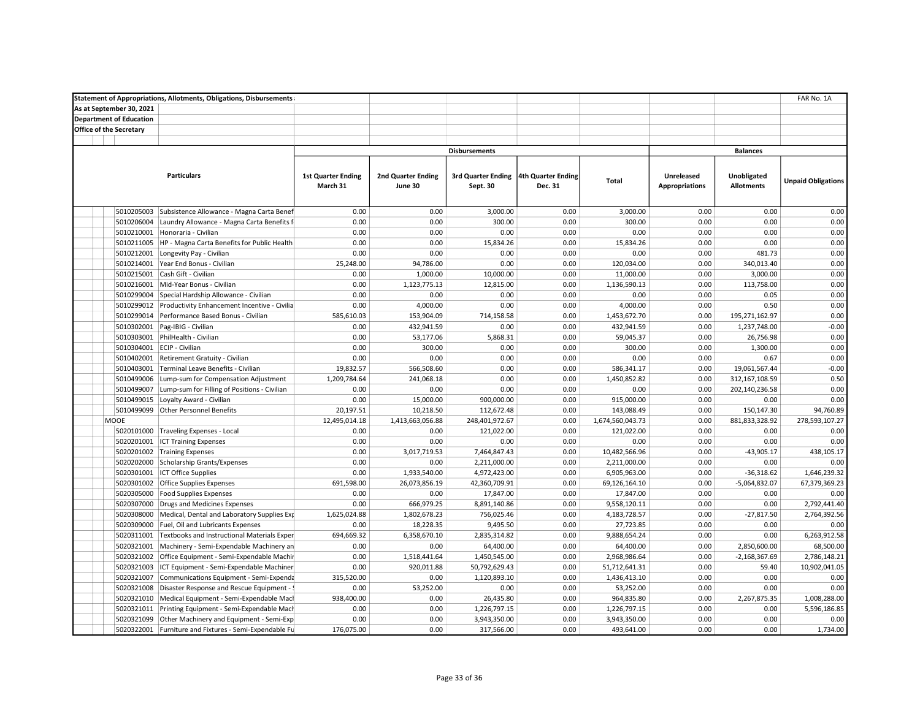|                                |                          | <b>Statement of Appropriations, Allotments, Obligations, Disbursements</b> |                           |                           |                                       | FAR No. 1A |                  |                       |                   |                           |
|--------------------------------|--------------------------|----------------------------------------------------------------------------|---------------------------|---------------------------|---------------------------------------|------------|------------------|-----------------------|-------------------|---------------------------|
|                                | As at September 30, 2021 |                                                                            |                           |                           |                                       |            |                  |                       |                   |                           |
| <b>Department of Education</b> |                          |                                                                            |                           |                           |                                       |            |                  |                       |                   |                           |
| <b>Office of the Secretary</b> |                          |                                                                            |                           |                           |                                       |            |                  |                       |                   |                           |
|                                |                          |                                                                            |                           |                           |                                       |            |                  |                       |                   |                           |
|                                |                          |                                                                            |                           |                           | <b>Disbursements</b>                  |            |                  |                       | <b>Balances</b>   |                           |
|                                |                          |                                                                            |                           |                           |                                       |            |                  |                       |                   |                           |
|                                |                          | <b>Particulars</b>                                                         | <b>1st Quarter Ending</b> | <b>2nd Quarter Ending</b> | 3rd Quarter Ending 4th Quarter Ending |            |                  | Unreleased            | Unobligated       |                           |
|                                |                          |                                                                            | March 31                  | June 30                   | Sept. 30                              | Dec. 31    | Total            | <b>Appropriations</b> | <b>Allotments</b> | <b>Unpaid Obligations</b> |
|                                |                          |                                                                            |                           |                           |                                       |            |                  |                       |                   |                           |
|                                |                          |                                                                            |                           |                           |                                       |            |                  |                       |                   |                           |
|                                | 5010205003               | Subsistence Allowance - Magna Carta Benef                                  | 0.00                      | 0.00                      | 3,000.00                              | 0.00       | 3,000.00         | 0.00                  | 0.00              | 0.00                      |
|                                | 5010206004               | Laundry Allowance - Magna Carta Benefits f                                 | 0.00                      | 0.00                      | 300.00                                | 0.00       | 300.00           | 0.00                  | 0.00              | 0.00                      |
|                                | 5010210001               | Honoraria - Civilian                                                       | 0.00                      | 0.00                      | 0.00                                  | 0.00       | 0.00             | 0.00                  | 0.00              | 0.00                      |
|                                | 5010211005               | HP - Magna Carta Benefits for Public Health                                | 0.00                      | 0.00                      | 15,834.26                             | 0.00       | 15,834.26        | 0.00                  | 0.00              | 0.00                      |
|                                | 5010212001               | Longevity Pay - Civilian                                                   | 0.00                      | 0.00                      | 0.00                                  | 0.00       | 0.00             | 0.00                  | 481.73            | 0.00                      |
|                                | 5010214001               | Year End Bonus - Civilian                                                  | 25,248.00                 | 94,786.00                 | 0.00                                  | 0.00       | 120,034.00       | 0.00                  | 340,013.40        | 0.00                      |
|                                | 5010215001               | Cash Gift - Civilian                                                       | 0.00                      | 1,000.00                  | 10,000.00                             | 0.00       | 11,000.00        | 0.00                  | 3,000.00          | 0.00                      |
|                                | 5010216001               | Mid-Year Bonus - Civilian                                                  | 0.00                      | 1,123,775.13              | 12,815.00                             | 0.00       | 1,136,590.13     | 0.00                  | 113,758.00        | 0.00                      |
|                                | 5010299004               | Special Hardship Allowance - Civilian                                      | 0.00                      | 0.00                      | 0.00                                  | 0.00       | 0.00             | 0.00                  | 0.05              | 0.00                      |
|                                | 5010299012               | Productivity Enhancement Incentive - Civilia                               | 0.00                      | 4,000.00                  | 0.00                                  | 0.00       | 4,000.00         | 0.00                  | 0.50              | 0.00                      |
|                                | 5010299014               | Performance Based Bonus - Civilian                                         | 585,610.03                | 153,904.09                | 714,158.58                            | 0.00       | 1,453,672.70     | 0.00                  | 195,271,162.97    | 0.00                      |
|                                | 5010302001               | Pag-IBIG - Civilian                                                        | 0.00                      | 432,941.59                | 0.00                                  | 0.00       | 432,941.59       | 0.00                  | 1,237,748.00      | $-0.00$                   |
|                                | 5010303001               | PhilHealth - Civilian                                                      | 0.00                      | 53,177.06                 | 5,868.31                              | 0.00       | 59,045.37        | 0.00                  | 26,756.98         | 0.00                      |
|                                | 5010304001               | ECIP - Civilian                                                            | 0.00                      | 300.00                    | 0.00                                  | 0.00       | 300.00           | 0.00                  | 1,300.00          | 0.00                      |
|                                | 5010402001               | Retirement Gratuity - Civilian                                             | 0.00                      | 0.00                      | 0.00                                  | 0.00       | 0.00             | 0.00                  | 0.67              | 0.00                      |
|                                | 5010403001               | Terminal Leave Benefits - Civilian                                         | 19,832.57                 | 566,508.60                | 0.00                                  | 0.00       | 586,341.17       | 0.00                  | 19,061,567.44     | $-0.00$                   |
|                                | 5010499006               | Lump-sum for Compensation Adjustment                                       | 1,209,784.64              | 241,068.18                | 0.00                                  | 0.00       | 1,450,852.82     | 0.00                  | 312,167,108.59    | 0.50                      |
|                                | 5010499007               | Lump-sum for Filling of Positions - Civilian                               | 0.00                      | 0.00                      | 0.00                                  | 0.00       | 0.00             | 0.00                  | 202,140,236.58    | 0.00                      |
|                                | 5010499015               | Loyalty Award - Civilian                                                   | 0.00                      | 15,000.00                 | 900,000.00                            | 0.00       | 915,000.00       | 0.00                  | 0.00              | 0.00                      |
|                                | 5010499099               | <b>Other Personnel Benefits</b>                                            | 20,197.51                 | 10,218.50                 | 112,672.48                            | 0.00       | 143,088.49       | 0.00                  | 150,147.30        | 94,760.89                 |
|                                | MOOE                     |                                                                            | 12,495,014.18             | 1,413,663,056.88          | 248,401,972.67                        | 0.00       | 1,674,560,043.73 | 0.00                  | 881,833,328.92    | 278,593,107.27            |
|                                | 5020101000               | Traveling Expenses - Local                                                 | 0.00                      | 0.00                      | 121,022.00                            | 0.00       | 121,022.00       | 0.00                  | 0.00              | 0.00                      |
|                                | 5020201001               | <b>ICT Training Expenses</b>                                               | 0.00                      | 0.00                      | 0.00                                  | 0.00       | 0.00             | 0.00                  | 0.00              | 0.00                      |
|                                |                          | 5020201002 Training Expenses                                               | 0.00                      | 3,017,719.53              | 7,464,847.43                          | 0.00       | 10,482,566.96    | 0.00                  | $-43,905.17$      | 438,105.17                |
|                                |                          | 5020202000 Scholarship Grants/Expenses                                     | 0.00                      | 0.00                      | 2,211,000.00                          | 0.00       | 2,211,000.00     | 0.00                  | 0.00              | 0.00                      |
|                                | 5020301001               | <b>ICT Office Supplies</b>                                                 | 0.00                      | 1,933,540.00              | 4,972,423.00                          | 0.00       | 6,905,963.00     | 0.00                  | $-36,318.62$      | 1,646,239.32              |
|                                |                          | 5020301002 Office Supplies Expenses                                        | 691,598.00                | 26,073,856.19             | 42,360,709.91                         | 0.00       | 69,126,164.10    | 0.00                  | $-5,064,832.07$   | 67,379,369.23             |
|                                | 5020305000               | <b>Food Supplies Expenses</b>                                              | 0.00                      | 0.00                      | 17,847.00                             | 0.00       | 17,847.00        | 0.00                  | 0.00              | 0.00                      |
|                                | 5020307000               | Drugs and Medicines Expenses                                               | 0.00                      | 666,979.25                | 8,891,140.86                          | 0.00       | 9,558,120.11     | 0.00                  | 0.00              | 2,792,441.40              |
|                                | 5020308000               | Medical, Dental and Laboratory Supplies Exp                                | 1,625,024.88              | 1,802,678.23              | 756,025.46                            | 0.00       | 4,183,728.57     | 0.00                  | $-27,817.50$      | 2,764,392.56              |
|                                | 5020309000               | Fuel, Oil and Lubricants Expenses                                          | 0.00                      | 18,228.35                 | 9,495.50                              | 0.00       | 27,723.85        | 0.00                  | 0.00              | 0.00                      |
|                                | 5020311001               | Textbooks and Instructional Materials Exper                                | 694,669.32                | 6,358,670.10              | 2,835,314.82                          | 0.00       | 9,888,654.24     | 0.00                  | 0.00              | 6,263,912.58              |
|                                | 5020321001               | Machinery - Semi-Expendable Machinery an                                   | 0.00                      | 0.00                      | 64,400.00                             | 0.00       | 64,400.00        | 0.00                  | 2,850,600.00      | 68,500.00                 |
|                                |                          | 5020321002 Office Equipment - Semi-Expendable Machir                       | 0.00                      | 1,518,441.64              | 1,450,545.00                          | 0.00       | 2,968,986.64     | 0.00                  | $-2,168,367.69$   | 2,786,148.21              |
|                                | 5020321003               | ICT Equipment - Semi-Expendable Machiner                                   | 0.00                      | 920,011.88                | 50,792,629.43                         | 0.00       | 51,712,641.31    | 0.00                  | 59.40             | 10,902,041.05             |
|                                | 5020321007               | Communications Equipment - Semi-Expenda                                    | 315,520.00                | 0.00                      | 1,120,893.10                          | 0.00       | 1,436,413.10     | 0.00                  | 0.00              | 0.00                      |
|                                | 5020321008               | Disaster Response and Rescue Equipment -                                   | 0.00                      | 53,252.00                 | 0.00                                  | 0.00       | 53,252.00        | 0.00                  | 0.00              | 0.00                      |
|                                | 5020321010               | Medical Equipment - Semi-Expendable Macl                                   | 938,400.00                | 0.00                      | 26,435.80                             | 0.00       | 964,835.80       | 0.00                  | 2,267,875.35      | 1,008,288.00              |
|                                | 5020321011               | Printing Equipment - Semi-Expendable Mach                                  | 0.00                      | 0.00                      | 1,226,797.15                          | 0.00       | 1,226,797.15     | 0.00                  | 0.00              | 5,596,186.85              |
|                                | 5020321099               | Other Machinery and Equipment - Semi-Exp                                   | 0.00                      | 0.00                      | 3,943,350.00                          | 0.00       | 3,943,350.00     | 0.00                  | 0.00              | 0.00                      |
|                                | 5020322001               | Furniture and Fixtures - Semi-Expendable Fu                                | 176,075.00                | 0.00                      | 317,566.00                            | 0.00       | 493,641.00       | 0.00                  | 0.00              | 1,734.00                  |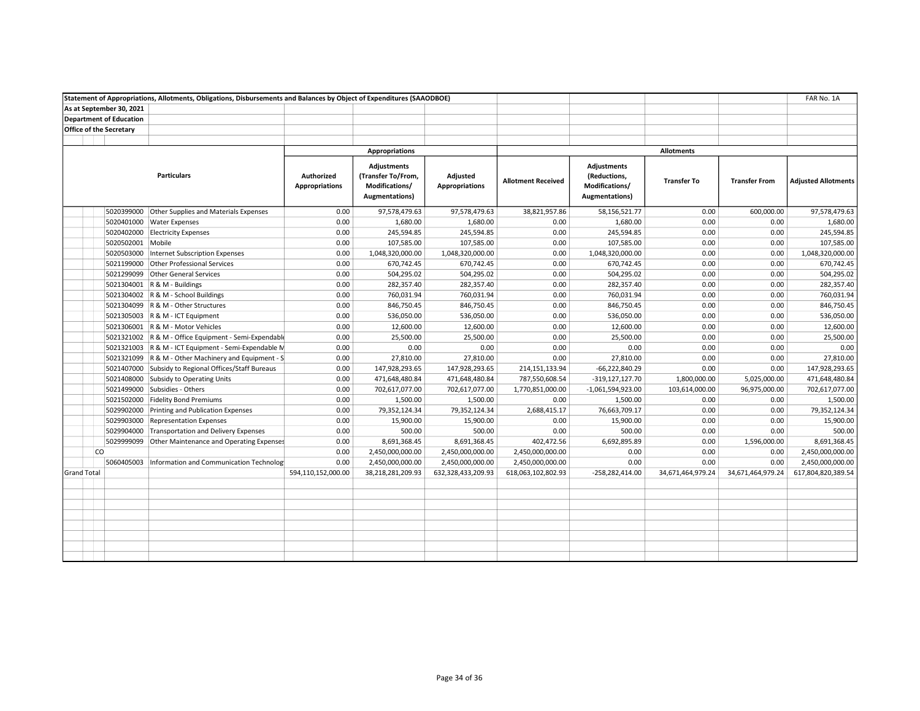|                    |                                | Statement of Appropriations, Allotments, Obligations, Disbursements and Balances by Object of Expenditures (SAAODBOE) |                                     |                                                                                      |                                   |                           |                                                                                |                    |                      | FAR No. 1A                 |
|--------------------|--------------------------------|-----------------------------------------------------------------------------------------------------------------------|-------------------------------------|--------------------------------------------------------------------------------------|-----------------------------------|---------------------------|--------------------------------------------------------------------------------|--------------------|----------------------|----------------------------|
|                    | As at September 30, 2021       |                                                                                                                       |                                     |                                                                                      |                                   |                           |                                                                                |                    |                      |                            |
|                    | <b>Department of Education</b> |                                                                                                                       |                                     |                                                                                      |                                   |                           |                                                                                |                    |                      |                            |
|                    | <b>Office of the Secretary</b> |                                                                                                                       |                                     |                                                                                      |                                   |                           |                                                                                |                    |                      |                            |
|                    |                                |                                                                                                                       |                                     |                                                                                      |                                   |                           |                                                                                |                    |                      |                            |
|                    |                                |                                                                                                                       |                                     | Appropriations                                                                       |                                   |                           |                                                                                | <b>Allotments</b>  |                      |                            |
|                    |                                | <b>Particulars</b>                                                                                                    | Authorized<br><b>Appropriations</b> | <b>Adjustments</b><br>(Transfer To/From,<br>Modifications/<br><b>Augmentations</b> ) | Adjusted<br><b>Appropriations</b> | <b>Allotment Received</b> | <b>Adjustments</b><br>(Reductions,<br>Modifications/<br><b>Augmentations</b> ) | <b>Transfer To</b> | <b>Transfer From</b> | <b>Adjusted Allotments</b> |
|                    |                                | 5020399000 Other Supplies and Materials Expenses                                                                      | 0.00                                | 97,578,479.63                                                                        | 97,578,479.63                     | 38,821,957.86             | 58,156,521.77                                                                  | 0.00               | 600,000.00           | 97,578,479.63              |
|                    |                                | 5020401000 Water Expenses                                                                                             | 0.00                                | 1,680.00                                                                             | 1,680.00                          | 0.00                      | 1,680.00                                                                       | 0.00               | 0.00                 | 1,680.00                   |
|                    |                                | 5020402000 Electricity Expenses                                                                                       | 0.00                                | 245,594.85                                                                           | 245,594.85                        | 0.00                      | 245,594.85                                                                     | 0.00               | 0.00                 | 245,594.85                 |
|                    | 5020502001 Mobile              |                                                                                                                       | 0.00                                | 107,585.00                                                                           | 107,585.00                        | 0.00                      | 107,585.00                                                                     | 0.00               | 0.00                 | 107,585.00                 |
|                    | 5020503000                     | Internet Subscription Expenses                                                                                        | 0.00                                | 1,048,320,000.00                                                                     | 1,048,320,000.00                  | 0.00                      | 1,048,320,000.00                                                               | 0.00               | 0.00                 | 1,048,320,000.00           |
|                    |                                | 5021199000 Other Professional Services                                                                                | 0.00                                | 670,742.45                                                                           | 670,742.45                        | 0.00                      | 670,742.45                                                                     | 0.00               | 0.00                 | 670,742.45                 |
|                    |                                | 5021299099 Other General Services                                                                                     | 0.00                                | 504,295.02                                                                           | 504,295.02                        | 0.00                      | 504,295.02                                                                     | 0.00               | 0.00                 | 504,295.02                 |
|                    |                                | 5021304001 R & M - Buildings                                                                                          | 0.00                                | 282,357.40                                                                           | 282,357.40                        | 0.00                      | 282,357.40                                                                     | 0.00               | 0.00                 | 282,357.40                 |
|                    |                                | 5021304002 R & M - School Buildings                                                                                   | 0.00                                | 760,031.94                                                                           | 760,031.94                        | 0.00                      | 760,031.94                                                                     | 0.00               | 0.00                 | 760,031.94                 |
|                    |                                | 5021304099 R & M - Other Structures                                                                                   | 0.00                                | 846,750.45                                                                           | 846,750.45                        | 0.00                      | 846,750.45                                                                     | 0.00               | 0.00                 | 846,750.45                 |
|                    |                                | 5021305003 R & M - ICT Equipment                                                                                      | 0.00                                | 536,050.00                                                                           | 536,050.00                        | 0.00                      | 536,050.00                                                                     | 0.00               | 0.00                 | 536,050.00                 |
|                    |                                | 5021306001   R & M - Motor Vehicles                                                                                   | 0.00                                | 12,600.00                                                                            | 12,600.00                         | 0.00                      | 12,600.00                                                                      | 0.00               | 0.00                 | 12,600.00                  |
|                    |                                | 5021321002 R & M - Office Equipment - Semi-Expendable                                                                 | 0.00                                | 25,500.00                                                                            | 25,500.00                         | 0.00                      | 25,500.00                                                                      | 0.00               | 0.00                 | 25,500.00                  |
|                    |                                | 5021321003 R & M - ICT Equipment - Semi-Expendable M                                                                  | 0.00                                | 0.00                                                                                 | 0.00                              | 0.00                      | 0.00                                                                           | 0.00               | 0.00                 | 0.00                       |
|                    |                                | 5021321099 R & M - Other Machinery and Equipment - S                                                                  | 0.00                                | 27,810.00                                                                            | 27,810.00                         | 0.00                      | 27,810.00                                                                      | 0.00               | 0.00                 | 27,810.00                  |
|                    |                                | 5021407000 Subsidy to Regional Offices/Staff Bureaus                                                                  | 0.00                                | 147,928,293.65                                                                       | 147,928,293.65                    | 214,151,133.94            | $-66,222,840.29$                                                               | 0.00               | 0.00                 | 147,928,293.65             |
|                    |                                | 5021408000 Subsidy to Operating Units                                                                                 | 0.00                                | 471,648,480.84                                                                       | 471,648,480.84                    | 787,550,608.54            | $-319, 127, 127.70$                                                            | 1,800,000.00       | 5,025,000.00         | 471,648,480.84             |
|                    |                                | 5021499000 Subsidies - Others                                                                                         | 0.00                                | 702,617,077.00                                                                       | 702,617,077.00                    | 1,770,851,000.00          | $-1,061,594,923.00$                                                            | 103,614,000.00     | 96,975,000.00        | 702,617,077.00             |
|                    |                                | 5021502000 Fidelity Bond Premiums                                                                                     | 0.00                                | 1,500.00                                                                             | 1,500.00                          | 0.00                      | 1,500.00                                                                       | 0.00               | 0.00                 | 1,500.00                   |
|                    | 5029902000                     | Printing and Publication Expenses                                                                                     | 0.00                                | 79,352,124.34                                                                        | 79,352,124.34                     | 2,688,415.17              | 76,663,709.17                                                                  | 0.00               | 0.00                 | 79,352,124.34              |
|                    |                                | 5029903000 Representation Expenses                                                                                    | 0.00                                | 15,900.00                                                                            | 15,900.00                         | 0.00                      | 15,900.00                                                                      | 0.00               | 0.00                 | 15,900.00                  |
|                    |                                | 5029904000 Transportation and Delivery Expenses                                                                       | 0.00                                | 500.00                                                                               | 500.00                            | 0.00                      | 500.00                                                                         | 0.00               | 0.00                 | 500.00                     |
|                    |                                | 5029999099 Other Maintenance and Operating Expenses                                                                   | 0.00                                | 8,691,368.45                                                                         | 8,691,368.45                      | 402,472.56                | 6,692,895.89                                                                   | 0.00               | 1,596,000.00         | 8,691,368.45               |
|                    | CO                             |                                                                                                                       | 0.00                                | 2,450,000,000.00                                                                     | 2,450,000,000.00                  | 2,450,000,000.00          | 0.00                                                                           | 0.00               | 0.00                 | 2,450,000,000.00           |
|                    | 5060405003                     | Information and Communication Technology                                                                              | 0.00                                | 2,450,000,000.00                                                                     | 2,450,000,000.00                  | 2,450,000,000.00          | 0.00                                                                           | 0.00               | 0.00                 | 2,450,000,000.00           |
| <b>Grand Total</b> |                                |                                                                                                                       | 594,110,152,000.00                  | 38,218,281,209.93                                                                    | 632,328,433,209.93                | 618,063,102,802.93        | -258,282,414.00                                                                | 34,671,464,979.24  | 34,671,464,979.24    | 617,804,820,389.54         |
|                    |                                |                                                                                                                       |                                     |                                                                                      |                                   |                           |                                                                                |                    |                      |                            |
|                    |                                |                                                                                                                       |                                     |                                                                                      |                                   |                           |                                                                                |                    |                      |                            |
|                    |                                |                                                                                                                       |                                     |                                                                                      |                                   |                           |                                                                                |                    |                      |                            |
|                    |                                |                                                                                                                       |                                     |                                                                                      |                                   |                           |                                                                                |                    |                      |                            |
|                    |                                |                                                                                                                       |                                     |                                                                                      |                                   |                           |                                                                                |                    |                      |                            |
|                    |                                |                                                                                                                       |                                     |                                                                                      |                                   |                           |                                                                                |                    |                      |                            |
|                    |                                |                                                                                                                       |                                     |                                                                                      |                                   |                           |                                                                                |                    |                      |                            |
|                    |                                |                                                                                                                       |                                     |                                                                                      |                                   |                           |                                                                                |                    |                      |                            |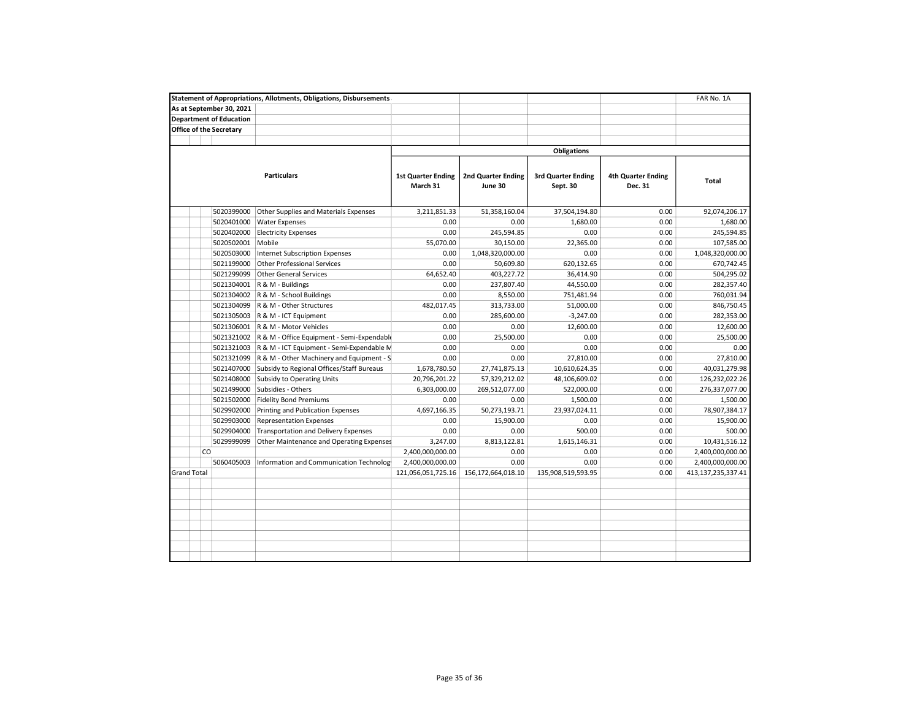|                    |    |                                | <b>Statement of Appropriations, Allotments, Obligations, Disbursements</b> |                                       |                                      |                                       |                                      | FAR No. 1A         |
|--------------------|----|--------------------------------|----------------------------------------------------------------------------|---------------------------------------|--------------------------------------|---------------------------------------|--------------------------------------|--------------------|
|                    |    | As at September 30, 2021       |                                                                            |                                       |                                      |                                       |                                      |                    |
|                    |    | <b>Department of Education</b> |                                                                            |                                       |                                      |                                       |                                      |                    |
|                    |    | Office of the Secretary        |                                                                            |                                       |                                      |                                       |                                      |                    |
|                    |    |                                |                                                                            |                                       |                                      |                                       |                                      |                    |
|                    |    |                                |                                                                            |                                       |                                      | <b>Obligations</b>                    |                                      |                    |
|                    |    |                                |                                                                            |                                       |                                      |                                       |                                      |                    |
|                    |    |                                | <b>Particulars</b>                                                         | <b>1st Quarter Ending</b><br>March 31 | <b>2nd Quarter Ending</b><br>June 30 | <b>3rd Quarter Ending</b><br>Sept. 30 | <b>4th Quarter Ending</b><br>Dec. 31 | Total              |
|                    |    | 5020399000                     | Other Supplies and Materials Expenses                                      | 3,211,851.33                          | 51,358,160.04                        | 37,504,194.80                         | 0.00                                 | 92,074,206.17      |
|                    |    | 5020401000                     | <b>Water Expenses</b>                                                      | 0.00                                  | 0.00                                 | 1,680.00                              | 0.00                                 | 1,680.00           |
|                    |    | 5020402000                     | <b>Electricity Expenses</b>                                                | 0.00                                  | 245,594.85                           | 0.00                                  | 0.00                                 | 245,594.85         |
|                    |    | 5020502001                     | Mobile                                                                     | 55,070.00                             | 30,150.00                            | 22,365.00                             | 0.00                                 | 107,585.00         |
|                    |    | 5020503000                     | <b>Internet Subscription Expenses</b>                                      | 0.00                                  | 1,048,320,000.00                     | 0.00                                  | 0.00                                 | 1,048,320,000.00   |
|                    |    | 5021199000                     | <b>Other Professional Services</b>                                         | 0.00                                  | 50,609.80                            | 620,132.65                            | 0.00                                 | 670,742.45         |
|                    |    | 5021299099                     | <b>Other General Services</b>                                              | 64,652.40                             | 403,227.72                           | 36,414.90                             | 0.00                                 | 504,295.02         |
|                    |    | 5021304001                     | R & M - Buildings                                                          | 0.00                                  | 237,807.40                           | 44,550.00                             | 0.00                                 | 282,357.40         |
|                    |    | 5021304002                     | R & M - School Buildings                                                   | 0.00                                  | 8,550.00                             | 751,481.94                            | 0.00                                 | 760,031.94         |
|                    |    | 5021304099                     | R & M - Other Structures                                                   | 482,017.45                            | 313,733.00                           | 51,000.00                             | 0.00                                 | 846,750.45         |
|                    |    |                                | 5021305003 R & M - ICT Equipment                                           | 0.00                                  | 285,600.00                           | $-3,247.00$                           | 0.00                                 | 282,353.00         |
|                    |    | 5021306001                     | R & M - Motor Vehicles                                                     | 0.00                                  | 0.00                                 | 12,600.00                             | 0.00                                 | 12,600.00          |
|                    |    | 5021321002                     | R & M - Office Equipment - Semi-Expendable                                 | 0.00                                  | 25,500.00                            | 0.00                                  | 0.00                                 | 25,500.00          |
|                    |    | 5021321003                     | R & M - ICT Equipment - Semi-Expendable N                                  | 0.00                                  | 0.00                                 | 0.00                                  | 0.00                                 | 0.00               |
|                    |    | 5021321099                     | R & M - Other Machinery and Equipment - S                                  | 0.00                                  | 0.00                                 | 27,810.00                             | 0.00                                 | 27,810.00          |
|                    |    | 5021407000                     | Subsidy to Regional Offices/Staff Bureaus                                  | 1,678,780.50                          | 27,741,875.13                        | 10,610,624.35                         | 0.00                                 | 40,031,279.98      |
|                    |    | 5021408000                     | <b>Subsidy to Operating Units</b>                                          | 20,796,201.22                         | 57,329,212.02                        | 48,106,609.02                         | 0.00                                 | 126,232,022.26     |
|                    |    | 5021499000                     | Subsidies - Others                                                         | 6,303,000.00                          | 269,512,077.00                       | 522,000.00                            | 0.00                                 | 276,337,077.00     |
|                    |    | 5021502000                     | <b>Fidelity Bond Premiums</b>                                              | 0.00                                  | 0.00                                 | 1,500.00                              | 0.00                                 | 1,500.00           |
|                    |    | 5029902000                     | Printing and Publication Expenses                                          | 4,697,166.35                          | 50,273,193.71                        | 23,937,024.11                         | 0.00                                 | 78,907,384.17      |
|                    |    | 5029903000                     | <b>Representation Expenses</b>                                             | 0.00                                  | 15,900.00                            | 0.00                                  | 0.00                                 | 15,900.00          |
|                    |    | 5029904000                     | <b>Transportation and Delivery Expenses</b>                                | 0.00                                  | 0.00                                 | 500.00                                | 0.00                                 | 500.00             |
|                    |    | 5029999099                     | Other Maintenance and Operating Expenses                                   | 3,247.00                              | 8,813,122.81                         | 1,615,146.31                          | 0.00                                 | 10,431,516.12      |
|                    | CO |                                |                                                                            | 2,400,000,000.00                      | 0.00                                 | 0.00                                  | 0.00                                 | 2,400,000,000.00   |
|                    |    | 5060405003                     | Information and Communication Technolog                                    | 2,400,000,000.00                      | 0.00                                 | 0.00                                  | 0.00                                 | 2,400,000,000.00   |
| <b>Grand Total</b> |    |                                |                                                                            | 121,056,051,725.16                    | 156,172,664,018.10                   | 135,908,519,593.95                    | 0.00                                 | 413,137,235,337.41 |
|                    |    |                                |                                                                            |                                       |                                      |                                       |                                      |                    |
|                    |    |                                |                                                                            |                                       |                                      |                                       |                                      |                    |
|                    |    |                                |                                                                            |                                       |                                      |                                       |                                      |                    |
|                    |    |                                |                                                                            |                                       |                                      |                                       |                                      |                    |
|                    |    |                                |                                                                            |                                       |                                      |                                       |                                      |                    |
|                    |    |                                |                                                                            |                                       |                                      |                                       |                                      |                    |
|                    |    |                                |                                                                            |                                       |                                      |                                       |                                      |                    |
|                    |    |                                |                                                                            |                                       |                                      |                                       |                                      |                    |